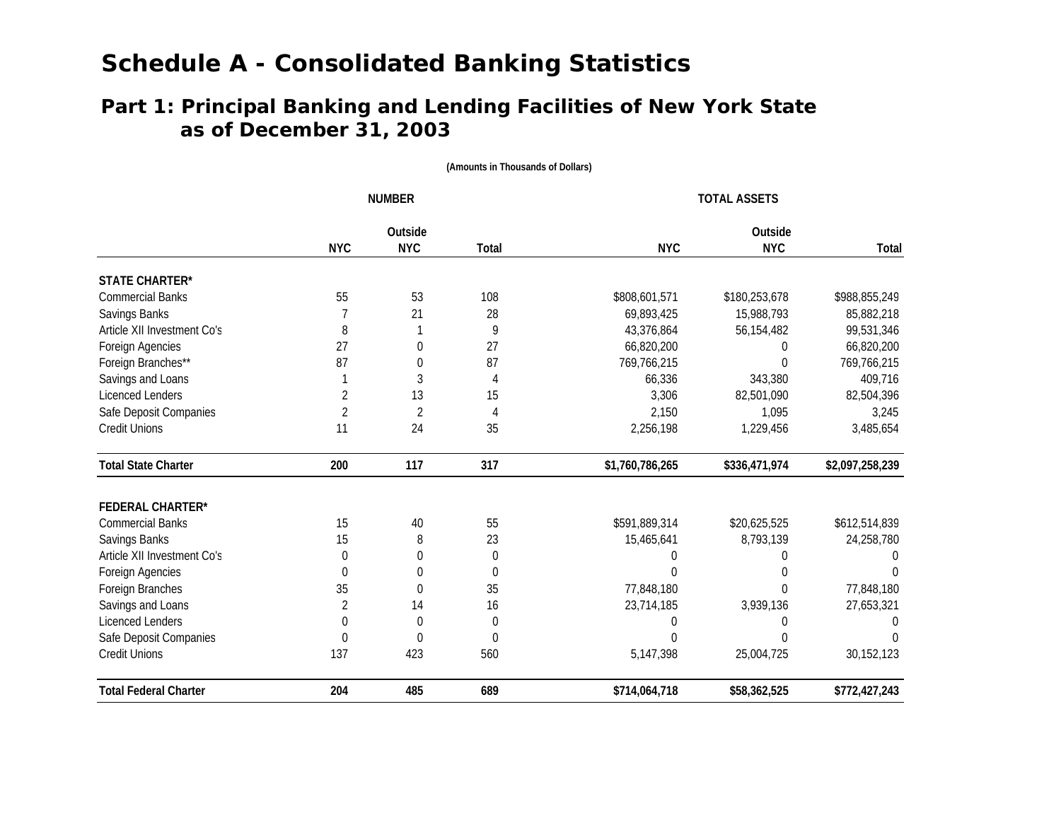### **as of December 31, 2003** Part 1: Principal Banking and Lending Facilities of New York State

|                              |                | <b>NUMBER</b>    |             | <b>TOTAL ASSETS</b><br>Outside |               |                 |  |  |
|------------------------------|----------------|------------------|-------------|--------------------------------|---------------|-----------------|--|--|
|                              |                | Outside          |             |                                |               |                 |  |  |
|                              | <b>NYC</b>     | <b>NYC</b>       | Total       | <b>NYC</b>                     | <b>NYC</b>    | Total           |  |  |
| <b>STATE CHARTER*</b>        |                |                  |             |                                |               |                 |  |  |
| <b>Commercial Banks</b>      | 55             | 53               | 108         | \$808,601,571                  | \$180,253,678 | \$988,855,249   |  |  |
| Savings Banks                |                | 21               | 28          | 69,893,425                     | 15,988,793    | 85,882,218      |  |  |
| Article XII Investment Co's  | 8              |                  | 9           | 43,376,864                     | 56,154,482    | 99,531,346      |  |  |
| Foreign Agencies             | 27             | 0                | 27          | 66,820,200                     | 0             | 66,820,200      |  |  |
| Foreign Branches**           | 87             | 0                | 87          | 769,766,215                    | U             | 769,766,215     |  |  |
| Savings and Loans            |                | 3                | 4           | 66,336                         | 343,380       | 409,716         |  |  |
| <b>Licenced Lenders</b>      | 2              | 13               | 15          | 3,306                          | 82,501,090    | 82,504,396      |  |  |
| Safe Deposit Companies       | $\overline{2}$ | $\overline{2}$   | 4           | 2,150                          | 1,095         | 3,245           |  |  |
| <b>Credit Unions</b>         | 11             | 24               | 35          | 2,256,198                      | 1,229,456     | 3,485,654       |  |  |
| <b>Total State Charter</b>   | 200            | 117              | 317         | \$1,760,786,265                | \$336,471,974 | \$2,097,258,239 |  |  |
| <b>FEDERAL CHARTER*</b>      |                |                  |             |                                |               |                 |  |  |
| <b>Commercial Banks</b>      | 15             | 40               | 55          | \$591,889,314                  | \$20,625,525  | \$612,514,839   |  |  |
| Savings Banks                | 15             | 8                | 23          | 15,465,641                     | 8,793,139     | 24,258,780      |  |  |
| Article XII Investment Co's  | $\theta$       | $\theta$         | $\mathbf 0$ | 0                              | 0             | <sup>0</sup>    |  |  |
| Foreign Agencies             | $\theta$       | 0                | $\theta$    | 0                              | O             | $\Omega$        |  |  |
| Foreign Branches             | 35             | $\theta$         | 35          | 77,848,180                     | 0             | 77,848,180      |  |  |
| Savings and Loans            | 2              | 14               | 16          | 23,714,185                     | 3,939,136     | 27,653,321      |  |  |
| <b>Licenced Lenders</b>      | 0              | $\boldsymbol{0}$ | 0           | 0                              |               |                 |  |  |
| Safe Deposit Companies       | $\theta$       | $\Omega$         | $\Omega$    | 0                              | U             |                 |  |  |
| <b>Credit Unions</b>         | 137            | 423              | 560         | 5,147,398                      | 25,004,725    | 30, 152, 123    |  |  |
| <b>Total Federal Charter</b> | 204            | 485              | 689         | \$714,064,718                  | \$58,362,525  | \$772,427,243   |  |  |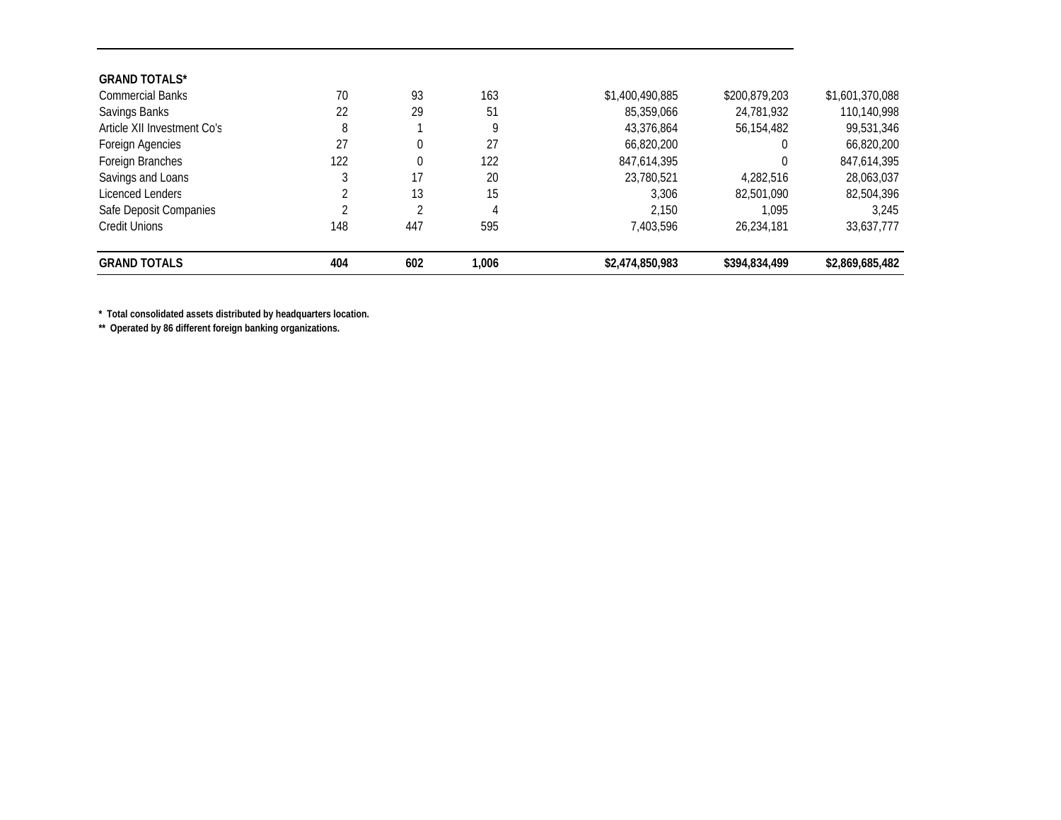| <b>GRAND TOTALS</b>         | 404 | 602      | 1,006 | \$2,474,850,983 | \$394.834.499 | \$2,869,685,482 |
|-----------------------------|-----|----------|-------|-----------------|---------------|-----------------|
| Credit Unions               | 148 | 447      | 595   | 7.403.596       | 26.234.181    | 33,637,777      |
| Safe Deposit Companies      |     |          | 4     | 2.150           | 1.095         | 3.245           |
| Licenced Lenders            |     | 13       | 15    | 3.306           | 82.501.090    | 82,504,396      |
| Savings and Loans           |     | 17       | 20    | 23,780,521      | 4,282,516     | 28,063,037      |
| Foreign Branches            | 122 | $\Omega$ | 122   | 847,614,395     |               | 847,614,395     |
| Foreign Agencies            | 27  |          | 27    | 66,820,200      |               | 66,820,200      |
| Article XII Investment Co's | 8   |          | 9     | 43,376,864      | 56,154,482    | 99,531,346      |
| Savings Banks               | 22  | 29       | 51    | 85,359,066      | 24,781,932    | 110,140,998     |
| <b>Commercial Banks</b>     | 70  | 93       | 163   | \$1,400,490,885 | \$200,879,203 | \$1,601,370,088 |
| <b>GRAND TOTALS*</b>        |     |          |       |                 |               |                 |

**\* Total consolidated assets distributed by headquarters location.** 

**\*\* Operated by 86 different foreign banking organizations.**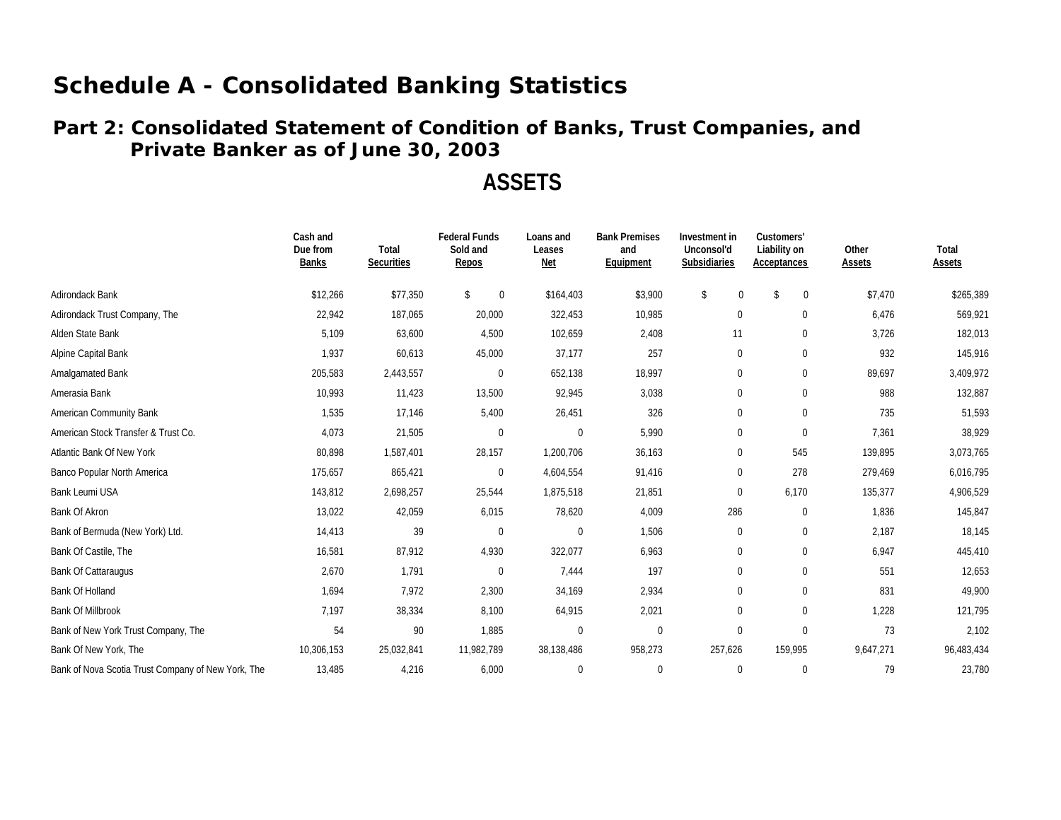### **Private Banker as of June 30, 200 3 Part 2: Consolidated Statement of Condition of Banks, Trust Companies, and**

## **ASSETS**

|                                                    | Cash and<br>Due from<br><b>Banks</b> | Total<br><b>Securities</b> | <b>Federal Funds</b><br>Sold and<br>Repos | Loans and<br>Leases<br><u>Net</u> | <b>Bank Premises</b><br>and<br>Equipment | Investment in<br>Unconsol'd<br>Subsidiaries | Customers'<br>Liability on<br>Acceptances | Other<br>Assets | Total<br>Assets |
|----------------------------------------------------|--------------------------------------|----------------------------|-------------------------------------------|-----------------------------------|------------------------------------------|---------------------------------------------|-------------------------------------------|-----------------|-----------------|
| Adirondack Bank                                    | \$12,266                             | \$77,350                   | $\mathsf{\$}$<br>$\Omega$                 | \$164,403                         | \$3,900                                  | \$<br>$\mathbf 0$                           | \$<br>$\mathbf{0}$                        | \$7,470         | \$265,389       |
| Adirondack Trust Company, The                      | 22,942                               | 187,065                    | 20,000                                    | 322,453                           | 10,985                                   | $\mathbf 0$                                 | $\mathbf 0$                               | 6,476           | 569,921         |
| Alden State Bank                                   | 5,109                                | 63,600                     | 4,500                                     | 102,659                           | 2,408                                    | 11                                          | $\mathbf 0$                               | 3,726           | 182,013         |
| Alpine Capital Bank                                | 1,937                                | 60,613                     | 45,000                                    | 37,177                            | 257                                      | $\mathbf{0}$                                | $\mathbf 0$                               | 932             | 145,916         |
| Amalgamated Bank                                   | 205,583                              | 2,443,557                  | $\mathbf 0$                               | 652,138                           | 18,997                                   | 0                                           | 0                                         | 89,697          | 3,409,972       |
| Amerasia Bank                                      | 10,993                               | 11,423                     | 13,500                                    | 92,945                            | 3,038                                    | $\mathbf 0$                                 | $\mathbf 0$                               | 988             | 132,887         |
| American Community Bank                            | 1,535                                | 17,146                     | 5,400                                     | 26,451                            | 326                                      | $\mathbf 0$                                 | $\mathbf 0$                               | 735             | 51,593          |
| American Stock Transfer & Trust Co.                | 4,073                                | 21,505                     | $\mathbf{0}$                              | $\overline{0}$                    | 5,990                                    | $\mathbf 0$                                 | $\mathbf 0$                               | 7,361           | 38,929          |
| Atlantic Bank Of New York                          | 80,898                               | 1,587,401                  | 28,157                                    | 1,200,706                         | 36,163                                   | $\mathbf 0$                                 | 545                                       | 139,895         | 3,073,765       |
| Banco Popular North America                        | 175,657                              | 865,421                    | $\mathbf 0$                               | 4,604,554                         | 91,416                                   | 0                                           | 278                                       | 279,469         | 6,016,795       |
| <b>Bank Leumi USA</b>                              | 143,812                              | 2,698,257                  | 25,544                                    | 1,875,518                         | 21,851                                   | 0                                           | 6,170                                     | 135,377         | 4,906,529       |
| Bank Of Akron                                      | 13,022                               | 42,059                     | 6,015                                     | 78,620                            | 4,009                                    | 286                                         | $\mathbf 0$                               | 1,836           | 145,847         |
| Bank of Bermuda (New York) Ltd.                    | 14,413                               | 39                         | $\mathbf 0$                               | $\Omega$                          | 1,506                                    | $\mathbf 0$                                 | $\mathbf 0$                               | 2,187           | 18,145          |
| Bank Of Castile, The                               | 16,581                               | 87,912                     | 4,930                                     | 322,077                           | 6,963                                    | $\mathbf 0$                                 | $\mathbf 0$                               | 6,947           | 445,410         |
| <b>Bank Of Cattaraugus</b>                         | 2,670                                | 1,791                      | $\Omega$                                  | 7,444                             | 197                                      | $\Omega$                                    | $\mathbf 0$                               | 551             | 12,653          |
| Bank Of Holland                                    | 1,694                                | 7,972                      | 2,300                                     | 34,169                            | 2,934                                    | $\mathbf 0$                                 | $\mathbf 0$                               | 831             | 49,900          |
| <b>Bank Of Millbrook</b>                           | 7,197                                | 38,334                     | 8,100                                     | 64,915                            | 2,021                                    | $\mathbf 0$                                 | $\mathbf 0$                               | 1,228           | 121,795         |
| Bank of New York Trust Company, The                | 54                                   | 90                         | 1,885                                     | $\Omega$                          | $\mathbf 0$                              | $\mathbf{0}$                                | $\Omega$                                  | 73              | 2,102           |
| Bank Of New York, The                              | 10,306,153                           | 25,032,841                 | 11,982,789                                | 38,138,486                        | 958,273                                  | 257,626                                     | 159,995                                   | 9,647,271       | 96,483,434      |
| Bank of Nova Scotia Trust Company of New York, The | 13,485                               | 4,216                      | 6,000                                     | $\Omega$                          | $\mathbf{0}$                             | $\mathbf{0}$                                | $\Omega$                                  | 79              | 23,780          |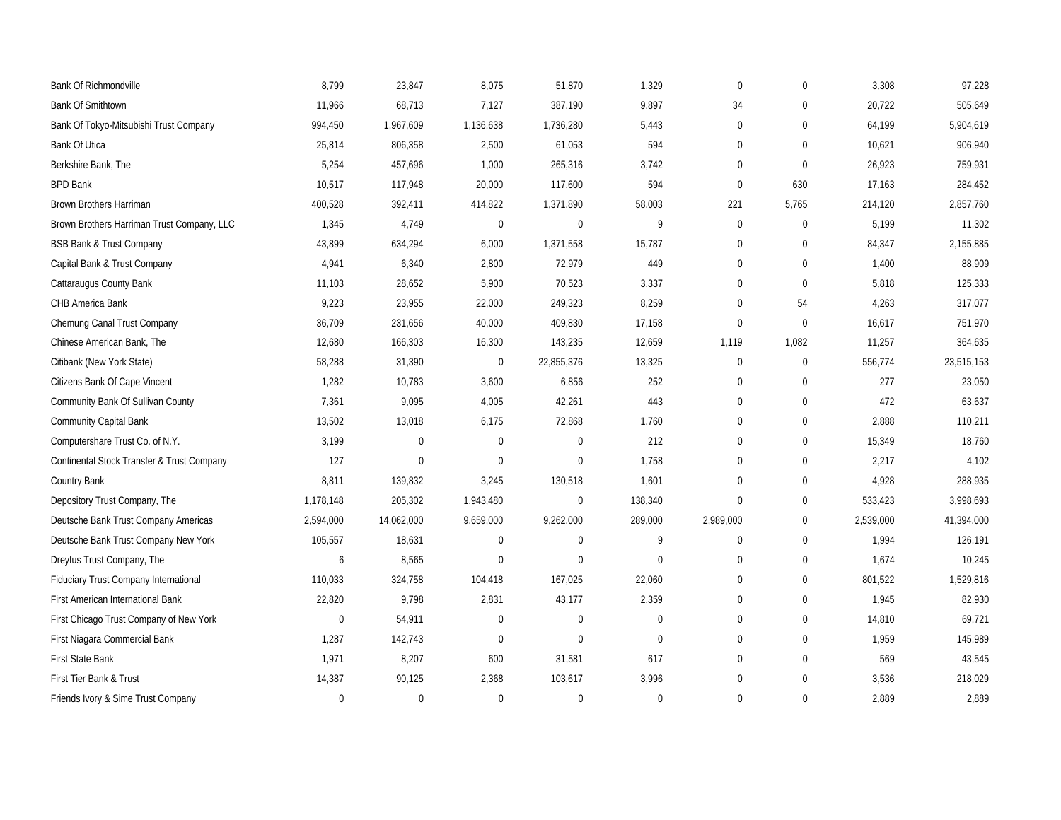| <b>Bank Of Richmondville</b>               | 8,799       | 23,847      | 8,075        | 51,870         | 1,329        | $\mathbf{0}$     | $\Omega$    | 3,308     | 97,228     |
|--------------------------------------------|-------------|-------------|--------------|----------------|--------------|------------------|-------------|-----------|------------|
| <b>Bank Of Smithtown</b>                   | 11,966      | 68,713      | 7,127        | 387,190        | 9,897        | 34               | $\Omega$    | 20,722    | 505,649    |
| Bank Of Tokyo-Mitsubishi Trust Company     | 994,450     | 1,967,609   | 1,136,638    | 1,736,280      | 5,443        | $\boldsymbol{0}$ | $\mathbf 0$ | 64,199    | 5,904,619  |
| <b>Bank Of Utica</b>                       | 25,814      | 806,358     | 2,500        | 61,053         | 594          | $\mathbf{0}$     | $\Omega$    | 10,621    | 906,940    |
| Berkshire Bank, The                        | 5,254       | 457,696     | 1,000        | 265,316        | 3,742        | $\theta$         | $\Omega$    | 26,923    | 759,931    |
| <b>BPD Bank</b>                            | 10,517      | 117,948     | 20,000       | 117,600        | 594          | $\mathbf 0$      | 630         | 17,163    | 284,452    |
| Brown Brothers Harriman                    | 400,528     | 392,411     | 414,822      | 1,371,890      | 58,003       | 221              | 5,765       | 214,120   | 2,857,760  |
| Brown Brothers Harriman Trust Company, LLC | 1,345       | 4,749       | $\pmb{0}$    | $\overline{0}$ | 9            | $\mathbf 0$      | $\mathbf 0$ | 5,199     | 11,302     |
| <b>BSB Bank &amp; Trust Company</b>        | 43,899      | 634,294     | 6,000        | 1,371,558      | 15,787       | $\boldsymbol{0}$ | $\mathbf 0$ | 84,347    | 2,155,885  |
| Capital Bank & Trust Company               | 4,941       | 6,340       | 2,800        | 72,979         | 449          | $\mathbf{0}$     | $\mathbf 0$ | 1,400     | 88,909     |
| Cattaraugus County Bank                    | 11,103      | 28,652      | 5,900        | 70,523         | 3,337        | $\mathbf{0}$     | $\mathbf 0$ | 5,818     | 125,333    |
| CHB America Bank                           | 9,223       | 23,955      | 22,000       | 249,323        | 8,259        | $\boldsymbol{0}$ | 54          | 4,263     | 317,077    |
| Chemung Canal Trust Company                | 36,709      | 231,656     | 40,000       | 409,830        | 17,158       | $\mathbf 0$      | $\mathbf 0$ | 16,617    | 751,970    |
| Chinese American Bank, The                 | 12,680      | 166,303     | 16,300       | 143,235        | 12,659       | 1,119            | 1,082       | 11,257    | 364,635    |
| Citibank (New York State)                  | 58,288      | 31,390      | $\mathbf 0$  | 22,855,376     | 13,325       | $\boldsymbol{0}$ | $\mathbf 0$ | 556,774   | 23,515,153 |
| Citizens Bank Of Cape Vincent              | 1,282       | 10,783      | 3,600        | 6,856          | 252          | $\mathbf{0}$     | $\mathbf 0$ | 277       | 23,050     |
| Community Bank Of Sullivan County          | 7,361       | 9,095       | 4,005        | 42,261         | 443          | $\mathbf{0}$     | $\mathbf 0$ | 472       | 63,637     |
| Community Capital Bank                     | 13,502      | 13,018      | 6,175        | 72,868         | 1,760        | $\mathbf{0}$     | $\mathbf 0$ | 2,888     | 110,211    |
| Computershare Trust Co. of N.Y.            | 3,199       | 0           | $\mathbf{0}$ | $\overline{0}$ | 212          | $\mathbf{0}$     | $\mathbf 0$ | 15,349    | 18,760     |
| Continental Stock Transfer & Trust Company | 127         | $\mathbf 0$ | $\mathbf 0$  | $\Omega$       | 1.758        | $\Omega$         | $\mathbf 0$ | 2,217     | 4,102      |
| Country Bank                               | 8,811       | 139,832     | 3,245        | 130,518        | 1,601        | $\mathbf{0}$     | $\mathbf 0$ | 4,928     | 288,935    |
| Depository Trust Company, The              | 1,178,148   | 205,302     | 1,943,480    | $\overline{0}$ | 138,340      | $\mathbf{0}$     | $\mathbf 0$ | 533,423   | 3,998,693  |
| Deutsche Bank Trust Company Americas       | 2,594,000   | 14,062,000  | 9,659,000    | 9,262,000      | 289,000      | 2,989,000        | $\pmb{0}$   | 2,539,000 | 41,394,000 |
| Deutsche Bank Trust Company New York       | 105,557     | 18,631      | $\mathbf 0$  | $\overline{0}$ | 9            | $\mathbf{0}$     | $\mathbf 0$ | 1,994     | 126,191    |
| Dreyfus Trust Company, The                 | 6           | 8,565       | $\mathbf 0$  | $\Omega$       | $\mathbf 0$  | $\Omega$         | $\mathbf 0$ | 1,674     | 10,245     |
| Fiduciary Trust Company International      | 110,033     | 324,758     | 104,418      | 167,025        | 22,060       | $\mathbf{0}$     | $\mathbf 0$ | 801,522   | 1,529,816  |
| First American International Bank          | 22,820      | 9,798       | 2,831        | 43,177         | 2,359        | $\mathbf{0}$     | $\mathbf 0$ | 1,945     | 82,930     |
| First Chicago Trust Company of New York    | $\mathbf 0$ | 54,911      | $\mathbf{0}$ | $\overline{0}$ | $\mathbf 0$  | $\mathbf{0}$     | $\mathbf 0$ | 14,810    | 69,721     |
| First Niagara Commercial Bank              | 1,287       | 142,743     | $\mathbf 0$  | $\overline{0}$ | $\mathbf 0$  | $\mathbf{0}$     | $\mathbf 0$ | 1,959     | 145,989    |
| First State Bank                           | 1,971       | 8,207       | 600          | 31,581         | 617          | $\mathbf{0}$     | $\mathbf 0$ | 569       | 43,545     |
| First Tier Bank & Trust                    | 14,387      | 90,125      | 2,368        | 103,617        | 3,996        | $\Omega$         | $\Omega$    | 3,536     | 218,029    |
| Friends Ivory & Sime Trust Company         | $\mathbf 0$ | $\mathbf 0$ | $\theta$     | $\Omega$       | $\mathbf{0}$ | $\theta$         | $\Omega$    | 2,889     | 2,889      |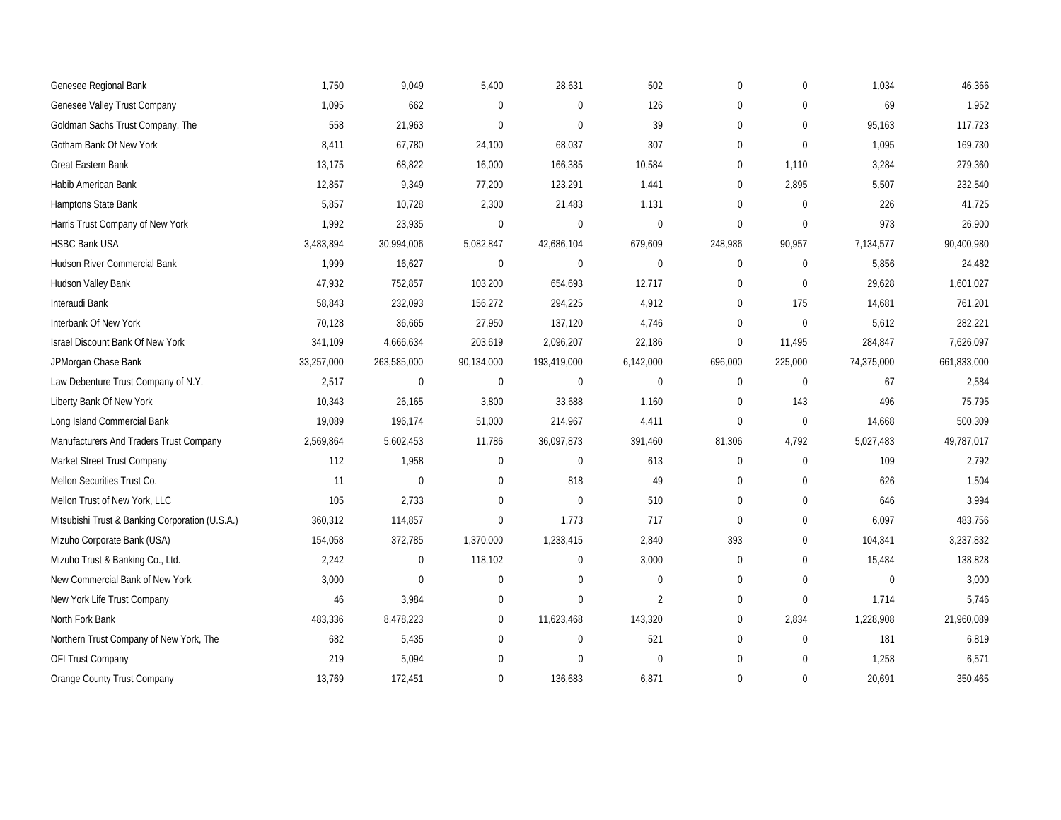| Genesee Regional Bank                           | 1,750      | 9,049       | 5,400            | 28,631         | 502            | $\mathbf 0$    | $\mathbf 0$  | 1,034          | 46,366      |
|-------------------------------------------------|------------|-------------|------------------|----------------|----------------|----------------|--------------|----------------|-------------|
| Genesee Valley Trust Company                    | 1,095      | 662         | $\overline{0}$   | $\Omega$       | 126            | $\mathbf 0$    | $\Omega$     | 69             | 1,952       |
| Goldman Sachs Trust Company, The                | 558        | 21,963      | $\Omega$         | $\mathbf 0$    | 39             | $\mathbf 0$    | $\mathbf 0$  | 95,163         | 117,723     |
| Gotham Bank Of New York                         | 8,411      | 67,780      | 24,100           | 68,037         | 307            | $\mathbf{0}$   | $\mathbf 0$  | 1,095          | 169,730     |
| Great Eastern Bank                              | 13,175     | 68,822      | 16,000           | 166,385        | 10,584         | $\overline{0}$ | 1,110        | 3,284          | 279,360     |
| Habib American Bank                             | 12,857     | 9,349       | 77,200           | 123,291        | 1,441          | $\mathbf 0$    | 2,895        | 5,507          | 232,540     |
| Hamptons State Bank                             | 5,857      | 10,728      | 2,300            | 21,483         | 1,131          | $\mathbf{0}$   | $\mathbf 0$  | 226            | 41,725      |
| Harris Trust Company of New York                | 1,992      | 23,935      | $\boldsymbol{0}$ | $\pmb{0}$      | $\mathbf 0$    | $\mathbf 0$    | $\mathbf 0$  | 973            | 26,900      |
| <b>HSBC Bank USA</b>                            | 3,483,894  | 30,994,006  | 5,082,847        | 42,686,104     | 679,609        | 248,986        | 90,957       | 7,134,577      | 90,400,980  |
| Hudson River Commercial Bank                    | 1,999      | 16,627      | $\mathbf{0}$     | $\mathbf 0$    | $\mathbf 0$    | $\mathbf 0$    | $\mathbf 0$  | 5,856          | 24,482      |
| Hudson Valley Bank                              | 47,932     | 752,857     | 103,200          | 654,693        | 12,717         | $\mathbf{0}$   | $\mathbf 0$  | 29,628         | 1,601,027   |
| Interaudi Bank                                  | 58,843     | 232,093     | 156,272          | 294,225        | 4,912          | $\mathbf{0}$   | 175          | 14,681         | 761,201     |
| Interbank Of New York                           | 70,128     | 36,665      | 27,950           | 137,120        | 4,746          | $\mathbf 0$    | $\mathbf 0$  | 5,612          | 282,221     |
| Israel Discount Bank Of New York                | 341,109    | 4,666,634   | 203,619          | 2,096,207      | 22,186         | $\mathbf 0$    | 11,495       | 284,847        | 7,626,097   |
| JPMorgan Chase Bank                             | 33,257,000 | 263,585,000 | 90,134,000       | 193,419,000    | 6,142,000      | 696,000        | 225,000      | 74,375,000     | 661,833,000 |
| Law Debenture Trust Company of N.Y.             | 2,517      | $\mathbf 0$ | $\mathbf 0$      | $\pmb{0}$      | $\mathbf 0$    | $\mathbf{0}$   | $\mathbf 0$  | 67             | 2,584       |
| Liberty Bank Of New York                        | 10,343     | 26,165      | 3,800            | 33,688         | 1,160          | $\mathbf 0$    | 143          | 496            | 75,795      |
| Long Island Commercial Bank                     | 19,089     | 196,174     | 51,000           | 214,967        | 4,411          | $\mathbf 0$    | $\mathbf 0$  | 14,668         | 500,309     |
| Manufacturers And Traders Trust Company         | 2,569,864  | 5,602,453   | 11,786           | 36,097,873     | 391,460        | 81,306         | 4,792        | 5,027,483      | 49,787,017  |
| Market Street Trust Company                     | 112        | 1,958       | 0                | $\mathbf 0$    | 613            | $\mathbf 0$    | $\mathbf 0$  | 109            | 2,792       |
| Mellon Securities Trust Co.                     | 11         | $\pmb{0}$   | $\mathbf{0}$     | 818            | 49             | $\mathbf 0$    | $\mathbf 0$  | 626            | 1,504       |
| Mellon Trust of New York, LLC                   | 105        | 2,733       | $\Omega$         | $\overline{0}$ | 510            | $\mathbf 0$    | $\mathbf 0$  | 646            | 3,994       |
| Mitsubishi Trust & Banking Corporation (U.S.A.) | 360,312    | 114,857     | $\boldsymbol{0}$ | 1,773          | 717            | $\mathbf 0$    | $\mathbf 0$  | 6,097          | 483,756     |
| Mizuho Corporate Bank (USA)                     | 154,058    | 372,785     | 1,370,000        | 1,233,415      | 2,840          | 393            | $\mathbf 0$  | 104,341        | 3,237,832   |
| Mizuho Trust & Banking Co., Ltd.                | 2,242      | $\mathbf 0$ | 118,102          | $\mathbf 0$    | 3,000          | $\mathbf{0}$   | $\mathbf{0}$ | 15,484         | 138,828     |
| New Commercial Bank of New York                 | 3,000      | $\mathbf 0$ | $\Omega$         | $\Omega$       | $\mathbf 0$    | $\mathbf{0}$   | $\Omega$     | $\overline{0}$ | 3,000       |
| New York Life Trust Company                     | 46         | 3,984       | 0                | $\mathbf 0$    | $\overline{2}$ | $\mathbf 0$    | $\mathbf 0$  | 1,714          | 5,746       |
| North Fork Bank                                 | 483,336    | 8,478,223   | $\boldsymbol{0}$ | 11,623,468     | 143,320        | $\mathbf 0$    | 2,834        | 1,228,908      | 21,960,089  |
| Northern Trust Company of New York, The         | 682        | 5,435       | 0                | $\pmb{0}$      | 521            | $\mathbf 0$    | $\mathbf{0}$ | 181            | 6,819       |
| OFI Trust Company                               | 219        | 5,094       | $\Omega$         | $\Omega$       | $\mathbf 0$    | $\mathbf 0$    | $\mathbf{0}$ | 1,258          | 6,571       |
| Orange County Trust Company                     | 13,769     | 172,451     | $\Omega$         | 136,683        | 6,871          | $\Omega$       | $\Omega$     | 20,691         | 350,465     |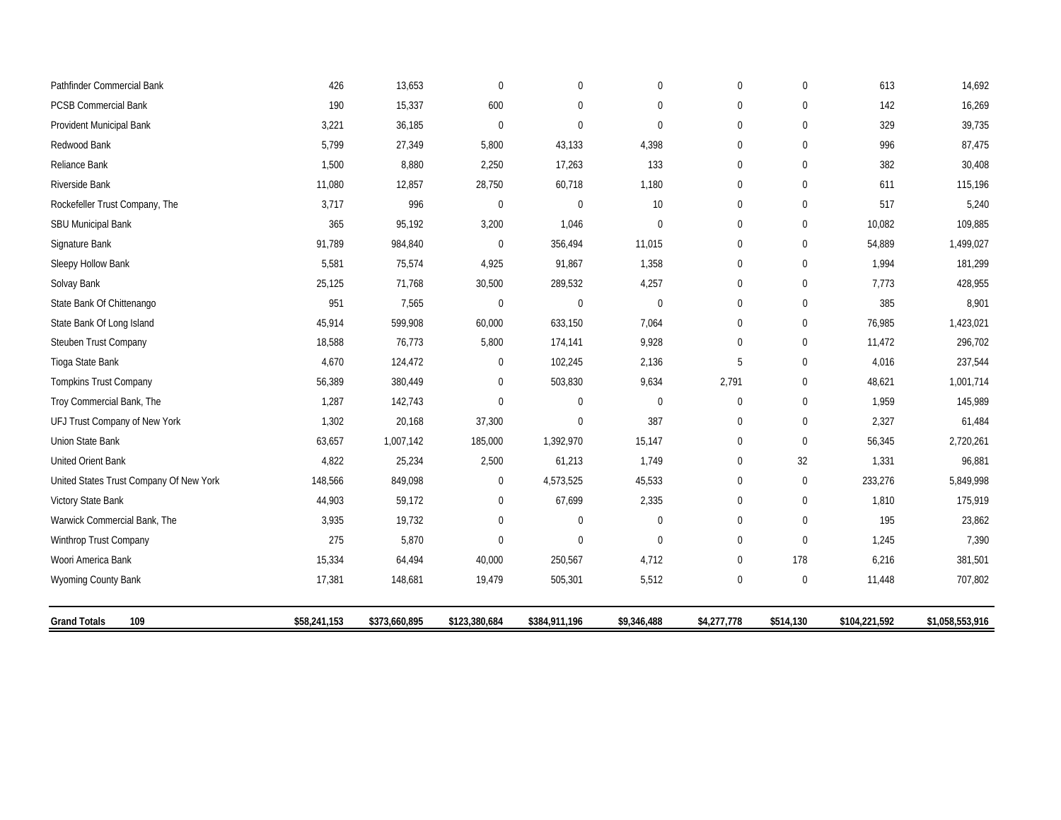| Pathfinder Commercial Bank              | 426          | 13,653        | $\Omega$       | 0              | $\mathbf 0$  | $\Omega$       | $\Omega$         | 613           | 14,692          |
|-----------------------------------------|--------------|---------------|----------------|----------------|--------------|----------------|------------------|---------------|-----------------|
| PCSB Commercial Bank                    | 190          | 15,337        | 600            | 0              | 0            | $\mathbf 0$    | $\mathbf 0$      | 142           | 16,269          |
| Provident Municipal Bank                | 3,221        | 36,185        | $\mathbf 0$    | 0              | $\mathbf 0$  | $\Omega$       | $\mathbf 0$      | 329           | 39,735          |
| Redwood Bank                            | 5,799        | 27,349        | 5,800          | 43,133         | 4,398        | $\Omega$       | $\Omega$         | 996           | 87,475          |
| Reliance Bank                           | 1,500        | 8,880         | 2,250          | 17,263         | 133          | 0              | $\mathbf 0$      | 382           | 30,408          |
| Riverside Bank                          | 11,080       | 12,857        | 28,750         | 60,718         | 1,180        | $\mathbf 0$    | $\mathbf 0$      | 611           | 115,196         |
| Rockefeller Trust Company, The          | 3,717        | 996           | $\overline{0}$ | $\overline{0}$ | 10           | $\mathbf 0$    | $\mathbf{0}$     | 517           | 5,240           |
| <b>SBU Municipal Bank</b>               | 365          | 95,192        | 3,200          | 1,046          | $\mathbf{0}$ | $\mathbf 0$    | $\mathbf 0$      | 10,082        | 109,885         |
| Signature Bank                          | 91,789       | 984,840       | $\mathbf 0$    | 356,494        | 11,015       | $\Omega$       | $\mathbf 0$      | 54,889        | 1,499,027       |
| Sleepy Hollow Bank                      | 5,581        | 75,574        | 4,925          | 91,867         | 1,358        | $\Omega$       | $\mathbf{0}$     | 1,994         | 181,299         |
| Solvay Bank                             | 25,125       | 71,768        | 30,500         | 289,532        | 4,257        | $\overline{0}$ | $\mathbf 0$      | 7,773         | 428,955         |
| State Bank Of Chittenango               | 951          | 7,565         | $\mathbf 0$    | 0              | $\mathbf 0$  | $\mathbf 0$    | $\mathbf 0$      | 385           | 8,901           |
| State Bank Of Long Island               | 45,914       | 599,908       | 60,000         | 633,150        | 7,064        | $\mathbf 0$    | $\mathbf{0}$     | 76,985        | 1,423,021       |
| Steuben Trust Company                   | 18,588       | 76,773        | 5,800          | 174,141        | 9,928        | $\Omega$       | $\mathbf 0$      | 11,472        | 296,702         |
| Tioga State Bank                        | 4,670        | 124,472       | $\mathbf 0$    | 102,245        | 2,136        | 5              | $\mathbf 0$      | 4,016         | 237,544         |
| <b>Tompkins Trust Company</b>           | 56,389       | 380,449       | $\Omega$       | 503,830        | 9,634        | 2,791          | $\mathbf{0}$     | 48,621        | 1,001,714       |
| Troy Commercial Bank, The               | 1,287        | 142,743       | $\Omega$       | 0              | $\mathbf 0$  | $\mathbf 0$    | $\mathbf 0$      | 1,959         | 145,989         |
| UFJ Trust Company of New York           | 1,302        | 20,168        | 37,300         | 0              | 387          | $\mathbf 0$    | $\mathbf{0}$     | 2,327         | 61,484          |
| Union State Bank                        | 63,657       | 1,007,142     | 185,000        | 1,392,970      | 15,147       | $\Omega$       | $\mathbf{0}$     | 56,345        | 2,720,261       |
| United Orient Bank                      | 4,822        | 25,234        | 2,500          | 61,213         | 1,749        | $\mathbf 0$    | 32               | 1,331         | 96,881          |
| United States Trust Company Of New York | 148,566      | 849,098       | $\mathbf 0$    | 4,573,525      | 45,533       | $\mathbf 0$    | $\mathbf 0$      | 233,276       | 5,849,998       |
| Victory State Bank                      | 44,903       | 59,172        | $\mathbf 0$    | 67,699         | 2,335        | $\Omega$       | $\mathbf 0$      | 1,810         | 175,919         |
| Warwick Commercial Bank, The            | 3,935        | 19,732        | $\pmb{0}$      | $\mathbf 0$    | $\pmb{0}$    | $\mathbf 0$    | $\boldsymbol{0}$ | 195           | 23,862          |
| Winthrop Trust Company                  | 275          | 5,870         | $\mathbf{0}$   | $\mathbf{0}$   | $\mathbf{0}$ | $\mathbf 0$    | $\mathbf{0}$     | 1,245         | 7,390           |
| Woori America Bank                      | 15,334       | 64,494        | 40,000         | 250,567        | 4,712        | $\mathbf 0$    | 178              | 6,216         | 381,501         |
| Wyoming County Bank                     | 17,381       | 148,681       | 19,479         | 505,301        | 5,512        | $\mathbf 0$    | $\mathbf 0$      | 11,448        | 707,802         |
| <b>Grand Totals</b><br>109              | \$58,241,153 | \$373,660,895 | \$123,380,684  | \$384,911,196  | \$9,346,488  | \$4,277,778    | \$514,130        | \$104,221,592 | \$1,058,553,916 |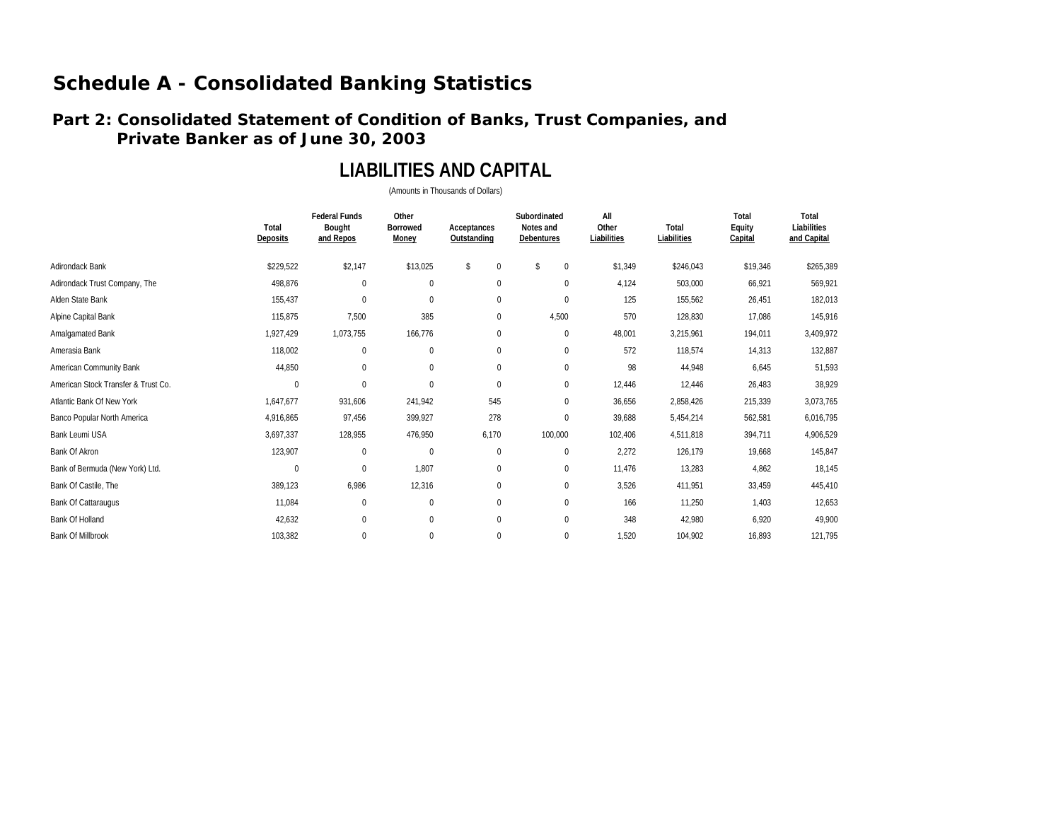#### **Part 2: Consolidated Statement of Condition of Banks, Trust Companies, and Private Banker as of June 30, 2003**

### **LIABILITIES AND CAPITAL**

|                                     | Total<br>Deposits | <b>Federal Funds</b><br>Bought<br>and Repos | Other<br><b>Borrowed</b><br>Money | Acceptances<br>Outstanding | Subordinated<br>Notes and<br>Debentures | All<br>Other<br>Liabilities | Total<br>Liabilities | Total<br>Equity<br>Capital | Total<br>Liabilities<br>and Capital |
|-------------------------------------|-------------------|---------------------------------------------|-----------------------------------|----------------------------|-----------------------------------------|-----------------------------|----------------------|----------------------------|-------------------------------------|
| Adirondack Bank                     | \$229,522         | \$2,147                                     | \$13,025                          | \$<br>$\bf{0}$             | \$<br>$\mathbf{0}$                      | \$1,349                     | \$246,043            | \$19,346                   | \$265,389                           |
| Adirondack Trust Company, The       | 498,876           | $\mathbf 0$                                 | 0                                 | $\pmb{0}$                  | $\mathbf{0}$                            | 4,124                       | 503,000              | 66,921                     | 569,921                             |
| Alden State Bank                    | 155,437           | $\Omega$                                    | 0                                 | $\pmb{0}$                  | $\mathbf{0}$                            | 125                         | 155,562              | 26,451                     | 182,013                             |
| Alpine Capital Bank                 | 115,875           | 7,500                                       | 385                               | $\pmb{0}$                  | 4,500                                   | 570                         | 128,830              | 17,086                     | 145,916                             |
| Amalgamated Bank                    | 1,927,429         | 1,073,755                                   | 166,776                           | 0                          | $\mathbf 0$                             | 48,001                      | 3,215,961            | 194,011                    | 3,409,972                           |
| Amerasia Bank                       | 118,002           | $\mathbf 0$                                 | 0                                 | 0                          | $\mathbf 0$                             | 572                         | 118,574              | 14,313                     | 132,887                             |
| American Community Bank             | 44,850            | $\Omega$                                    | 0                                 | $\pmb{0}$                  | $\mathbf{0}$                            | 98                          | 44,948               | 6,645                      | 51,593                              |
| American Stock Transfer & Trust Co. | $\mathbf 0$       | $\Omega$                                    | $\Omega$                          | $\mathbf 0$                | $\mathbf{0}$                            | 12,446                      | 12,446               | 26,483                     | 38,929                              |
| Atlantic Bank Of New York           | 1,647,677         | 931,606                                     | 241,942                           | 545                        | $\mathbf{0}$                            | 36,656                      | 2,858,426            | 215,339                    | 3,073,765                           |
| Banco Popular North America         | 4,916,865         | 97,456                                      | 399,927                           | 278                        | $\mathbf 0$                             | 39,688                      | 5,454,214            | 562,581                    | 6,016,795                           |
| Bank Leumi USA                      | 3,697,337         | 128,955                                     | 476,950                           | 6,170                      | 100,000                                 | 102,406                     | 4,511,818            | 394,711                    | 4,906,529                           |
| Bank Of Akron                       | 123,907           | $\mathbf 0$                                 | $\mathbf 0$                       | $\pmb{0}$                  | $\mathbf{0}$                            | 2,272                       | 126,179              | 19,668                     | 145,847                             |
| Bank of Bermuda (New York) Ltd.     | $\pmb{0}$         | $\pmb{0}$                                   | 1,807                             | $\pmb{0}$                  | $\mathbf 0$                             | 11,476                      | 13,283               | 4,862                      | 18,145                              |
| Bank Of Castile, The                | 389,123           | 6,986                                       | 12,316                            | 0                          | $\mathbf 0$                             | 3,526                       | 411,951              | 33,459                     | 445,410                             |
| <b>Bank Of Cattaraugus</b>          | 11,084            | $\mathbf 0$                                 | 0                                 | 0                          | $\mathbf{0}$                            | 166                         | 11,250               | 1,403                      | 12,653                              |
| Bank Of Holland                     | 42,632            | $\mathbf 0$                                 | 0                                 | $\boldsymbol{0}$           | $\mathbf{0}$                            | 348                         | 42,980               | 6,920                      | 49,900                              |
| <b>Bank Of Millbrook</b>            | 103,382           | $\mathbf 0$                                 | 0                                 | 0                          | $\mathbf{0}$                            | 1,520                       | 104,902              | 16,893                     | 121,795                             |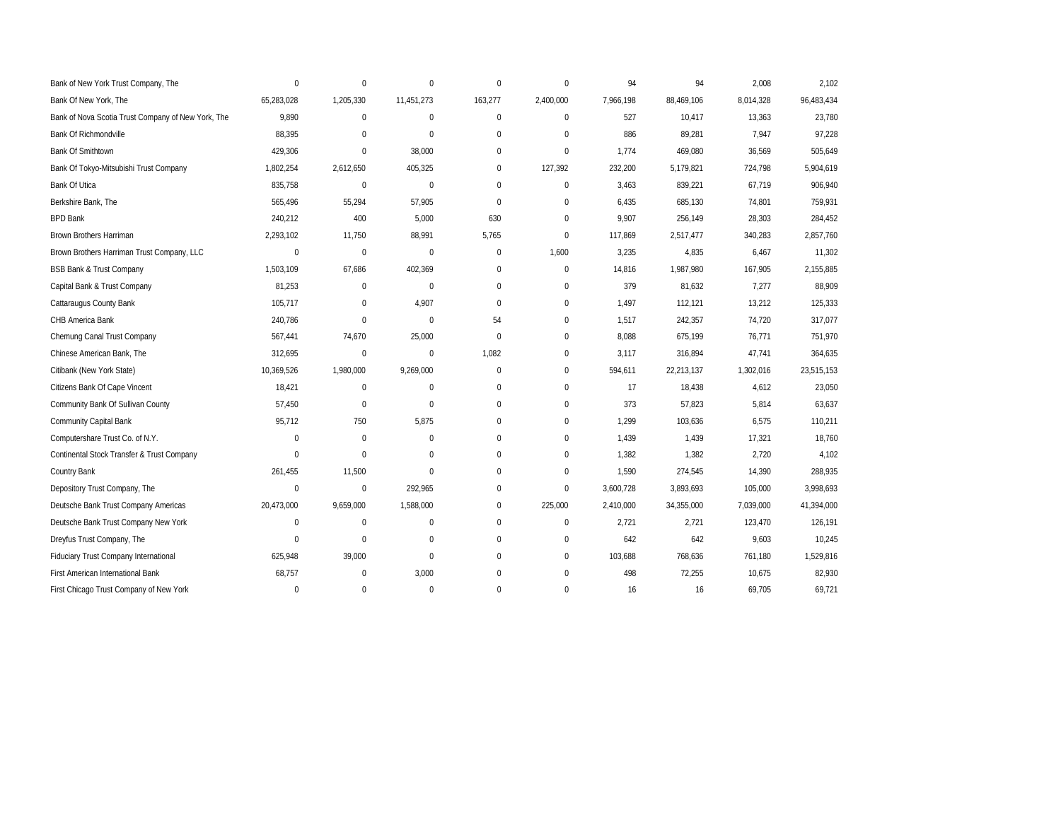| Bank of New York Trust Company, The                | $\mathbf{0}$ | $\mathbf{0}$ | $\mathbf{0}$     | 0            | $\mathbf{0}$ | 94        | 94         | 2,008     | 2,102      |
|----------------------------------------------------|--------------|--------------|------------------|--------------|--------------|-----------|------------|-----------|------------|
| Bank Of New York, The                              | 65,283,028   | 1,205,330    | 11,451,273       | 163,277      | 2,400,000    | 7,966,198 | 88,469,106 | 8,014,328 | 96,483,434 |
| Bank of Nova Scotia Trust Company of New York, The | 9,890        | $\mathbf 0$  | 0                | 0            | $\mathbf 0$  | 527       | 10,417     | 13,363    | 23,780     |
| <b>Bank Of Richmondville</b>                       | 88,395       | $\mathbf{0}$ | 0                | 0            | $\mathbf{0}$ | 886       | 89,281     | 7,947     | 97,228     |
| <b>Bank Of Smithtown</b>                           | 429,306      | $\mathbf{0}$ | 38,000           | 0            | $\mathbf{0}$ | 1,774     | 469.080    | 36,569    | 505.649    |
| Bank Of Tokyo-Mitsubishi Trust Company             | 1,802,254    | 2,612,650    | 405,325          | 0            | 127,392      | 232,200   | 5,179,821  | 724,798   | 5,904,619  |
| Bank Of Utica                                      | 835,758      | $\mathbf{0}$ | $\mathbf{0}$     | 0            | $\mathbf{0}$ | 3,463     | 839,221    | 67,719    | 906,940    |
| Berkshire Bank, The                                | 565,496      | 55,294       | 57,905           | $\mathbf 0$  | $\mathbf 0$  | 6,435     | 685,130    | 74,801    | 759,931    |
| <b>BPD Bank</b>                                    | 240,212      | 400          | 5,000            | 630          | $\mathbf{0}$ | 9,907     | 256,149    | 28,303    | 284,452    |
| Brown Brothers Harriman                            | 2,293,102    | 11,750       | 88,991           | 5,765        | $\mathbf 0$  | 117,869   | 2,517,477  | 340,283   | 2,857,760  |
| Brown Brothers Harriman Trust Company, LLC         | $\mathbf 0$  | $\mathbf{0}$ | 0                | $\mathbf 0$  | 1,600        | 3,235     | 4,835      | 6,467     | 11,302     |
| <b>BSB Bank &amp; Trust Company</b>                | 1,503,109    | 67,686       | 402,369          | 0            | $\mathbf 0$  | 14,816    | 1,987,980  | 167,905   | 2,155,885  |
| Capital Bank & Trust Company                       | 81,253       | $\mathbf 0$  | 0                | 0            | $\mathbf 0$  | 379       | 81,632     | 7,277     | 88,909     |
| Cattaraugus County Bank                            | 105,717      | $\mathbf{0}$ | 4,907            | $\mathbf 0$  | $\mathbf 0$  | 1,497     | 112,121    | 13,212    | 125,333    |
| CHB America Bank                                   | 240,786      | $\mathbf{0}$ | $\mathbf{0}$     | 54           | $\mathbf{0}$ | 1,517     | 242,357    | 74,720    | 317.077    |
| Chemung Canal Trust Company                        | 567,441      | 74,670       | 25,000           | $\mathbf{0}$ | $\mathbf{0}$ | 8,088     | 675,199    | 76,771    | 751,970    |
| Chinese American Bank, The                         | 312,695      | $\mathbf 0$  | $\mathbf{0}$     | 1,082        | $\mathbf{0}$ | 3,117     | 316,894    | 47,741    | 364,635    |
| Citibank (New York State)                          | 10,369,526   | 1,980,000    | 9,269,000        | $\Omega$     | $\mathbf{0}$ | 594,611   | 22,213,137 | 1,302,016 | 23,515,153 |
| Citizens Bank Of Cape Vincent                      | 18,421       | $\mathbf{0}$ | $\mathbf 0$      | $\mathbf 0$  | $\Omega$     | 17        | 18,438     | 4,612     | 23,050     |
| Community Bank Of Sullivan County                  | 57,450       | $\mathbf 0$  | 0                | 0            | $\mathbf{0}$ | 373       | 57,823     | 5,814     | 63,637     |
| <b>Community Capital Bank</b>                      | 95,712       | 750          | 5,875            | 0            | $\mathbf{0}$ | 1,299     | 103,636    | 6,575     | 110,211    |
| Computershare Trust Co. of N.Y.                    | $\Omega$     | $\mathbf{0}$ | $\boldsymbol{0}$ | 0            | $\mathbf{0}$ | 1,439     | 1,439      | 17,321    | 18,760     |
| Continental Stock Transfer & Trust Company         | $\Omega$     | $\mathbf{0}$ | $\mathbf{0}$     | 0            | $\mathbf{0}$ | 1,382     | 1,382      | 2,720     | 4,102      |
| Country Bank                                       | 261,455      | 11,500       | $\mathbf{0}$     | 0            | $\mathbf 0$  | 1,590     | 274,545    | 14,390    | 288,935    |
| Depository Trust Company, The                      | $\mathbf{0}$ | $\mathbf{0}$ | 292,965          | 0            | $\mathbf{0}$ | 3,600,728 | 3,893,693  | 105,000   | 3,998,693  |
| Deutsche Bank Trust Company Americas               | 20,473,000   | 9,659,000    | 1,588,000        | 0            | 225,000      | 2,410,000 | 34,355,000 | 7,039,000 | 41,394,000 |
| Deutsche Bank Trust Company New York               | $\mathbf{0}$ | $\mathbf{0}$ | $\mathbf{0}$     | 0            | $\mathbf 0$  | 2,721     | 2,721      | 123,470   | 126,191    |
| Dreyfus Trust Company, The                         | $\Omega$     | $\Omega$     | $\mathbf{0}$     | 0            | $\Omega$     | 642       | 642        | 9,603     | 10,245     |
| Fiduciary Trust Company International              | 625,948      | 39,000       | $\Omega$         | 0            | $\mathbf{0}$ | 103,688   | 768,636    | 761,180   | 1,529,816  |
| First American International Bank                  | 68,757       | $\mathbf{0}$ | 3,000            | 0            | $\mathbf{0}$ | 498       | 72,255     | 10,675    | 82,930     |
| First Chicago Trust Company of New York            | $\Omega$     | $\mathbf{0}$ | $\mathbf 0$      | $\mathbf 0$  | $\mathbf{0}$ | 16        | 16         | 69,705    | 69,721     |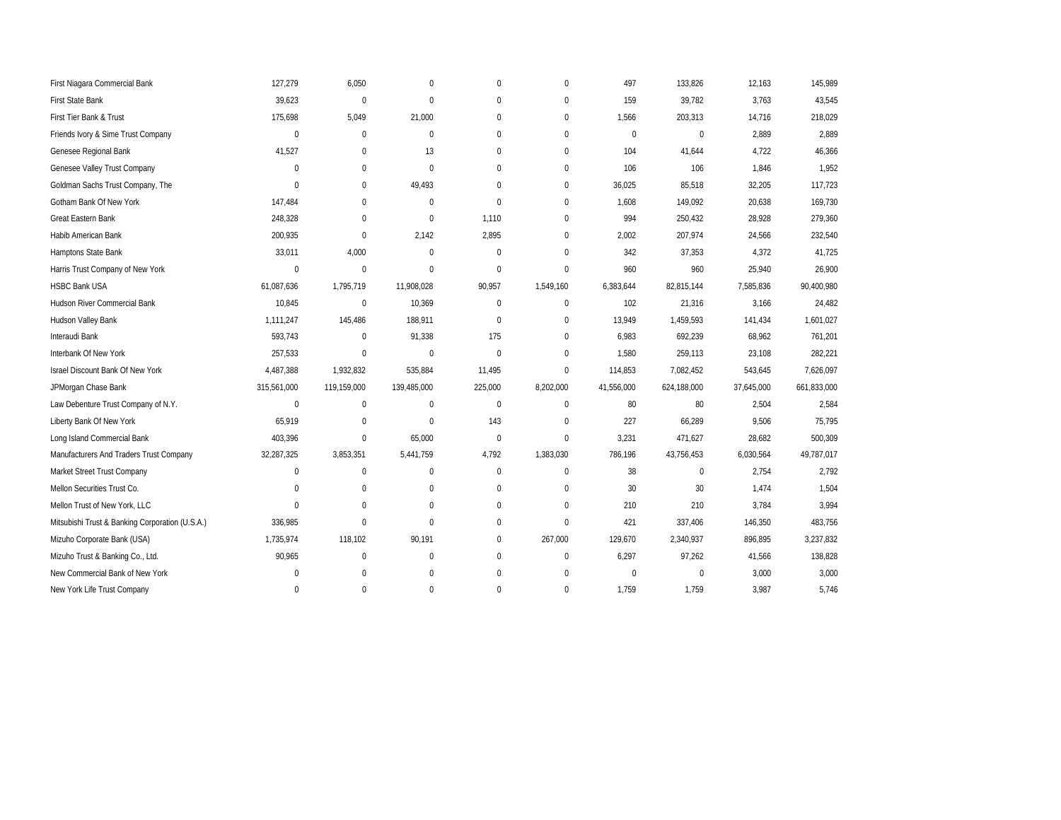| First Niagara Commercial Bank                   | 127,279      | 6,050        | $\mathbf{0}$     | $\mathbf 0$  | $\mathbf{0}$ | 497          | 133,826     | 12,163     | 145,989     |
|-------------------------------------------------|--------------|--------------|------------------|--------------|--------------|--------------|-------------|------------|-------------|
| First State Bank                                | 39,623       | $\mathbf 0$  | $\mathbf{0}$     | $\mathbf 0$  | $\mathbf{0}$ | 159          | 39,782      | 3,763      | 43,545      |
| First Tier Bank & Trust                         | 175,698      | 5,049        | 21,000           | $\pmb{0}$    | $\mathbf 0$  | 1,566        | 203,313     | 14,716     | 218,029     |
| Friends Ivory & Sime Trust Company              | $\mathbf 0$  | $\mathbf{0}$ | $\mathbf 0$      | $\mathbf 0$  | $\mathbf{0}$ | $\mathbf{0}$ | $\pmb{0}$   | 2,889      | 2,889       |
| Genesee Regional Bank                           | 41,527       | $\mathbf{0}$ | 13               | $\pmb{0}$    | $\mathbf{0}$ | 104          | 41,644      | 4,722      | 46,366      |
| Genesee Valley Trust Company                    | $\mathbf{0}$ | $\mathbf{0}$ | $\mathbf 0$      | $\mathbf 0$  | $\mathbf{0}$ | 106          | 106         | 1,846      | 1,952       |
| Goldman Sachs Trust Company, The                | $\mathbf{0}$ | $\mathbf{0}$ | 49,493           | $\mathbf 0$  | $\Omega$     | 36,025       | 85,518      | 32,205     | 117,723     |
| Gotham Bank Of New York                         | 147,484      | $\mathbf{0}$ | $\boldsymbol{0}$ | $\mathbf{0}$ | $\mathbf{0}$ | 1,608        | 149,092     | 20,638     | 169,730     |
| <b>Great Eastern Bank</b>                       | 248,328      | $\Omega$     | $\mathbf 0$      | 1,110        | $\Omega$     | 994          | 250,432     | 28,928     | 279,360     |
| Habib American Bank                             | 200,935      | $\mathbf{0}$ | 2,142            | 2,895        | $\mathbf{0}$ | 2,002        | 207,974     | 24,566     | 232,540     |
| Hamptons State Bank                             | 33,011       | 4,000        | $\mathbf{0}$     | $\mathbf 0$  | $\Omega$     | 342          | 37,353      | 4,372      | 41,725      |
| Harris Trust Company of New York                | $\mathbf{0}$ | $\mathbf{0}$ | $\mathbf{0}$     | $\Omega$     | $\Omega$     | 960          | 960         | 25,940     | 26,900      |
| <b>HSBC Bank USA</b>                            | 61,087,636   | 1,795,719    | 11,908,028       | 90,957       | 1,549,160    | 6,383,644    | 82,815,144  | 7,585,836  | 90,400,980  |
| <b>Hudson River Commercial Bank</b>             | 10,845       | $\mathbf{0}$ | 10,369           | $\mathbf 0$  | $\mathbf{0}$ | 102          | 21,316      | 3,166      | 24,482      |
| Hudson Valley Bank                              | 1,111,247    | 145,486      | 188,911          | $\mathbf 0$  | $\mathbf{0}$ | 13,949       | 1,459,593   | 141,434    | 1,601,027   |
| Interaudi Bank                                  | 593,743      | $\mathbf 0$  | 91,338           | 175          | $\mathbf{0}$ | 6,983        | 692,239     | 68,962     | 761,201     |
| Interbank Of New York                           | 257,533      | $\mathbf 0$  | 0                | $\Omega$     | $\mathbf{0}$ | 1,580        | 259,113     | 23,108     | 282,221     |
| Israel Discount Bank Of New York                | 4,487,388    | 1,932,832    | 535,884          | 11,495       | $\mathbf 0$  | 114,853      | 7,082,452   | 543,645    | 7,626,097   |
| JPMorgan Chase Bank                             | 315,561,000  | 119,159,000  | 139,485,000      | 225,000      | 8,202,000    | 41,556,000   | 624,188,000 | 37,645,000 | 661,833,000 |
| Law Debenture Trust Company of N.Y.             | $\pmb{0}$    | $\mathbf 0$  | 0                | $\mathbf 0$  | $\mathbf 0$  | 80           | 80          | 2,504      | 2,584       |
| Liberty Bank Of New York                        | 65,919       | $\mathbf 0$  | $\mathbf{0}$     | 143          | $\mathbf{0}$ | 227          | 66,289      | 9,506      | 75,795      |
| Long Island Commercial Bank                     | 403,396      | $\mathbf{0}$ | 65,000           | $\Omega$     | $\mathbf 0$  | 3,231        | 471,627     | 28,682     | 500,309     |
| Manufacturers And Traders Trust Company         | 32,287,325   | 3,853,351    | 5,441,759        | 4,792        | 1,383,030    | 786,196      | 43,756,453  | 6,030,564  | 49,787,017  |
| Market Street Trust Company                     | $\mathbf 0$  | $\mathbf{0}$ | 0                | $\mathbf 0$  | $\mathbf{0}$ | 38           | $\mathbf 0$ | 2,754      | 2,792       |
| Mellon Securities Trust Co.                     | $\mathbf{0}$ | $\mathbf{0}$ | 0                | $\pmb{0}$    | $\mathbf{0}$ | 30           | 30          | 1,474      | 1,504       |
| Mellon Trust of New York, LLC                   | $\Omega$     | $\Omega$     | $\Omega$         | $\mathbf 0$  | $\Omega$     | 210          | 210         | 3,784      | 3,994       |
| Mitsubishi Trust & Banking Corporation (U.S.A.) | 336,985      | $\Omega$     | $\mathbf 0$      | $\mathbf 0$  | $\mathbf{0}$ | 421          | 337,406     | 146,350    | 483,756     |
| Mizuho Corporate Bank (USA)                     | 1,735,974    | 118,102      | 90,191           | $\pmb{0}$    | 267,000      | 129,670      | 2,340,937   | 896,895    | 3,237,832   |
| Mizuho Trust & Banking Co., Ltd.                | 90,965       | $\mathbf{0}$ | $\mathbf 0$      | $\mathbf 0$  | $\mathbf{0}$ | 6,297        | 97,262      | 41,566     | 138,828     |
| New Commercial Bank of New York                 | $\mathbf 0$  | $\mathbf 0$  | 0                | $\pmb{0}$    | $\mathbf{0}$ | $\mathbf{0}$ | $\mathbf 0$ | 3,000      | 3,000       |
| New York Life Trust Company                     | $\mathbf{0}$ | $\mathbf{0}$ | $\mathbf{0}$     | $\mathbf 0$  | $\mathbf{0}$ | 1,759        | 1,759       | 3,987      | 5,746       |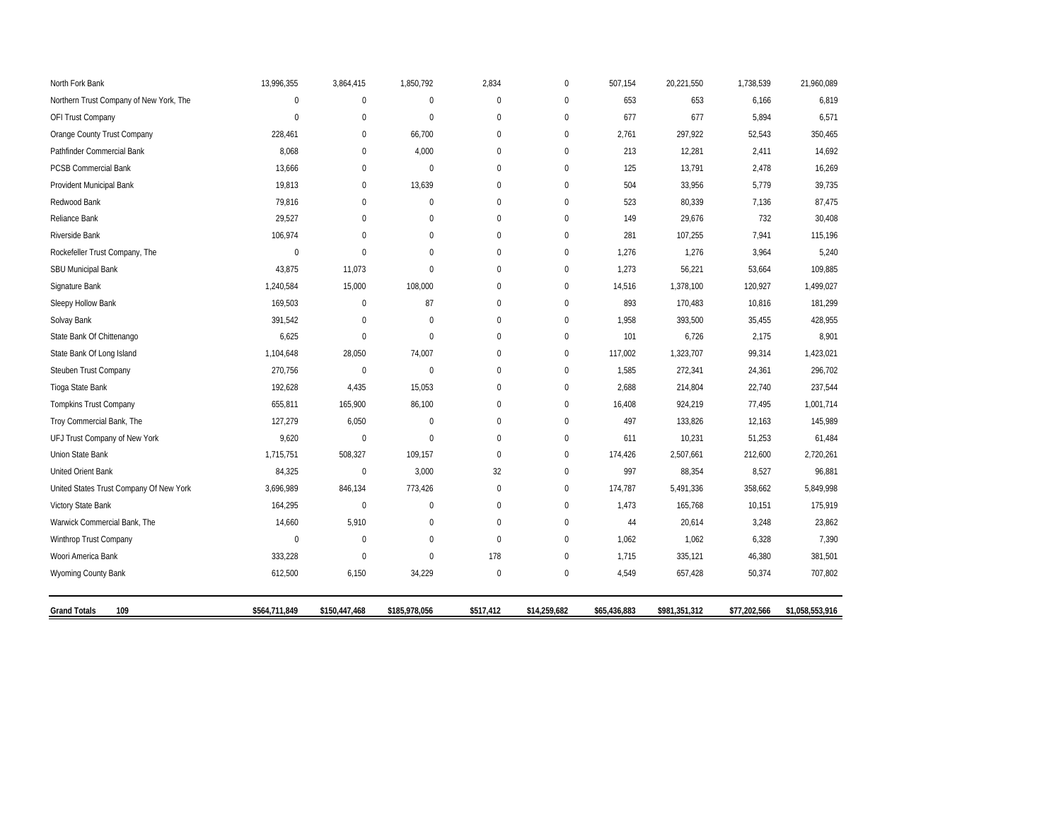| North Fork Bank                         | 13,996,355    | 3,864,415     | 1,850,792     | 2,834       | $\mathbf 0$  | 507,154      | 20,221,550    | 1,738,539    | 21,960,089      |
|-----------------------------------------|---------------|---------------|---------------|-------------|--------------|--------------|---------------|--------------|-----------------|
| Northern Trust Company of New York, The | $\mathbf 0$   | $\mathbf{0}$  | $\mathbf{0}$  | $\mathbf 0$ | $\mathbf{0}$ | 653          | 653           | 6,166        | 6,819           |
| OFI Trust Company                       | $\mathbf{0}$  | $\mathbf{0}$  | $\mathbf 0$   | $\mathbf 0$ | $\mathbf{0}$ | 677          | 677           | 5,894        | 6,571           |
| Orange County Trust Company             | 228,461       | $\mathbf 0$   | 66,700        | $\mathbf 0$ | $\mathbf 0$  | 2,761        | 297,922       | 52,543       | 350,465         |
| Pathfinder Commercial Bank              | 8,068         | $\mathbf{0}$  | 4,000         | $\mathbf 0$ | $\mathbf{0}$ | 213          | 12,281        | 2,411        | 14,692          |
| <b>PCSB Commercial Bank</b>             | 13,666        | $\mathbf{0}$  | $\mathbf 0$   | $\mathbf 0$ | $\mathbf{0}$ | 125          | 13,791        | 2,478        | 16,269          |
| Provident Municipal Bank                | 19,813        | $\mathbf 0$   | 13,639        | $\mathbf 0$ | $\mathbf{0}$ | 504          | 33,956        | 5,779        | 39,735          |
| Redwood Bank                            | 79,816        | $\mathbf{0}$  | $\mathbf 0$   | $\pmb{0}$   | $\mathbf 0$  | 523          | 80,339        | 7,136        | 87,475          |
| Reliance Bank                           | 29,527        | $\mathbf{0}$  | $\Omega$      | $\mathbf 0$ | $\mathbf{0}$ | 149          | 29,676        | 732          | 30,408          |
| Riverside Bank                          | 106,974       | $\Omega$      | $\Omega$      | $\mathbf 0$ | $\mathbf{0}$ | 281          | 107,255       | 7,941        | 115,196         |
| Rockefeller Trust Company, The          | $\mathbf 0$   | $\mathbf 0$   | $\mathbf 0$   | $\pmb{0}$   | $\mathbf 0$  | 1,276        | 1,276         | 3,964        | 5,240           |
| SBU Municipal Bank                      | 43,875        | 11,073        | $\mathbf 0$   | $\mathbf 0$ | $\mathbf 0$  | 1,273        | 56,221        | 53,664       | 109,885         |
| Signature Bank                          | 1,240,584     | 15,000        | 108,000       | $\mathbf 0$ | $\pmb{0}$    | 14,516       | 1,378,100     | 120,927      | 1,499,027       |
| Sleepy Hollow Bank                      | 169,503       | $\mathbf{0}$  | 87            | $\pmb{0}$   | $\mathbf{0}$ | 893          | 170,483       | 10,816       | 181,299         |
| Solvay Bank                             | 391,542       | $\mathbf 0$   | $\mathbf 0$   | $\mathbf 0$ | $\mathbf{0}$ | 1,958        | 393,500       | 35,455       | 428,955         |
| State Bank Of Chittenango               | 6,625         | $\mathbf 0$   | $\mathbf 0$   | $\bf 0$     | $\pmb{0}$    | 101          | 6,726         | 2,175        | 8,901           |
| State Bank Of Long Island               | 1,104,648     | 28,050        | 74,007        | $\pmb{0}$   | $\mathbf 0$  | 117,002      | 1,323,707     | 99,314       | 1,423,021       |
| Steuben Trust Company                   | 270,756       | $\mathbf 0$   | $\mathbf{0}$  | $\mathbf 0$ | $\mathbf{0}$ | 1,585        | 272,341       | 24,361       | 296,702         |
| Tioga State Bank                        | 192,628       | 4,435         | 15,053        | $\bf 0$     | $\pmb{0}$    | 2,688        | 214,804       | 22,740       | 237,544         |
| <b>Tompkins Trust Company</b>           | 655,811       | 165,900       | 86,100        | $\mathbf 0$ | $\mathbf 0$  | 16,408       | 924,219       | 77,495       | 1,001,714       |
| Troy Commercial Bank, The               | 127,279       | 6,050         | $\mathbf 0$   | $\mathbf 0$ | $\mathbf{0}$ | 497          | 133,826       | 12,163       | 145,989         |
| UFJ Trust Company of New York           | 9,620         | $\mathbf 0$   | $\mathbf{0}$  | $\bf 0$     | $\pmb{0}$    | 611          | 10,231        | 51,253       | 61,484          |
| Union State Bank                        | 1,715,751     | 508,327       | 109,157       | $\pmb{0}$   | $\mathbf 0$  | 174,426      | 2,507,661     | 212,600      | 2,720,261       |
| United Orient Bank                      | 84,325        | $\mathbf 0$   | 3,000         | 32          | $\mathbf 0$  | 997          | 88,354        | 8,527        | 96,881          |
| United States Trust Company Of New York | 3,696,989     | 846,134       | 773,426       | $\bf 0$     | $\pmb{0}$    | 174,787      | 5,491,336     | 358,662      | 5,849,998       |
| Victory State Bank                      | 164,295       | $\mathbf{0}$  | $\Omega$      | $\mathbf 0$ | $\mathbf 0$  | 1,473        | 165,768       | 10,151       | 175,919         |
| Warwick Commercial Bank, The            | 14,660        | 5,910         | $\mathbf 0$   | $\mathbf 0$ | $\mathbf{0}$ | 44           | 20,614        | 3,248        | 23,862          |
| Winthrop Trust Company                  | $\mathbf 0$   | $\mathbf{0}$  | $\mathbf{0}$  | $\mathbf 0$ | $\mathbf{0}$ | 1,062        | 1,062         | 6,328        | 7,390           |
| Woori America Bank                      | 333,228       | $\mathbf 0$   | $\mathbf 0$   | 178         | $\mathbf 0$  | 1,715        | 335,121       | 46,380       | 381,501         |
| Wyoming County Bank                     | 612,500       | 6,150         | 34,229        | $\pmb{0}$   | $\bf{0}$     | 4,549        | 657,428       | 50,374       | 707,802         |
| <b>Grand Totals</b><br>109              | \$564,711,849 | \$150,447,468 | \$185,978,056 | \$517,412   | \$14,259,682 | \$65,436,883 | \$981,351,312 | \$77,202,566 | \$1,058,553,916 |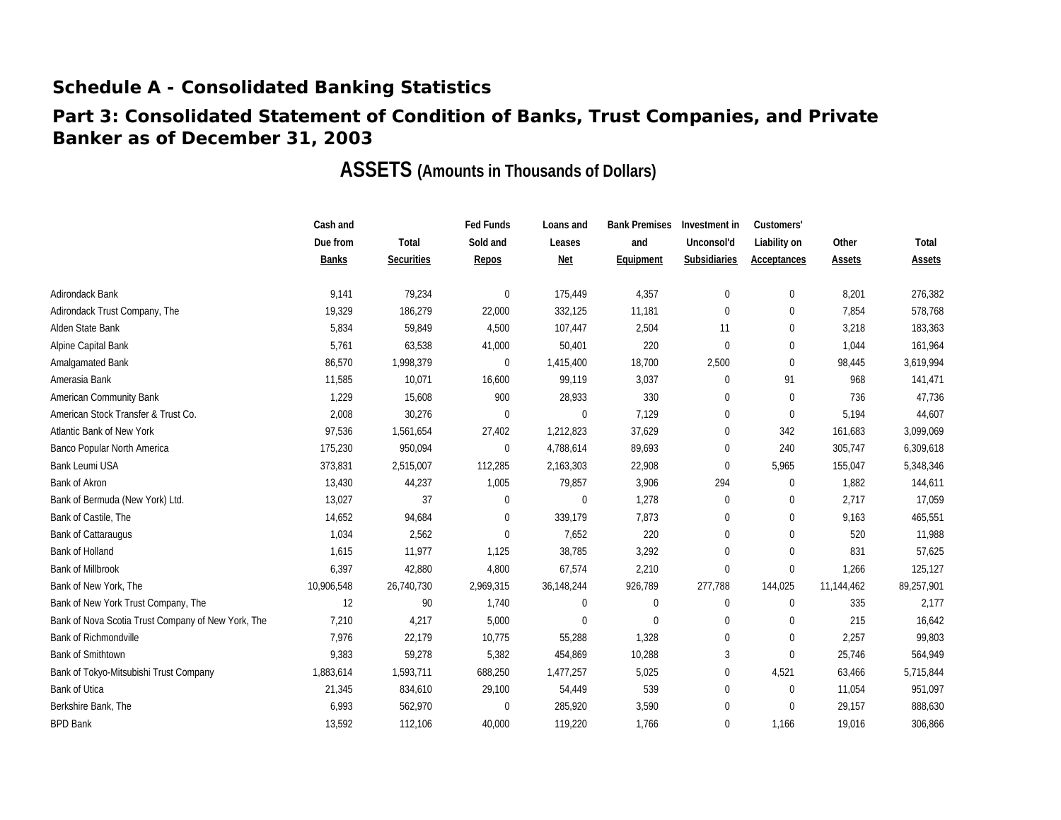### **Part 3: Consolidated Statement of Condition of Banks, Trust Companies, and Private Banker as of December 31, 2003**

|                                                    | Cash and     |                   | <b>Fed Funds</b> | Loans and        | <b>Bank Premises</b> | Investment in    | Customers'   |            |            |
|----------------------------------------------------|--------------|-------------------|------------------|------------------|----------------------|------------------|--------------|------------|------------|
|                                                    | Due from     | Total             | Sold and         | Leases           | and                  | Unconsol'd       | Liability on | Other      | Total      |
|                                                    | <b>Banks</b> | <b>Securities</b> | Repos            | <b>Net</b>       | Equipment            | Subsidiaries     | Acceptances  | Assets     | Assets     |
| Adirondack Bank                                    | 9,141        | 79,234            | 0                | 175,449          | 4,357                | $\boldsymbol{0}$ | $\mathbf{0}$ | 8,201      | 276,382    |
| Adirondack Trust Company, The                      | 19,329       | 186,279           | 22,000           | 332,125          | 11,181               | $\boldsymbol{0}$ | $\mathbf 0$  | 7.854      | 578,768    |
| Alden State Bank                                   | 5,834        | 59,849            | 4,500            | 107,447          | 2,504                | 11               | $\mathbf{0}$ | 3,218      | 183,363    |
| Alpine Capital Bank                                | 5,761        | 63,538            | 41,000           | 50,401           | 220                  | $\mathbf{0}$     | $\mathbf{0}$ | 1,044      | 161,964    |
| Amalgamated Bank                                   | 86,570       | 1,998,379         | 0                | 1,415,400        | 18,700               | 2,500            | $\Omega$     | 98,445     | 3,619,994  |
| Amerasia Bank                                      | 11,585       | 10,071            | 16,600           | 99,119           | 3,037                | $\boldsymbol{0}$ | 91           | 968        | 141,471    |
| American Community Bank                            | 1,229        | 15,608            | 900              | 28,933           | 330                  | $\boldsymbol{0}$ | $\mathbf{0}$ | 736        | 47,736     |
| American Stock Transfer & Trust Co.                | 2,008        | 30,276            | 0                | $\boldsymbol{0}$ | 7,129                | $\mathbf 0$      | $\mathbf{0}$ | 5,194      | 44,607     |
| Atlantic Bank of New York                          | 97,536       | 1,561,654         | 27,402           | 1,212,823        | 37,629               | $\mathbf 0$      | 342          | 161,683    | 3,099,069  |
| Banco Popular North America                        | 175,230      | 950,094           | 0                | 4,788,614        | 89,693               | $\boldsymbol{0}$ | 240          | 305,747    | 6,309,618  |
| <b>Bank Leumi USA</b>                              | 373,831      | 2,515,007         | 112,285          | 2,163,303        | 22,908               | $\boldsymbol{0}$ | 5,965        | 155,047    | 5,348,346  |
| Bank of Akron                                      | 13,430       | 44,237            | 1,005            | 79,857           | 3,906                | 294              | $\mathbf{0}$ | 1,882      | 144,611    |
| Bank of Bermuda (New York) Ltd.                    | 13,027       | 37                | 0                | $\mathbf{0}$     | 1,278                | $\mathbf 0$      | $\Omega$     | 2,717      | 17,059     |
| Bank of Castile, The                               | 14,652       | 94,684            | 0                | 339,179          | 7,873                | $\boldsymbol{0}$ | $\Omega$     | 9,163      | 465,551    |
| <b>Bank of Cattaraugus</b>                         | 1,034        | 2,562             | 0                | 7,652            | 220                  | $\mathbf 0$      | $\Omega$     | 520        | 11,988     |
| <b>Bank of Holland</b>                             | 1,615        | 11,977            | 1,125            | 38,785           | 3,292                | $\mathbf 0$      | $\mathbf{0}$ | 831        | 57,625     |
| <b>Bank of Millbrook</b>                           | 6,397        | 42,880            | 4,800            | 67,574           | 2,210                | $\mathbf 0$      | $\mathbf{0}$ | 1,266      | 125,127    |
| Bank of New York, The                              | 10,906,548   | 26,740,730        | 2,969,315        | 36,148,244       | 926,789              | 277,788          | 144,025      | 11,144,462 | 89,257,901 |
| Bank of New York Trust Company, The                | 12           | 90                | 1,740            | 0                | $\mathbf 0$          | 0                | $\mathbf{0}$ | 335        | 2,177      |
| Bank of Nova Scotia Trust Company of New York, The | 7,210        | 4,217             | 5,000            | 0                | 0                    | 0                | $\mathbf{0}$ | 215        | 16,642     |
| <b>Bank of Richmondville</b>                       | 7,976        | 22,179            | 10,775           | 55,288           | 1,328                | 0                | $\Omega$     | 2,257      | 99,803     |
| <b>Bank of Smithtown</b>                           | 9,383        | 59,278            | 5,382            | 454,869          | 10,288               | 3                | $\theta$     | 25,746     | 564,949    |
| Bank of Tokyo-Mitsubishi Trust Company             | 1,883,614    | 1,593,711         | 688,250          | 1,477,257        | 5,025                | 0                | 4,521        | 63,466     | 5,715,844  |
| <b>Bank of Utica</b>                               | 21,345       | 834,610           | 29,100           | 54,449           | 539                  | $\mathbf 0$      | $\mathbf{0}$ | 11,054     | 951,097    |
| Berkshire Bank, The                                | 6,993        | 562,970           | 0                | 285,920          | 3,590                | $\mathbf 0$      | $\Omega$     | 29,157     | 888,630    |
| <b>BPD Bank</b>                                    | 13.592       | 112,106           | 40.000           | 119,220          | 1,766                | $\mathbf 0$      | 1,166        | 19.016     | 306,866    |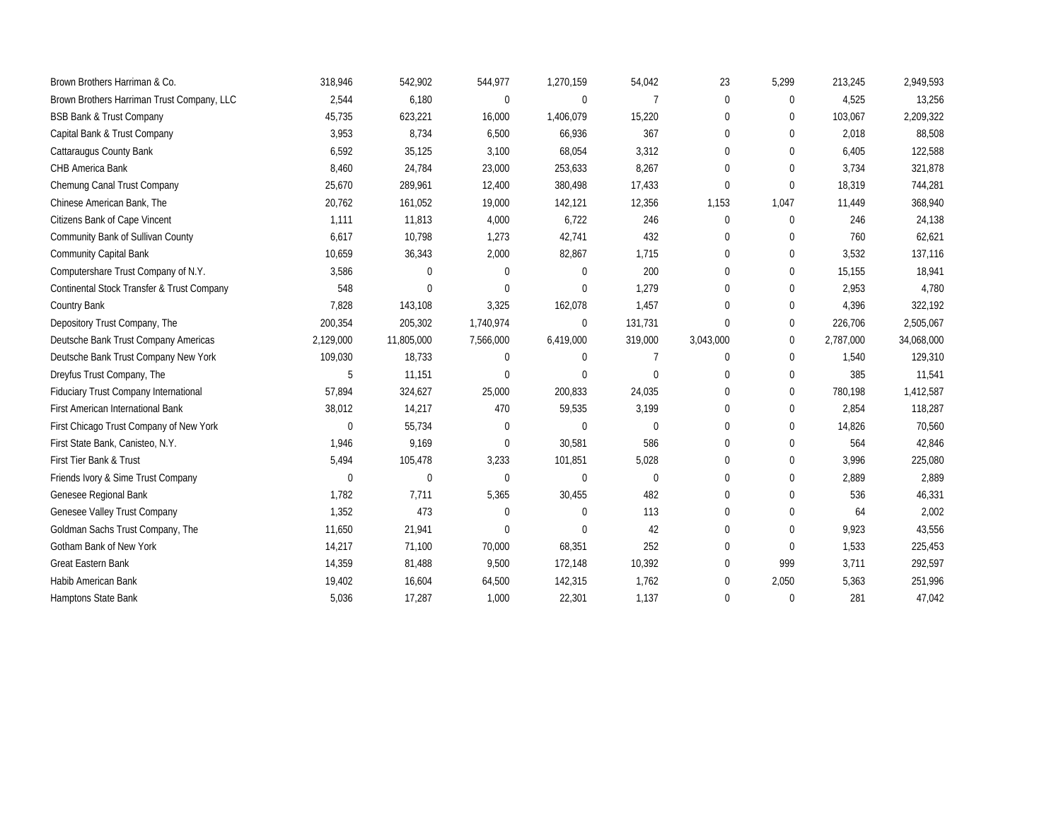| Brown Brothers Harriman & Co.                | 318,946      | 542,902     | 544,977      | 1,270,159   | 54,042      | 23           | 5,299        | 213,245   | 2,949,593  |
|----------------------------------------------|--------------|-------------|--------------|-------------|-------------|--------------|--------------|-----------|------------|
| Brown Brothers Harriman Trust Company, LLC   | 2,544        | 6,180       | $\mathbf 0$  | $\mathbf 0$ | 7           | $\mathbf{0}$ | 0            | 4,525     | 13,256     |
| <b>BSB Bank &amp; Trust Company</b>          | 45,735       | 623,221     | 16,000       | 1,406,079   | 15,220      | 0            | $\mathbf 0$  | 103,067   | 2,209,322  |
| Capital Bank & Trust Company                 | 3,953        | 8,734       | 6,500        | 66,936      | 367         | $\mathbf{0}$ | $\Omega$     | 2,018     | 88,508     |
| Cattaraugus County Bank                      | 6,592        | 35,125      | 3,100        | 68,054      | 3,312       | $\Omega$     | $\Omega$     | 6,405     | 122,588    |
| CHB America Bank                             | 8,460        | 24,784      | 23,000       | 253,633     | 8,267       | $\mathbf{0}$ | $\Omega$     | 3,734     | 321,878    |
| Chemung Canal Trust Company                  | 25,670       | 289,961     | 12,400       | 380,498     | 17,433      | $\mathbf{0}$ | $\Omega$     | 18,319    | 744,281    |
| Chinese American Bank, The                   | 20,762       | 161,052     | 19,000       | 142,121     | 12,356      | 1,153        | 1,047        | 11,449    | 368,940    |
| Citizens Bank of Cape Vincent                | 1,111        | 11,813      | 4,000        | 6,722       | 246         | $\mathbf{0}$ | $\theta$     | 246       | 24,138     |
| Community Bank of Sullivan County            | 6,617        | 10,798      | 1,273        | 42,741      | 432         | 0            | $\mathbf 0$  | 760       | 62,621     |
| <b>Community Capital Bank</b>                | 10,659       | 36,343      | 2,000        | 82,867      | 1,715       | $\Omega$     | $\Omega$     | 3,532     | 137,116    |
| Computershare Trust Company of N.Y.          | 3,586        | $\Omega$    | $\mathbf 0$  | $\Omega$    | 200         | $\mathbf{0}$ | $\mathbf 0$  | 15,155    | 18,941     |
| Continental Stock Transfer & Trust Company   | 548          | $\Omega$    | $\mathbf{0}$ | $\Omega$    | 1,279       | $\mathbf{0}$ | $\Omega$     | 2,953     | 4,780      |
| Country Bank                                 | 7,828        | 143,108     | 3,325        | 162,078     | 1,457       | $\mathbf{0}$ | $\mathbf 0$  | 4,396     | 322,192    |
| Depository Trust Company, The                | 200,354      | 205,302     | 1,740,974    | $\Omega$    | 131,731     | $\mathbf{0}$ | $\Omega$     | 226,706   | 2,505,067  |
| Deutsche Bank Trust Company Americas         | 2,129,000    | 11,805,000  | 7,566,000    | 6,419,000   | 319,000     | 3,043,000    | $\mathbf 0$  | 2,787,000 | 34,068,000 |
| Deutsche Bank Trust Company New York         | 109,030      | 18,733      | $\mathbf 0$  | $\Omega$    | 7           | $\mathbf{0}$ | $\mathbf 0$  | 1,540     | 129,310    |
| Dreyfus Trust Company, The                   | 5            | 11,151      | $\mathbf 0$  | $\Omega$    | $\mathbf 0$ | $\mathbf{0}$ | $\Omega$     | 385       | 11,541     |
| <b>Fiduciary Trust Company International</b> | 57,894       | 324,627     | 25,000       | 200,833     | 24,035      | $\Omega$     | $\theta$     | 780,198   | 1,412,587  |
| First American International Bank            | 38,012       | 14,217      | 470          | 59,535      | 3,199       | $\mathbf{0}$ | $\mathbf 0$  | 2,854     | 118,287    |
| First Chicago Trust Company of New York      | $\mathbf{0}$ | 55,734      | $\mathbf 0$  | $\Omega$    | 0           | $\Omega$     | $\Omega$     | 14,826    | 70,560     |
| First State Bank, Canisteo, N.Y.             | 1,946        | 9,169       | $\mathbf 0$  | 30,581      | 586         | 0            | $\mathbf 0$  | 564       | 42,846     |
| First Tier Bank & Trust                      | 5,494        | 105,478     | 3,233        | 101,851     | 5,028       | $\Omega$     | $\Omega$     | 3,996     | 225,080    |
| Friends Ivory & Sime Trust Company           | $\mathbf{0}$ | $\mathbf 0$ | $\mathbf 0$  | $\Omega$    | 0           | $\mathbf{0}$ | $\mathbf 0$  | 2,889     | 2,889      |
| Genesee Regional Bank                        | 1.782        | 7.711       | 5,365        | 30,455      | 482         | $\mathbf 0$  | $\mathbf 0$  | 536       | 46,331     |
| Genesee Valley Trust Company                 | 1,352        | 473         | $\mathbf 0$  | $\Omega$    | 113         | $\mathbf 0$  | $\mathbf 0$  | 64        | 2,002      |
| Goldman Sachs Trust Company, The             | 11,650       | 21,941      | $\mathbf 0$  | $\Omega$    | 42          | $\mathbf{0}$ | $\Omega$     | 9,923     | 43,556     |
| Gotham Bank of New York                      | 14,217       | 71,100      | 70,000       | 68,351      | 252         | $\mathbf{0}$ | $\Omega$     | 1,533     | 225,453    |
| Great Eastern Bank                           | 14,359       | 81,488      | 9,500        | 172,148     | 10,392      | $\mathbf 0$  | 999          | 3,711     | 292,597    |
| Habib American Bank                          | 19,402       | 16,604      | 64,500       | 142,315     | 1,762       | $\Omega$     | 2,050        | 5,363     | 251,996    |
| Hamptons State Bank                          | 5,036        | 17,287      | 1,000        | 22,301      | 1,137       | $\Omega$     | $\mathbf{0}$ | 281       | 47,042     |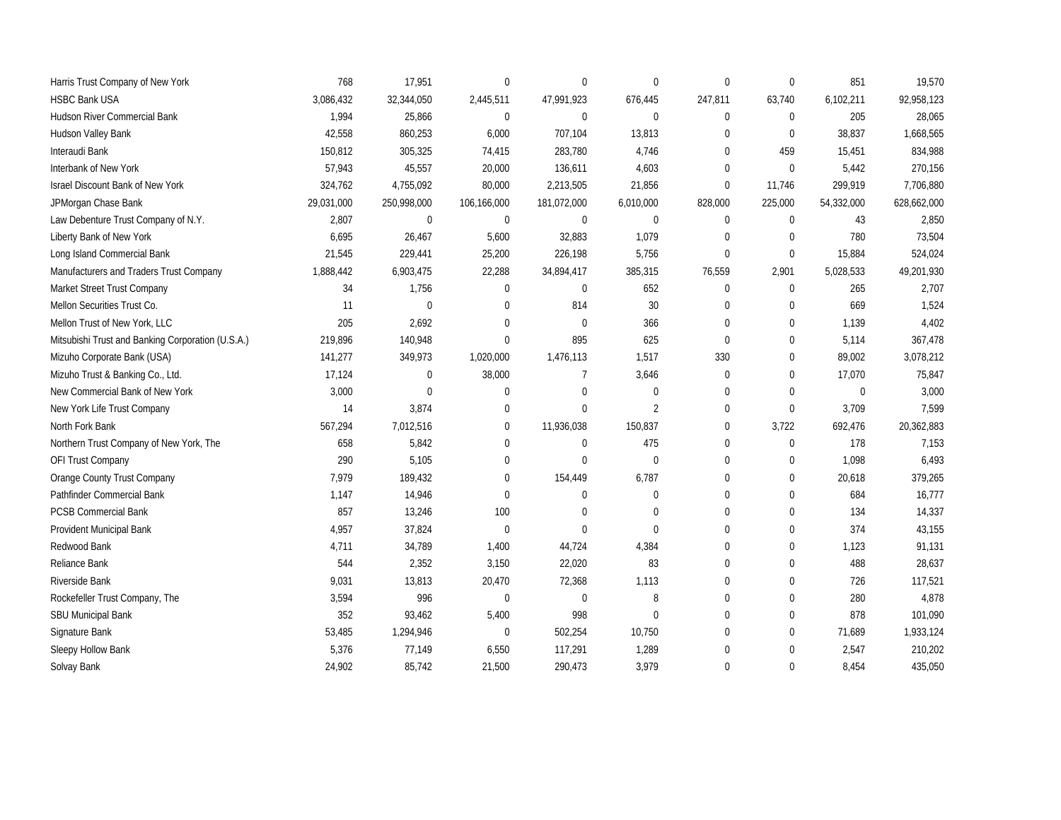| Harris Trust Company of New York                  | 768        | 17,951       | $\mathbf{0}$ | $\Omega$       | 0              | $\mathbf{0}$ | $\theta$     | 851          | 19,570      |
|---------------------------------------------------|------------|--------------|--------------|----------------|----------------|--------------|--------------|--------------|-------------|
| <b>HSBC Bank USA</b>                              | 3,086,432  | 32,344,050   | 2,445,511    | 47,991,923     | 676,445        | 247,811      | 63,740       | 6,102,211    | 92,958,123  |
| <b>Hudson River Commercial Bank</b>               | 1,994      | 25,866       | $\mathbf{0}$ | $\mathbf{0}$   | $\Omega$       | $\mathbf{0}$ | $\Omega$     | 205          | 28,065      |
| Hudson Valley Bank                                | 42,558     | 860,253      | 6,000        | 707,104        | 13,813         | $\Omega$     | $\Omega$     | 38,837       | 1,668,565   |
| Interaudi Bank                                    | 150.812    | 305,325      | 74,415       | 283,780        | 4,746          | $\Omega$     | 459          | 15,451       | 834,988     |
| Interbank of New York                             | 57,943     | 45,557       | 20,000       | 136,611        | 4,603          | $\mathbf{0}$ | $\Omega$     | 5,442        | 270,156     |
| <b>Israel Discount Bank of New York</b>           | 324,762    | 4,755,092    | 80,000       | 2,213,505      | 21,856         | $\mathbf{0}$ | 11,746       | 299,919      | 7,706,880   |
| JPMorgan Chase Bank                               | 29,031,000 | 250,998,000  | 106,166,000  | 181,072,000    | 6,010,000      | 828,000      | 225,000      | 54,332,000   | 628,662,000 |
| Law Debenture Trust Company of N.Y.               | 2,807      | $\mathbf 0$  | $\mathbf 0$  | $\mathbf 0$    | $\mathbf 0$    | $\mathbf 0$  | $\mathbf{0}$ | 43           | 2,850       |
| Liberty Bank of New York                          | 6,695      | 26,467       | 5,600        | 32,883         | 1,079          | $\mathbf 0$  | $\Omega$     | 780          | 73,504      |
| Long Island Commercial Bank                       | 21,545     | 229,441      | 25,200       | 226,198        | 5,756          | $\mathbf{0}$ | $\mathbf{0}$ | 15,884       | 524,024     |
| Manufacturers and Traders Trust Company           | 1,888,442  | 6,903,475    | 22,288       | 34,894,417     | 385,315        | 76,559       | 2,901        | 5,028,533    | 49,201,930  |
| Market Street Trust Company                       | 34         | 1,756        | $\mathbf{0}$ | $\Omega$       | 652            | $\mathbf 0$  | $\mathbf{0}$ | 265          | 2,707       |
| Mellon Securities Trust Co.                       | 11         | $\mathbf 0$  | $\mathbf{0}$ | 814            | $30\,$         | $\mathbf 0$  | $\theta$     | 669          | 1,524       |
| Mellon Trust of New York, LLC                     | 205        | 2,692        | $\mathbf{0}$ | $\mathbf{0}$   | 366            | $\mathbf 0$  | $\theta$     | 1,139        | 4,402       |
| Mitsubishi Trust and Banking Corporation (U.S.A.) | 219,896    | 140,948      | $\mathbf{0}$ | 895            | 625            | $\mathbf 0$  | $\Omega$     | 5,114        | 367,478     |
| Mizuho Corporate Bank (USA)                       | 141,277    | 349,973      | 1,020,000    | 1,476,113      | 1,517          | 330          | $\Omega$     | 89,002       | 3,078,212   |
| Mizuho Trust & Banking Co., Ltd.                  | 17,124     | $\mathbf{0}$ | 38,000       | $\overline{7}$ | 3,646          | $\mathbf{0}$ | $\theta$     | 17,070       | 75,847      |
| New Commercial Bank of New York                   | 3,000      | $\mathbf 0$  | $\mathbf 0$  | $\Omega$       | 0              | $\mathbf 0$  | $\theta$     | $\mathbf{0}$ | 3,000       |
| New York Life Trust Company                       | 14         | 3,874        | $\mathbf{0}$ | $\Omega$       | $\overline{2}$ | $\mathbf{0}$ | $\mathbf{0}$ | 3,709        | 7,599       |
| North Fork Bank                                   | 567,294    | 7,012,516    | $\mathbf 0$  | 11,936,038     | 150,837        | $\mathbf 0$  | 3,722        | 692,476      | 20,362,883  |
| Northern Trust Company of New York, The           | 658        | 5,842        | $\mathbf 0$  | $\mathbf 0$    | 475            | $\mathbf 0$  | $\mathbf 0$  | 178          | 7,153       |
| OFI Trust Company                                 | 290        | 5,105        | $\mathbf 0$  | $\Omega$       | 0              | 0            | $\mathbf 0$  | 1,098        | 6,493       |
| Orange County Trust Company                       | 7,979      | 189,432      | $\mathbf{0}$ | 154,449        | 6,787          | $\mathbf 0$  | $\mathbf 0$  | 20,618       | 379,265     |
| Pathfinder Commercial Bank                        | 1,147      | 14,946       | $\mathbf{0}$ | $\Omega$       | 0              | $\mathbf 0$  | $\theta$     | 684          | 16,777      |
| <b>PCSB Commercial Bank</b>                       | 857        | 13,246       | 100          | $\Omega$       | 0              | $\mathbf{0}$ | $\mathbf 0$  | 134          | 14,337      |
| Provident Municipal Bank                          | 4,957      | 37,824       | $\mathbf 0$  | $\Omega$       | 0              | $\mathbf{0}$ | $\mathbf{0}$ | 374          | 43,155      |
| Redwood Bank                                      | 4,711      | 34,789       | 1,400        | 44,724         | 4,384          | $\mathbf 0$  | $\mathbf{0}$ | 1,123        | 91,131      |
| Reliance Bank                                     | 544        | 2,352        | 3,150        | 22,020         | 83             | $\mathbf 0$  | $\mathbf{0}$ | 488          | 28,637      |
| Riverside Bank                                    | 9,031      | 13,813       | 20,470       | 72,368         | 1,113          | 0            | $\mathbf 0$  | 726          | 117,521     |
| Rockefeller Trust Company, The                    | 3,594      | 996          | $\mathbf 0$  | $\mathbf 0$    | 8              | $\mathbf 0$  | $\mathbf 0$  | 280          | 4,878       |
| <b>SBU Municipal Bank</b>                         | 352        | 93,462       | 5,400        | 998            | 0              | $\mathbf 0$  | $\mathbf 0$  | 878          | 101,090     |
| Signature Bank                                    | 53,485     | 1,294,946    | $\mathbf 0$  | 502,254        | 10,750         | $\mathbf 0$  | $\mathbf 0$  | 71,689       | 1,933,124   |
| Sleepy Hollow Bank                                | 5,376      | 77,149       | 6,550        | 117,291        | 1,289          | $\mathbf 0$  | $\mathbf 0$  | 2,547        | 210,202     |
| Solvay Bank                                       | 24,902     | 85,742       | 21,500       | 290,473        | 3,979          | $\mathbf{0}$ | $\Omega$     | 8,454        | 435,050     |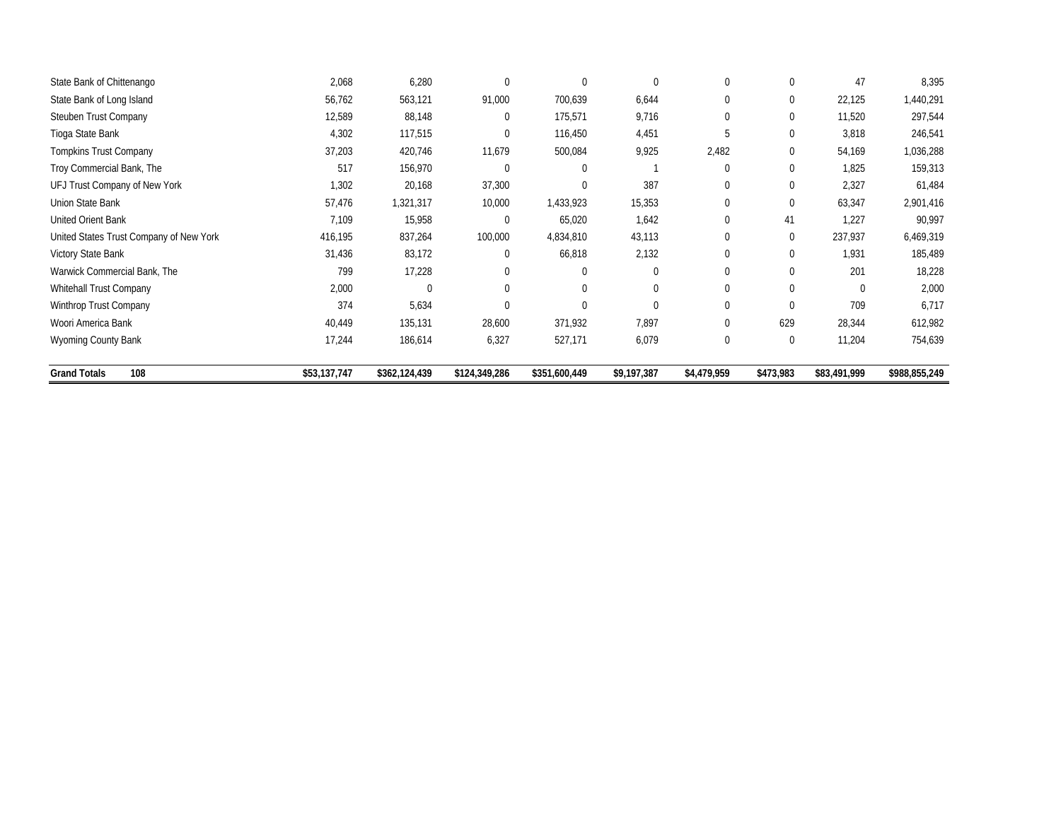| State Bank of Chittenango               | 2,068        | 6,280         |               | $\mathbf{0}$  | $\mathbf 0$ | $\mathbf 0$  | 0           | 47           | 8,395         |
|-----------------------------------------|--------------|---------------|---------------|---------------|-------------|--------------|-------------|--------------|---------------|
| State Bank of Long Island               | 56,762       | 563,121       | 91,000        | 700,639       | 6,644       | $\mathbf 0$  | 0           | 22,125       | 1,440,291     |
| Steuben Trust Company                   | 12,589       | 88,148        | $\mathbf{0}$  | 175,571       | 9,716       | $\mathbf 0$  | 0           | 11,520       | 297,544       |
| Tioga State Bank                        | 4,302        | 117,515       | $\mathbf 0$   | 116,450       | 4,451       | 5            | 0           | 3,818        | 246,541       |
| <b>Tompkins Trust Company</b>           | 37,203       | 420,746       | 11,679        | 500,084       | 9,925       | 2,482        | 0           | 54,169       | 1,036,288     |
| Troy Commercial Bank, The               | 517          | 156,970       | $\Omega$      | $\Omega$      |             | $\Omega$     | 0           | 1,825        | 159,313       |
| UFJ Trust Company of New York           | 1,302        | 20,168        | 37,300        | $\mathbf{0}$  | 387         | $\mathbf{0}$ | 0           | 2,327        | 61,484        |
| Union State Bank                        | 57,476       | 1,321,317     | 10,000        | 1,433,923     | 15,353      | $\mathbf 0$  | $\Omega$    | 63,347       | 2,901,416     |
| United Orient Bank                      | 7,109        | 15,958        | $\Omega$      | 65,020        | 1,642       | $\mathbf 0$  | 41          | 1,227        | 90,997        |
| United States Trust Company of New York | 416,195      | 837,264       | 100,000       | 4,834,810     | 43,113      | $\mathbf{0}$ | $\Omega$    | 237,937      | 6,469,319     |
| Victory State Bank                      | 31,436       | 83,172        | $\Omega$      | 66,818        | 2,132       | $\mathbf{0}$ | 0           | 1,931        | 185,489       |
| Warwick Commercial Bank, The            | 799          | 17,228        |               | $\mathbf{0}$  | $\Omega$    | $\mathbf{0}$ | $\Omega$    | 201          | 18,228        |
| Whitehall Trust Company                 | 2,000        | $\Omega$      |               | $\Omega$      | $\Omega$    | $\Omega$     |             | $\Omega$     | 2,000         |
| Winthrop Trust Company                  | 374          | 5,634         |               | $\mathbf{0}$  | $\Omega$    | $\mathbf 0$  |             | 709          | 6,717         |
| Woori America Bank                      | 40,449       | 135,131       | 28,600        | 371,932       | 7,897       | 0            | 629         | 28,344       | 612,982       |
| Wyoming County Bank                     | 17,244       | 186,614       | 6,327         | 527,171       | 6,079       | $\mathbf 0$  | $\mathbf 0$ | 11,204       | 754,639       |
| 108<br><b>Grand Totals</b>              | \$53,137,747 | \$362,124,439 | \$124,349,286 | \$351,600,449 | \$9,197,387 | \$4,479,959  | \$473,983   | \$83,491,999 | \$988,855,249 |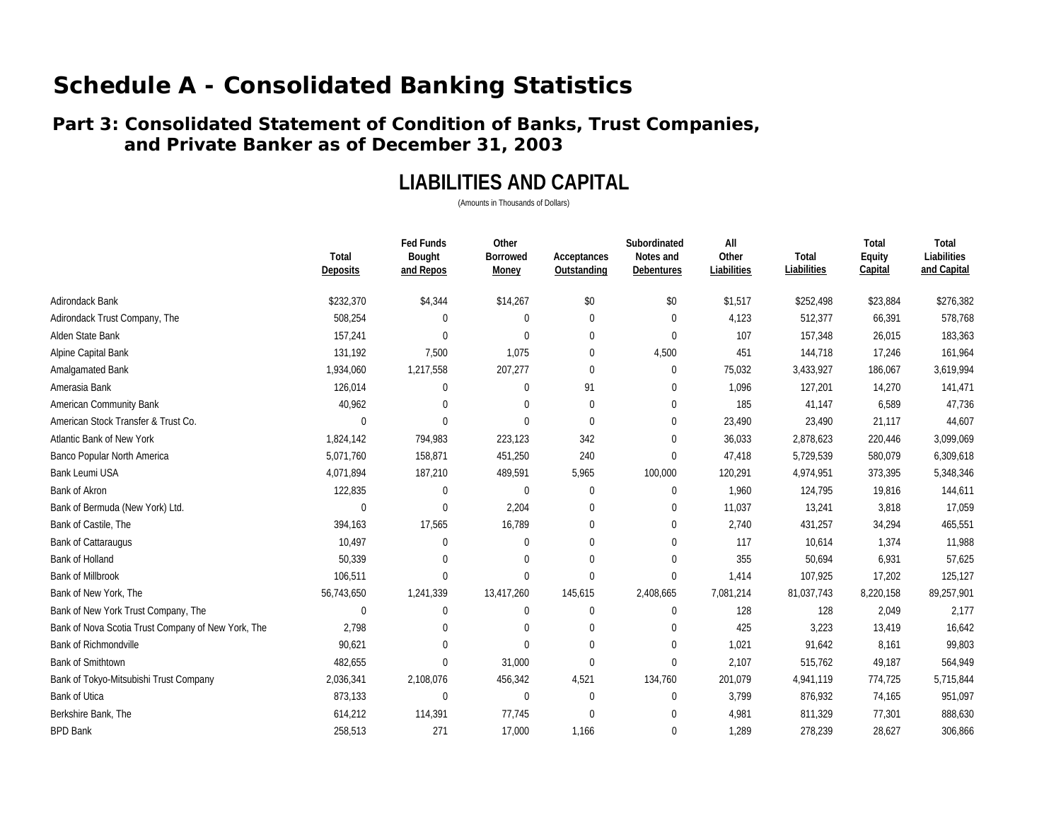### **Part 3: Consolidated Statement of Condition of Banks, Trust Companies, and Private Banker as of December 31, 2003**

## **LIABILITIES AND CAPITAL**

|                                                    |                          | <b>Fed Funds</b>    | Other                    |                            | Subordinated            | All                  |                      | Total             | Total                      |
|----------------------------------------------------|--------------------------|---------------------|--------------------------|----------------------------|-------------------------|----------------------|----------------------|-------------------|----------------------------|
|                                                    | Total<br><b>Deposits</b> | Bought<br>and Repos | <b>Borrowed</b><br>Money | Acceptances<br>Outstanding | Notes and<br>Debentures | Other<br>Liabilities | Total<br>Liabilities | Equity<br>Capital | Liabilities<br>and Capital |
| Adirondack Bank                                    | \$232,370                | \$4,344             | \$14,267                 | \$0                        | \$0                     | \$1,517              | \$252,498            | \$23,884          | \$276,382                  |
| Adirondack Trust Company, The                      | 508,254                  | 0                   | 0                        | $\mathbf 0$                | $\mathbf 0$             | 4,123                | 512,377              | 66,391            | 578,768                    |
| Alden State Bank                                   | 157,241                  | $\Omega$            | $\Omega$                 | $\Omega$                   | $\mathbf{0}$            | 107                  | 157,348              | 26,015            | 183,363                    |
| Alpine Capital Bank                                | 131,192                  | 7,500               | 1,075                    | $\Omega$                   | 4,500                   | 451                  | 144,718              | 17,246            | 161,964                    |
| Amalgamated Bank                                   | 1,934,060                | 1,217,558           | 207,277                  | $\mathbf 0$                | $\mathbf 0$             | 75,032               | 3,433,927            | 186,067           | 3,619,994                  |
| Amerasia Bank                                      | 126,014                  | $\Omega$            | $\mathbf 0$              | 91                         | $\mathbf 0$             | 1,096                | 127,201              | 14,270            | 141,471                    |
| <b>American Community Bank</b>                     | 40,962                   | $\Omega$            | 0                        | $\Omega$                   | $\Omega$                | 185                  | 41,147               | 6,589             | 47,736                     |
| American Stock Transfer & Trust Co.                | $\mathbf{0}$             | $\Omega$            | $\Omega$                 | $\Omega$                   | $\mathbf 0$             | 23,490               | 23,490               | 21,117            | 44,607                     |
| Atlantic Bank of New York                          | 1,824,142                | 794,983             | 223,123                  | 342                        | $\mathbf 0$             | 36,033               | 2,878,623            | 220,446           | 3,099,069                  |
| Banco Popular North America                        | 5,071,760                | 158,871             | 451,250                  | 240                        | $\mathbf{0}$            | 47,418               | 5,729,539            | 580,079           | 6,309,618                  |
| Bank Leumi USA                                     | 4,071,894                | 187,210             | 489,591                  | 5,965                      | 100,000                 | 120,291              | 4,974,951            | 373,395           | 5,348,346                  |
| Bank of Akron                                      | 122,835                  | 0                   | $\pmb{0}$                | $\boldsymbol{0}$           | $\mathbf 0$             | 1,960                | 124,795              | 19,816            | 144,611                    |
| Bank of Bermuda (New York) Ltd.                    | $\mathbf{0}$             | $\Omega$            | 2,204                    | $\Omega$                   | $\mathbf 0$             | 11,037               | 13,241               | 3,818             | 17,059                     |
| Bank of Castile, The                               | 394,163                  | 17,565              | 16,789                   | $\Omega$                   | $\mathbf{0}$            | 2,740                | 431,257              | 34,294            | 465,551                    |
| <b>Bank of Cattaraugus</b>                         | 10,497                   | $\Omega$            | $\mathbf 0$              | $\Omega$                   | $\mathbf 0$             | 117                  | 10,614               | 1,374             | 11,988                     |
| Bank of Holland                                    | 50,339                   | $\Omega$            | $\mathbf 0$              | $\Omega$                   | $\Omega$                | 355                  | 50,694               | 6,931             | 57,625                     |
| <b>Bank of Millbrook</b>                           | 106,511                  | $\Omega$            | $\Omega$                 | $\Omega$                   | $\mathbf{0}$            | 1,414                | 107,925              | 17,202            | 125,127                    |
| Bank of New York, The                              | 56,743,650               | 1,241,339           | 13,417,260               | 145,615                    | 2,408,665               | 7,081,214            | 81,037,743           | 8,220,158         | 89,257,901                 |
| Bank of New York Trust Company, The                | $\mathbf{0}$             | $\mathbf 0$         | $\mathbf 0$              | $\mathbf 0$                | $\mathbf 0$             | 128                  | 128                  | 2,049             | 2,177                      |
| Bank of Nova Scotia Trust Company of New York, The | 2,798                    | $\Omega$            | $\Omega$                 | $\Omega$                   | $\Omega$                | 425                  | 3,223                | 13,419            | 16,642                     |
| <b>Bank of Richmondville</b>                       | 90,621                   | $\Omega$            | $\Omega$                 | $\Omega$                   | $\mathbf 0$             | 1,021                | 91,642               | 8,161             | 99,803                     |
| <b>Bank of Smithtown</b>                           | 482,655                  | $\Omega$            | 31,000                   | $\Omega$                   | $\mathbf 0$             | 2,107                | 515,762              | 49,187            | 564,949                    |
| Bank of Tokyo-Mitsubishi Trust Company             | 2,036,341                | 2,108,076           | 456,342                  | 4,521                      | 134,760                 | 201,079              | 4,941,119            | 774,725           | 5,715,844                  |
| Bank of Utica                                      | 873,133                  | $\Omega$            | $\pmb{0}$                | $\mathbf 0$                | $\mathbf 0$             | 3,799                | 876,932              | 74,165            | 951,097                    |
| Berkshire Bank, The                                | 614,212                  | 114,391             | 77,745                   | $\Omega$                   | $\Omega$                | 4,981                | 811,329              | 77,301            | 888,630                    |
| <b>BPD Bank</b>                                    | 258,513                  | 271                 | 17,000                   | 1,166                      | $\mathbf 0$             | 1,289                | 278,239              | 28,627            | 306,866                    |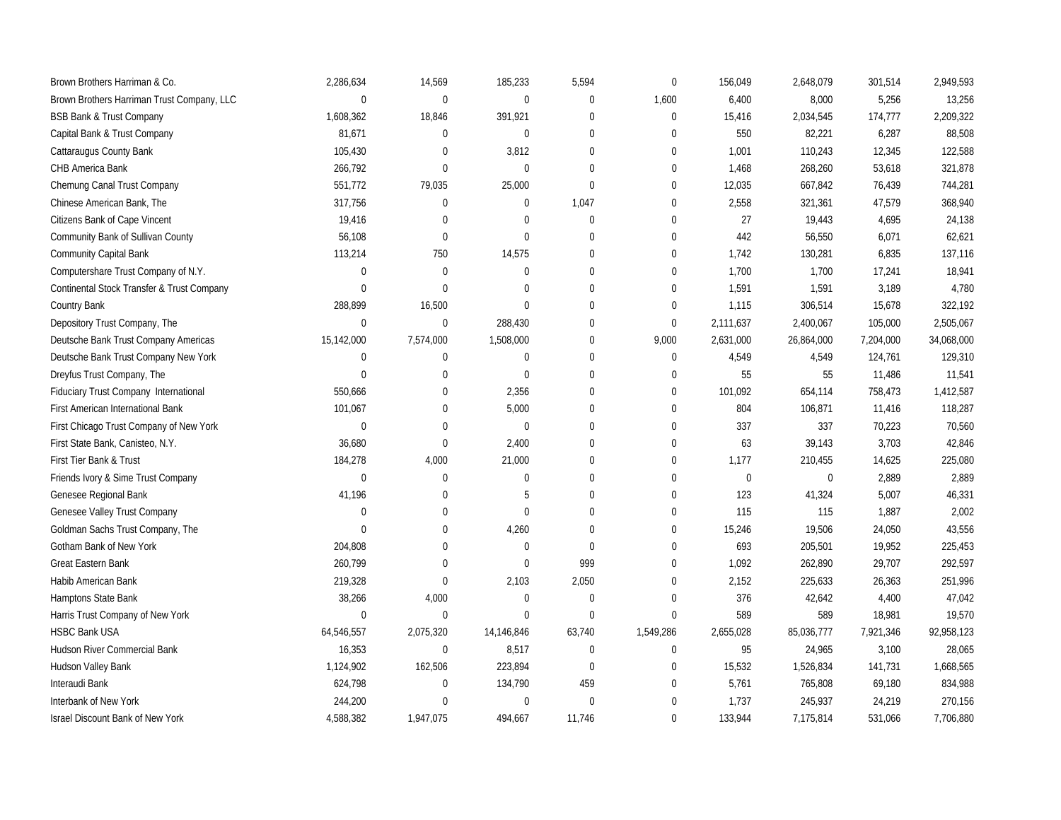| Brown Brothers Harriman & Co.              | 2,286,634    | 14,569           | 185,233    | 5,594        | $\mathbf 0$      | 156,049   | 2,648,079   | 301,514   | 2,949,593  |
|--------------------------------------------|--------------|------------------|------------|--------------|------------------|-----------|-------------|-----------|------------|
| Brown Brothers Harriman Trust Company, LLC | $\mathbf 0$  | $\mathbf 0$      | $\pmb{0}$  | $\mathbf 0$  | 1,600            | 6,400     | 8,000       | 5,256     | 13,256     |
| <b>BSB Bank &amp; Trust Company</b>        | 1,608,362    | 18,846           | 391,921    | $\mathbf{0}$ | $\boldsymbol{0}$ | 15,416    | 2,034,545   | 174,777   | 2,209,322  |
| Capital Bank & Trust Company               | 81,671       | 0                | $\pmb{0}$  | $\mathbf 0$  | $\Omega$         | 550       | 82,221      | 6,287     | 88,508     |
| Cattaraugus County Bank                    | 105,430      | 0                | 3,812      | $\mathbf{0}$ | $\Omega$         | 1,001     | 110,243     | 12,345    | 122,588    |
| CHB America Bank                           | 266,792      | $\overline{0}$   | 0          | $\mathbf{0}$ | $\mathbf 0$      | 1,468     | 268,260     | 53,618    | 321,878    |
| Chemung Canal Trust Company                | 551,772      | 79,035           | 25,000     | $\Omega$     | $\Omega$         | 12,035    | 667,842     | 76,439    | 744,281    |
| Chinese American Bank, The                 | 317,756      | $\mathbf 0$      | 0          | 1,047        | $\mathbf 0$      | 2,558     | 321,361     | 47,579    | 368,940    |
| Citizens Bank of Cape Vincent              | 19,416       | $\overline{0}$   | 0          | $\mathbf{0}$ | $\Omega$         | 27        | 19,443      | 4,695     | 24,138     |
| Community Bank of Sullivan County          | 56,108       | $\boldsymbol{0}$ | 0          | $\Omega$     | $\mathbf 0$      | 442       | 56,550      | 6,071     | 62,621     |
| <b>Community Capital Bank</b>              | 113,214      | 750              | 14,575     | $\mathbf{0}$ | $\Omega$         | 1,742     | 130,281     | 6,835     | 137,116    |
| Computershare Trust Company of N.Y.        | $\mathbf 0$  | $\mathbf 0$      | 0          | $\mathbf{0}$ | $\mathbf 0$      | 1,700     | 1,700       | 17,241    | 18,941     |
| Continental Stock Transfer & Trust Company | $\Omega$     | $\Omega$         | $\Omega$   | $\Omega$     | $\mathbf 0$      | 1,591     | 1,591       | 3,189     | 4,780      |
| Country Bank                               | 288,899      | 16,500           | 0          | $\Omega$     | $\mathbf{0}$     | 1,115     | 306,514     | 15,678    | 322,192    |
| Depository Trust Company, The              | $\mathbf 0$  | $\boldsymbol{0}$ | 288,430    | $\mathbf{0}$ | $\boldsymbol{0}$ | 2,111,637 | 2,400,067   | 105,000   | 2,505,067  |
| Deutsche Bank Trust Company Americas       | 15,142,000   | 7,574,000        | 1,508,000  | $\Omega$     | 9,000            | 2,631,000 | 26,864,000  | 7,204,000 | 34,068,000 |
| Deutsche Bank Trust Company New York       | $\mathbf{0}$ | $\mathbf 0$      | 0          | $\mathbf 0$  | $\mathbf{0}$     | 4,549     | 4,549       | 124,761   | 129,310    |
| Dreyfus Trust Company, The                 | $\mathbf{0}$ | $\overline{0}$   | 0          | $\mathbf{0}$ | $\Omega$         | 55        | 55          | 11,486    | 11,541     |
| Fiduciary Trust Company International      | 550,666      | $\mathbf 0$      | 2,356      | $\Omega$     | $\mathbf{0}$     | 101,092   | 654,114     | 758,473   | 1,412,587  |
| First American International Bank          | 101,067      | 0                | 5,000      | $\mathbf{0}$ | $\Omega$         | 804       | 106,871     | 11,416    | 118,287    |
| First Chicago Trust Company of New York    | $\mathbf 0$  | $\mathbf 0$      | 0          | $\mathbf{0}$ | $\mathbf{0}$     | 337       | 337         | 70,223    | 70,560     |
| First State Bank, Canisteo, N.Y.           | 36,680       | $\mathbf 0$      | 2,400      | $\Omega$     | $\mathbf{0}$     | 63        | 39,143      | 3,703     | 42,846     |
| First Tier Bank & Trust                    | 184,278      | 4,000            | 21,000     | $\Omega$     | $\boldsymbol{0}$ | 1,177     | 210,455     | 14,625    | 225,080    |
| Friends Ivory & Sime Trust Company         | $\mathbf 0$  | $\mathbf 0$      | 0          | $\mathbf{0}$ | $\boldsymbol{0}$ | $\pmb{0}$ | $\mathbf 0$ | 2,889     | 2,889      |
| Genesee Regional Bank                      | 41,196       | 0                | 5          | $\Omega$     | $\mathbf{0}$     | 123       | 41,324      | 5,007     | 46,331     |
| Genesee Valley Trust Company               | $\mathbf{0}$ | 0                | 0          | $\Omega$     | 0                | 115       | 115         | 1,887     | 2,002      |
| Goldman Sachs Trust Company, The           | $\mathbf{0}$ | 0                | 4,260      | $\Omega$     | $\mathbf 0$      | 15,246    | 19,506      | 24,050    | 43,556     |
| Gotham Bank of New York                    | 204,808      | 0                | 0          | $\Omega$     | $\Omega$         | 693       | 205,501     | 19,952    | 225,453    |
| <b>Great Eastern Bank</b>                  | 260,799      | 0                | 0          | 999          | $\mathbf 0$      | 1,092     | 262,890     | 29,707    | 292,597    |
| Habib American Bank                        | 219,328      | $\boldsymbol{0}$ | 2,103      | 2,050        | $\mathbf{0}$     | 2,152     | 225,633     | 26,363    | 251,996    |
| Hamptons State Bank                        | 38,266       | 4,000            | 0          | $\mathbf{0}$ | $\mathbf 0$      | 376       | 42,642      | 4,400     | 47,042     |
| Harris Trust Company of New York           | $\mathbf{0}$ | $\mathbf 0$      | 0          | $\mathbf{0}$ | $\boldsymbol{0}$ | 589       | 589         | 18,981    | 19,570     |
| <b>HSBC Bank USA</b>                       | 64,546,557   | 2,075,320        | 14,146,846 | 63,740       | 1,549,286        | 2,655,028 | 85,036,777  | 7,921,346 | 92,958,123 |
| Hudson River Commercial Bank               | 16,353       | $\mathbf 0$      | 8,517      | $\mathbf{0}$ | $\boldsymbol{0}$ | 95        | 24,965      | 3,100     | 28,065     |
| Hudson Valley Bank                         | 1,124,902    | 162,506          | 223,894    | $\mathbf 0$  | $\mathbf 0$      | 15,532    | 1,526,834   | 141,731   | 1,668,565  |
| Interaudi Bank                             | 624,798      | 0                | 134,790    | 459          | $\mathbf 0$      | 5,761     | 765,808     | 69,180    | 834,988    |
| Interbank of New York                      | 244,200      | $\Omega$         | 0          | $\mathbf{0}$ | $\Omega$         | 1,737     | 245,937     | 24,219    | 270,156    |
| <b>Israel Discount Bank of New York</b>    | 4,588,382    | 1,947,075        | 494,667    | 11,746       | $\mathbf 0$      | 133,944   | 7,175,814   | 531,066   | 7,706,880  |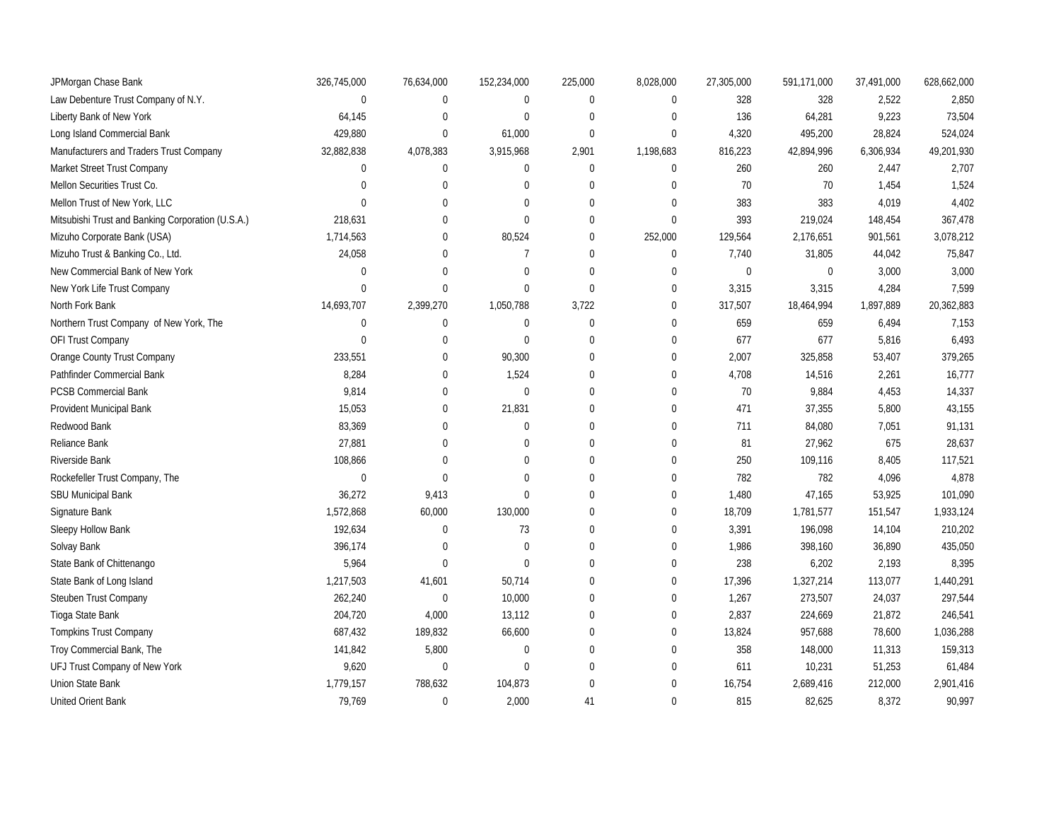| JPMorgan Chase Bank                               | 326,745,000  | 76,634,000  | 152,234,000      | 225,000      | 8,028,000    | 27,305,000  | 591,171,000 | 37,491,000 | 628,662,000 |
|---------------------------------------------------|--------------|-------------|------------------|--------------|--------------|-------------|-------------|------------|-------------|
| Law Debenture Trust Company of N.Y.               | $\mathbf 0$  | 0           | $\pmb{0}$        | $\pmb{0}$    | $\mathbf 0$  | 328         | 328         | 2,522      | 2,850       |
| Liberty Bank of New York                          | 64,145       | 0           | $\pmb{0}$        | $\Omega$     | $\Omega$     | 136         | 64,281      | 9,223      | 73,504      |
| Long Island Commercial Bank                       | 429,880      | $\mathbf 0$ | 61,000           | $\mathbf 0$  | $\mathbf{0}$ | 4,320       | 495,200     | 28,824     | 524,024     |
| Manufacturers and Traders Trust Company           | 32,882,838   | 4,078,383   | 3,915,968        | 2,901        | 1,198,683    | 816,223     | 42,894,996  | 6,306,934  | 49,201,930  |
| Market Street Trust Company                       | $\mathbf 0$  | $\mathbf 0$ | $\pmb{0}$        | $\mathbf{0}$ | $\mathbf 0$  | 260         | 260         | 2,447      | 2,707       |
| Mellon Securities Trust Co.                       | $\mathbf{0}$ | $\mathbf 0$ | 0                | $\mathbf 0$  | $\mathbf{0}$ | 70          | 70          | 1,454      | 1,524       |
| Mellon Trust of New York, LLC                     | $\mathbf{0}$ | 0           | 0                | $\mathbf 0$  | $\mathbf 0$  | 383         | 383         | 4,019      | 4,402       |
| Mitsubishi Trust and Banking Corporation (U.S.A.) | 218,631      | 0           | $\pmb{0}$        | $\Omega$     | $\mathbf 0$  | 393         | 219,024     | 148,454    | 367,478     |
| Mizuho Corporate Bank (USA)                       | 1,714,563    | $\mathbf 0$ | 80,524           | $\mathbf 0$  | 252,000      | 129,564     | 2,176,651   | 901,561    | 3,078,212   |
| Mizuho Trust & Banking Co., Ltd.                  | 24,058       | $\Omega$    | $\overline{7}$   | $\Omega$     | $\mathbf 0$  | 7,740       | 31,805      | 44,042     | 75,847      |
| New Commercial Bank of New York                   | $\mathbf 0$  | $\Omega$    | $\pmb{0}$        | $\Omega$     | $\Omega$     | $\mathbf 0$ | $\mathbf 0$ | 3,000      | 3,000       |
| New York Life Trust Company                       | $\mathbf{0}$ | $\Omega$    | $\mathbf 0$      | $\Omega$     | $\mathbf 0$  | 3,315       | 3,315       | 4,284      | 7,599       |
| North Fork Bank                                   | 14,693,707   | 2,399,270   | 1,050,788        | 3,722        | 0            | 317,507     | 18,464,994  | 1,897,889  | 20,362,883  |
| Northern Trust Company of New York, The           | $\mathbf 0$  | 0           | $\pmb{0}$        | $\mathbf{0}$ | $\mathbf 0$  | 659         | 659         | 6,494      | 7,153       |
| OFI Trust Company                                 | $\mathbf{0}$ | $\mathbf 0$ | $\mathbf 0$      | $\Omega$     | $\mathbf 0$  | 677         | 677         | 5,816      | 6,493       |
| Orange County Trust Company                       | 233,551      | $\mathbf 0$ | 90,300           | $\Omega$     | $\mathbf 0$  | 2,007       | 325,858     | 53,407     | 379,265     |
| Pathfinder Commercial Bank                        | 8,284        | $\mathbf 0$ | 1,524            | $\Omega$     | $\mathbf{0}$ | 4,708       | 14,516      | 2,261      | 16,777      |
| <b>PCSB Commercial Bank</b>                       | 9,814        | $\mathbf 0$ | $\boldsymbol{0}$ | $\Omega$     | $\mathbf{0}$ | 70          | 9,884       | 4,453      | 14,337      |
| Provident Municipal Bank                          | 15,053       | $\mathbf 0$ | 21,831           | $\mathbf 0$  | $\mathbf{0}$ | 471         | 37,355      | 5,800      | 43,155      |
| Redwood Bank                                      | 83,369       | $\mathbf 0$ | $\pmb{0}$        | $\mathbf 0$  | $\mathbf 0$  | 711         | 84,080      | 7,051      | 91,131      |
| Reliance Bank                                     | 27,881       | $\Omega$    | $\mathbf 0$      | $\Omega$     | $\Omega$     | 81          | 27,962      | 675        | 28,637      |
| Riverside Bank                                    | 108,866      | $\Omega$    | $\Omega$         | $\Omega$     | $\Omega$     | 250         | 109,116     | 8,405      | 117,521     |
| Rockefeller Trust Company, The                    | $\mathbf{0}$ | $\Omega$    | $\Omega$         | $\Omega$     | $\mathbf{0}$ | 782         | 782         | 4,096      | 4,878       |
| SBU Municipal Bank                                | 36,272       | 9,413       | $\mathbf 0$      | $\Omega$     | $\mathbf{0}$ | 1,480       | 47,165      | 53,925     | 101,090     |
| Signature Bank                                    | 1,572,868    | 60,000      | 130,000          | $\mathbf 0$  | $\mathbf{0}$ | 18,709      | 1,781,577   | 151,547    | 1,933,124   |
| Sleepy Hollow Bank                                | 192,634      | 0           | 73               | $\mathbf 0$  | $\mathbf 0$  | 3,391       | 196,098     | 14,104     | 210,202     |
| Solvay Bank                                       | 396,174      | 0           | $\mathbf 0$      | $\Omega$     | $\mathbf{0}$ | 1,986       | 398,160     | 36,890     | 435,050     |
| State Bank of Chittenango                         | 5,964        | $\Omega$    | $\mathbf 0$      | $\Omega$     | $\mathbf{0}$ | 238         | 6,202       | 2,193      | 8,395       |
| State Bank of Long Island                         | 1,217,503    | 41,601      | 50,714           | $\mathbf{0}$ | $\mathbf{0}$ | 17,396      | 1,327,214   | 113,077    | 1,440,291   |
| Steuben Trust Company                             | 262,240      | $\pmb{0}$   | 10,000           | $\mathbf 0$  | $\mathbf{0}$ | 1,267       | 273,507     | 24,037     | 297,544     |
| Tioga State Bank                                  | 204,720      | 4,000       | 13,112           | $\mathbf 0$  | $\mathbf{0}$ | 2,837       | 224,669     | 21,872     | 246,541     |
| Tompkins Trust Company                            | 687,432      | 189,832     | 66,600           | $\mathbf 0$  | $\mathbf{0}$ | 13,824      | 957,688     | 78,600     | 1,036,288   |
| Troy Commercial Bank, The                         | 141,842      | 5,800       | $\boldsymbol{0}$ | $\theta$     | $\Omega$     | 358         | 148,000     | 11,313     | 159,313     |
| UFJ Trust Company of New York                     | 9,620        | $\mathbf 0$ | $\mathbf 0$      | $\mathbf 0$  | $\mathbf{0}$ | 611         | 10,231      | 51,253     | 61,484      |
| Union State Bank                                  | 1,779,157    | 788,632     | 104,873          | $\mathbf{0}$ | $\mathbf{0}$ | 16,754      | 2,689,416   | 212,000    | 2,901,416   |
| United Orient Bank                                | 79,769       | $\mathbf 0$ | 2,000            | 41           | $\mathbf{0}$ | 815         | 82,625      | 8,372      | 90,997      |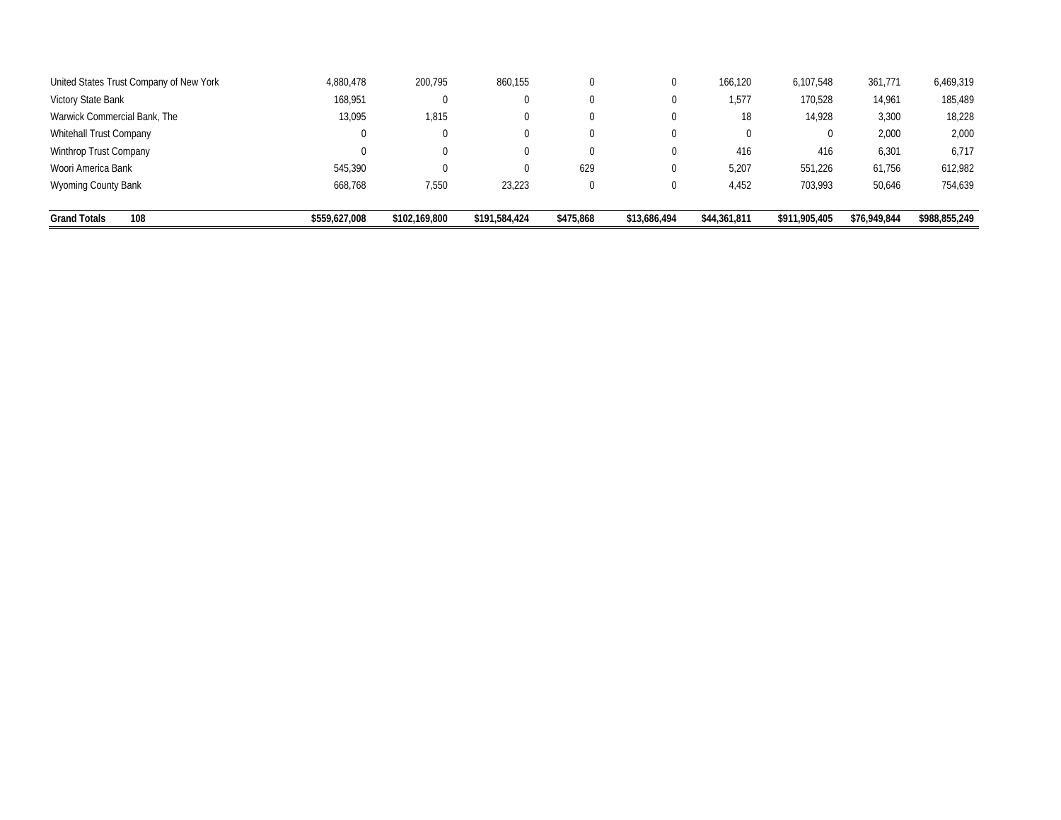| United States Trust Company of New York | 4,880,478     | 200,795       | 860,155       |           | 0            | 166.120      | 6,107,548     | 361,771      | 6,469,319     |
|-----------------------------------------|---------------|---------------|---------------|-----------|--------------|--------------|---------------|--------------|---------------|
| Victory State Bank                      | 168,951       |               | υ             |           | 0            | 1,577        | 170,528       | 14,961       | 185,489       |
| Warwick Commercial Bank, The            | 13,095        | 1,815         | υ             |           | 0            | 18           | 14,928        | 3,300        | 18,228        |
| <b>Whitehall Trust Company</b>          | 0             |               |               |           | 0            | $\mathbf 0$  |               | 2,000        | 2,000         |
| Winthrop Trust Company                  | 0             |               |               |           | 0            | 416          | 416           | 6,301        | 6,717         |
| Woori America Bank                      | 545,390       |               |               | 629       | 0            | 5,207        | 551,226       | 61,756       | 612,982       |
| Wyoming County Bank                     | 668.768       | 7,550         | 23,223        |           | 0            | 4,452        | 703.993       | 50,646       | 754,639       |
| <b>Grand Totals</b><br>108              | \$559,627,008 | \$102,169,800 | \$191,584,424 | \$475,868 | \$13,686,494 | \$44,361,811 | \$911,905,405 | \$76,949,844 | \$988,855,249 |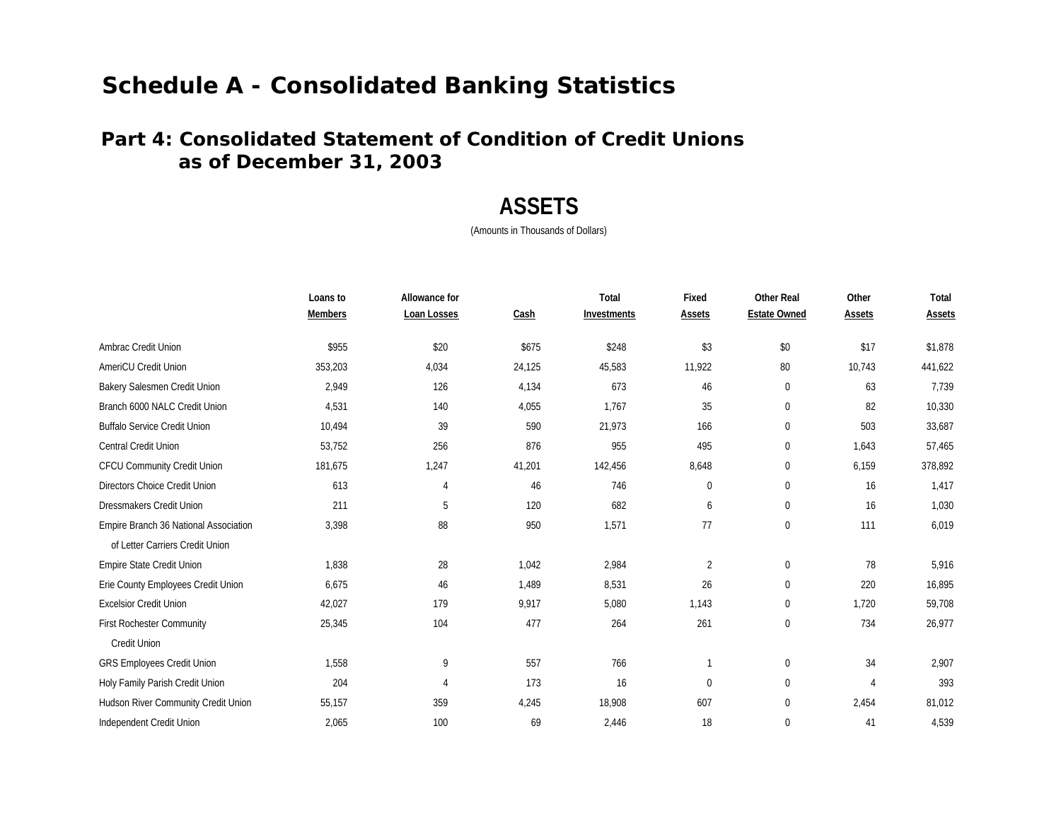### **Part 4: Consolidated Statement of Condition of Credit Unions as of December 31, 2003**

## **ASSETS**

|                                       | Loans to       | Allowance for  |        | Total       | Fixed         | <b>Other Real</b>   | Other          | Total         |
|---------------------------------------|----------------|----------------|--------|-------------|---------------|---------------------|----------------|---------------|
|                                       | <b>Members</b> | Loan Losses    | Cash   | Investments | <b>Assets</b> | <b>Estate Owned</b> | <b>Assets</b>  | <b>Assets</b> |
| Ambrac Credit Union                   | \$955          | \$20           | \$675  | \$248       | \$3           | \$0                 | \$17           | \$1,878       |
| <b>AmeriCU Credit Union</b>           | 353,203        | 4,034          | 24,125 | 45,583      | 11.922        | 80                  | 10,743         | 441,622       |
| Bakery Salesmen Credit Union          | 2,949          | 126            | 4,134  | 673         | 46            | $\mathbf 0$         | 63             | 7,739         |
| Branch 6000 NALC Credit Union         | 4,531          | 140            | 4,055  | 1,767       | 35            | $\boldsymbol{0}$    | 82             | 10,330        |
| <b>Buffalo Service Credit Union</b>   | 10,494         | 39             | 590    | 21,973      | 166           | $\Omega$            | 503            | 33,687        |
| Central Credit Union                  | 53,752         | 256            | 876    | 955         | 495           | 0                   | 1,643          | 57,465        |
| CFCU Community Credit Union           | 181,675        | 1,247          | 41,201 | 142,456     | 8,648         | 0                   | 6,159          | 378,892       |
| Directors Choice Credit Union         | 613            | 4              | 46     | 746         | 0             | $\mathbf 0$         | 16             | 1,417         |
| <b>Dressmakers Credit Union</b>       | 211            | 5              | 120    | 682         | 6             | $\pmb{0}$           | 16             | 1,030         |
| Empire Branch 36 National Association | 3,398          | 88             | 950    | 1,571       | 77            | $\pmb{0}$           | 111            | 6,019         |
| of Letter Carriers Credit Union       |                |                |        |             |               |                     |                |               |
| Empire State Credit Union             | 1,838          | 28             | 1,042  | 2,984       | 2             | $\mathbf 0$         | 78             | 5,916         |
| Erie County Employees Credit Union    | 6,675          | 46             | 1,489  | 8,531       | 26            | $\mathbf 0$         | 220            | 16,895        |
| <b>Excelsior Credit Union</b>         | 42,027         | 179            | 9,917  | 5,080       | 1,143         | 0                   | 1,720          | 59,708        |
| <b>First Rochester Community</b>      | 25,345         | 104            | 477    | 264         | 261           | 0                   | 734            | 26,977        |
| Credit Union                          |                |                |        |             |               |                     |                |               |
| <b>GRS Employees Credit Union</b>     | 1,558          | 9              | 557    | 766         |               | $\overline{0}$      | 34             | 2,907         |
| Holy Family Parish Credit Union       | 204            | $\overline{4}$ | 173    | 16          | $\Omega$      | $\mathbf 0$         | $\overline{4}$ | 393           |
| Hudson River Community Credit Union   | 55,157         | 359            | 4,245  | 18,908      | 607           | $\overline{0}$      | 2,454          | 81,012        |
| Independent Credit Union              | 2,065          | 100            | 69     | 2,446       | 18            | $\mathbf 0$         | 41             | 4,539         |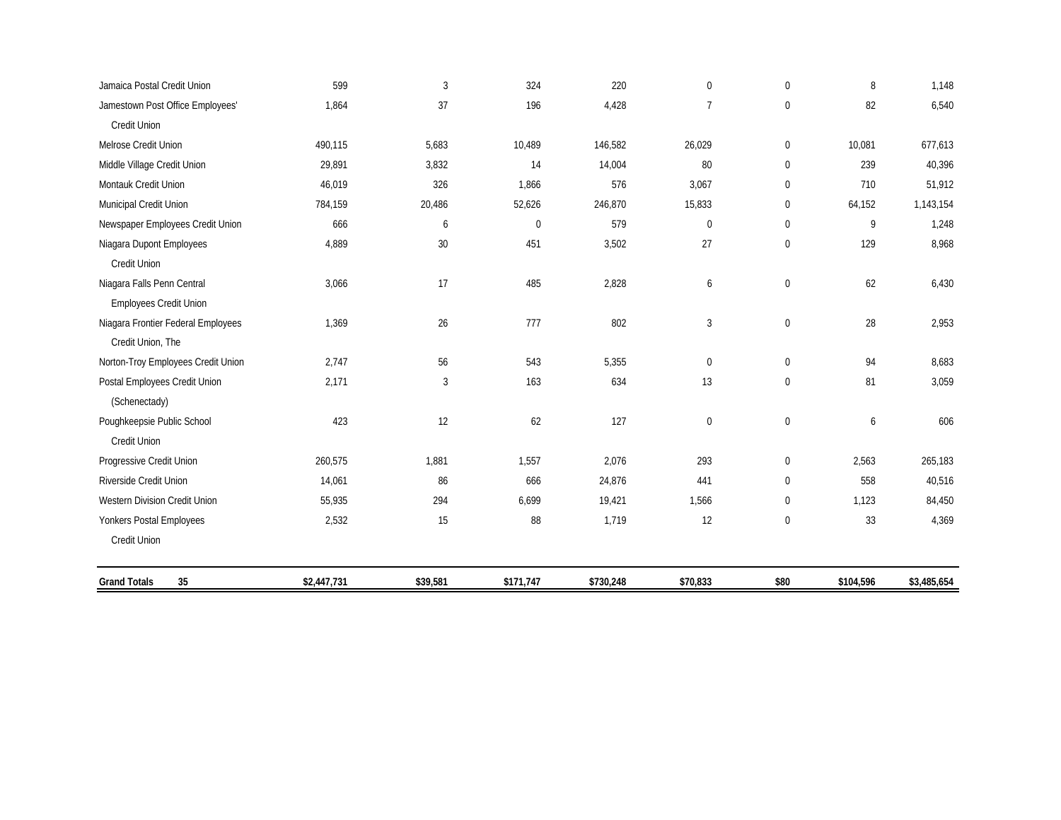| Jamaica Postal Credit Union        | 599         | $\mathfrak{Z}$ | 324         | 220       | $\mathbf{0}$   | $\pmb{0}$        | 8         | 1,148       |
|------------------------------------|-------------|----------------|-------------|-----------|----------------|------------------|-----------|-------------|
| Jamestown Post Office Employees'   | 1,864       | 37             | 196         | 4,428     | $\overline{7}$ | $\mathbf 0$      | 82        | 6,540       |
| <b>Credit Union</b>                |             |                |             |           |                |                  |           |             |
| Melrose Credit Union               | 490,115     | 5,683          | 10,489      | 146,582   | 26,029         | $\mathbf 0$      | 10,081    | 677,613     |
| Middle Village Credit Union        | 29,891      | 3,832          | 14          | 14,004    | 80             | $\boldsymbol{0}$ | 239       | 40,396      |
| Montauk Credit Union               | 46,019      | 326            | 1,866       | 576       | 3,067          | $\mathbf 0$      | 710       | 51,912      |
| Municipal Credit Union             | 784,159     | 20,486         | 52,626      | 246,870   | 15,833         | $\boldsymbol{0}$ | 64,152    | 1,143,154   |
| Newspaper Employees Credit Union   | 666         | 6              | $\mathbf 0$ | 579       | $\mathbf{0}$   | $\pmb{0}$        | 9         | 1,248       |
| Niagara Dupont Employees           | 4,889       | $30\,$         | 451         | 3,502     | 27             | $\mathbf 0$      | 129       | 8,968       |
| Credit Union                       |             |                |             |           |                |                  |           |             |
| Niagara Falls Penn Central         | 3,066       | 17             | 485         | 2,828     | 6              | $\boldsymbol{0}$ | 62        | 6,430       |
| Employees Credit Union             |             |                |             |           |                |                  |           |             |
| Niagara Frontier Federal Employees | 1,369       | 26             | 777         | 802       | 3              | $\bf{0}$         | 28        | 2,953       |
| Credit Union, The                  |             |                |             |           |                |                  |           |             |
| Norton-Troy Employees Credit Union | 2,747       | 56             | 543         | 5,355     | $\mathbf{0}$   | $\boldsymbol{0}$ | 94        | 8,683       |
| Postal Employees Credit Union      | 2,171       | $\mathbf{3}$   | 163         | 634       | 13             | $\mathbf{0}$     | 81        | 3,059       |
| (Schenectady)                      |             |                |             |           |                |                  |           |             |
| Poughkeepsie Public School         | 423         | 12             | 62          | 127       | $\mathbf 0$    | $\pmb{0}$        | 6         | 606         |
| Credit Union                       |             |                |             |           |                |                  |           |             |
| Progressive Credit Union           | 260,575     | 1,881          | 1,557       | 2,076     | 293            | $\boldsymbol{0}$ | 2,563     | 265,183     |
| Riverside Credit Union             | 14,061      | 86             | 666         | 24,876    | 441            | $\mathbf 0$      | 558       | 40,516      |
| Western Division Credit Union      | 55,935      | 294            | 6,699       | 19,421    | 1,566          | $\boldsymbol{0}$ | 1,123     | 84,450      |
| Yonkers Postal Employees           | 2,532       | 15             | 88          | 1,719     | 12             | $\mathbf 0$      | 33        | 4,369       |
| Credit Union                       |             |                |             |           |                |                  |           |             |
| <b>Grand Totals</b><br>35          | \$2,447,731 | \$39,581       | \$171,747   | \$730,248 | \$70,833       | \$80             | \$104,596 | \$3,485,654 |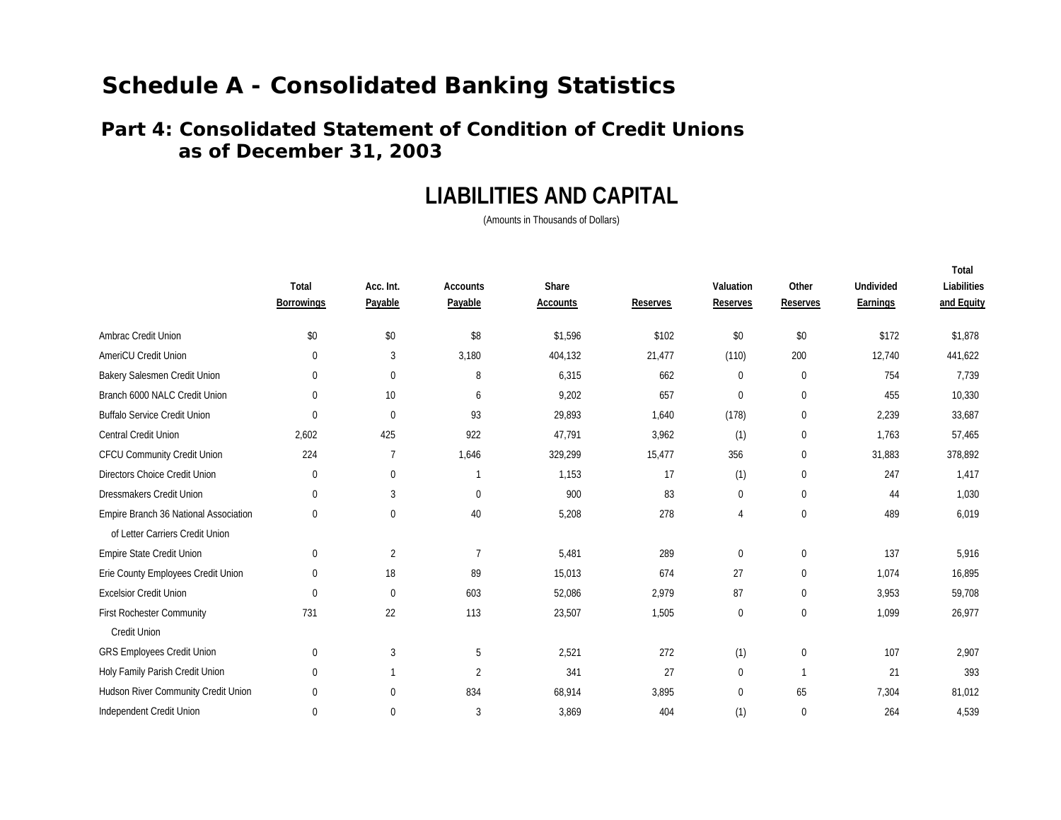### **Part 4: Consolidated Statement of Condition of Credit Unions as of December 31, 2003**

## **LIABILITIES AND CAPITAL**

(Amounts in Thousands of Dollars)

**Total**

|                                       | Total<br><b>Borrowings</b> | Acc. Int.<br>Payable | <b>Accounts</b><br>Payable | Share<br><b>Accounts</b> | <b>Reserves</b> | Valuation<br><b>Reserves</b> | Other<br><b>Reserves</b> | <b>Undivided</b><br>Earnings | ו טנעו<br>Liabilities<br>and Equity |
|---------------------------------------|----------------------------|----------------------|----------------------------|--------------------------|-----------------|------------------------------|--------------------------|------------------------------|-------------------------------------|
| Ambrac Credit Union                   | \$0                        | \$0                  | \$8                        | \$1,596                  | \$102           | \$0                          | \$0                      | \$172                        | \$1,878                             |
| AmeriCU Credit Union                  | $\mathbf 0$                | 3                    | 3,180                      | 404,132                  | 21,477          | (110)                        | 200                      | 12,740                       | 441,622                             |
| Bakery Salesmen Credit Union          | $\mathbf 0$                | $\mathbf{0}$         | 8                          | 6,315                    | 662             | 0                            | $\mathbf{0}$             | 754                          | 7,739                               |
| Branch 6000 NALC Credit Union         | $\boldsymbol{0}$           | 10                   | 6                          | 9,202                    | 657             | 0                            | 0                        | 455                          | 10,330                              |
| <b>Buffalo Service Credit Union</b>   | $\mathbf 0$                | $\mathbf{0}$         | 93                         | 29,893                   | 1,640           | (178)                        | 0                        | 2,239                        | 33,687                              |
| <b>Central Credit Union</b>           | 2,602                      | 425                  | 922                        | 47,791                   | 3,962           | (1)                          | $\mathbf{0}$             | 1,763                        | 57,465                              |
| CFCU Community Credit Union           | 224                        | 7                    | 1,646                      | 329,299                  | 15,477          | 356                          | 0                        | 31,883                       | 378,892                             |
| Directors Choice Credit Union         | $\boldsymbol{0}$           | 0                    |                            | 1,153                    | 17              | (1)                          | 0                        | 247                          | 1,417                               |
| Dressmakers Credit Union              | $\mathbf 0$                | 3                    | $\Omega$                   | 900                      | 83              | 0                            | $\mathbf{0}$             | 44                           | 1,030                               |
| Empire Branch 36 National Association | $\mathbf{0}$               | $\mathbf 0$          | 40                         | 5,208                    | 278             | 4                            | $\mathbf{0}$             | 489                          | 6,019                               |
| of Letter Carriers Credit Union       |                            |                      |                            |                          |                 |                              |                          |                              |                                     |
| Empire State Credit Union             | $\boldsymbol{0}$           | $\overline{2}$       | 7                          | 5,481                    | 289             | $\mathbf 0$                  | $\mathbf{0}$             | 137                          | 5,916                               |
| Erie County Employees Credit Union    | $\mathbf{0}$               | 18                   | 89                         | 15,013                   | 674             | 27                           | $\mathbf{0}$             | 1,074                        | 16,895                              |
| <b>Excelsior Credit Union</b>         | $\mathbf{0}$               | $\mathbf{0}$         | 603                        | 52,086                   | 2,979           | 87                           | $\boldsymbol{0}$         | 3,953                        | 59,708                              |
| <b>First Rochester Community</b>      | 731                        | 22                   | 113                        | 23,507                   | 1,505           | 0                            | $\mathbf 0$              | 1,099                        | 26,977                              |
| <b>Credit Union</b>                   |                            |                      |                            |                          |                 |                              |                          |                              |                                     |
| GRS Employees Credit Union            | $\boldsymbol{0}$           | 3                    | 5                          | 2,521                    | 272             | (1)                          | $\mathbf 0$              | 107                          | 2,907                               |
| Holy Family Parish Credit Union       | $\boldsymbol{0}$           |                      | $\overline{2}$             | 341                      | 27              | 0                            |                          | 21                           | 393                                 |
| Hudson River Community Credit Union   | $\mathbf 0$                | $\Omega$             | 834                        | 68,914                   | 3,895           | $\mathbf 0$                  | 65                       | 7,304                        | 81,012                              |
| Independent Credit Union              | $\mathbf 0$                | 0                    | 3                          | 3,869                    | 404             | (1)                          | $\mathbf{0}$             | 264                          | 4,539                               |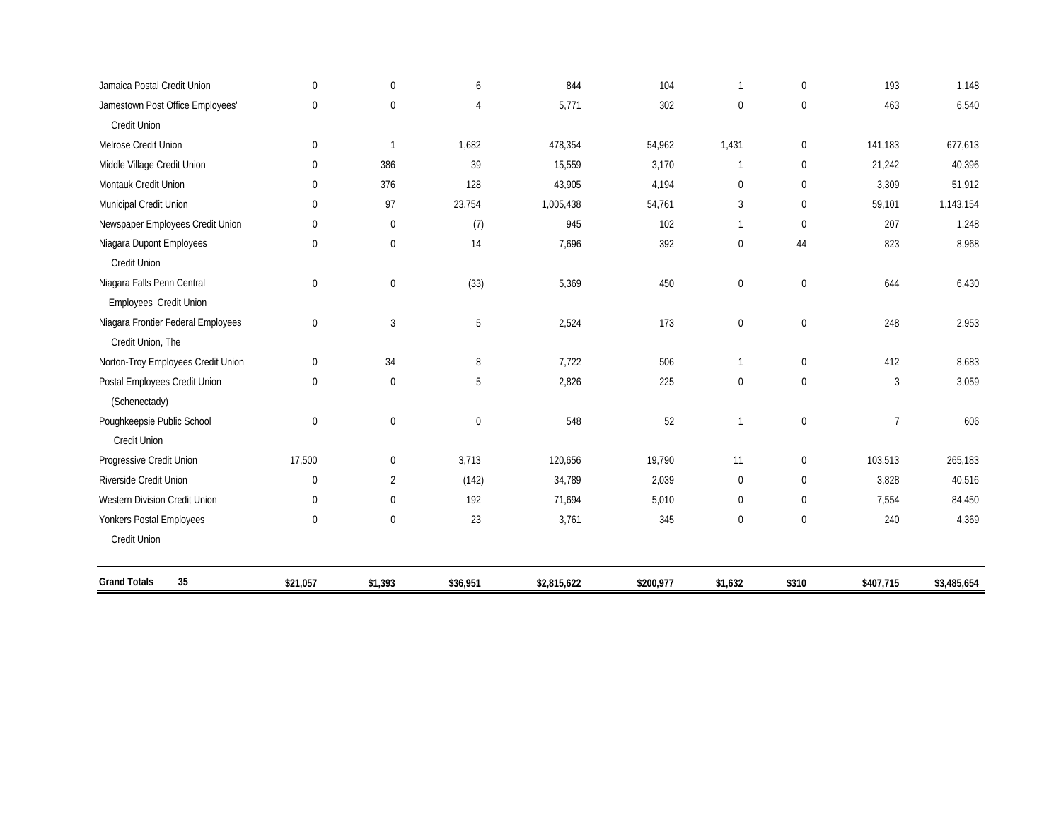| Jamaica Postal Credit Union        | $\mathbf 0$      | $\mathbf 0$      | 6                | 844         | 104       | $\mathbf{1}$     | $\mathbf 0$      | 193            | 1,148       |
|------------------------------------|------------------|------------------|------------------|-------------|-----------|------------------|------------------|----------------|-------------|
| Jamestown Post Office Employees'   | $\mathbf 0$      | $\mathbf 0$      | $\overline{4}$   | 5,771       | 302       | $\mathbf 0$      | $\mathbf 0$      | 463            | 6,540       |
| Credit Union                       |                  |                  |                  |             |           |                  |                  |                |             |
| Melrose Credit Union               | $\boldsymbol{0}$ | $\mathbf{1}$     | 1,682            | 478,354     | 54,962    | 1,431            | $\boldsymbol{0}$ | 141,183        | 677,613     |
| Middle Village Credit Union        | $\mathbf 0$      | 386              | 39               | 15,559      | 3,170     | $\mathbf{1}$     | $\mathbf 0$      | 21,242         | 40,396      |
| Montauk Credit Union               | $\mathbf 0$      | 376              | 128              | 43,905      | 4,194     | $\pmb{0}$        | $\mathbf 0$      | 3,309          | 51,912      |
| Municipal Credit Union             | $\mathbf 0$      | 97               | 23,754           | 1,005,438   | 54,761    | 3                | $\mathbf 0$      | 59,101         | 1,143,154   |
| Newspaper Employees Credit Union   | $\mathbf 0$      | $\mathbf 0$      | (7)              | 945         | 102       | $\mathbf{1}$     | $\overline{0}$   | 207            | 1,248       |
| Niagara Dupont Employees           | $\mathbf 0$      | 0                | 14               | 7,696       | 392       | $\pmb{0}$        | 44               | 823            | 8,968       |
| Credit Union                       |                  |                  |                  |             |           |                  |                  |                |             |
| Niagara Falls Penn Central         | $\mathbf 0$      | $\boldsymbol{0}$ | (33)             | 5,369       | 450       | $\pmb{0}$        | $\boldsymbol{0}$ | 644            | 6,430       |
| Employees Credit Union             |                  |                  |                  |             |           |                  |                  |                |             |
| Niagara Frontier Federal Employees | $\mathbf 0$      | 3                | 5                | 2,524       | 173       | $\pmb{0}$        | $\mathbf 0$      | 248            | 2,953       |
| Credit Union, The                  |                  |                  |                  |             |           |                  |                  |                |             |
| Norton-Troy Employees Credit Union | $\mathbf 0$      | 34               | 8                | 7,722       | 506       | $\mathbf{1}$     | $\overline{0}$   | 412            | 8,683       |
| Postal Employees Credit Union      | $\mathbf 0$      | 0                | 5                | 2,826       | 225       | 0                | $\mathbf 0$      | 3              | 3,059       |
| (Schenectady)                      |                  |                  |                  |             |           |                  |                  |                |             |
| Poughkeepsie Public School         | $\mathbf 0$      | $\mathbf 0$      | $\boldsymbol{0}$ | 548         | 52        | $\mathbf{1}$     | $\mathbf 0$      | $\overline{7}$ | 606         |
| <b>Credit Union</b>                |                  |                  |                  |             |           |                  |                  |                |             |
| Progressive Credit Union           | 17,500           | $\mathbf 0$      | 3,713            | 120,656     | 19,790    | 11               | $\overline{0}$   | 103,513        | 265,183     |
| Riverside Credit Union             | $\mathbf 0$      | $\overline{2}$   | (142)            | 34,789      | 2,039     | 0                | $\mathbf 0$      | 3,828          | 40,516      |
| Western Division Credit Union      | $\mathbf 0$      | $\mathbf 0$      | 192              | 71,694      | 5,010     | $\boldsymbol{0}$ | $\mathbf 0$      | 7,554          | 84,450      |
| Yonkers Postal Employees           | $\mathbf 0$      | $\mathbf 0$      | 23               | 3,761       | 345       | $\pmb{0}$        | $\mathbf{0}$     | 240            | 4,369       |
| Credit Union                       |                  |                  |                  |             |           |                  |                  |                |             |
| <b>Grand Totals</b><br>35          | \$21,057         | \$1,393          | \$36,951         | \$2,815,622 | \$200,977 | \$1,632          | \$310            | \$407,715      | \$3,485,654 |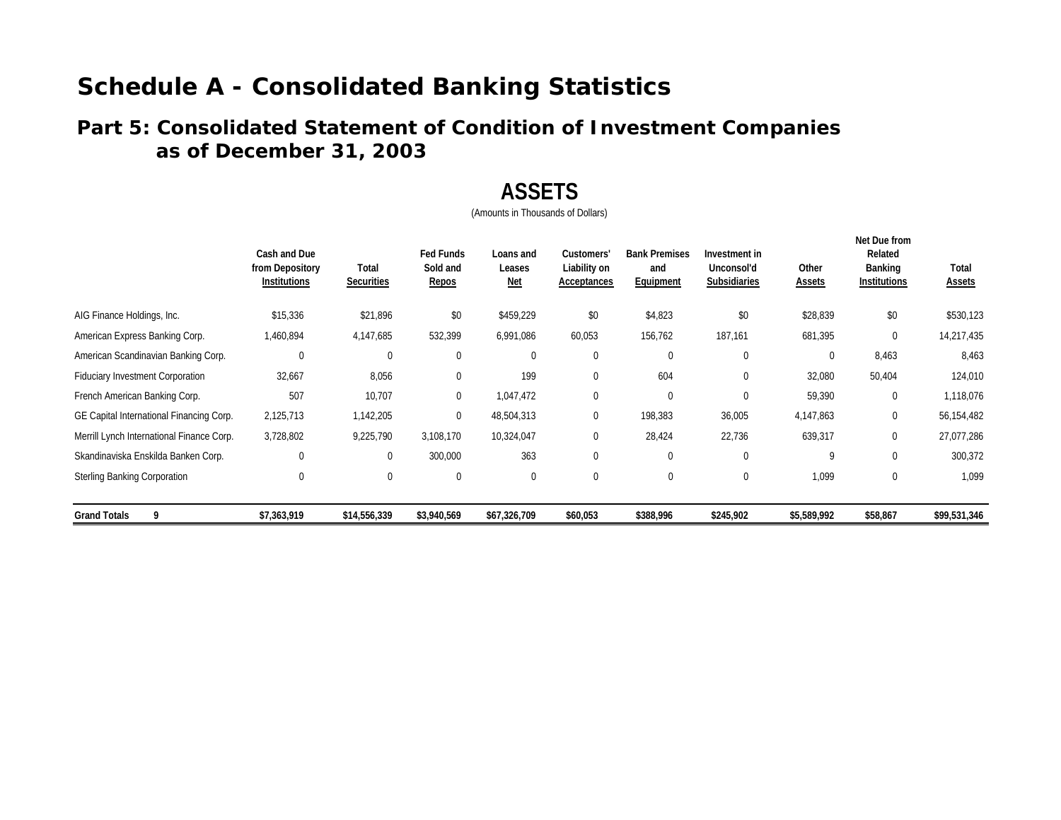## **as of December 31, 2003 Part 5: Consolidated Statement of Condition of Investment Companies**

## **ASSETS**

|                                           | Cash and Due<br>from Depository<br>Institutions | Total<br><b>Securities</b> | <b>Fed Funds</b><br>Sold and<br>Repos | Loans and<br>Leases<br><u>Net</u> | Customers'<br>Liability on<br>Acceptances | <b>Bank Premises</b><br>and<br>Equipment | Investment in<br>Unconsol'd<br>Subsidiaries | Other<br><b>Assets</b> | Net Due from<br>Related<br><b>Banking</b><br><b>Institutions</b> | Total<br><b>Assets</b> |
|-------------------------------------------|-------------------------------------------------|----------------------------|---------------------------------------|-----------------------------------|-------------------------------------------|------------------------------------------|---------------------------------------------|------------------------|------------------------------------------------------------------|------------------------|
| AIG Finance Holdings, Inc.                | \$15,336                                        | \$21,896                   | \$0                                   | \$459,229                         | \$0                                       | \$4,823                                  | \$0                                         | \$28,839               | \$0                                                              | \$530,123              |
| American Express Banking Corp.            | 1,460,894                                       | 4,147,685                  | 532,399                               | 6,991,086                         | 60,053                                    | 156,762                                  | 187,161                                     | 681,395                | 0                                                                | 14,217,435             |
| American Scandinavian Banking Corp.       | $\mathbf{0}$                                    | $\theta$                   | $\Omega$                              | $\mathbf{0}$                      | 0                                         | $\mathbf 0$                              | 0                                           | 0                      | 8,463                                                            | 8,463                  |
| <b>Fiduciary Investment Corporation</b>   | 32,667                                          | 8,056                      | $\mathbf 0$                           | 199                               | 0                                         | 604                                      | 0                                           | 32,080                 | 50,404                                                           | 124,010                |
| French American Banking Corp.             | 507                                             | 10,707                     | $\boldsymbol{0}$                      | 1,047,472                         | 0                                         | $\mathbf 0$                              | $\Omega$                                    | 59,390                 | $\mathbf{0}$                                                     | 1,118,076              |
| GE Capital International Financing Corp.  | 2,125,713                                       | 1,142,205                  | $\mathbf{0}$                          | 48,504,313                        | 0                                         | 198,383                                  | 36,005                                      | 4,147,863              | 0                                                                | 56,154,482             |
| Merrill Lynch International Finance Corp. | 3,728,802                                       | 9,225,790                  | 3,108,170                             | 10,324,047                        | 0                                         | 28,424                                   | 22,736                                      | 639,317                | 0                                                                | 27,077,286             |
| Skandinaviska Enskilda Banken Corp.       | 0                                               |                            | 300,000                               | 363                               | 0                                         | $\mathbf 0$                              | $\Omega$                                    | 9                      | $\Omega$                                                         | 300,372                |
| <b>Sterling Banking Corporation</b>       | $\mathbf{0}$                                    | $\mathbf 0$                | $\mathbf 0$                           | $\mathbf{0}$                      | 0                                         | $\mathbf 0$                              | 0                                           | 1,099                  | $\mathbf{0}$                                                     | 1,099                  |
| <b>Grand Totals</b><br>9                  | \$7,363,919                                     | \$14,556,339               | \$3,940,569                           | \$67,326,709                      | \$60,053                                  | \$388,996                                | \$245,902                                   | \$5,589,992            | \$58,867                                                         | \$99,531,346           |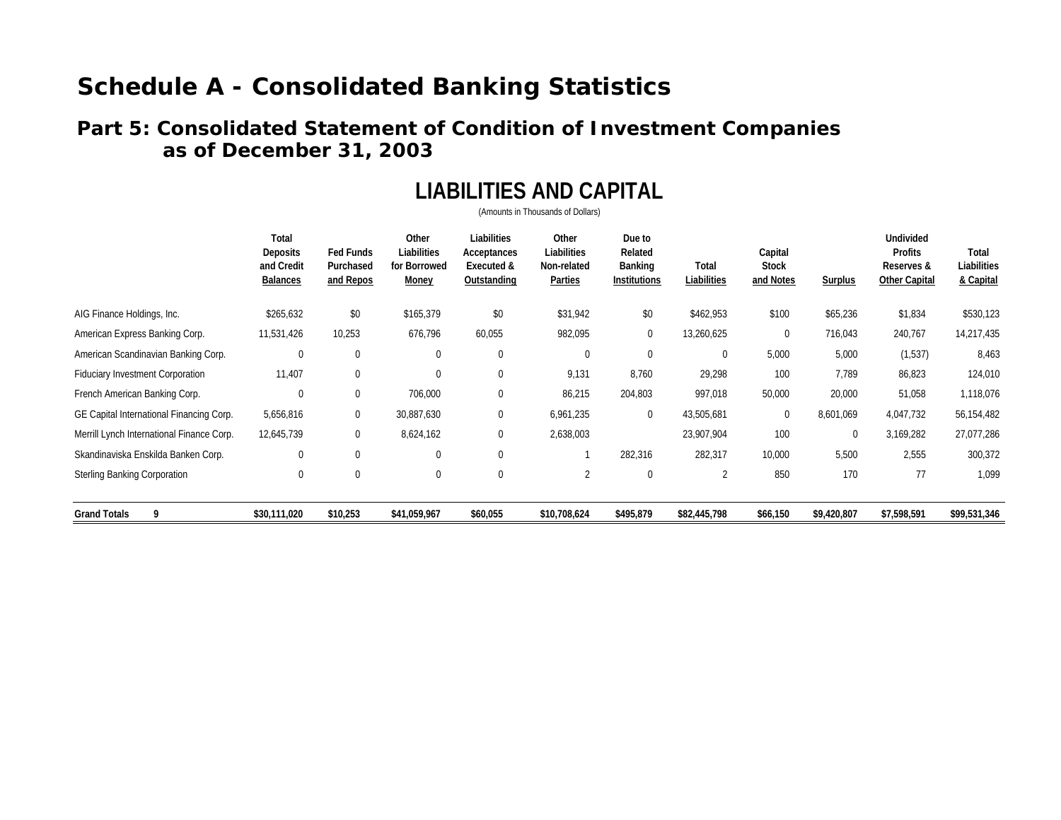### **Part 5: Consolidated Statement of Condition of Investment Companies as of December 31, 2003**

# **LIABILITIES AND CAPITAL**

|                                           | Total<br>Deposits<br>and Credit<br>Balances | <b>Fed Funds</b><br>Purchased<br>and Repos | Other<br>Liabilities<br>for Borrowed<br>Money | Liabilities<br>Acceptances<br>Executed &<br>Outstanding | Other<br>Liabilities<br>Non-related<br>Parties | Due to<br>Related<br>Banking<br><b>Institutions</b> | Total<br>Liabilities | Capital<br><b>Stock</b><br>and Notes | Surplus     | <b>Undivided</b><br>Profits<br>Reserves &<br><b>Other Capital</b> | Total<br>Liabilities<br>& Capital |
|-------------------------------------------|---------------------------------------------|--------------------------------------------|-----------------------------------------------|---------------------------------------------------------|------------------------------------------------|-----------------------------------------------------|----------------------|--------------------------------------|-------------|-------------------------------------------------------------------|-----------------------------------|
| AIG Finance Holdings, Inc.                | \$265,632                                   | \$0                                        | \$165,379                                     | \$0                                                     | \$31,942                                       | \$0                                                 | \$462,953            | \$100                                | \$65,236    | \$1,834                                                           | \$530,123                         |
| American Express Banking Corp.            | 11,531,426                                  | 10,253                                     | 676,796                                       | 60,055                                                  | 982,095                                        | 0                                                   | 13,260,625           | $\mathbf 0$                          | 716,043     | 240,767                                                           | 14,217,435                        |
| American Scandinavian Banking Corp.       | $\mathbf{0}$                                | $\mathbf 0$                                | 0                                             | $\mathbf 0$                                             | 0                                              | 0                                                   | $\mathbf 0$          | 5,000                                | 5,000       | (1,537)                                                           | 8,463                             |
| <b>Fiduciary Investment Corporation</b>   | 11,407                                      | 0                                          | $\Omega$                                      | 0                                                       | 9,131                                          | 8,760                                               | 29,298               | 100                                  | 7,789       | 86,823                                                            | 124,010                           |
| French American Banking Corp.             | $\mathbf 0$                                 | 0                                          | 706,000                                       | 0                                                       | 86,215                                         | 204,803                                             | 997,018              | 50,000                               | 20,000      | 51,058                                                            | 1,118,076                         |
| GE Capital International Financing Corp.  | 5,656,816                                   | 0                                          | 30,887,630                                    | 0                                                       | 6,961,235                                      | 0                                                   | 43,505,681           | $\mathbf 0$                          | 8,601,069   | 4,047,732                                                         | 56,154,482                        |
| Merrill Lynch International Finance Corp. | 12,645,739                                  | 0                                          | 8,624,162                                     | 0                                                       | 2,638,003                                      |                                                     | 23,907,904           | 100                                  | $\mathbf 0$ | 3,169,282                                                         | 27,077,286                        |
| Skandinaviska Enskilda Banken Corp.       | $\mathbf{0}$                                | 0                                          | 0                                             | $\mathbf 0$                                             |                                                | 282,316                                             | 282,317              | 10,000                               | 5,500       | 2,555                                                             | 300,372                           |
| <b>Sterling Banking Corporation</b>       | $\mathbf 0$                                 | 0                                          | 0                                             | $\mathbf 0$                                             | 2                                              | 0                                                   | 2                    | 850                                  | 170         | 77                                                                | 1,099                             |
| 9<br><b>Grand Totals</b>                  | \$30,111,020                                | \$10,253                                   | \$41,059,967                                  | \$60,055                                                | \$10,708,624                                   | \$495,879                                           | \$82,445,798         | \$66,150                             | \$9,420,807 | \$7,598,591                                                       | \$99,531,346                      |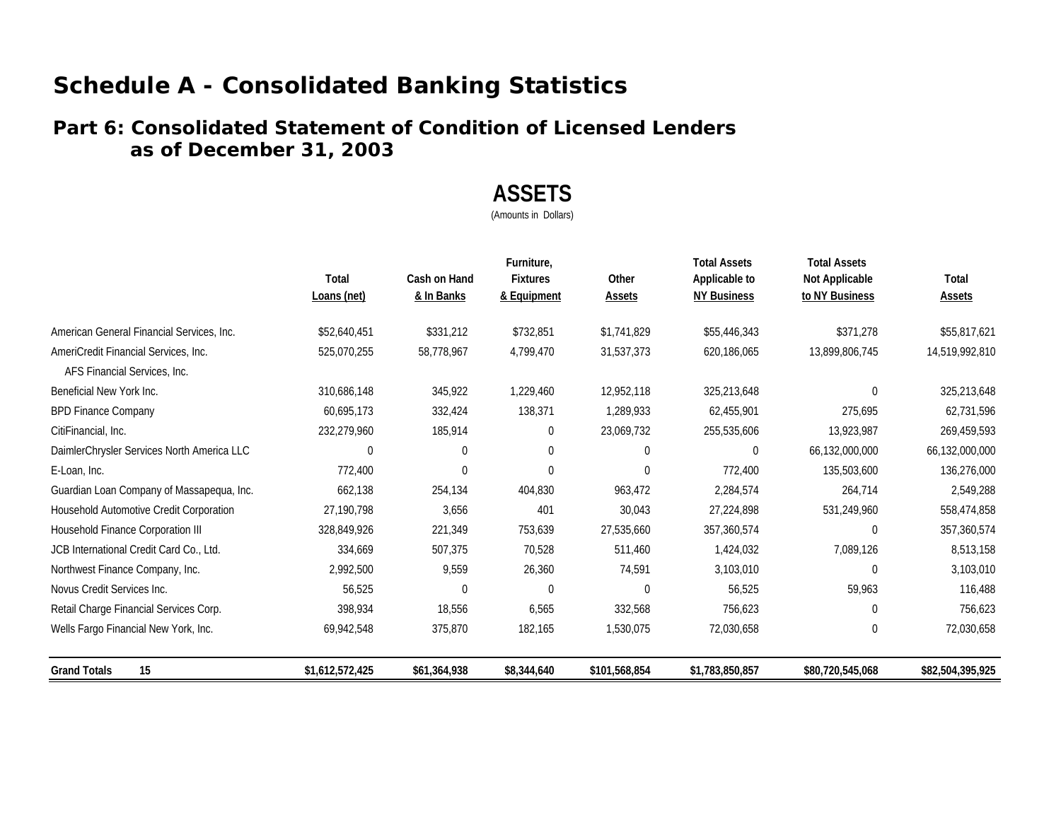### **Part 6: Consolidated Statement of Condition of Licensed Lenders as of December 31, 2003**

## **ASSETS**

(Amounts in Dollars)

|                                                                      | Total<br>Loans (net) | Cash on Hand<br>& In Banks | Furniture,<br><b>Fixtures</b><br>& Equipment | Other<br>Assets | <b>Total Assets</b><br>Applicable to<br><b>NY Business</b> | <b>Total Assets</b><br>Not Applicable<br>to NY Business | Total<br>Assets  |
|----------------------------------------------------------------------|----------------------|----------------------------|----------------------------------------------|-----------------|------------------------------------------------------------|---------------------------------------------------------|------------------|
| American General Financial Services, Inc.                            | \$52,640,451         | \$331,212                  | \$732,851                                    | \$1,741,829     | \$55,446,343                                               | \$371,278                                               | \$55,817,621     |
| AmeriCredit Financial Services, Inc.<br>AFS Financial Services, Inc. | 525,070,255          | 58,778,967                 | 4,799,470                                    | 31,537,373      | 620,186,065                                                | 13,899,806,745                                          | 14,519,992,810   |
| Beneficial New York Inc.                                             | 310,686,148          | 345,922                    | 1,229,460                                    | 12,952,118      | 325,213,648                                                |                                                         | 325,213,648      |
| <b>BPD Finance Company</b>                                           | 60,695,173           | 332,424                    | 138,371                                      | 1,289,933       | 62,455,901                                                 | 275,695                                                 | 62,731,596       |
| CitiFinancial, Inc.                                                  | 232,279,960          | 185,914                    | $\mathbf 0$                                  | 23,069,732      | 255,535,606                                                | 13,923,987                                              | 269,459,593      |
| DaimlerChrysler Services North America LLC                           | $\Omega$             | $\Omega$                   | $\mathbf 0$                                  | 0               | 0                                                          | 66,132,000,000                                          | 66,132,000,000   |
| E-Loan, Inc.                                                         | 772,400              | $\mathbf 0$                | 0                                            | 0               | 772,400                                                    | 135,503,600                                             | 136,276,000      |
| Guardian Loan Company of Massapequa, Inc.                            | 662,138              | 254,134                    | 404,830                                      | 963,472         | 2,284,574                                                  | 264,714                                                 | 2,549,288        |
| Household Automotive Credit Corporation                              | 27,190,798           | 3,656                      | 401                                          | 30,043          | 27,224,898                                                 | 531,249,960                                             | 558,474,858      |
| Household Finance Corporation III                                    | 328,849,926          | 221,349                    | 753,639                                      | 27,535,660      | 357,360,574                                                | $\Omega$                                                | 357,360,574      |
| JCB International Credit Card Co., Ltd.                              | 334,669              | 507,375                    | 70,528                                       | 511,460         | 1,424,032                                                  | 7,089,126                                               | 8,513,158        |
| Northwest Finance Company, Inc.                                      | 2,992,500            | 9,559                      | 26,360                                       | 74,591          | 3,103,010                                                  | <sup>0</sup>                                            | 3,103,010        |
| Novus Credit Services Inc.                                           | 56,525               | $\Omega$                   | $\Omega$                                     | $\Omega$        | 56,525                                                     | 59,963                                                  | 116,488          |
| Retail Charge Financial Services Corp.                               | 398,934              | 18,556                     | 6,565                                        | 332,568         | 756,623                                                    | $\Omega$                                                | 756,623          |
| Wells Fargo Financial New York, Inc.                                 | 69,942,548           | 375,870                    | 182,165                                      | 1,530,075       | 72,030,658                                                 | $\Omega$                                                | 72,030,658       |
| 15<br><b>Grand Totals</b>                                            | \$1,612,572,425      | \$61,364,938               | \$8,344,640                                  | \$101,568,854   | \$1,783,850,857                                            | \$80,720,545,068                                        | \$82,504,395,925 |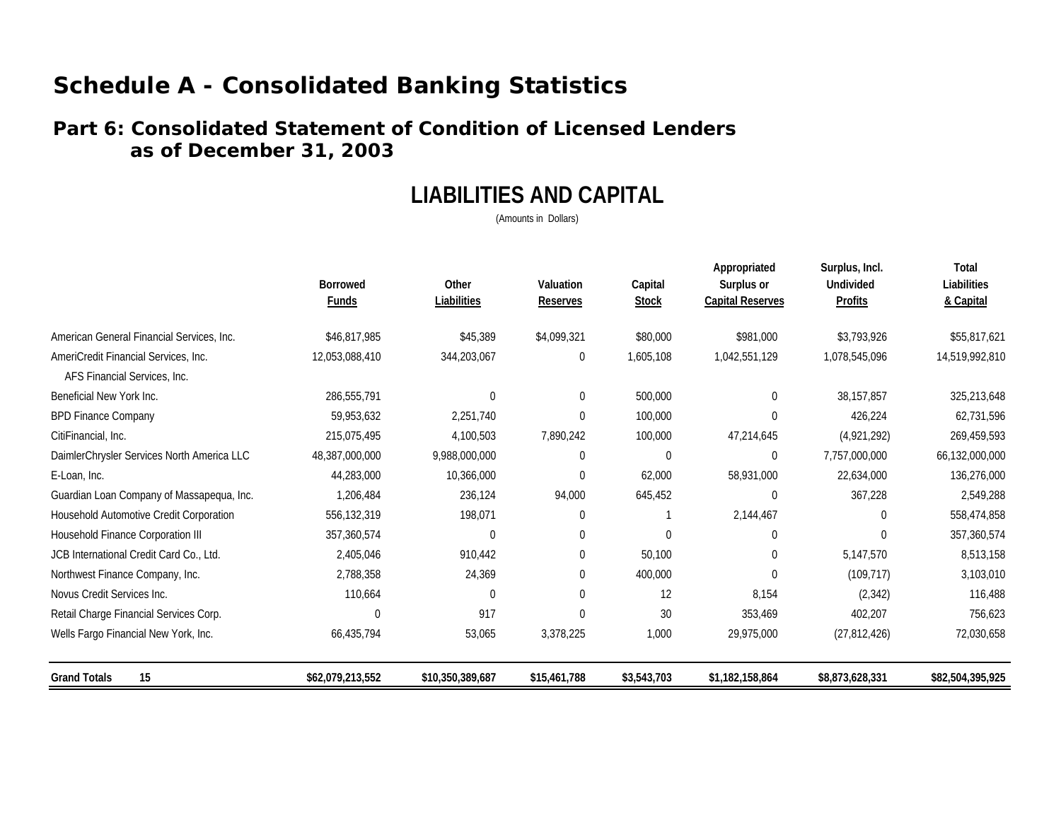### **Part 6: Consolidated Statement of Condition of Licensed Lenders as of December 31, 2003**

## **LIABILITIES AND CAPITAL**

(Amounts in Dollars)

|                                            | <b>Borrowed</b><br><b>Funds</b> | Other<br>Liabilities | Valuation<br><b>Reserves</b> | Capital<br><b>Stock</b> | Appropriated<br>Surplus or<br><b>Capital Reserves</b> | Surplus, Incl.<br><b>Undivided</b><br><b>Profits</b> | Total<br>Liabilities<br>& Capital |
|--------------------------------------------|---------------------------------|----------------------|------------------------------|-------------------------|-------------------------------------------------------|------------------------------------------------------|-----------------------------------|
| American General Financial Services, Inc.  | \$46,817,985                    | \$45,389             | \$4,099,321                  | \$80,000                | \$981,000                                             | \$3,793,926                                          | \$55,817,621                      |
| AmeriCredit Financial Services, Inc.       | 12,053,088,410                  | 344,203,067          | 0                            | 1,605,108               | 1,042,551,129                                         | 1,078,545,096                                        | 14,519,992,810                    |
| AFS Financial Services, Inc.               |                                 |                      |                              |                         |                                                       |                                                      |                                   |
| Beneficial New York Inc.                   | 286,555,791                     | $\theta$             | $\Omega$                     | 500,000                 | $\Omega$                                              | 38, 157, 857                                         | 325,213,648                       |
| <b>BPD Finance Company</b>                 | 59,953,632                      | 2,251,740            | $\mathbf 0$                  | 100,000                 | $\theta$                                              | 426,224                                              | 62,731,596                        |
| CitiFinancial, Inc.                        | 215,075,495                     | 4,100,503            | 7,890,242                    | 100,000                 | 47,214,645                                            | (4,921,292)                                          | 269,459,593                       |
| DaimlerChrysler Services North America LLC | 48,387,000,000                  | 9,988,000,000        | $\mathbf 0$                  | 0                       | 0                                                     | 7,757,000,000                                        | 66,132,000,000                    |
| E-Loan, Inc.                               | 44,283,000                      | 10,366,000           | 0                            | 62,000                  | 58,931,000                                            | 22,634,000                                           | 136,276,000                       |
| Guardian Loan Company of Massapequa, Inc.  | 1,206,484                       | 236,124              | 94,000                       | 645,452                 | 0                                                     | 367,228                                              | 2,549,288                         |
| Household Automotive Credit Corporation    | 556,132,319                     | 198,071              | 0                            |                         | 2,144,467                                             | 0                                                    | 558,474,858                       |
| Household Finance Corporation III          | 357,360,574                     | $\overline{0}$       | 0                            | 0                       | 0                                                     | 0                                                    | 357,360,574                       |
| JCB International Credit Card Co., Ltd.    | 2,405,046                       | 910,442              | 0                            | 50,100                  | 0                                                     | 5,147,570                                            | 8,513,158                         |
| Northwest Finance Company, Inc.            | 2,788,358                       | 24,369               | $\Omega$                     | 400,000                 | $\theta$                                              | (109, 717)                                           | 3,103,010                         |
| Novus Credit Services Inc.                 | 110,664                         | $\boldsymbol{0}$     | $\mathbf 0$                  | 12                      | 8,154                                                 | (2, 342)                                             | 116,488                           |
| Retail Charge Financial Services Corp.     | $\Omega$                        | 917                  | $\theta$                     | 30                      | 353,469                                               | 402,207                                              | 756,623                           |
| Wells Fargo Financial New York, Inc.       | 66,435,794                      | 53,065               | 3,378,225                    | 1,000                   | 29,975,000                                            | (27, 812, 426)                                       | 72,030,658                        |
| 15<br><b>Grand Totals</b>                  | \$62,079,213,552                | \$10,350,389,687     | \$15,461,788                 | \$3,543,703             | \$1,182,158,864                                       | \$8,873,628,331                                      | \$82,504,395,925                  |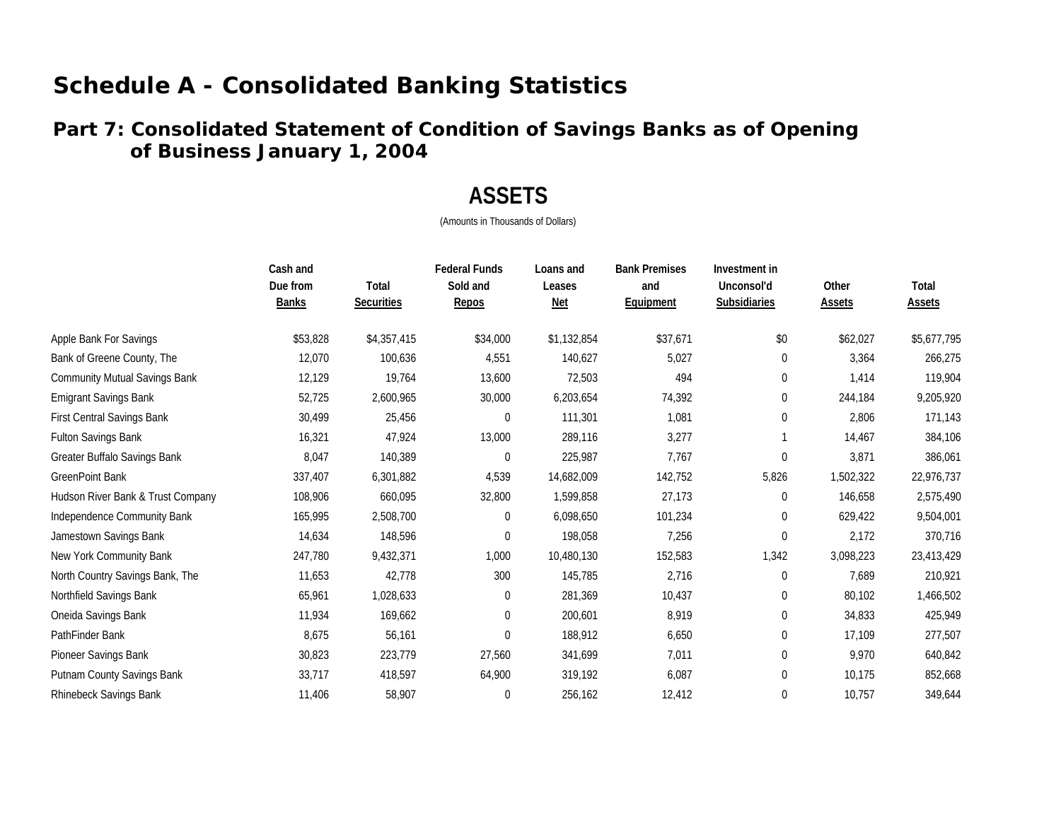### **of Business January 1, 200 4 Part 7: Consolidated Statement of Condition of Savings Banks as of Opening**

## **ASSETS**

|                                      | Cash and<br>Due from<br><b>Banks</b> | Total<br><b>Securities</b> | <b>Federal Funds</b><br>Sold and<br>Repos | Loans and<br>Leases<br><b>Net</b> | <b>Bank Premises</b><br>and<br>Equipment | Investment in<br>Unconsol'd<br><b>Subsidiaries</b> | Other<br>Assets | Total<br><b>Assets</b> |
|--------------------------------------|--------------------------------------|----------------------------|-------------------------------------------|-----------------------------------|------------------------------------------|----------------------------------------------------|-----------------|------------------------|
| Apple Bank For Savings               | \$53,828                             | \$4,357,415                | \$34,000                                  | \$1,132,854                       | \$37,671                                 | \$0                                                | \$62,027        | \$5,677,795            |
| Bank of Greene County, The           | 12,070                               | 100,636                    | 4,551                                     | 140,627                           | 5,027                                    | $\boldsymbol{0}$                                   | 3,364           | 266,275                |
| <b>Community Mutual Savings Bank</b> | 12,129                               | 19,764                     | 13,600                                    | 72,503                            | 494                                      | 0                                                  | 1,414           | 119,904                |
| <b>Emigrant Savings Bank</b>         | 52,725                               | 2,600,965                  | 30,000                                    | 6,203,654                         | 74,392                                   | 0                                                  | 244,184         | 9,205,920              |
| <b>First Central Savings Bank</b>    | 30,499                               | 25,456                     | $\mathbf 0$                               | 111,301                           | 1,081                                    | 0                                                  | 2,806           | 171,143                |
| <b>Fulton Savings Bank</b>           | 16,321                               | 47,924                     | 13,000                                    | 289,116                           | 3,277                                    |                                                    | 14,467          | 384,106                |
| Greater Buffalo Savings Bank         | 8,047                                | 140,389                    | 0                                         | 225,987                           | 7,767                                    | $\boldsymbol{0}$                                   | 3,871           | 386,061                |
| <b>GreenPoint Bank</b>               | 337,407                              | 6,301,882                  | 4,539                                     | 14,682,009                        | 142,752                                  | 5,826                                              | 1,502,322       | 22,976,737             |
| Hudson River Bank & Trust Company    | 108,906                              | 660,095                    | 32,800                                    | 1,599,858                         | 27,173                                   | 0                                                  | 146,658         | 2,575,490              |
| Independence Community Bank          | 165,995                              | 2,508,700                  | $\overline{0}$                            | 6,098,650                         | 101,234                                  | 0                                                  | 629,422         | 9,504,001              |
| Jamestown Savings Bank               | 14,634                               | 148,596                    | $\boldsymbol{0}$                          | 198,058                           | 7,256                                    | $\boldsymbol{0}$                                   | 2,172           | 370,716                |
| New York Community Bank              | 247,780                              | 9,432,371                  | 1,000                                     | 10,480,130                        | 152,583                                  | 1,342                                              | 3,098,223       | 23,413,429             |
| North Country Savings Bank, The      | 11,653                               | 42,778                     | 300                                       | 145,785                           | 2,716                                    | 0                                                  | 7,689           | 210,921                |
| Northfield Savings Bank              | 65,961                               | 1,028,633                  | $\mathbf 0$                               | 281,369                           | 10,437                                   | 0                                                  | 80,102          | 1,466,502              |
| Oneida Savings Bank                  | 11,934                               | 169,662                    | $\Omega$                                  | 200,601                           | 8,919                                    | $\boldsymbol{0}$                                   | 34,833          | 425,949                |
| PathFinder Bank                      | 8,675                                | 56,161                     | $\mathbf 0$                               | 188,912                           | 6,650                                    | 0                                                  | 17,109          | 277,507                |
| Pioneer Savings Bank                 | 30,823                               | 223,779                    | 27,560                                    | 341,699                           | 7,011                                    | 0                                                  | 9,970           | 640,842                |
| Putnam County Savings Bank           | 33,717                               | 418,597                    | 64,900                                    | 319,192                           | 6,087                                    | $\boldsymbol{0}$                                   | 10,175          | 852,668                |
| Rhinebeck Savings Bank               | 11,406                               | 58,907                     | $\theta$                                  | 256,162                           | 12,412                                   | 0                                                  | 10,757          | 349,644                |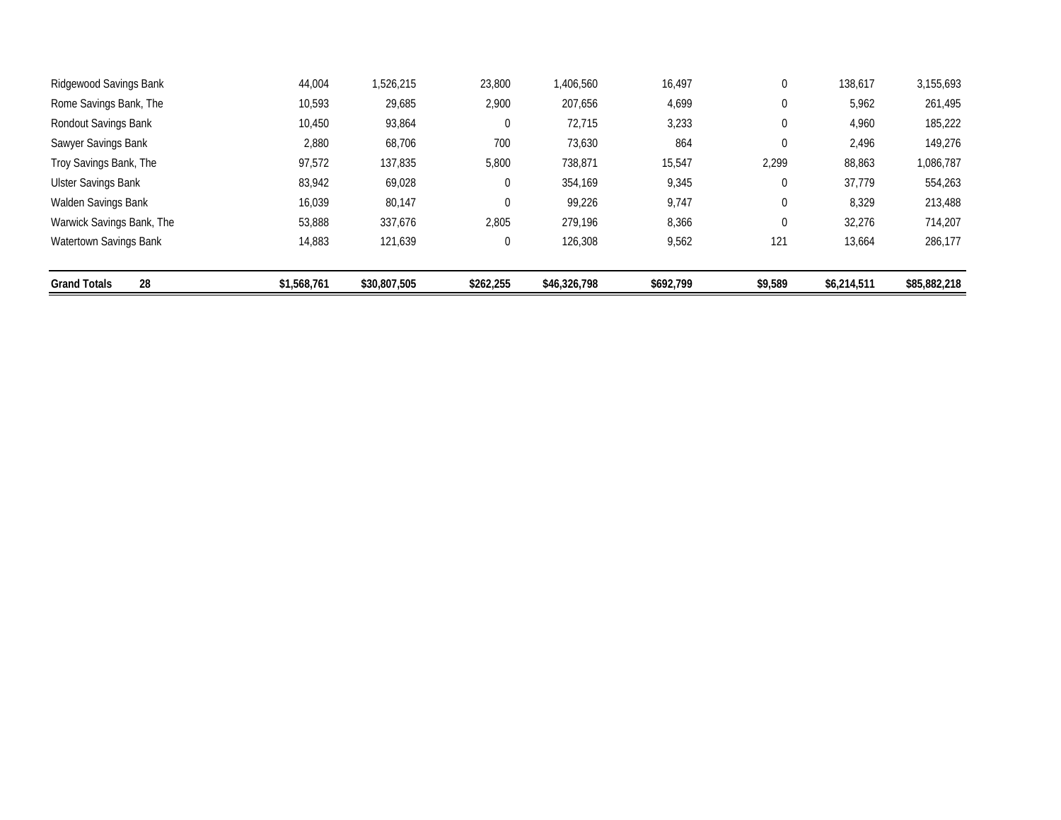| Ridgewood Savings Bank     | 44.004      | 1.526.215    | 23,800         | 1,406,560    | 16,497    | 0                | 138,617     | 3.155.693    |
|----------------------------|-------------|--------------|----------------|--------------|-----------|------------------|-------------|--------------|
| Rome Savings Bank, The     | 10,593      | 29,685       | 2,900          | 207,656      | 4,699     | 0                | 5,962       | 261,495      |
| Rondout Savings Bank       | 10,450      | 93,864       | $\overline{0}$ | 72,715       | 3,233     | $\boldsymbol{0}$ | 4,960       | 185,222      |
| Sawyer Savings Bank        | 2,880       | 68,706       | 700            | 73,630       | 864       | $\mathbf 0$      | 2,496       | 149,276      |
| Troy Savings Bank, The     | 97,572      | 137,835      | 5,800          | 738,871      | 15,547    | 2,299            | 88,863      | 1,086,787    |
| <b>Ulster Savings Bank</b> | 83,942      | 69,028       | $\overline{0}$ | 354,169      | 9,345     | $\boldsymbol{0}$ | 37,779      | 554,263      |
| Walden Savings Bank        | 16,039      | 80,147       | $\mathbf 0$    | 99,226       | 9,747     | 0                | 8,329       | 213,488      |
| Warwick Savings Bank, The  | 53,888      | 337,676      | 2,805          | 279.196      | 8,366     | 0                | 32,276      | 714.207      |
| Watertown Savings Bank     | 14,883      | 121,639      | $\overline{0}$ | 126,308      | 9,562     | 121              | 13,664      | 286,177      |
|                            |             |              |                |              |           |                  |             |              |
| 28<br><b>Grand Totals</b>  | \$1,568,761 | \$30,807,505 | \$262,255      | \$46,326,798 | \$692,799 | \$9,589          | \$6,214,511 | \$85,882,218 |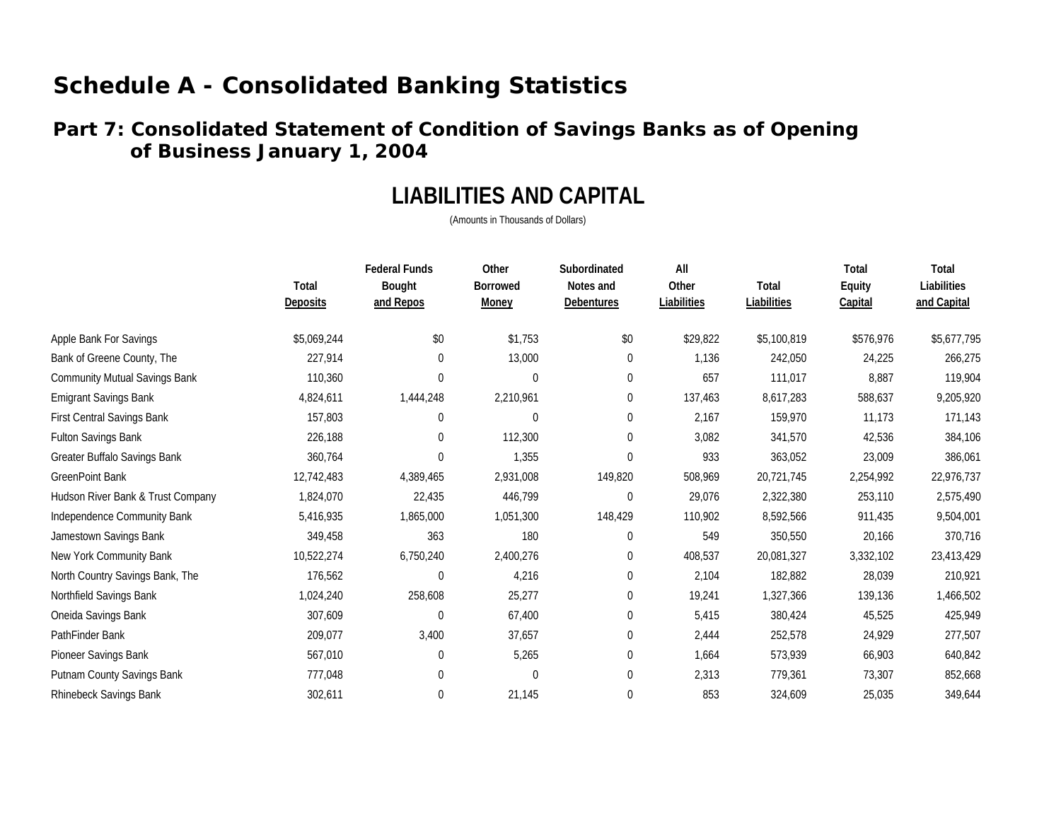### **Part 7: Consolidated Statement of Condition of Savings Banks as of Opening of Business January 1, 2004**

## **LIABILITIES AND CAPITAL**

|                                      | Total<br><b>Deposits</b> | <b>Federal Funds</b><br>Bought<br>and Repos | Other<br><b>Borrowed</b><br><b>Money</b> | Subordinated<br>Notes and<br><b>Debentures</b> | All<br>Other<br>Liabilities | Total<br>Liabilities | Total<br>Equity<br><b>Capital</b> | Total<br>Liabilities<br>and Capital |
|--------------------------------------|--------------------------|---------------------------------------------|------------------------------------------|------------------------------------------------|-----------------------------|----------------------|-----------------------------------|-------------------------------------|
| Apple Bank For Savings               | \$5,069,244              | \$0                                         | \$1,753                                  | $\$0$                                          | \$29,822                    | \$5,100,819          | \$576,976                         | \$5,677,795                         |
| Bank of Greene County, The           | 227,914                  | 0                                           | 13,000                                   | $\mathbf{0}$                                   | 1,136                       | 242,050              | 24,225                            | 266,275                             |
| <b>Community Mutual Savings Bank</b> | 110,360                  | 0                                           | $\mathbf 0$                              | $\mathbf{0}$                                   | 657                         | 111,017              | 8,887                             | 119,904                             |
| <b>Emigrant Savings Bank</b>         | 4,824,611                | 1,444,248                                   | 2,210,961                                | $\mathbf{0}$                                   | 137,463                     | 8,617,283            | 588,637                           | 9,205,920                           |
| <b>First Central Savings Bank</b>    | 157,803                  | 0                                           | 0                                        | $\boldsymbol{0}$                               | 2,167                       | 159,970              | 11,173                            | 171,143                             |
| Fulton Savings Bank                  | 226,188                  | $\theta$                                    | 112,300                                  | $\mathbf{0}$                                   | 3,082                       | 341,570              | 42,536                            | 384,106                             |
| Greater Buffalo Savings Bank         | 360,764                  | 0                                           | 1,355                                    | $\mathbf 0$                                    | 933                         | 363,052              | 23,009                            | 386,061                             |
| <b>GreenPoint Bank</b>               | 12,742,483               | 4,389,465                                   | 2,931,008                                | 149,820                                        | 508,969                     | 20,721,745           | 2,254,992                         | 22,976,737                          |
| Hudson River Bank & Trust Company    | 1,824,070                | 22,435                                      | 446,799                                  | $\boldsymbol{0}$                               | 29,076                      | 2,322,380            | 253,110                           | 2,575,490                           |
| Independence Community Bank          | 5,416,935                | 1,865,000                                   | 1,051,300                                | 148,429                                        | 110,902                     | 8,592,566            | 911,435                           | 9,504,001                           |
| Jamestown Savings Bank               | 349,458                  | 363                                         | 180                                      | $\mathbf{0}$                                   | 549                         | 350,550              | 20,166                            | 370,716                             |
| New York Community Bank              | 10,522,274               | 6,750,240                                   | 2,400,276                                | $\boldsymbol{0}$                               | 408,537                     | 20,081,327           | 3,332,102                         | 23,413,429                          |
| North Country Savings Bank, The      | 176,562                  | $\Omega$                                    | 4,216                                    | $\mathbf 0$                                    | 2,104                       | 182,882              | 28,039                            | 210,921                             |
| Northfield Savings Bank              | 1,024,240                | 258,608                                     | 25,277                                   | $\boldsymbol{0}$                               | 19,241                      | 1,327,366            | 139,136                           | 1,466,502                           |
| Oneida Savings Bank                  | 307,609                  | $\Omega$                                    | 67,400                                   | $\boldsymbol{0}$                               | 5,415                       | 380,424              | 45,525                            | 425,949                             |
| PathFinder Bank                      | 209,077                  | 3,400                                       | 37,657                                   | $\mathbf 0$                                    | 2,444                       | 252,578              | 24,929                            | 277,507                             |
| Pioneer Savings Bank                 | 567,010                  | 0                                           | 5,265                                    | $\boldsymbol{0}$                               | 1,664                       | 573,939              | 66,903                            | 640,842                             |
| Putnam County Savings Bank           | 777,048                  | $\Omega$                                    | 0                                        | $\mathbf{0}$                                   | 2,313                       | 779,361              | 73,307                            | 852,668                             |
| Rhinebeck Savings Bank               | 302,611                  | 0                                           | 21,145                                   | 0                                              | 853                         | 324,609              | 25,035                            | 349,644                             |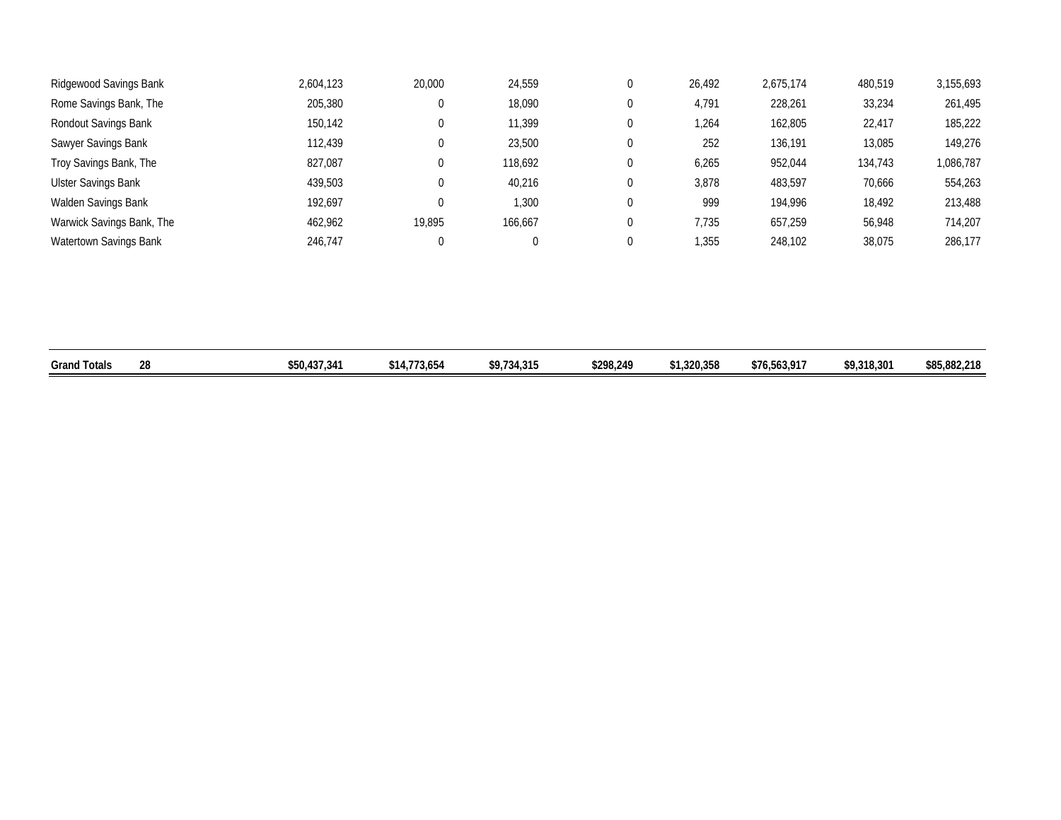| Ridgewood Savings Bank     | 2,604,123 | 20,000 | 24,559  | U | 26,492 | 2,675,174 | 480,519 | 3,155,693 |
|----------------------------|-----------|--------|---------|---|--------|-----------|---------|-----------|
| Rome Savings Bank, The     | 205,380   |        | 18,090  | 0 | 4,791  | 228,261   | 33,234  | 261,495   |
| Rondout Savings Bank       | 150,142   |        | 11,399  | 0 | 1,264  | 162,805   | 22,417  | 185,222   |
| Sawyer Savings Bank        | 112.439   |        | 23,500  | 0 | 252    | 136,191   | 13,085  | 149,276   |
| Troy Savings Bank, The     | 827,087   |        | 118,692 | 0 | 6,265  | 952,044   | 134,743 | 1,086,787 |
| <b>Ulster Savings Bank</b> | 439,503   |        | 40,216  | 0 | 3,878  | 483,597   | 70,666  | 554,263   |
| Walden Savings Bank        | 192.697   |        | 1,300   | 0 | 999    | 194.996   | 18,492  | 213,488   |
| Warwick Savings Bank, The  | 462.962   | 19,895 | 166,667 | 0 | 7,735  | 657,259   | 56,948  | 714.207   |
| Watertown Savings Bank     | 246.747   |        |         |   | 355,،  | 248,102   | 38,075  | 286,177   |

| .<br>Grand <sup>-</sup><br>Totals | ንՋ<br>ΖU | .437.341<br>\$50,4 | $AA$ $A$ $B$ $B$ $A$ $B$<br>73.654<br>14ه.<br>. | <b>CO 724 215</b><br>ن ر ډ | \$298,249 | \$1,320,358 | \$76,563,917 | \$9,318,301 | \$85,882,218 |
|-----------------------------------|----------|--------------------|-------------------------------------------------|----------------------------|-----------|-------------|--------------|-------------|--------------|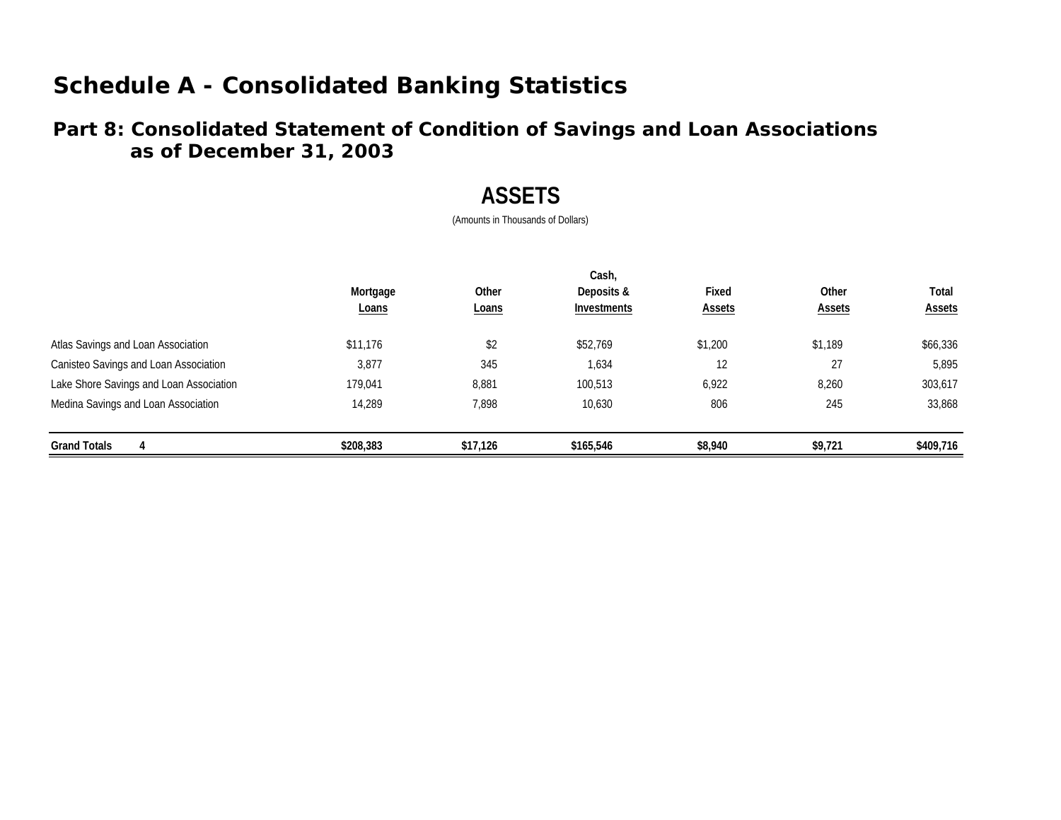### **Part 8: Consolidated Statement of Condition of Savings and Loan Associations as of December 31, 2003**

## **ASSETS**

|                                         |           |              | Cash,       |               |               |               |
|-----------------------------------------|-----------|--------------|-------------|---------------|---------------|---------------|
|                                         | Mortgage  | Other        | Deposits &  | Fixed         | Other         | Total         |
|                                         | Loans     | <b>Loans</b> | Investments | <b>Assets</b> | <b>Assets</b> | <b>Assets</b> |
| Atlas Savings and Loan Association      | \$11,176  | \$2          | \$52,769    | \$1,200       | \$1,189       | \$66,336      |
| Canisteo Savings and Loan Association   | 3,877     | 345          | 1,634       | 12            | 27            | 5,895         |
| Lake Shore Savings and Loan Association | 179,041   | 8,881        | 100,513     | 6,922         | 8,260         | 303,617       |
| Medina Savings and Loan Association     | 14.289    | 7,898        | 10,630      | 806           | 245           | 33,868        |
| <b>Grand Totals</b><br>4                | \$208,383 | \$17,126     | \$165,546   | \$8,940       | \$9,721       | \$409,716     |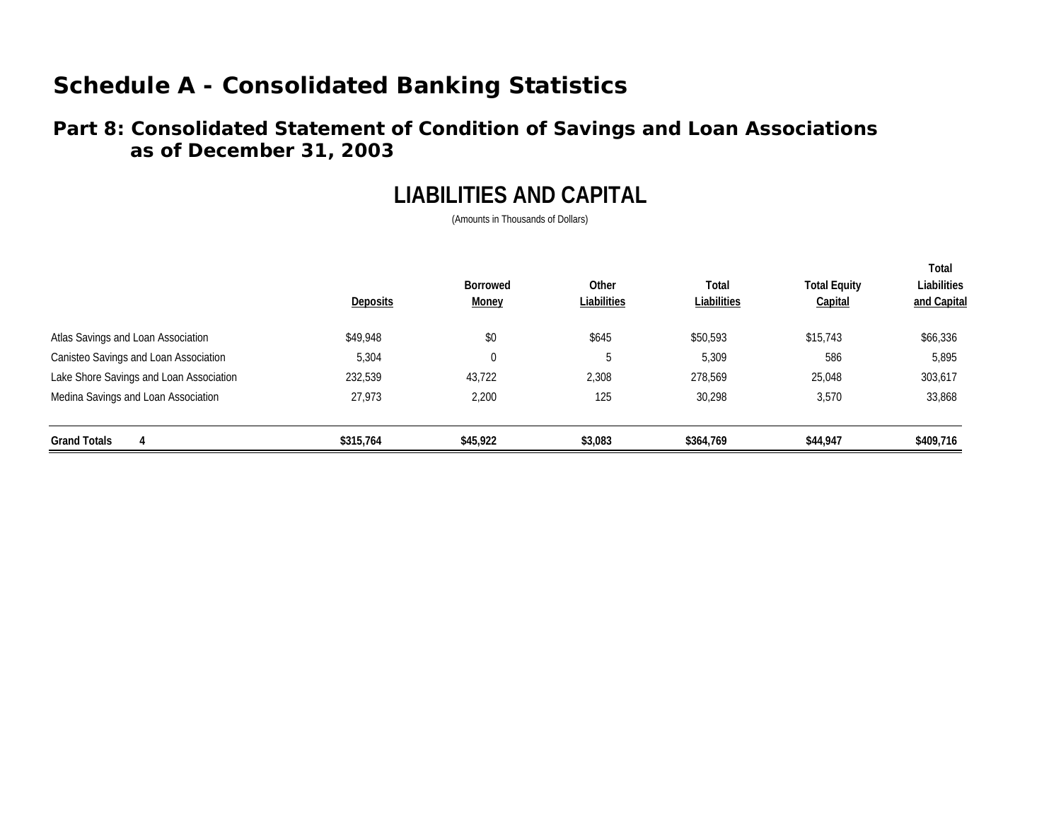### **Part 8: Consolidated Statement of Condition of Savings and Loan Associations as of December 31, 2003**

## **LIABILITIES AND CAPITAL**

| <b>Grand Totals</b>                     | \$315,764       | \$45,922                        | \$3,083              | \$364,769            | \$44,947                       | \$409,716                           |
|-----------------------------------------|-----------------|---------------------------------|----------------------|----------------------|--------------------------------|-------------------------------------|
| Medina Savings and Loan Association     | 27.973          | 2,200                           | 125                  | 30.298               | 3,570                          | 33,868                              |
| Lake Shore Savings and Loan Association | 232,539         | 43,722                          | 2,308                | 278.569              | 25,048                         | 303,617                             |
| Canisteo Savings and Loan Association   | 5,304           | $\boldsymbol{0}$                | C                    | 5,309                | 586                            | 5,895                               |
| Atlas Savings and Loan Association      | \$49,948        | \$0                             | \$645                | \$50,593             | \$15,743                       | \$66,336                            |
|                                         | <b>Deposits</b> | <b>Borrowed</b><br><b>Money</b> | Other<br>Liabilities | Total<br>Liabilities | <b>Total Equity</b><br>Capital | Total<br>Liabilities<br>and Capital |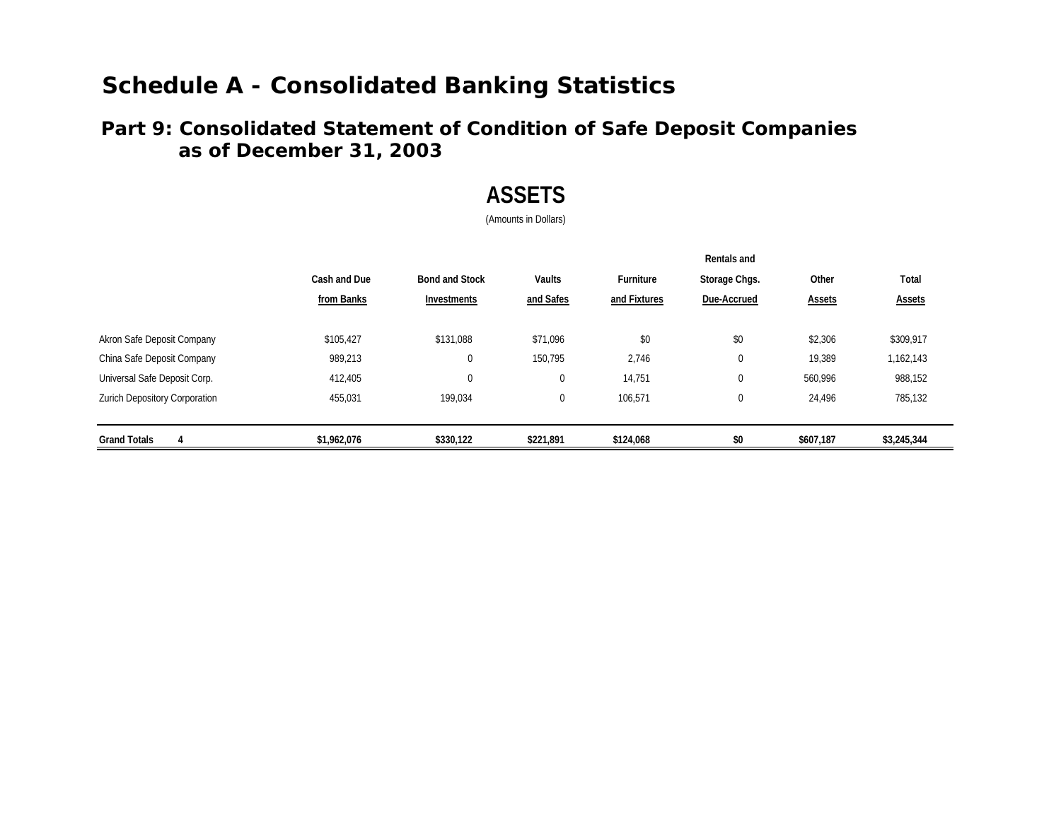### **Part 9: Consolidated Statement of Condition of Safe Deposit Companies as of December 31, 2003**

## **ASSETS**

(Amounts in Dollars)

|                                      |              |                       |             |                  | Rentals and   |           |               |
|--------------------------------------|--------------|-----------------------|-------------|------------------|---------------|-----------|---------------|
|                                      | Cash and Due | <b>Bond and Stock</b> | Vaults      | <b>Furniture</b> | Storage Chgs. | Other     | Total         |
|                                      | from Banks   | Investments           | and Safes   | and Fixtures     | Due-Accrued   | Assets    | <b>Assets</b> |
| Akron Safe Deposit Company           | \$105.427    | \$131,088             | \$71.096    | \$0              | \$0           | \$2,306   | \$309,917     |
| China Safe Deposit Company           | 989,213      | 0                     | 150.795     | 2,746            | $\pmb{0}$     | 19,389    | 1,162,143     |
| Universal Safe Deposit Corp.         | 412,405      | 0                     | $\mathbf 0$ | 14,751           | $\pmb{0}$     | 560,996   | 988,152       |
| <b>Zurich Depository Corporation</b> | 455,031      | 199,034               | $\mathbf 0$ | 106,571          | $\mathbf 0$   | 24,496    | 785,132       |
| <b>Grand Totals</b><br>4             | \$1,962,076  | \$330,122             | \$221,891   | \$124,068        | \$0           | \$607,187 | \$3,245,344   |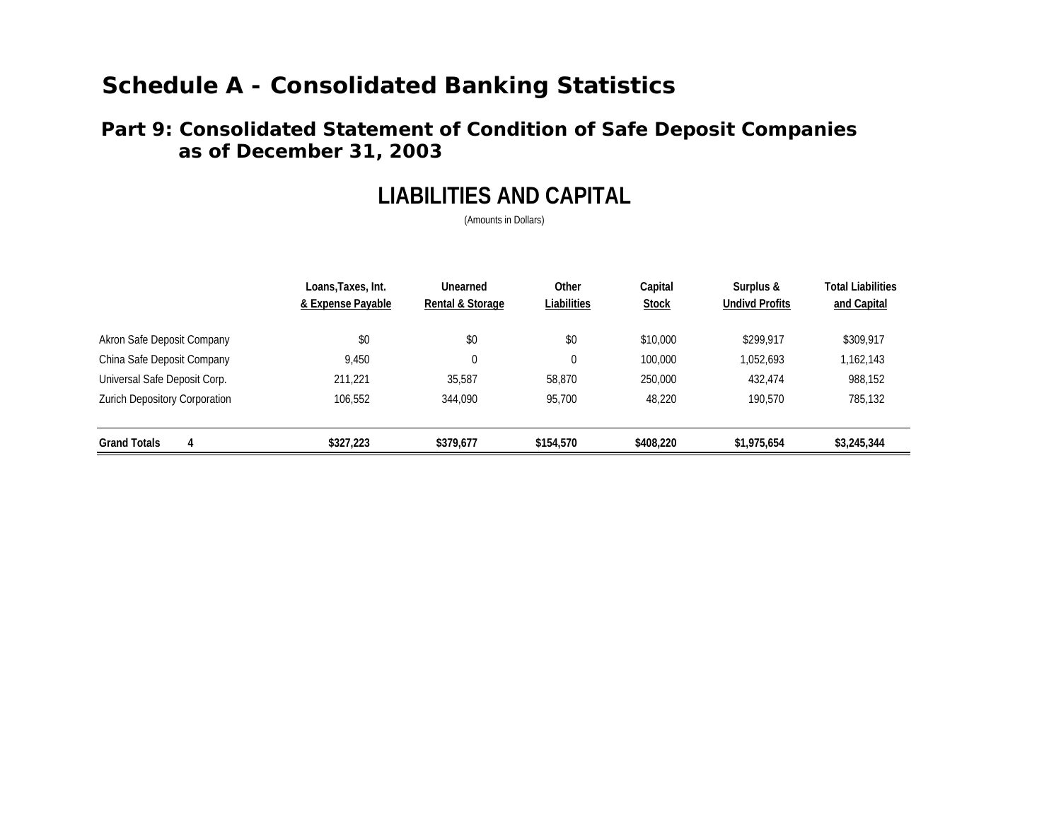### **Part 9: Consolidated Statement of Condition of Safe Deposit Companies as of December 31, 2003**

## **LIABILITIES AND CAPITAL**

(Amounts in Dollars)

|                               | Loans,Taxes, Int.<br>& Expense Payable | Unearned<br>Rental & Storage | Other<br>Liabilities | Capital<br><b>Stock</b> | Surplus &<br><b>Undivd Profits</b> | <b>Total Liabilities</b><br>and Capital |
|-------------------------------|----------------------------------------|------------------------------|----------------------|-------------------------|------------------------------------|-----------------------------------------|
| Akron Safe Deposit Company    | \$0                                    | \$0                          | \$0                  | \$10,000                | \$299.917                          | \$309,917                               |
| China Safe Deposit Company    | 9.450                                  | $\theta$                     | 0                    | 100,000                 | 1,052,693                          | 1,162,143                               |
| Universal Safe Deposit Corp.  | 211.221                                | 35.587                       | 58.870               | 250,000                 | 432.474                            | 988,152                                 |
| Zurich Depository Corporation | 106,552                                | 344,090                      | 95.700               | 48.220                  | 190,570                            | 785,132                                 |
| <b>Grand Totals</b><br>4      | \$327,223                              | \$379,677                    | \$154,570            | \$408,220               | \$1,975,654                        | \$3,245,344                             |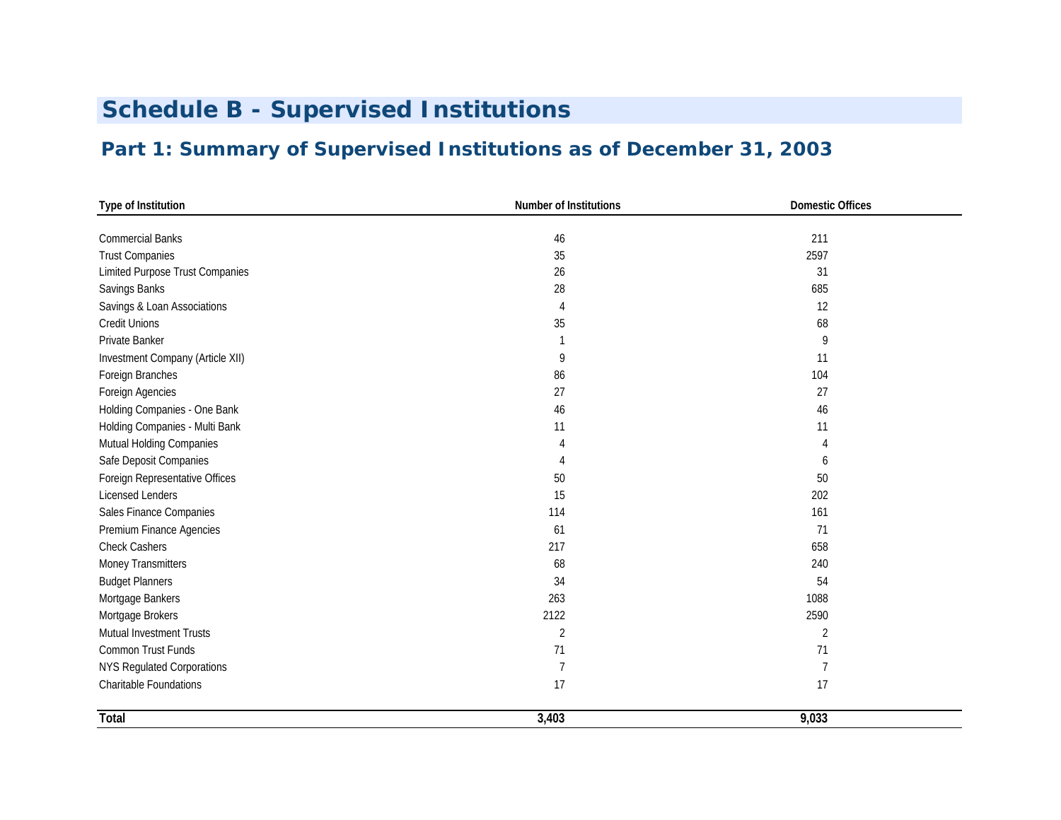# **Schedule B - Supervised Institutions**

## **Part 1: Summary of Supervised Institutions as of December 31, 2003**

| Type of Institution                    | Number of Institutions | <b>Domestic Offices</b> |
|----------------------------------------|------------------------|-------------------------|
|                                        |                        |                         |
| <b>Commercial Banks</b>                | 46                     | 211                     |
| <b>Trust Companies</b>                 | 35                     | 2597                    |
| <b>Limited Purpose Trust Companies</b> | 26                     | 31                      |
| Savings Banks                          | 28                     | 685                     |
| Savings & Loan Associations            | 4                      | 12                      |
| <b>Credit Unions</b>                   | 35                     | 68                      |
| Private Banker                         | 1                      | 9                       |
| Investment Company (Article XII)       | 9                      | 11                      |
| Foreign Branches                       | 86                     | 104                     |
| Foreign Agencies                       | 27                     | 27                      |
| Holding Companies - One Bank           | 46                     | 46                      |
| Holding Companies - Multi Bank         | 11                     | 11                      |
| Mutual Holding Companies               | 4                      |                         |
| Safe Deposit Companies                 | 4                      | 6                       |
| Foreign Representative Offices         | 50                     | 50                      |
| <b>Licensed Lenders</b>                | 15                     | 202                     |
| Sales Finance Companies                | 114                    | 161                     |
| Premium Finance Agencies               | 61                     | 71                      |
| <b>Check Cashers</b>                   | 217                    | 658                     |
| Money Transmitters                     | 68                     | 240                     |
| <b>Budget Planners</b>                 | 34                     | 54                      |
| Mortgage Bankers                       | 263                    | 1088                    |
| Mortgage Brokers                       | 2122                   | 2590                    |
| Mutual Investment Trusts               | 2                      | $\overline{2}$          |
| Common Trust Funds                     | 71                     | 71                      |
| <b>NYS Regulated Corporations</b>      | 7                      | 7                       |
| Charitable Foundations                 | 17                     | 17                      |
| Total                                  | 3,403                  | 9,033                   |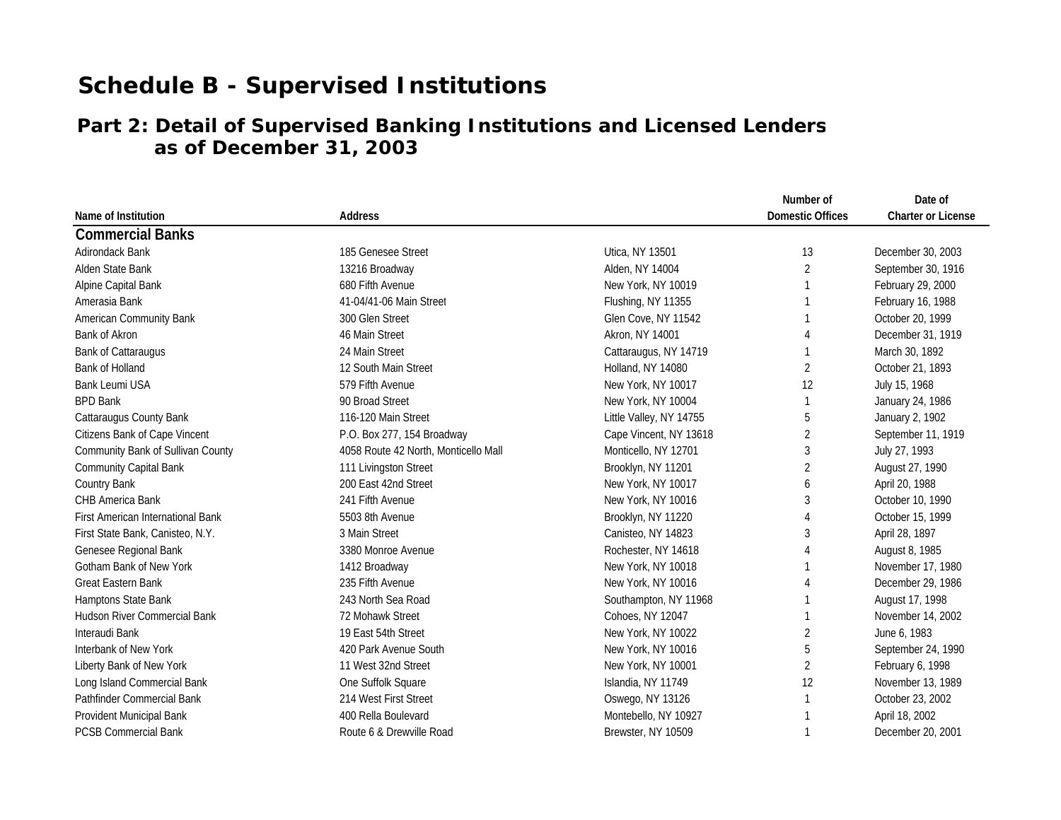# **Schedule B - Supervised Institutions**

## **Part 2: Detail of Supervised Banking Institutions and Licensed Lenders as of December 31, 2003**

|                                          |                                      |                         | Number of               | Date of                   |
|------------------------------------------|--------------------------------------|-------------------------|-------------------------|---------------------------|
| Name of Institution                      | Address                              |                         | <b>Domestic Offices</b> | <b>Charter or License</b> |
| <b>Commercial Banks</b>                  |                                      |                         |                         |                           |
| Adirondack Bank                          | 185 Genesee Street                   | Utica, NY 13501         | 13                      | December 30, 2003         |
| Alden State Bank                         | 13216 Broadway                       | Alden, NY 14004         | $\overline{2}$          | September 30, 1916        |
| Alpine Capital Bank                      | 680 Fifth Avenue                     | New York, NY 10019      |                         | February 29, 2000         |
| Amerasia Bank                            | 41-04/41-06 Main Street              | Flushing, NY 11355      |                         | February 16, 1988         |
| American Community Bank                  | 300 Glen Street                      | Glen Cove, NY 11542     |                         | October 20, 1999          |
| Bank of Akron                            | 46 Main Street                       | Akron, NY 14001         |                         | December 31, 1919         |
| <b>Bank of Cattaraugus</b>               | 24 Main Street                       | Cattaraugus, NY 14719   |                         | March 30, 1892            |
| Bank of Holland                          | 12 South Main Street                 | Holland, NY 14080       | $\overline{2}$          | October 21, 1893          |
| <b>Bank Leumi USA</b>                    | 579 Fifth Avenue                     | New York, NY 10017      | 12                      | July 15, 1968             |
| <b>BPD Bank</b>                          | 90 Broad Street                      | New York, NY 10004      |                         | January 24, 1986          |
| Cattaraugus County Bank                  | 116-120 Main Street                  | Little Valley, NY 14755 | 5                       | January 2, 1902           |
| Citizens Bank of Cape Vincent            | P.O. Box 277, 154 Broadway           | Cape Vincent, NY 13618  | 2                       | September 11, 1919        |
| Community Bank of Sullivan County        | 4058 Route 42 North, Monticello Mall | Monticello, NY 12701    | 3                       | July 27, 1993             |
| <b>Community Capital Bank</b>            | 111 Livingston Street                | Brooklyn, NY 11201      | 2                       | August 27, 1990           |
| <b>Country Bank</b>                      | 200 East 42nd Street                 | New York, NY 10017      | 6                       | April 20, 1988            |
| CHB America Bank                         | 241 Fifth Avenue                     | New York, NY 10016      | 3                       | October 10, 1990          |
| <b>First American International Bank</b> | 5503 8th Avenue                      | Brooklyn, NY 11220      |                         | October 15, 1999          |
| First State Bank, Canisteo, N.Y.         | 3 Main Street                        | Canisteo, NY 14823      | 3                       | April 28, 1897            |
| Genesee Regional Bank                    | 3380 Monroe Avenue                   | Rochester, NY 14618     |                         | August 8, 1985            |
| Gotham Bank of New York                  | 1412 Broadway                        | New York, NY 10018      |                         | November 17, 1980         |
| <b>Great Eastern Bank</b>                | 235 Fifth Avenue                     | New York, NY 10016      |                         | December 29, 1986         |
| Hamptons State Bank                      | 243 North Sea Road                   | Southampton, NY 11968   |                         | August 17, 1998           |
| <b>Hudson River Commercial Bank</b>      | 72 Mohawk Street                     | Cohoes, NY 12047        | 1                       | November 14, 2002         |
| Interaudi Bank                           | 19 East 54th Street                  | New York, NY 10022      | 2                       | June 6, 1983              |
| Interbank of New York                    | 420 Park Avenue South                | New York, NY 10016      | 5                       | September 24, 1990        |
| Liberty Bank of New York                 | 11 West 32nd Street                  | New York, NY 10001      | 2                       | February 6, 1998          |
| Long Island Commercial Bank              | One Suffolk Square                   | Islandia, NY 11749      | 12                      | November 13, 1989         |
| Pathfinder Commercial Bank               | 214 West First Street                | Oswego, NY 13126        |                         | October 23, 2002          |
| Provident Municipal Bank                 | 400 Rella Boulevard                  | Montebello, NY 10927    |                         | April 18, 2002            |
| <b>PCSB Commercial Bank</b>              | Route 6 & Drewville Road             | Brewster, NY 10509      |                         | December 20, 2001         |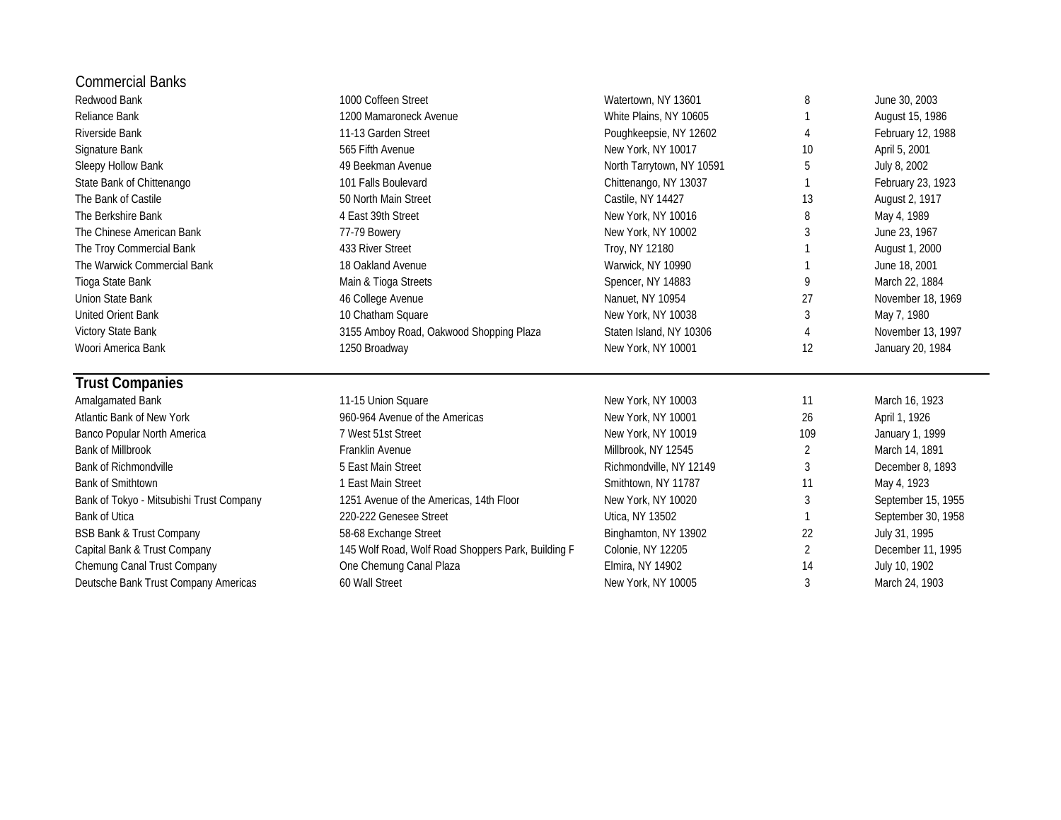| <b>Commercial Banks</b>                  |                                                    |                           |                |                    |
|------------------------------------------|----------------------------------------------------|---------------------------|----------------|--------------------|
| Redwood Bank                             | 1000 Coffeen Street                                | Watertown, NY 13601       | 8              | June 30, 2003      |
| Reliance Bank                            | 1200 Mamaroneck Avenue                             | White Plains, NY 10605    |                | August 15, 1986    |
| Riverside Bank                           | 11-13 Garden Street                                | Poughkeepsie, NY 12602    | 4              | February 12, 1988  |
| Signature Bank                           | 565 Fifth Avenue                                   | New York, NY 10017        | 10             | April 5, 2001      |
| Sleepy Hollow Bank                       | 49 Beekman Avenue                                  | North Tarrytown, NY 10591 | 5              | July 8, 2002       |
| State Bank of Chittenango                | 101 Falls Boulevard                                | Chittenango, NY 13037     |                | February 23, 1923  |
| The Bank of Castile                      | 50 North Main Street                               | Castile, NY 14427         | 13             | August 2, 1917     |
| The Berkshire Bank                       | 4 East 39th Street                                 | New York, NY 10016        | 8              | May 4, 1989        |
| The Chinese American Bank                | 77-79 Bowery                                       | New York, NY 10002        | 3              | June 23, 1967      |
| The Troy Commercial Bank                 | 433 River Street                                   | Troy, NY 12180            |                | August 1, 2000     |
| The Warwick Commercial Bank              | 18 Oakland Avenue                                  | Warwick, NY 10990         |                | June 18, 2001      |
| Tioga State Bank                         | Main & Tioga Streets                               | Spencer, NY 14883         | 9              | March 22, 1884     |
| <b>Union State Bank</b>                  | 46 College Avenue                                  | Nanuet, NY 10954          | 27             | November 18, 1969  |
| <b>United Orient Bank</b>                | 10 Chatham Square                                  | New York, NY 10038        | 3              | May 7, 1980        |
| Victory State Bank                       | 3155 Amboy Road, Oakwood Shopping Plaza            | Staten Island, NY 10306   | $\overline{4}$ | November 13, 1997  |
| Woori America Bank                       | 1250 Broadway                                      | New York, NY 10001        | 12             | January 20, 1984   |
| <b>Trust Companies</b>                   |                                                    |                           |                |                    |
| Amalgamated Bank                         | 11-15 Union Square                                 | New York, NY 10003        | 11             | March 16, 1923     |
| Atlantic Bank of New York                | 960-964 Avenue of the Americas                     | New York, NY 10001        | 26             | April 1, 1926      |
| Banco Popular North America              | 7 West 51st Street                                 | New York, NY 10019        | 109            | January 1, 1999    |
| <b>Bank of Millbrook</b>                 | Franklin Avenue                                    | Millbrook, NY 12545       | $\overline{2}$ | March 14, 1891     |
| <b>Bank of Richmondville</b>             | 5 East Main Street                                 | Richmondville, NY 12149   | 3              | December 8, 1893   |
| Bank of Smithtown                        | 1 East Main Street                                 | Smithtown, NY 11787       | 11             | May 4, 1923        |
| Bank of Tokyo - Mitsubishi Trust Company | 1251 Avenue of the Americas, 14th Floor            | New York, NY 10020        | 3              | September 15, 1955 |
| <b>Bank of Utica</b>                     | 220-222 Genesee Street                             | Utica, NY 13502           |                | September 30, 1958 |
| <b>BSB Bank &amp; Trust Company</b>      | 58-68 Exchange Street                              | Binghamton, NY 13902      | 22             | July 31, 1995      |
| Capital Bank & Trust Company             | 145 Wolf Road, Wolf Road Shoppers Park, Building F | Colonie, NY 12205         | $\overline{2}$ | December 11, 1995  |
| Chemung Canal Trust Company              | One Chemung Canal Plaza                            | Elmira, NY 14902          | 14             | July 10, 1902      |
| Deutsche Bank Trust Company Americas     | 60 Wall Street                                     | New York, NY 10005        | 3              | March 24, 1903     |
|                                          |                                                    |                           |                |                    |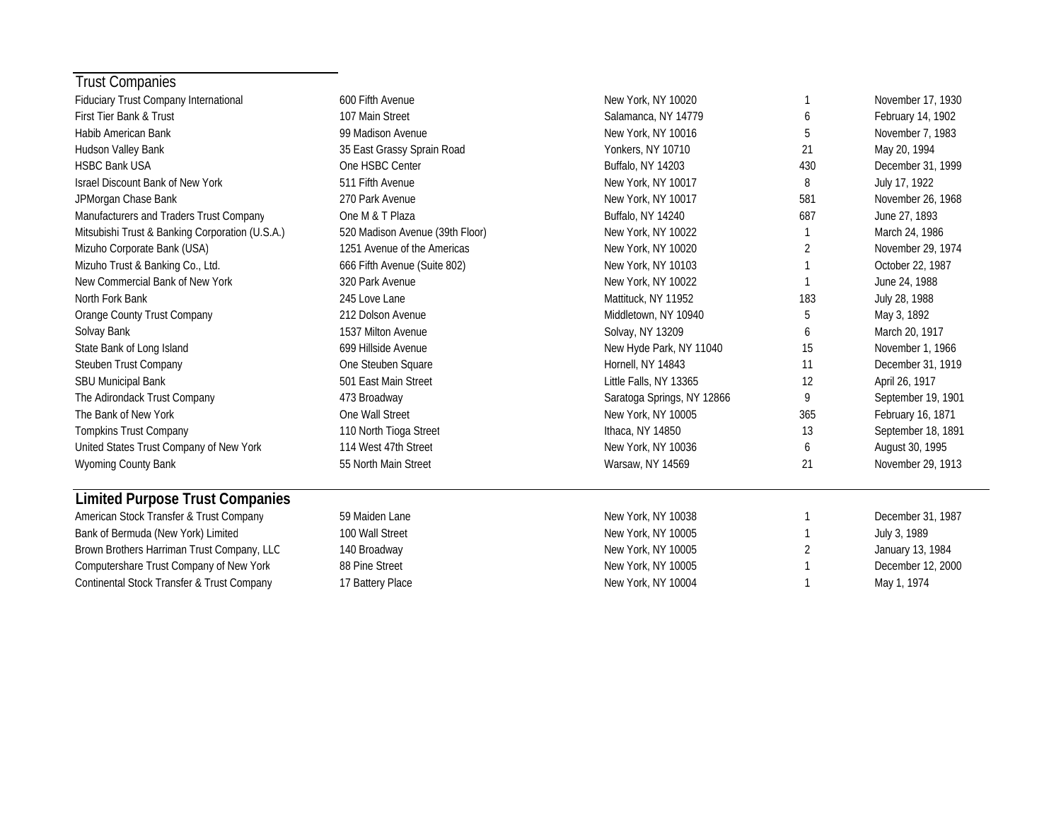| <b>Trust Companies</b>                          |                                 |                            |     |                    |
|-------------------------------------------------|---------------------------------|----------------------------|-----|--------------------|
| Fiduciary Trust Company International           | 600 Fifth Avenue                | New York, NY 10020         |     | November 17, 1930  |
| First Tier Bank & Trust                         | 107 Main Street                 | Salamanca, NY 14779        | 6   | February 14, 1902  |
| Habib American Bank                             | 99 Madison Avenue               | New York, NY 10016         | 5   | November 7, 1983   |
| Hudson Valley Bank                              | 35 East Grassy Sprain Road      | Yonkers, NY 10710          | 21  | May 20, 1994       |
| <b>HSBC Bank USA</b>                            | One HSBC Center                 | Buffalo, NY 14203          | 430 | December 31, 1999  |
| <b>Israel Discount Bank of New York</b>         | 511 Fifth Avenue                | New York, NY 10017         | 8   | July 17, 1922      |
| JPMorgan Chase Bank                             | 270 Park Avenue                 | New York, NY 10017         | 581 | November 26, 1968  |
| Manufacturers and Traders Trust Company         | One M & T Plaza                 | Buffalo, NY 14240          | 687 | June 27, 1893      |
| Mitsubishi Trust & Banking Corporation (U.S.A.) | 520 Madison Avenue (39th Floor) | New York, NY 10022         |     | March 24, 1986     |
| Mizuho Corporate Bank (USA)                     | 1251 Avenue of the Americas     | New York, NY 10020         | 2   | November 29, 1974  |
| Mizuho Trust & Banking Co., Ltd.                | 666 Fifth Avenue (Suite 802)    | New York, NY 10103         |     | October 22, 1987   |
| New Commercial Bank of New York                 | 320 Park Avenue                 | New York, NY 10022         | 1   | June 24, 1988      |
| North Fork Bank                                 | 245 Love Lane                   | Mattituck, NY 11952        | 183 | July 28, 1988      |
| Orange County Trust Company                     | 212 Dolson Avenue               | Middletown, NY 10940       | 5   | May 3, 1892        |
| Solvay Bank                                     | 1537 Milton Avenue              | Solvay, NY 13209           | 6   | March 20, 1917     |
| State Bank of Long Island                       | 699 Hillside Avenue             | New Hyde Park, NY 11040    | 15  | November 1, 1966   |
| Steuben Trust Company                           | One Steuben Square              | Hornell, NY 14843          | 11  | December 31, 1919  |
| <b>SBU Municipal Bank</b>                       | 501 East Main Street            | Little Falls, NY 13365     | 12  | April 26, 1917     |
| The Adirondack Trust Company                    | 473 Broadway                    | Saratoga Springs, NY 12866 | 9   | September 19, 1901 |
| The Bank of New York                            | One Wall Street                 | New York, NY 10005         | 365 | February 16, 1871  |
| <b>Tompkins Trust Company</b>                   | 110 North Tioga Street          | Ithaca, NY 14850           | 13  | September 18, 1891 |
| United States Trust Company of New York         | 114 West 47th Street            | New York, NY 10036         | 6   | August 30, 1995    |
| Wyoming County Bank                             | 55 North Main Street            | Warsaw, NY 14569           | 21  | November 29, 1913  |
| <b>Limited Purpose Trust Companies</b>          |                                 |                            |     |                    |
| American Stock Transfer & Trust Company         | 59 Maiden Lane                  | New York, NY 10038         | 1   | December 31, 1987  |
| Bank of Bermuda (New York) Limited              | 100 Wall Street                 | New York, NY 10005         |     | July 3, 1989       |
| Brown Brothers Harriman Trust Company, LLC      | 140 Broadway                    | New York, NY 10005         | 2   | January 13, 1984   |
| Computershare Trust Company of New York         | 88 Pine Street                  | New York, NY 10005         |     | December 12, 2000  |
| Continental Stock Transfer & Trust Company      | 17 Battery Place                | New York, NY 10004         | 1   | May 1, 1974        |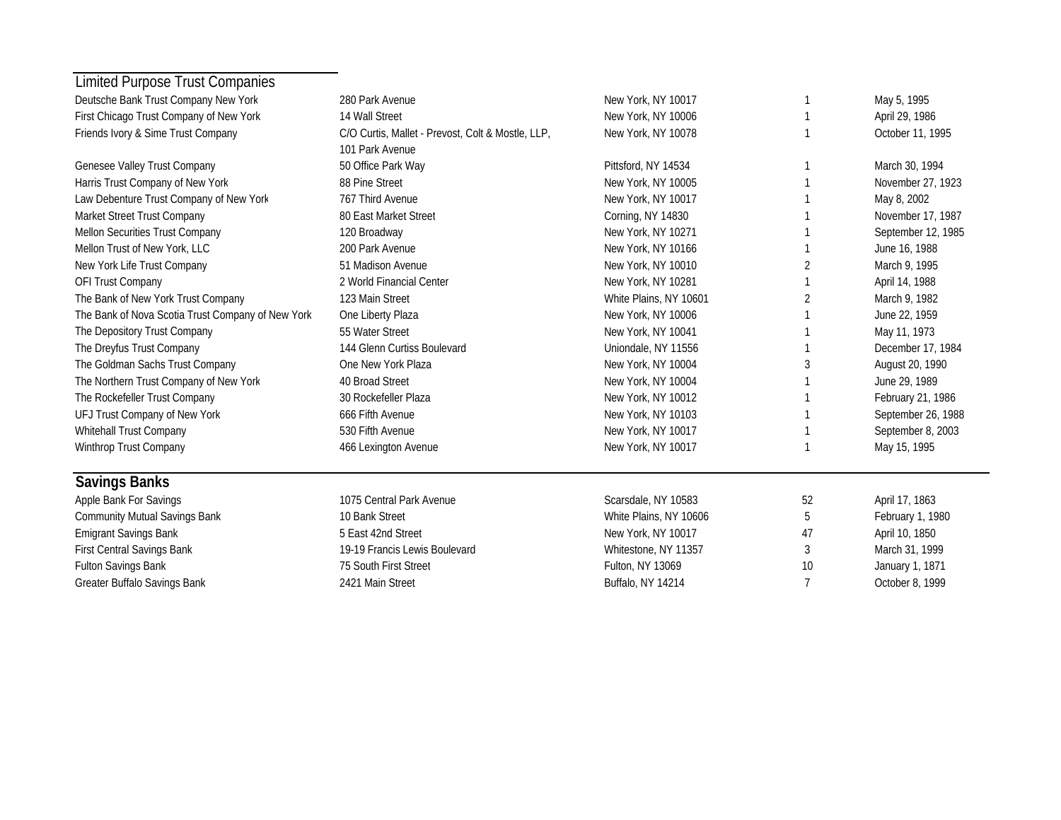| Limited Purpose Trust Companies                   |                                                   |                        |    |                    |
|---------------------------------------------------|---------------------------------------------------|------------------------|----|--------------------|
| Deutsche Bank Trust Company New York              | 280 Park Avenue                                   | New York, NY 10017     |    | May 5, 1995        |
| First Chicago Trust Company of New York           | 14 Wall Street                                    | New York, NY 10006     |    | April 29, 1986     |
| Friends Ivory & Sime Trust Company                | C/O Curtis, Mallet - Prevost, Colt & Mostle, LLP, | New York, NY 10078     |    | October 11, 1995   |
|                                                   | 101 Park Avenue                                   |                        |    |                    |
| Genesee Valley Trust Company                      | 50 Office Park Way                                | Pittsford, NY 14534    |    | March 30, 1994     |
| Harris Trust Company of New York                  | 88 Pine Street                                    | New York, NY 10005     |    | November 27, 1923  |
| Law Debenture Trust Company of New York           | 767 Third Avenue                                  | New York, NY 10017     |    | May 8, 2002        |
| Market Street Trust Company                       | 80 East Market Street                             | Corning, NY 14830      |    | November 17, 1987  |
| Mellon Securities Trust Company                   | 120 Broadway                                      | New York, NY 10271     |    | September 12, 1985 |
| Mellon Trust of New York, LLC                     | 200 Park Avenue                                   | New York, NY 10166     |    | June 16, 1988      |
| New York Life Trust Company                       | 51 Madison Avenue                                 | New York, NY 10010     | 2  | March 9, 1995      |
| OFI Trust Company                                 | 2 World Financial Center                          | New York, NY 10281     |    | April 14, 1988     |
| The Bank of New York Trust Company                | 123 Main Street                                   | White Plains, NY 10601 | 2  | March 9, 1982      |
| The Bank of Nova Scotia Trust Company of New York | One Liberty Plaza                                 | New York, NY 10006     |    | June 22, 1959      |
| The Depository Trust Company                      | 55 Water Street                                   | New York, NY 10041     |    | May 11, 1973       |
| The Dreyfus Trust Company                         | 144 Glenn Curtiss Boulevard                       | Uniondale, NY 11556    |    | December 17, 1984  |
| The Goldman Sachs Trust Company                   | One New York Plaza                                | New York, NY 10004     | 3  | August 20, 1990    |
| The Northern Trust Company of New York            | 40 Broad Street                                   | New York, NY 10004     |    | June 29, 1989      |
| The Rockefeller Trust Company                     | 30 Rockefeller Plaza                              | New York, NY 10012     |    | February 21, 1986  |
| UFJ Trust Company of New York                     | 666 Fifth Avenue                                  | New York, NY 10103     |    | September 26, 1988 |
| Whitehall Trust Company                           | 530 Fifth Avenue                                  | New York, NY 10017     |    | September 8, 2003  |
| Winthrop Trust Company                            | 466 Lexington Avenue                              | New York, NY 10017     |    | May 15, 1995       |
| <b>Savings Banks</b>                              |                                                   |                        |    |                    |
| Apple Bank For Savings                            | 1075 Central Park Avenue                          | Scarsdale, NY 10583    | 52 | April 17, 1863     |
| <b>Community Mutual Savings Bank</b>              | 10 Bank Street                                    | White Plains, NY 10606 | 5  | February 1, 1980   |
| <b>Emigrant Savings Bank</b>                      | 5 East 42nd Street                                | New York, NY 10017     | 47 | April 10, 1850     |
| First Central Savings Bank                        | 19-19 Francis Lewis Boulevard                     | Whitestone, NY 11357   | 3  | March 31, 1999     |
| Fulton Savings Bank                               | 75 South First Street                             | Fulton, NY 13069       | 10 | January 1, 1871    |
| Greater Buffalo Savings Bank                      | 2421 Main Street                                  | Buffalo, NY 14214      |    | October 8, 1999    |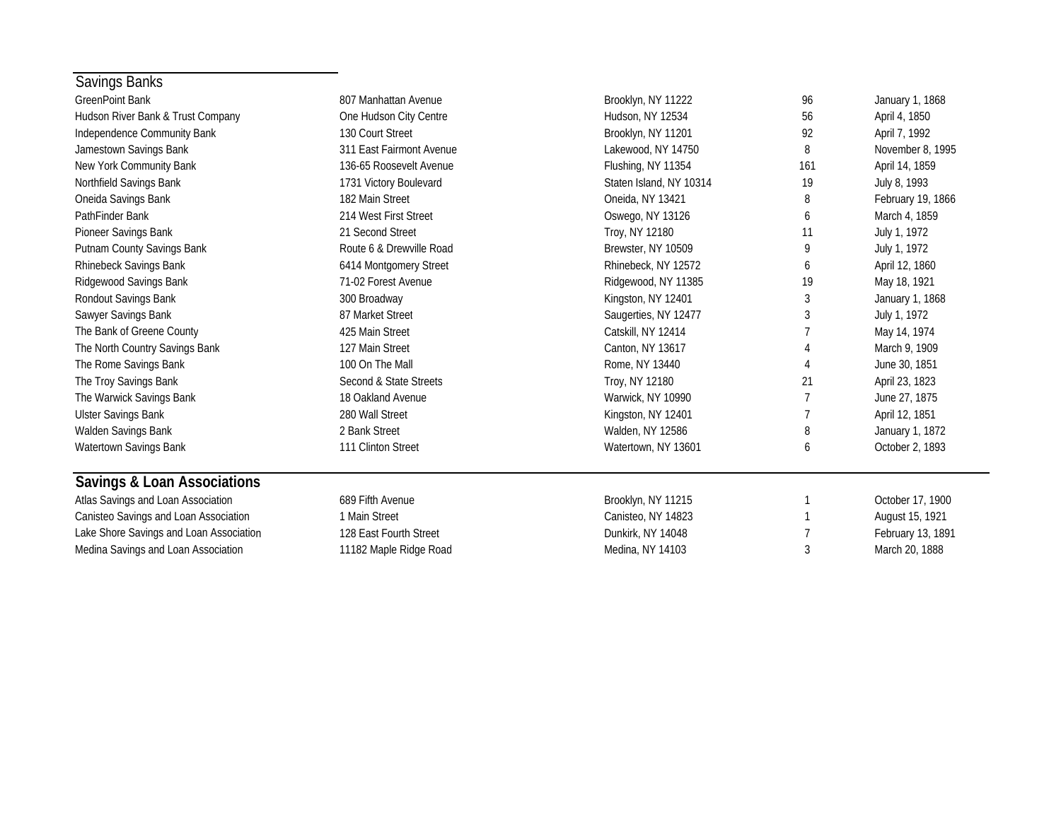| Savings Banks                           |                          |                         |     |                   |
|-----------------------------------------|--------------------------|-------------------------|-----|-------------------|
| <b>GreenPoint Bank</b>                  | 807 Manhattan Avenue     | Brooklyn, NY 11222      | 96  | January 1, 1868   |
| Hudson River Bank & Trust Company       | One Hudson City Centre   | Hudson, NY 12534        | 56  | April 4, 1850     |
| Independence Community Bank             | 130 Court Street         | Brooklyn, NY 11201      | 92  | April 7, 1992     |
| Jamestown Savings Bank                  | 311 East Fairmont Avenue | Lakewood, NY 14750      | 8   | November 8, 1995  |
| New York Community Bank                 | 136-65 Roosevelt Avenue  | Flushing, NY 11354      | 161 | April 14, 1859    |
| Northfield Savings Bank                 | 1731 Victory Boulevard   | Staten Island, NY 10314 | 19  | July 8, 1993      |
| Oneida Savings Bank                     | 182 Main Street          | Oneida, NY 13421        | 8   | February 19, 1866 |
| PathFinder Bank                         | 214 West First Street    | Oswego, NY 13126        | 6   | March 4, 1859     |
| Pioneer Savings Bank                    | 21 Second Street         | Troy, NY 12180          | 11  | July 1, 1972      |
| Putnam County Savings Bank              | Route 6 & Drewville Road | Brewster, NY 10509      | 9   | July 1, 1972      |
| Rhinebeck Savings Bank                  | 6414 Montgomery Street   | Rhinebeck, NY 12572     | 6   | April 12, 1860    |
| Ridgewood Savings Bank                  | 71-02 Forest Avenue      | Ridgewood, NY 11385     | 19  | May 18, 1921      |
| Rondout Savings Bank                    | 300 Broadway             | Kingston, NY 12401      | 3   | January 1, 1868   |
| Sawyer Savings Bank                     | 87 Market Street         | Saugerties, NY 12477    | 3   | July 1, 1972      |
| The Bank of Greene County               | 425 Main Street          | Catskill, NY 12414      |     | May 14, 1974      |
| The North Country Savings Bank          | 127 Main Street          | Canton, NY 13617        |     | March 9, 1909     |
| The Rome Savings Bank                   | 100 On The Mall          | Rome, NY 13440          |     | June 30, 1851     |
| The Troy Savings Bank                   | Second & State Streets   | Troy, NY 12180          | 21  | April 23, 1823    |
| The Warwick Savings Bank                | 18 Oakland Avenue        | Warwick, NY 10990       |     | June 27, 1875     |
| <b>Ulster Savings Bank</b>              | 280 Wall Street          | Kingston, NY 12401      |     | April 12, 1851    |
| Walden Savings Bank                     | 2 Bank Street            | Walden, NY 12586        | 8   | January 1, 1872   |
| Watertown Savings Bank                  | 111 Clinton Street       | Watertown, NY 13601     | 6   | October 2, 1893   |
| <b>Savings &amp; Loan Associations</b>  |                          |                         |     |                   |
| Atlas Savings and Loan Association      | 689 Fifth Avenue         | Brooklyn, NY 11215      |     | October 17, 1900  |
| Canisteo Savings and Loan Association   | 1 Main Street            | Canisteo, NY 14823      |     | August 15, 1921   |
| Lake Shore Savings and Loan Association | 128 East Fourth Street   | Dunkirk, NY 14048       |     | February 13, 1891 |

Medina Savings and Loan Association **11182 Maple Ridge Road** Medina, NY 14103 3 March 20, 1888

 $\sim$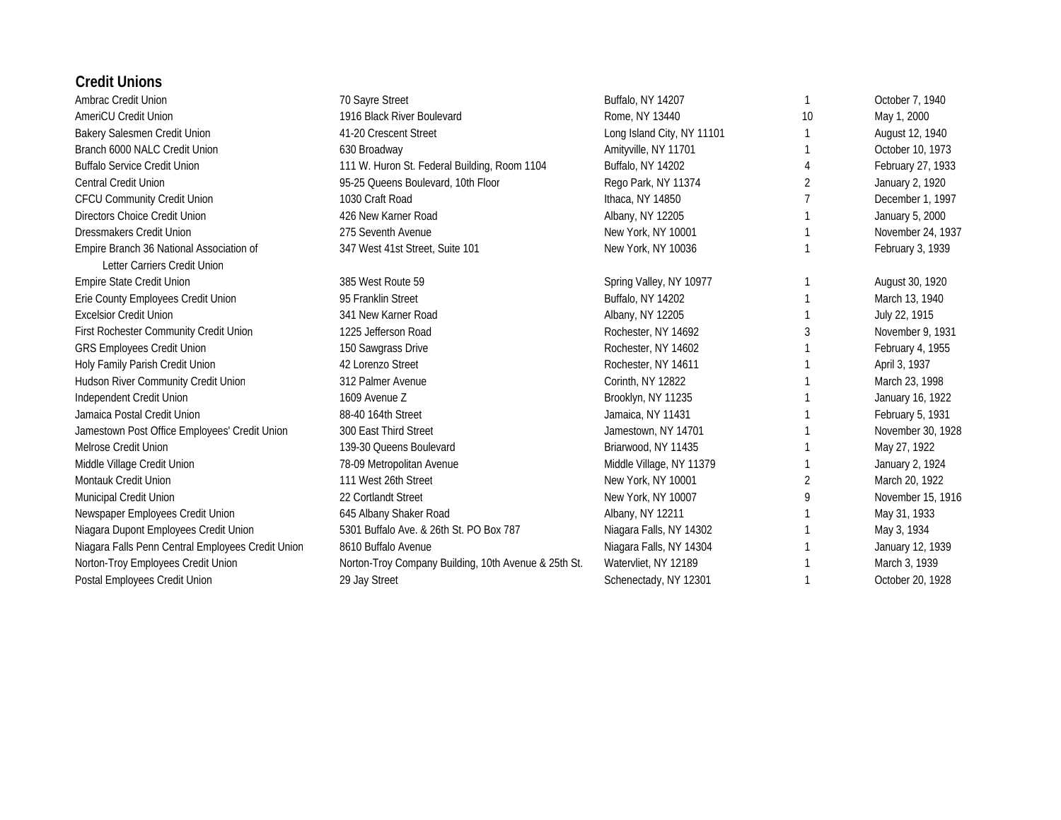#### **Credit Unions**

| Ambrac Credit Union                                                      | 70 Sayre Street                                      | Buffalo, NY 14207          |    | October 7, 1940   |
|--------------------------------------------------------------------------|------------------------------------------------------|----------------------------|----|-------------------|
| AmeriCU Credit Union                                                     | 1916 Black River Boulevard                           | Rome, NY 13440             | 10 | May 1, 2000       |
| Bakery Salesmen Credit Union                                             | 41-20 Crescent Street                                | Long Island City, NY 11101 |    | August 12, 1940   |
| Branch 6000 NALC Credit Union                                            | 630 Broadway                                         | Amityville, NY 11701       |    | October 10, 1973  |
| <b>Buffalo Service Credit Union</b>                                      | 111 W. Huron St. Federal Building, Room 1104         | Buffalo, NY 14202          |    | February 27, 1933 |
| Central Credit Union                                                     | 95-25 Queens Boulevard, 10th Floor                   | Rego Park, NY 11374        |    | January 2, 1920   |
| <b>CFCU Community Credit Union</b>                                       | 1030 Craft Road                                      | Ithaca, NY 14850           |    | December 1, 1997  |
| Directors Choice Credit Union                                            | 426 New Karner Road                                  | Albany, NY 12205           |    | January 5, 2000   |
| <b>Dressmakers Credit Union</b>                                          | 275 Seventh Avenue                                   | New York, NY 10001         |    | November 24, 1937 |
| Empire Branch 36 National Association of<br>Letter Carriers Credit Union | 347 West 41st Street, Suite 101                      | New York, NY 10036         |    | February 3, 1939  |
| <b>Empire State Credit Union</b>                                         | 385 West Route 59                                    | Spring Valley, NY 10977    |    | August 30, 1920   |
| Erie County Employees Credit Union                                       | 95 Franklin Street                                   | Buffalo, NY 14202          |    | March 13, 1940    |
| <b>Excelsior Credit Union</b>                                            | 341 New Karner Road                                  | Albany, NY 12205           |    | July 22, 1915     |
| First Rochester Community Credit Union                                   | 1225 Jefferson Road                                  | Rochester, NY 14692        | 3  | November 9, 1931  |
| <b>GRS Employees Credit Union</b>                                        | 150 Sawgrass Drive                                   | Rochester, NY 14602        |    | February 4, 1955  |
| Holy Family Parish Credit Union                                          | 42 Lorenzo Street                                    | Rochester, NY 14611        |    | April 3, 1937     |
| Hudson River Community Credit Union                                      | 312 Palmer Avenue                                    | Corinth, NY 12822          |    | March 23, 1998    |
| Independent Credit Union                                                 | 1609 Avenue Z                                        | Brooklyn, NY 11235         |    | January 16, 1922  |
| Jamaica Postal Credit Union                                              | 88-40 164th Street                                   | Jamaica, NY 11431          |    | February 5, 1931  |
| Jamestown Post Office Employees' Credit Union                            | 300 East Third Street                                | Jamestown, NY 14701        |    | November 30, 1928 |
| Melrose Credit Union                                                     | 139-30 Queens Boulevard                              | Briarwood, NY 11435        |    | May 27, 1922      |
| Middle Village Credit Union                                              | 78-09 Metropolitan Avenue                            | Middle Village, NY 11379   |    | January 2, 1924   |
| Montauk Credit Union                                                     | 111 West 26th Street                                 | New York, NY 10001         | 2  | March 20, 1922    |
| Municipal Credit Union                                                   | 22 Cortlandt Street                                  | New York, NY 10007         | 9  | November 15, 1916 |
| Newspaper Employees Credit Union                                         | 645 Albany Shaker Road                               | Albany, NY 12211           |    | May 31, 1933      |
| Niagara Dupont Employees Credit Union                                    | 5301 Buffalo Ave. & 26th St. PO Box 787              | Niagara Falls, NY 14302    |    | May 3, 1934       |
| Niagara Falls Penn Central Employees Credit Union                        | 8610 Buffalo Avenue                                  | Niagara Falls, NY 14304    |    | January 12, 1939  |
| Norton-Troy Employees Credit Union                                       | Norton-Troy Company Building, 10th Avenue & 25th St. | Watervliet, NY 12189       |    | March 3, 1939     |
| Postal Employees Credit Union                                            | 29 Jay Street                                        | Schenectady, NY 12301      |    | October 20, 1928  |
|                                                                          |                                                      |                            |    |                   |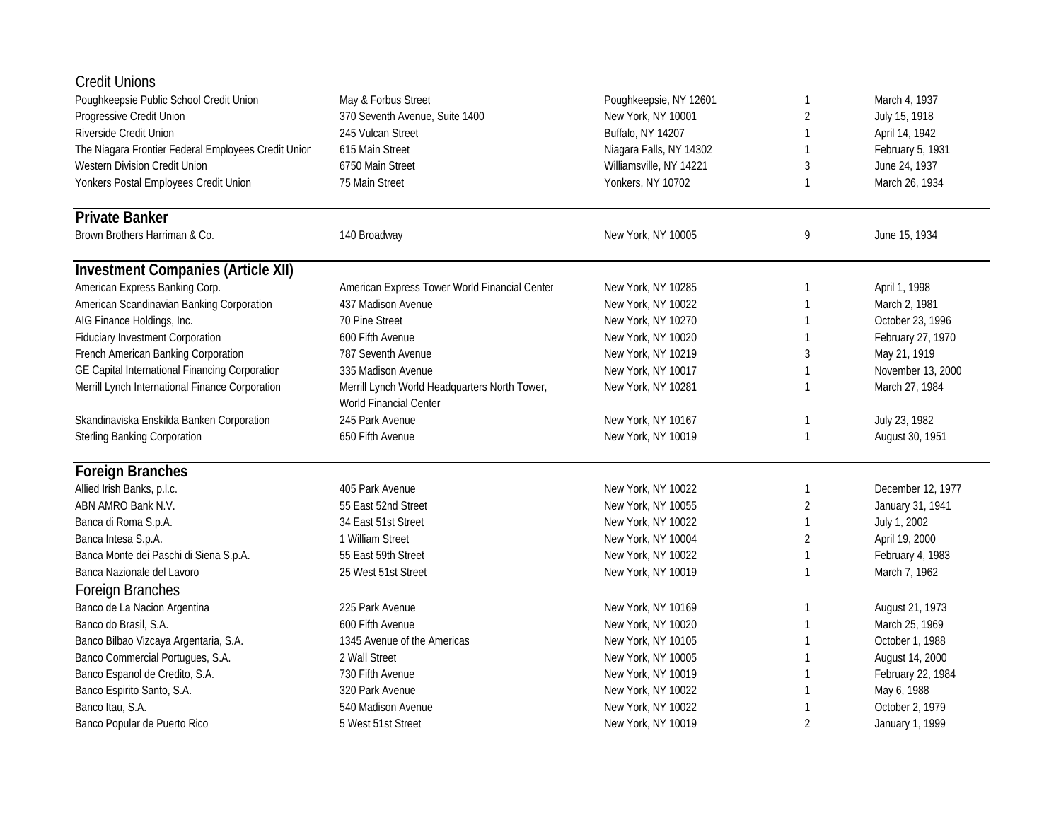| <b>Credit Unions</b>                                |                                                                         |                         |                |                   |
|-----------------------------------------------------|-------------------------------------------------------------------------|-------------------------|----------------|-------------------|
| Poughkeepsie Public School Credit Union             | May & Forbus Street                                                     | Poughkeepsie, NY 12601  | 1              | March 4, 1937     |
| Progressive Credit Union                            | 370 Seventh Avenue, Suite 1400                                          | New York, NY 10001      | $\overline{2}$ | July 15, 1918     |
| Riverside Credit Union                              | 245 Vulcan Street                                                       | Buffalo, NY 14207       |                | April 14, 1942    |
| The Niagara Frontier Federal Employees Credit Union | 615 Main Street                                                         | Niagara Falls, NY 14302 | 1              | February 5, 1931  |
| Western Division Credit Union                       | 6750 Main Street                                                        | Williamsville, NY 14221 | 3              | June 24, 1937     |
| Yonkers Postal Employees Credit Union               | 75 Main Street                                                          | Yonkers, NY 10702       | 1              | March 26, 1934    |
| <b>Private Banker</b>                               |                                                                         |                         |                |                   |
| Brown Brothers Harriman & Co.                       | 140 Broadway                                                            | New York, NY 10005      | 9              | June 15, 1934     |
| <b>Investment Companies (Article XII)</b>           |                                                                         |                         |                |                   |
| American Express Banking Corp.                      | American Express Tower World Financial Center                           | New York, NY 10285      | 1              | April 1, 1998     |
| American Scandinavian Banking Corporation           | 437 Madison Avenue                                                      | New York, NY 10022      |                | March 2, 1981     |
| AIG Finance Holdings, Inc.                          | 70 Pine Street                                                          | New York, NY 10270      |                | October 23, 1996  |
| <b>Fiduciary Investment Corporation</b>             | 600 Fifth Avenue                                                        | New York, NY 10020      |                | February 27, 1970 |
| French American Banking Corporation                 | 787 Seventh Avenue                                                      | New York, NY 10219      | 3              | May 21, 1919      |
| GE Capital International Financing Corporation      | 335 Madison Avenue                                                      | New York, NY 10017      | 1              | November 13, 2000 |
| Merrill Lynch International Finance Corporation     | Merrill Lynch World Headquarters North Tower,<br>World Financial Center | New York, NY 10281      |                | March 27, 1984    |
| Skandinaviska Enskilda Banken Corporation           | 245 Park Avenue                                                         | New York, NY 10167      | 1              | July 23, 1982     |
| <b>Sterling Banking Corporation</b>                 | 650 Fifth Avenue                                                        | New York, NY 10019      | 1              | August 30, 1951   |
| <b>Foreign Branches</b>                             |                                                                         |                         |                |                   |
| Allied Irish Banks, p.l.c.                          | 405 Park Avenue                                                         | New York, NY 10022      | 1              | December 12, 1977 |
| ABN AMRO Bank N.V.                                  | 55 East 52nd Street                                                     | New York, NY 10055      | 2              | January 31, 1941  |
| Banca di Roma S.p.A.                                | 34 East 51st Street                                                     | New York, NY 10022      | 1              | July 1, 2002      |
| Banca Intesa S.p.A.                                 | 1 William Street                                                        | New York, NY 10004      | $\overline{2}$ | April 19, 2000    |
| Banca Monte dei Paschi di Siena S.p.A.              | 55 East 59th Street                                                     | New York, NY 10022      | 1              | February 4, 1983  |
| Banca Nazionale del Lavoro                          | 25 West 51st Street                                                     | New York, NY 10019      | 1              | March 7, 1962     |
| Foreign Branches                                    |                                                                         |                         |                |                   |
| Banco de La Nacion Argentina                        | 225 Park Avenue                                                         | New York, NY 10169      | 1              | August 21, 1973   |
| Banco do Brasil, S.A.                               | 600 Fifth Avenue                                                        | New York, NY 10020      | 1              | March 25, 1969    |
| Banco Bilbao Vizcaya Argentaria, S.A.               | 1345 Avenue of the Americas                                             | New York, NY 10105      | 1              | October 1, 1988   |
| Banco Commercial Portugues, S.A.                    | 2 Wall Street                                                           | New York, NY 10005      |                | August 14, 2000   |
| Banco Espanol de Credito, S.A.                      | 730 Fifth Avenue                                                        | New York, NY 10019      |                | February 22, 1984 |
| Banco Espirito Santo, S.A.                          | 320 Park Avenue                                                         | New York, NY 10022      |                | May 6, 1988       |
| Banco Itau, S.A.                                    | 540 Madison Avenue                                                      | New York, NY 10022      |                | October 2, 1979   |
| Banco Popular de Puerto Rico                        | 5 West 51st Street                                                      | New York, NY 10019      | $\overline{2}$ | January 1, 1999   |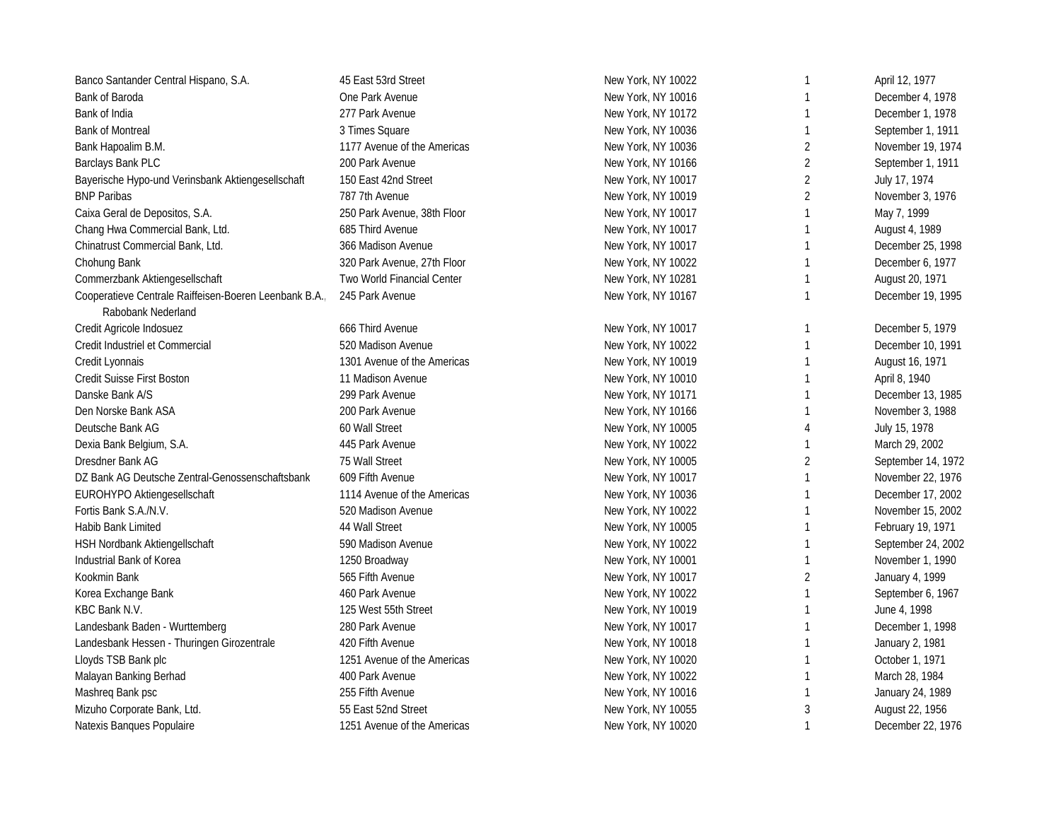| Banco Santander Central Hispano, S.A.                  | 45 East 53rd Street         | New York, NY 10022 | $\mathbf{1}$   | April 12, 1977     |
|--------------------------------------------------------|-----------------------------|--------------------|----------------|--------------------|
| Bank of Baroda                                         | One Park Avenue             | New York, NY 10016 |                | December 4, 1978   |
| Bank of India                                          | 277 Park Avenue             | New York, NY 10172 | 1              | December 1, 1978   |
| <b>Bank of Montreal</b>                                | 3 Times Square              | New York, NY 10036 | $\mathbf{1}$   | September 1, 1911  |
| Bank Hapoalim B.M.                                     | 1177 Avenue of the Americas | New York, NY 10036 | $\overline{2}$ | November 19, 1974  |
| Barclays Bank PLC                                      | 200 Park Avenue             | New York, NY 10166 | 2              | September 1, 1911  |
| Bayerische Hypo-und Verinsbank Aktiengesellschaft      | 150 East 42nd Street        | New York, NY 10017 | $\overline{2}$ | July 17, 1974      |
| <b>BNP Paribas</b>                                     | 787 7th Avenue              | New York, NY 10019 | $\overline{2}$ | November 3, 1976   |
| Caixa Geral de Depositos, S.A.                         | 250 Park Avenue, 38th Floor | New York, NY 10017 | $\mathbf{1}$   | May 7, 1999        |
| Chang Hwa Commercial Bank, Ltd.                        | 685 Third Avenue            | New York, NY 10017 | 1              | August 4, 1989     |
| Chinatrust Commercial Bank, Ltd.                       | 366 Madison Avenue          | New York, NY 10017 | $\mathbf{1}$   | December 25, 1998  |
| Chohung Bank                                           | 320 Park Avenue, 27th Floor | New York, NY 10022 | $\mathbf{1}$   | December 6, 1977   |
| Commerzbank Aktiengesellschaft                         | Two World Financial Center  | New York, NY 10281 | $\mathbf{1}$   | August 20, 1971    |
| Cooperatieve Centrale Raiffeisen-Boeren Leenbank B.A., | 245 Park Avenue             | New York, NY 10167 | $\mathbf{1}$   | December 19, 1995  |
| Rabobank Nederland                                     |                             |                    |                |                    |
| Credit Agricole Indosuez                               | 666 Third Avenue            | New York, NY 10017 | $\mathbf{1}$   | December 5, 1979   |
| Credit Industriel et Commercial                        | 520 Madison Avenue          | New York, NY 10022 | 1              | December 10, 1991  |
| Credit Lyonnais                                        | 1301 Avenue of the Americas | New York, NY 10019 | $\mathbf{1}$   | August 16, 1971    |
| Credit Suisse First Boston                             | 11 Madison Avenue           | New York, NY 10010 | $\mathbf{1}$   | April 8, 1940      |
| Danske Bank A/S                                        | 299 Park Avenue             | New York, NY 10171 | $\mathbf{1}$   | December 13, 1985  |
| Den Norske Bank ASA                                    | 200 Park Avenue             | New York, NY 10166 | $\mathbf{1}$   | November 3, 1988   |
| Deutsche Bank AG                                       | 60 Wall Street              | New York, NY 10005 | 4              | July 15, 1978      |
| Dexia Bank Belgium, S.A.                               | 445 Park Avenue             | New York, NY 10022 | $\mathbf{1}$   | March 29, 2002     |
| Dresdner Bank AG                                       | 75 Wall Street              | New York, NY 10005 | 2              | September 14, 1972 |
| DZ Bank AG Deutsche Zentral-Genossenschaftsbank        | 609 Fifth Avenue            | New York, NY 10017 | $\mathbf{1}$   | November 22, 1976  |
| EUROHYPO Aktiengesellschaft                            | 1114 Avenue of the Americas | New York, NY 10036 | $\mathbf{1}$   | December 17, 2002  |
| Fortis Bank S.A./N.V.                                  | 520 Madison Avenue          | New York, NY 10022 | 1              | November 15, 2002  |
| Habib Bank Limited                                     | 44 Wall Street              | New York, NY 10005 | $\mathbf{1}$   | February 19, 1971  |
| HSH Nordbank Aktiengellschaft                          | 590 Madison Avenue          | New York, NY 10022 | $\mathbf{1}$   | September 24, 2002 |
| Industrial Bank of Korea                               | 1250 Broadway               | New York, NY 10001 | $\mathbf{1}$   | November 1, 1990   |
| Kookmin Bank                                           | 565 Fifth Avenue            | New York, NY 10017 | 2              | January 4, 1999    |
| Korea Exchange Bank                                    | 460 Park Avenue             | New York, NY 10022 | $\mathbf{1}$   | September 6, 1967  |
| KBC Bank N.V.                                          | 125 West 55th Street        | New York, NY 10019 | $\mathbf{1}$   | June 4, 1998       |
| Landesbank Baden - Wurttemberg                         | 280 Park Avenue             | New York, NY 10017 | $\mathbf{1}$   | December 1, 1998   |
| Landesbank Hessen - Thuringen Girozentrale             | 420 Fifth Avenue            | New York, NY 10018 | $\mathbf{1}$   | January 2, 1981    |
| Lloyds TSB Bank plc                                    | 1251 Avenue of the Americas | New York, NY 10020 | $\mathbf{1}$   | October 1, 1971    |
| Malayan Banking Berhad                                 | 400 Park Avenue             | New York, NY 10022 | $\mathbf{1}$   | March 28, 1984     |
| Mashreq Bank psc                                       | 255 Fifth Avenue            | New York, NY 10016 | $\mathbf{1}$   | January 24, 1989   |
| Mizuho Corporate Bank, Ltd.                            | 55 East 52nd Street         | New York, NY 10055 | 3              | August 22, 1956    |
| Natexis Banques Populaire                              | 1251 Avenue of the Americas | New York, NY 10020 | $\mathbf{1}$   | December 22, 1976  |
|                                                        |                             |                    |                |                    |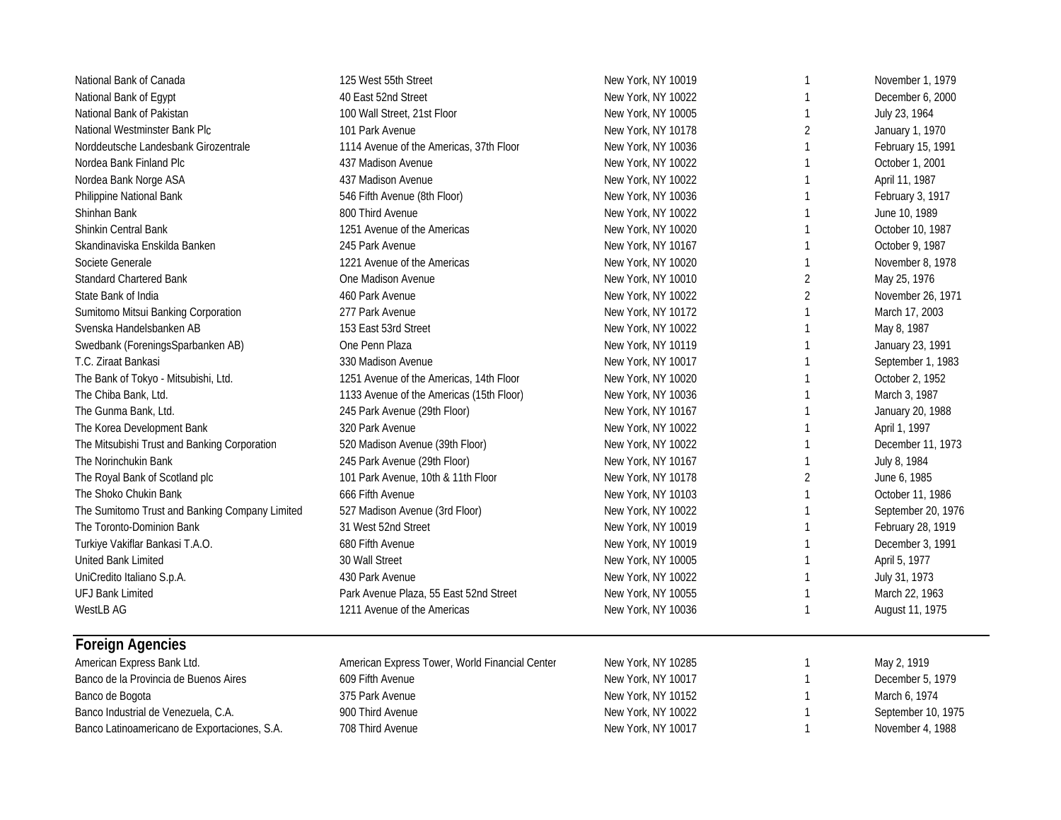| National Bank of Canada                        | 125 West 55th Street                           | New York, NY 10019 | $\mathbf{1}$   | November 1, 1979   |
|------------------------------------------------|------------------------------------------------|--------------------|----------------|--------------------|
| National Bank of Egypt                         | 40 East 52nd Street                            | New York, NY 10022 | $\mathbf{1}$   | December 6, 2000   |
| National Bank of Pakistan                      | 100 Wall Street, 21st Floor                    | New York, NY 10005 | 1              | July 23, 1964      |
| National Westminster Bank Plc                  | 101 Park Avenue                                | New York, NY 10178 | $\overline{2}$ | January 1, 1970    |
| Norddeutsche Landesbank Girozentrale           | 1114 Avenue of the Americas, 37th Floor        | New York, NY 10036 | $\mathbf{1}$   | February 15, 1991  |
| Nordea Bank Finland Plc                        | 437 Madison Avenue                             | New York, NY 10022 | 1              | October 1, 2001    |
| Nordea Bank Norge ASA                          | 437 Madison Avenue                             | New York, NY 10022 | $\mathbf{1}$   | April 11, 1987     |
| Philippine National Bank                       | 546 Fifth Avenue (8th Floor)                   | New York, NY 10036 | $\mathbf{1}$   | February 3, 1917   |
| Shinhan Bank                                   | 800 Third Avenue                               | New York, NY 10022 | $\mathbf{1}$   | June 10, 1989      |
| <b>Shinkin Central Bank</b>                    | 1251 Avenue of the Americas                    | New York, NY 10020 | $\mathbf{1}$   | October 10, 1987   |
| Skandinaviska Enskilda Banken                  | 245 Park Avenue                                | New York, NY 10167 | $\mathbf{1}$   | October 9, 1987    |
| Societe Generale                               | 1221 Avenue of the Americas                    | New York, NY 10020 | 1              | November 8, 1978   |
| <b>Standard Chartered Bank</b>                 | One Madison Avenue                             | New York, NY 10010 | $\overline{2}$ | May 25, 1976       |
| State Bank of India                            | 460 Park Avenue                                | New York, NY 10022 | $\overline{2}$ | November 26, 1971  |
| Sumitomo Mitsui Banking Corporation            | 277 Park Avenue                                | New York, NY 10172 | $\mathbf{1}$   | March 17, 2003     |
| Svenska Handelsbanken AB                       | 153 East 53rd Street                           | New York, NY 10022 | $\mathbf{1}$   | May 8, 1987        |
| Swedbank (ForeningsSparbanken AB)              | One Penn Plaza                                 | New York, NY 10119 | $\mathbf{1}$   | January 23, 1991   |
| T.C. Ziraat Bankasi                            | 330 Madison Avenue                             | New York, NY 10017 | 1              | September 1, 1983  |
| The Bank of Tokyo - Mitsubishi, Ltd.           | 1251 Avenue of the Americas, 14th Floor        | New York, NY 10020 | 1              | October 2, 1952    |
| The Chiba Bank, Ltd.                           | 1133 Avenue of the Americas (15th Floor)       | New York, NY 10036 | 1              | March 3, 1987      |
| The Gunma Bank, Ltd.                           | 245 Park Avenue (29th Floor)                   | New York, NY 10167 | 1              | January 20, 1988   |
| The Korea Development Bank                     | 320 Park Avenue                                | New York, NY 10022 | $\mathbf{1}$   | April 1, 1997      |
| The Mitsubishi Trust and Banking Corporation   | 520 Madison Avenue (39th Floor)                | New York, NY 10022 | $\mathbf{1}$   | December 11, 1973  |
| The Norinchukin Bank                           | 245 Park Avenue (29th Floor)                   | New York, NY 10167 | $\mathbf{1}$   | July 8, 1984       |
| The Royal Bank of Scotland plc                 | 101 Park Avenue, 10th & 11th Floor             | New York, NY 10178 | 2              | June 6, 1985       |
| The Shoko Chukin Bank                          | 666 Fifth Avenue                               | New York, NY 10103 | $\mathbf{1}$   | October 11, 1986   |
| The Sumitomo Trust and Banking Company Limited | 527 Madison Avenue (3rd Floor)                 | New York, NY 10022 | 1              | September 20, 1976 |
| The Toronto-Dominion Bank                      | 31 West 52nd Street                            | New York, NY 10019 | 1              | February 28, 1919  |
| Turkiye Vakiflar Bankasi T.A.O.                | 680 Fifth Avenue                               | New York, NY 10019 | $\mathbf{1}$   | December 3, 1991   |
| United Bank Limited                            | 30 Wall Street                                 | New York, NY 10005 | $\mathbf{1}$   | April 5, 1977      |
| UniCredito Italiano S.p.A.                     | 430 Park Avenue                                | New York, NY 10022 | $\mathbf{1}$   | July 31, 1973      |
| <b>UFJ Bank Limited</b>                        | Park Avenue Plaza, 55 East 52nd Street         | New York, NY 10055 | 1              | March 22, 1963     |
| <b>WestLB AG</b>                               | 1211 Avenue of the Americas                    | New York, NY 10036 | $\mathbf{1}$   | August 11, 1975    |
| <b>Foreign Agencies</b>                        |                                                |                    |                |                    |
| American Express Bank Ltd.                     | American Express Tower, World Financial Center | New York, NY 10285 | $\mathbf{1}$   | May 2, 1919        |
| Banco de la Provincia de Buenos Aires          | 609 Fifth Avenue                               | New York, NY 10017 | 1              | December 5, 1979   |
| Banco de Bogota                                | 375 Park Avenue                                | New York, NY 10152 | 1              | March 6, 1974      |
| Banco Industrial de Venezuela, C.A.            | 900 Third Avenue                               | New York, NY 10022 | $\mathbf{1}$   | September 10, 1975 |
| Banco Latinoamericano de Exportaciones, S.A.   | 708 Third Avenue                               | New York, NY 10017 | $\mathbf{1}$   | November 4, 1988   |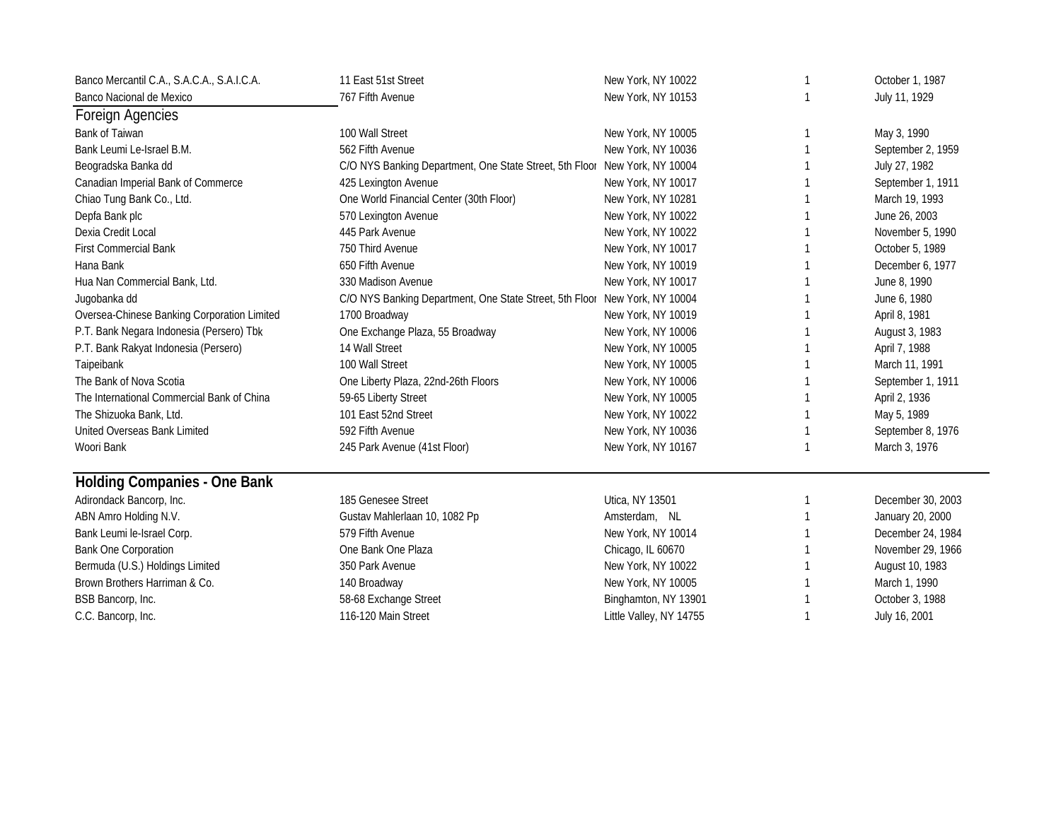| Banco Mercantil C.A., S.A.C.A., S.A.I.C.A.  | 11 East 51st Street                                                        | New York, NY 10022      | 1  | October 1, 1987   |
|---------------------------------------------|----------------------------------------------------------------------------|-------------------------|----|-------------------|
| Banco Nacional de Mexico                    | 767 Fifth Avenue                                                           | New York, NY 10153      |    | July 11, 1929     |
| Foreign Agencies                            |                                                                            |                         |    |                   |
| Bank of Taiwan                              | 100 Wall Street                                                            | New York, NY 10005      | 1  | May 3, 1990       |
| Bank Leumi Le-Israel B.M.                   | 562 Fifth Avenue                                                           | New York, NY 10036      |    | September 2, 1959 |
| Beogradska Banka dd                         | C/O NYS Banking Department, One State Street, 5th Floor New York, NY 10004 |                         |    | July 27, 1982     |
| Canadian Imperial Bank of Commerce          | 425 Lexington Avenue                                                       | New York, NY 10017      |    | September 1, 1911 |
| Chiao Tung Bank Co., Ltd.                   | One World Financial Center (30th Floor)                                    | New York, NY 10281      |    | March 19, 1993    |
| Depfa Bank plc                              | 570 Lexington Avenue                                                       | New York, NY 10022      |    | June 26, 2003     |
| Dexia Credit Local                          | 445 Park Avenue                                                            | New York, NY 10022      |    | November 5, 1990  |
| <b>First Commercial Bank</b>                | 750 Third Avenue                                                           | New York, NY 10017      |    | October 5, 1989   |
| Hana Bank                                   | 650 Fifth Avenue                                                           | New York, NY 10019      |    | December 6, 1977  |
| Hua Nan Commercial Bank, Ltd.               | 330 Madison Avenue                                                         | New York, NY 10017      |    | June 8, 1990      |
| Jugobanka dd                                | C/O NYS Banking Department, One State Street, 5th Floor                    | New York, NY 10004      |    | June 6, 1980      |
| Oversea-Chinese Banking Corporation Limited | 1700 Broadway                                                              | New York, NY 10019      |    | April 8, 1981     |
| P.T. Bank Negara Indonesia (Persero) Tbk    | One Exchange Plaza, 55 Broadway                                            | New York, NY 10006      |    | August 3, 1983    |
| P.T. Bank Rakyat Indonesia (Persero)        | 14 Wall Street                                                             | New York, NY 10005      |    | April 7, 1988     |
| Taipeibank                                  | 100 Wall Street                                                            | New York, NY 10005      |    | March 11, 1991    |
| The Bank of Nova Scotia                     | One Liberty Plaza, 22nd-26th Floors                                        | New York, NY 10006      |    | September 1, 1911 |
| The International Commercial Bank of China  | 59-65 Liberty Street                                                       | New York, NY 10005      |    | April 2, 1936     |
| The Shizuoka Bank, Ltd.                     | 101 East 52nd Street                                                       | New York, NY 10022      |    | May 5, 1989       |
| United Overseas Bank Limited                | 592 Fifth Avenue                                                           | New York, NY 10036      |    | September 8, 1976 |
| Woori Bank                                  | 245 Park Avenue (41st Floor)                                               | New York, NY 10167      |    | March 3, 1976     |
| <b>Holding Companies - One Bank</b>         |                                                                            |                         |    |                   |
| Adirondack Bancorp, Inc.                    | 185 Genesee Street                                                         | Utica, NY 13501         | 1  | December 30, 2003 |
| ABN Amro Holding N.V.                       | Gustav Mahlerlaan 10, 1082 Pp                                              | Amsterdam, NL           |    | January 20, 2000  |
| Bank Leumi le-Israel Corp.                  | 579 Fifth Avenue                                                           | New York, NY 10014      |    | December 24, 1984 |
| <b>Bank One Corporation</b>                 | One Bank One Plaza                                                         | Chicago, IL 60670       |    | November 29, 1966 |
| Bermuda (U.S.) Holdings Limited             | 350 Park Avenue                                                            | New York, NY 10022      |    | August 10, 1983   |
| Brown Brothers Harriman & Co.               | 140 Broadway                                                               | New York, NY 10005      |    | March 1, 1990     |
| BSB Bancorp, Inc.                           | 58-68 Exchange Street                                                      | Binghamton, NY 13901    |    | October 3, 1988   |
| C.C. Bancorp, Inc.                          | 116-120 Main Street                                                        | Little Valley, NY 14755 | -1 | July 16, 2001     |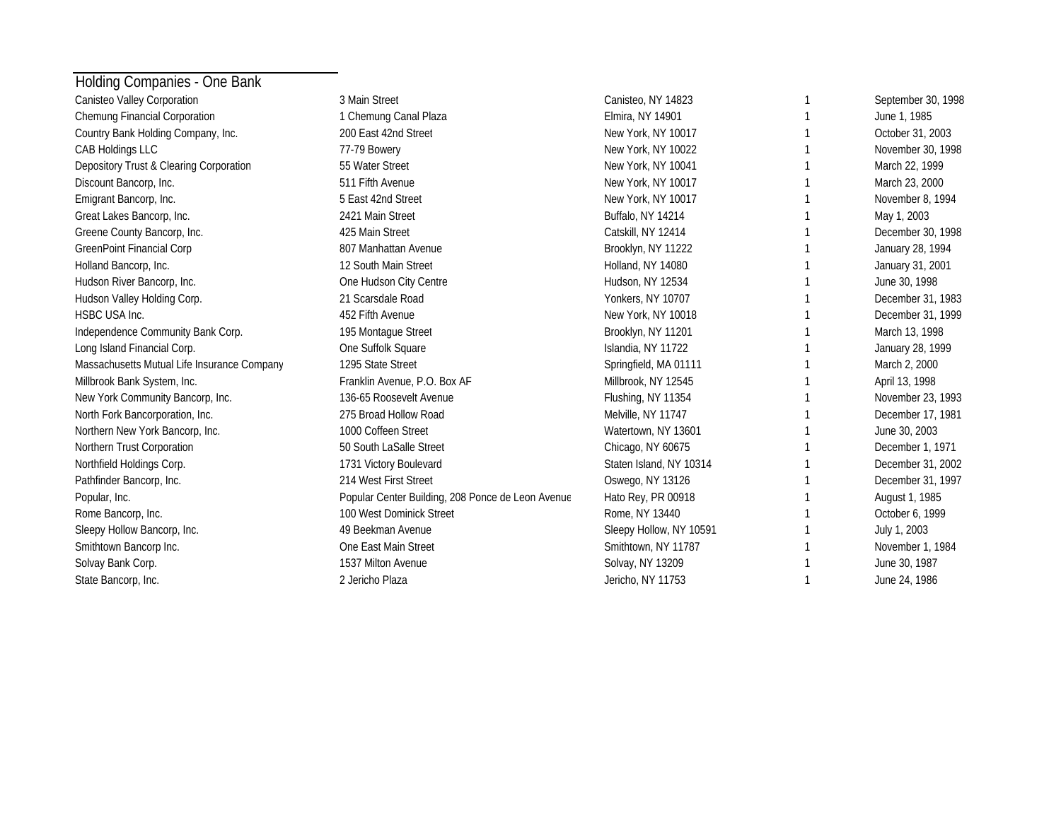| Holding Companies - One Bank                |                                                   |                         |                    |
|---------------------------------------------|---------------------------------------------------|-------------------------|--------------------|
| Canisteo Valley Corporation                 | 3 Main Street                                     | Canisteo, NY 14823      | September 30, 1998 |
| Chemung Financial Corporation               | 1 Chemung Canal Plaza                             | Elmira, NY 14901        | June 1, 1985       |
| Country Bank Holding Company, Inc.          | 200 East 42nd Street                              | New York, NY 10017      | October 31, 2003   |
| CAB Holdings LLC                            | 77-79 Bowery                                      | New York, NY 10022      | November 30, 1998  |
| Depository Trust & Clearing Corporation     | 55 Water Street                                   | New York, NY 10041      | March 22, 1999     |
| Discount Bancorp, Inc.                      | 511 Fifth Avenue                                  | New York, NY 10017      | March 23, 2000     |
| Emigrant Bancorp, Inc.                      | 5 East 42nd Street                                | New York, NY 10017      | November 8, 1994   |
| Great Lakes Bancorp, Inc.                   | 2421 Main Street                                  | Buffalo, NY 14214       | May 1, 2003        |
| Greene County Bancorp, Inc.                 | 425 Main Street                                   | Catskill, NY 12414      | December 30, 1998  |
| <b>GreenPoint Financial Corp</b>            | 807 Manhattan Avenue                              | Brooklyn, NY 11222      | January 28, 1994   |
| Holland Bancorp, Inc.                       | 12 South Main Street                              | Holland, NY 14080       | January 31, 2001   |
| Hudson River Bancorp, Inc.                  | One Hudson City Centre                            | Hudson, NY 12534        | June 30, 1998      |
| Hudson Valley Holding Corp.                 | 21 Scarsdale Road                                 | Yonkers, NY 10707       | December 31, 1983  |
| HSBC USA Inc.                               | 452 Fifth Avenue                                  | New York, NY 10018      | December 31, 1999  |
| Independence Community Bank Corp.           | 195 Montague Street                               | Brooklyn, NY 11201      | March 13, 1998     |
| Long Island Financial Corp.                 | One Suffolk Square                                | Islandia, NY 11722      | January 28, 1999   |
| Massachusetts Mutual Life Insurance Company | 1295 State Street                                 | Springfield, MA 01111   | March 2, 2000      |
| Millbrook Bank System, Inc.                 | Franklin Avenue, P.O. Box AF                      | Millbrook, NY 12545     | April 13, 1998     |
| New York Community Bancorp, Inc.            | 136-65 Roosevelt Avenue                           | Flushing, NY 11354      | November 23, 1993  |
| North Fork Bancorporation, Inc.             | 275 Broad Hollow Road                             | Melville, NY 11747      | December 17, 1981  |
| Northern New York Bancorp, Inc.             | 1000 Coffeen Street                               | Watertown, NY 13601     | June 30, 2003      |
| Northern Trust Corporation                  | 50 South LaSalle Street                           | Chicago, NY 60675       | December 1, 1971   |
| Northfield Holdings Corp.                   | 1731 Victory Boulevard                            | Staten Island, NY 10314 | December 31, 2002  |
| Pathfinder Bancorp, Inc.                    | 214 West First Street                             | Oswego, NY 13126        | December 31, 1997  |
| Popular, Inc.                               | Popular Center Building, 208 Ponce de Leon Avenue | Hato Rey, PR 00918      | August 1, 1985     |
| Rome Bancorp, Inc.                          | 100 West Dominick Street                          | Rome, NY 13440          | October 6, 1999    |
| Sleepy Hollow Bancorp, Inc.                 | 49 Beekman Avenue                                 | Sleepy Hollow, NY 10591 | July 1, 2003       |
| Smithtown Bancorp Inc.                      | One East Main Street                              | Smithtown, NY 11787     | November 1, 1984   |
| Solvay Bank Corp.                           | 1537 Milton Avenue                                | Solvay, NY 13209        | June 30, 1987      |
| State Bancorp, Inc.                         | 2 Jericho Plaza                                   | Jericho, NY 11753       | June 24, 1986      |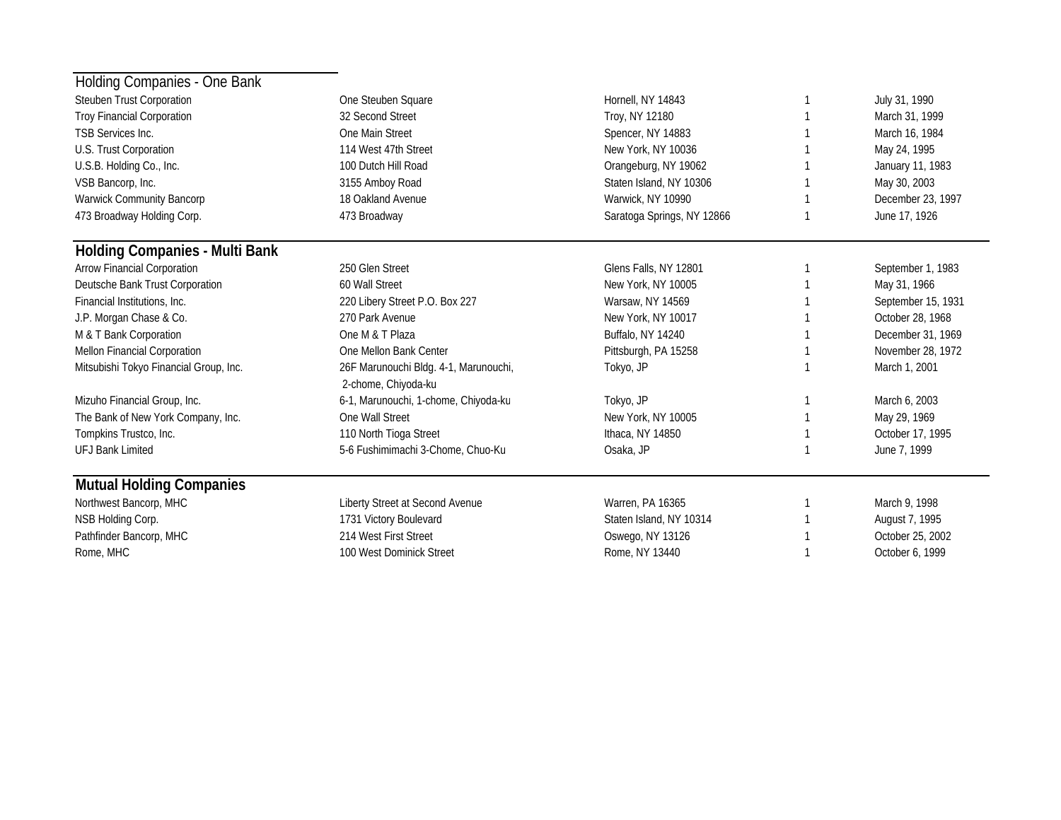| Holding Companies - One Bank           |                                                              |                            |                    |
|----------------------------------------|--------------------------------------------------------------|----------------------------|--------------------|
| Steuben Trust Corporation              | One Steuben Square                                           | Hornell, NY 14843          | July 31, 1990      |
| <b>Troy Financial Corporation</b>      | 32 Second Street                                             | Troy, NY 12180             | March 31, 1999     |
| <b>TSB Services Inc.</b>               | One Main Street                                              | Spencer, NY 14883          | March 16, 1984     |
| U.S. Trust Corporation                 | 114 West 47th Street                                         | New York, NY 10036         | May 24, 1995       |
| U.S.B. Holding Co., Inc.               | 100 Dutch Hill Road                                          | Orangeburg, NY 19062       | January 11, 1983   |
| VSB Bancorp, Inc.                      | 3155 Amboy Road                                              | Staten Island, NY 10306    | May 30, 2003       |
| Warwick Community Bancorp              | 18 Oakland Avenue                                            | Warwick, NY 10990          | December 23, 1997  |
| 473 Broadway Holding Corp.             | 473 Broadway                                                 | Saratoga Springs, NY 12866 | June 17, 1926      |
| <b>Holding Companies - Multi Bank</b>  |                                                              |                            |                    |
| Arrow Financial Corporation            | 250 Glen Street                                              | Glens Falls, NY 12801      | September 1, 1983  |
| Deutsche Bank Trust Corporation        | 60 Wall Street                                               | New York, NY 10005         | May 31, 1966       |
| Financial Institutions, Inc.           | 220 Libery Street P.O. Box 227                               | Warsaw, NY 14569           | September 15, 1931 |
| J.P. Morgan Chase & Co.                | 270 Park Avenue                                              | New York, NY 10017         | October 28, 1968   |
| M & T Bank Corporation                 | One M & T Plaza                                              | Buffalo, NY 14240          | December 31, 1969  |
| Mellon Financial Corporation           | One Mellon Bank Center                                       | Pittsburgh, PA 15258       | November 28, 1972  |
| Mitsubishi Tokyo Financial Group, Inc. | 26F Marunouchi Bldg. 4-1, Marunouchi,<br>2-chome, Chiyoda-ku | Tokyo, JP                  | March 1, 2001      |
| Mizuho Financial Group, Inc.           | 6-1, Marunouchi, 1-chome, Chiyoda-ku                         | Tokyo, JP                  | March 6, 2003      |
| The Bank of New York Company, Inc.     | One Wall Street                                              | New York, NY 10005         | May 29, 1969       |
| Tompkins Trustco, Inc.                 | 110 North Tioga Street                                       | Ithaca, NY 14850           | October 17, 1995   |
| <b>UFJ Bank Limited</b>                | 5-6 Fushimimachi 3-Chome, Chuo-Ku                            | Osaka, JP                  | June 7, 1999       |
| <b>Mutual Holding Companies</b>        |                                                              |                            |                    |
| Northwest Bancorp, MHC                 | Liberty Street at Second Avenue                              | Warren, PA 16365           | March 9, 1998      |
| NSB Holding Corp.                      | 1731 Victory Boulevard                                       | Staten Island, NY 10314    | August 7, 1995     |
| Pathfinder Bancorp, MHC                | 214 West First Street                                        | Oswego, NY 13126           | October 25, 2002   |
| Rome, MHC                              | 100 West Dominick Street                                     | Rome, NY 13440             | October 6, 1999    |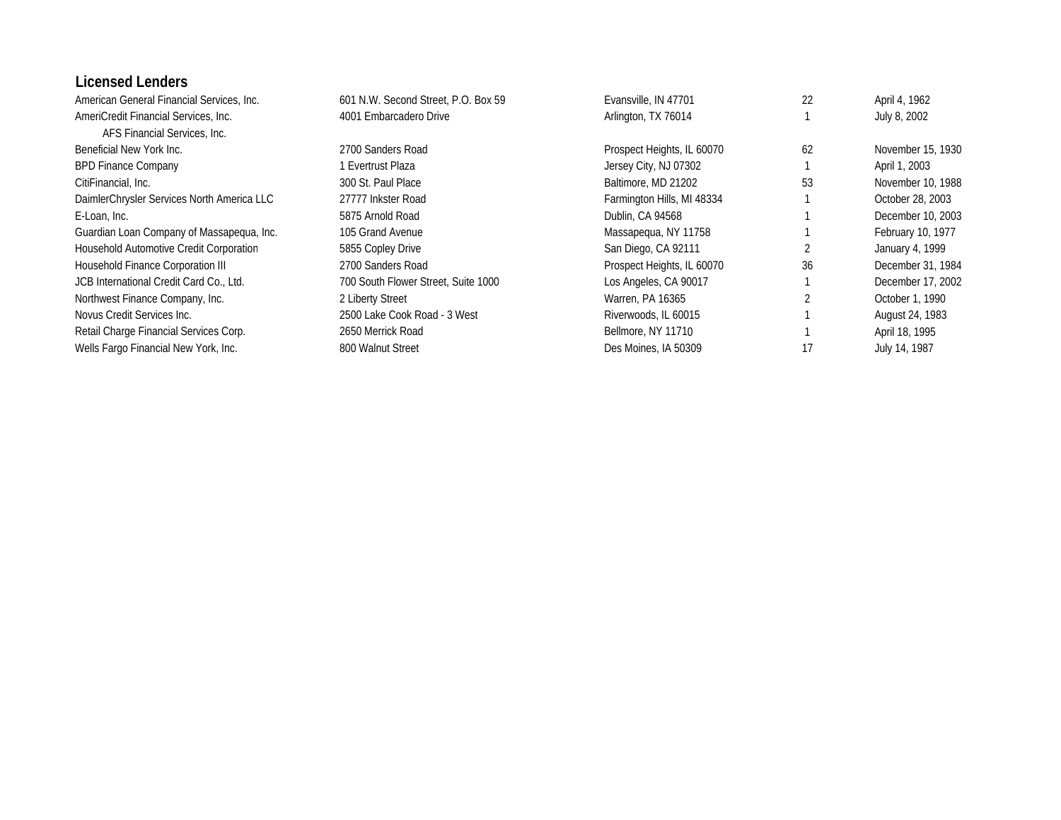#### **Licensed Lenders**

| American General Financial Services, Inc.  | 601 N.W. Second Street, P.O. Box 59 | Evansville, IN 47701       | 22 | April 4, 1962     |
|--------------------------------------------|-------------------------------------|----------------------------|----|-------------------|
| AmeriCredit Financial Services, Inc.       | 4001 Embarcadero Drive              | Arlington, TX 76014        |    | July 8, 2002      |
| AFS Financial Services, Inc.               |                                     |                            |    |                   |
| Beneficial New York Inc.                   | 2700 Sanders Road                   | Prospect Heights, IL 60070 | 62 | November 15, 1930 |
| <b>BPD Finance Company</b>                 | 1 Evertrust Plaza                   | Jersey City, NJ 07302      |    | April 1, 2003     |
| CitiFinancial, Inc.                        | 300 St. Paul Place                  | Baltimore, MD 21202        | 53 | November 10, 1988 |
| DaimlerChrysler Services North America LLC | 27777 Inkster Road                  | Farmington Hills, MI 48334 |    | October 28, 2003  |
| E-Loan, Inc.                               | 5875 Arnold Road                    | Dublin, CA 94568           |    | December 10, 2003 |
| Guardian Loan Company of Massapequa, Inc.  | 105 Grand Avenue                    | Massapegua, NY 11758       |    | February 10, 1977 |
| Household Automotive Credit Corporation    | 5855 Copley Drive                   | San Diego, CA 92111        |    | January 4, 1999   |
| Household Finance Corporation III          | 2700 Sanders Road                   | Prospect Heights, IL 60070 | 36 | December 31, 1984 |
| JCB International Credit Card Co., Ltd.    | 700 South Flower Street, Suite 1000 | Los Angeles, CA 90017      |    | December 17, 2002 |
| Northwest Finance Company, Inc.            | 2 Liberty Street                    | Warren, PA 16365           |    | October 1, 1990   |
| Novus Credit Services Inc.                 | 2500 Lake Cook Road - 3 West        | Riverwoods, IL 60015       |    | August 24, 1983   |
| Retail Charge Financial Services Corp.     | 2650 Merrick Road                   | Bellmore, NY 11710         |    | April 18, 1995    |
| Wells Fargo Financial New York, Inc.       | 800 Walnut Street                   | Des Moines, IA 50309       | 17 | July 14, 1987     |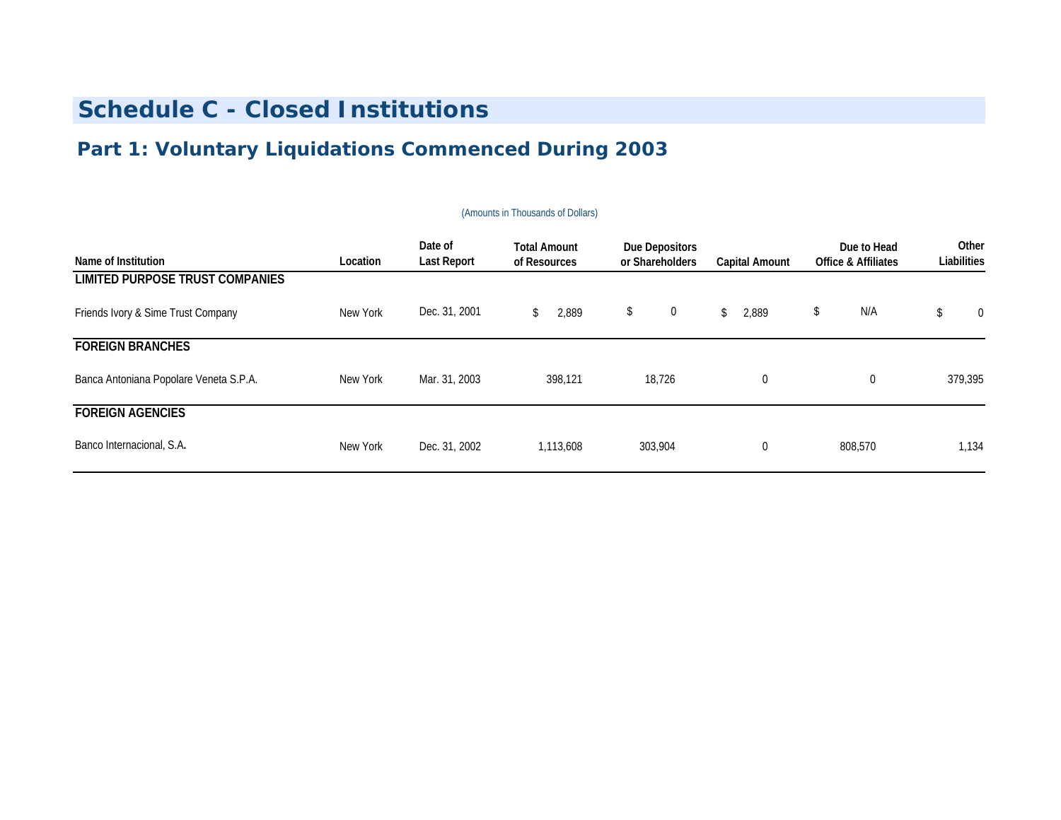## **Part 1: Voluntary Liquidations Commenced During 2003**

| Name of Institution                    | Location | Date of<br><b>Last Report</b> | <b>Total Amount</b><br>of Resources | <b>Due Depositors</b><br>or Shareholders | Capital Amount | Due to Head<br><b>Office &amp; Affiliates</b> | Other<br>Liabilities |
|----------------------------------------|----------|-------------------------------|-------------------------------------|------------------------------------------|----------------|-----------------------------------------------|----------------------|
| LIMITED PURPOSE TRUST COMPANIES        |          |                               |                                     |                                          |                |                                               |                      |
| Friends Ivory & Sime Trust Company     | New York | Dec. 31, 2001                 | 2,889                               | $\mathbf 0$<br>\$                        | 2,889<br>\$    | N/A<br>\$                                     | \$<br>$\mathbf 0$    |
| <b>FOREIGN BRANCHES</b>                |          |                               |                                     |                                          |                |                                               |                      |
| Banca Antoniana Popolare Veneta S.P.A. | New York | Mar. 31, 2003                 | 398,121                             | 18,726                                   | $\mathbf 0$    | 0                                             | 379,395              |
| <b>FOREIGN AGENCIES</b>                |          |                               |                                     |                                          |                |                                               |                      |
| Banco Internacional, S.A.              | New York | Dec. 31, 2002                 | 1,113,608                           | 303,904                                  | $\mathbf 0$    | 808,570                                       | 1,134                |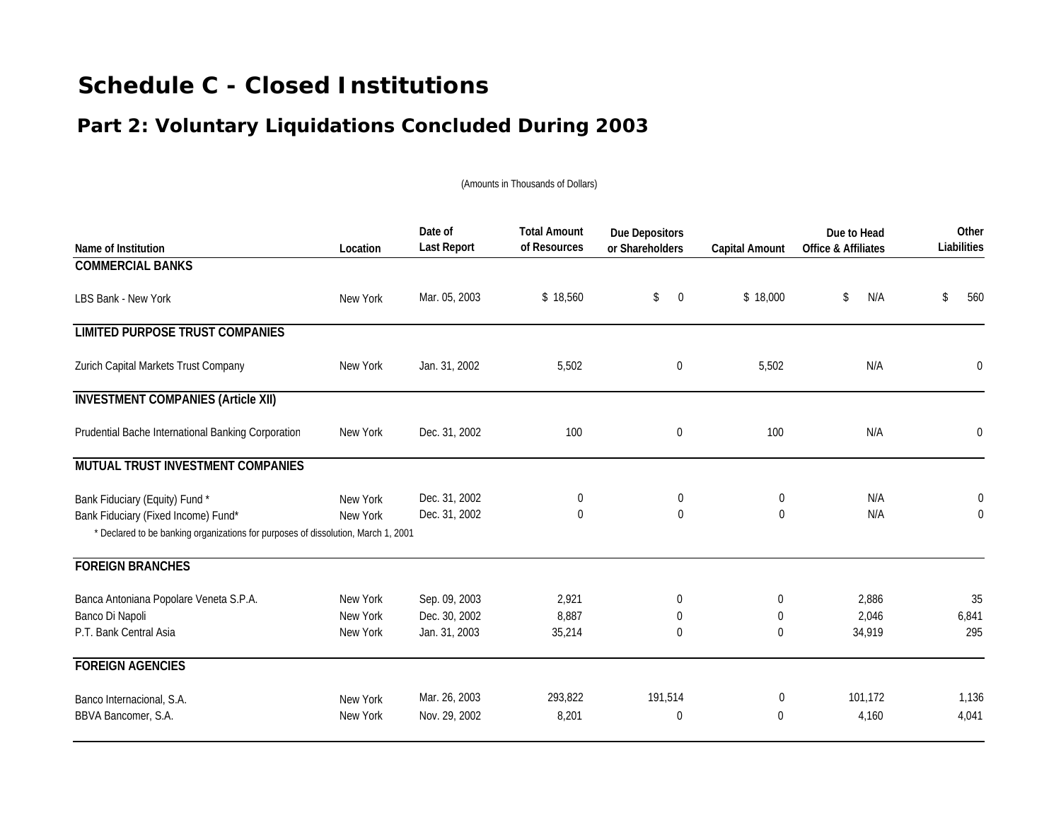## **Part 2: Voluntary Liquidations Concluded During 2003**

| Name of Institution                                                               | Location | Date of<br><b>Last Report</b> | <b>Total Amount</b><br>of Resources | <b>Due Depositors</b><br>or Shareholders | <b>Capital Amount</b> | Due to Head<br>Office & Affiliates | Other<br>Liabilities |
|-----------------------------------------------------------------------------------|----------|-------------------------------|-------------------------------------|------------------------------------------|-----------------------|------------------------------------|----------------------|
| <b>COMMERCIAL BANKS</b>                                                           |          |                               |                                     |                                          |                       |                                    |                      |
| LBS Bank - New York                                                               | New York | Mar. 05, 2003                 | \$18,560                            | \$<br>$\overline{0}$                     | \$18,000              | N/A<br>\$                          | 560<br>\$            |
| <b>LIMITED PURPOSE TRUST COMPANIES</b>                                            |          |                               |                                     |                                          |                       |                                    |                      |
| Zurich Capital Markets Trust Company                                              | New York | Jan. 31, 2002                 | 5,502                               | $\boldsymbol{0}$                         | 5,502                 | N/A                                | 0                    |
| <b>INVESTMENT COMPANIES (Article XII)</b>                                         |          |                               |                                     |                                          |                       |                                    |                      |
| Prudential Bache International Banking Corporation                                | New York | Dec. 31, 2002                 | 100                                 | 0                                        | 100                   | N/A                                | 0                    |
| MUTUAL TRUST INVESTMENT COMPANIES                                                 |          |                               |                                     |                                          |                       |                                    |                      |
| Bank Fiduciary (Equity) Fund *                                                    | New York | Dec. 31, 2002                 | $\boldsymbol{0}$                    | 0                                        | $\mathbf 0$           | N/A                                | $\boldsymbol{0}$     |
| Bank Fiduciary (Fixed Income) Fund*                                               | New York | Dec. 31, 2002                 | $\Omega$                            | $\Omega$                                 | $\Omega$              | N/A                                | $\mathbf 0$          |
| * Declared to be banking organizations for purposes of dissolution, March 1, 2001 |          |                               |                                     |                                          |                       |                                    |                      |
| <b>FOREIGN BRANCHES</b>                                                           |          |                               |                                     |                                          |                       |                                    |                      |
| Banca Antoniana Popolare Veneta S.P.A.                                            | New York | Sep. 09, 2003                 | 2,921                               | 0                                        | $\mathbf 0$           | 2,886                              | 35                   |
| Banco Di Napoli                                                                   | New York | Dec. 30, 2002                 | 8,887                               | 0                                        | $\mathbf 0$           | 2.046                              | 6,841                |
| P.T. Bank Central Asia                                                            | New York | Jan. 31, 2003                 | 35,214                              | 0                                        | $\Omega$              | 34,919                             | 295                  |
| <b>FOREIGN AGENCIES</b>                                                           |          |                               |                                     |                                          |                       |                                    |                      |
| Banco Internacional, S.A.                                                         | New York | Mar. 26, 2003                 | 293,822                             | 191,514                                  | 0                     | 101,172                            | 1,136                |
| BBVA Bancomer, S.A.                                                               | New York | Nov. 29, 2002                 | 8,201                               | 0                                        | $\Omega$              | 4.160                              | 4,041                |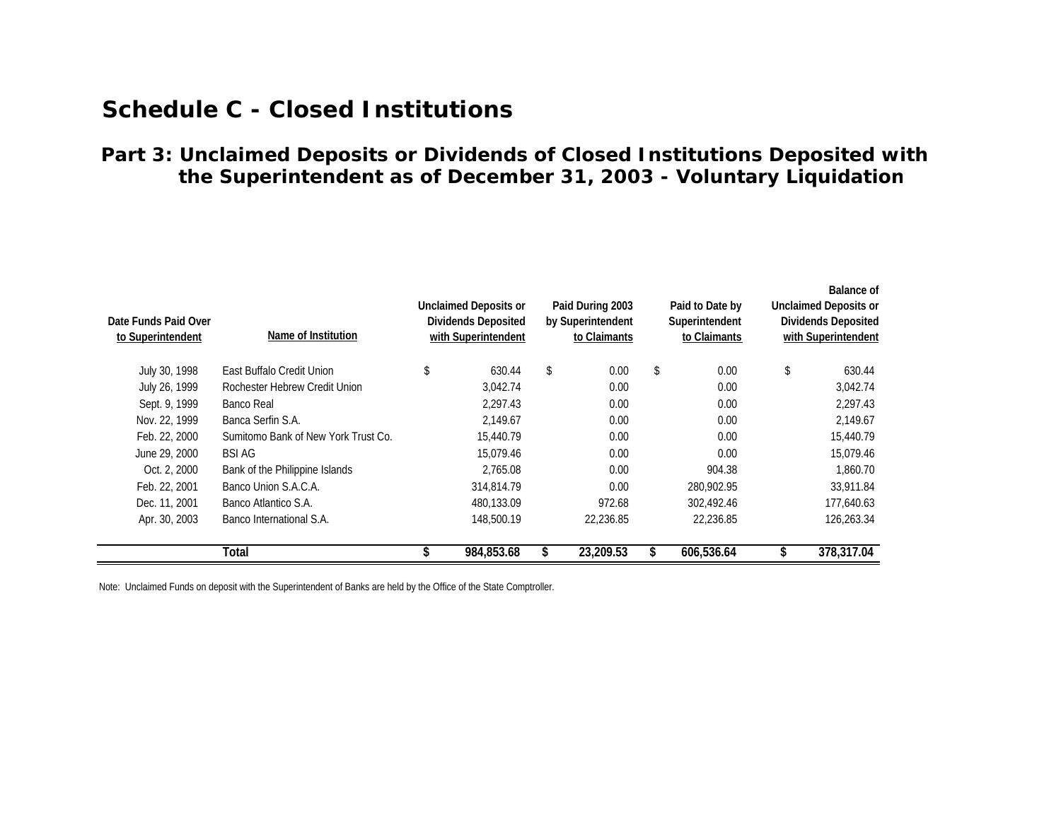### **the Superintendent as of December 31, 2003 - Voluntary Liquidation Part 3: Unclaimed Deposits or Dividends of Closed Institutions Deposited with**

| Date Funds Paid Over<br>to Superintendent | Name of Institution                 | <b>Unclaimed Deposits or</b><br><b>Dividends Deposited</b><br>with Superintendent | Paid During 2003<br>by Superintendent<br>to Claimants | Paid to Date by<br>Superintendent<br>to Claimants | Balance of<br><b>Unclaimed Deposits or</b><br><b>Dividends Deposited</b><br>with Superintendent |
|-------------------------------------------|-------------------------------------|-----------------------------------------------------------------------------------|-------------------------------------------------------|---------------------------------------------------|-------------------------------------------------------------------------------------------------|
| July 30, 1998                             | East Buffalo Credit Union           | \$<br>630.44                                                                      | \$<br>0.00                                            | \$<br>0.00                                        | \$<br>630.44                                                                                    |
| July 26, 1999                             | Rochester Hebrew Credit Union       | 3,042.74                                                                          | 0.00                                                  | 0.00                                              | 3,042.74                                                                                        |
| Sept. 9, 1999                             | Banco Real                          | 2.297.43                                                                          | 0.00                                                  | 0.00                                              | 2,297.43                                                                                        |
| Nov. 22, 1999                             | Banca Serfin S.A.                   | 2.149.67                                                                          | 0.00                                                  | 0.00                                              | 2,149.67                                                                                        |
| Feb. 22, 2000                             | Sumitomo Bank of New York Trust Co. | 15,440.79                                                                         | 0.00                                                  | 0.00                                              | 15,440.79                                                                                       |
| June 29, 2000                             | BSI AG                              | 15,079.46                                                                         | 0.00                                                  | 0.00                                              | 15,079.46                                                                                       |
| Oct. 2, 2000                              | Bank of the Philippine Islands      | 2,765.08                                                                          | 0.00                                                  | 904.38                                            | 1,860.70                                                                                        |
| Feb. 22, 2001                             | Banco Union S.A.C.A.                | 314,814.79                                                                        | 0.00                                                  | 280,902.95                                        | 33,911.84                                                                                       |
| Dec. 11, 2001                             | Banco Atlantico S.A.                | 480,133.09                                                                        | 972.68                                                | 302,492.46                                        | 177,640.63                                                                                      |
| Apr. 30, 2003                             | Banco International S.A.            | 148,500.19                                                                        | 22,236.85                                             | 22,236.85                                         | 126,263.34                                                                                      |
|                                           | Total                               | 984,853.68                                                                        | 23,209.53                                             | 606,536.64                                        | 378,317.04                                                                                      |

Note: Unclaimed Funds on deposit with the Superintendent of Banks are held by the Office of the State Comptroller.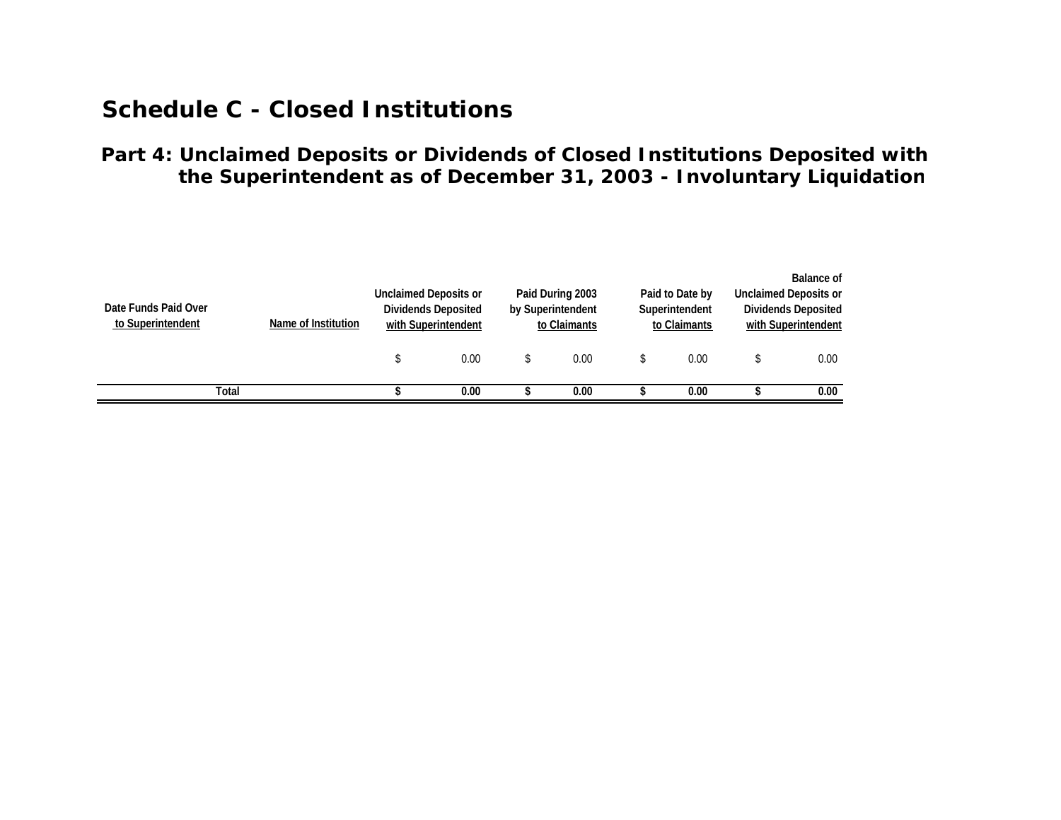### **Part 4: Unclaimed Deposits or Dividends of Closed Institutions Deposited with the Superintendent as of December 31, 2003 - Involuntary Liquidation**

| Date Funds Paid Over<br>to Superintendent | Name of Institution | <b>Unclaimed Deposits or</b> | Dividends Deposited<br>with Superintendent | Paid During 2003<br>by Superintendent<br>to Claimants | Paid to Date by<br>Superintendent<br>to Claimants | Balance of<br>Unclaimed Deposits or<br><b>Dividends Deposited</b><br>with Superintendent |
|-------------------------------------------|---------------------|------------------------------|--------------------------------------------|-------------------------------------------------------|---------------------------------------------------|------------------------------------------------------------------------------------------|
|                                           |                     |                              | 0.00                                       | 0.00                                                  | 0.00                                              | 0.00                                                                                     |
| Total                                     |                     |                              | 0.00                                       | 0.00                                                  | 0.00                                              | 0.00                                                                                     |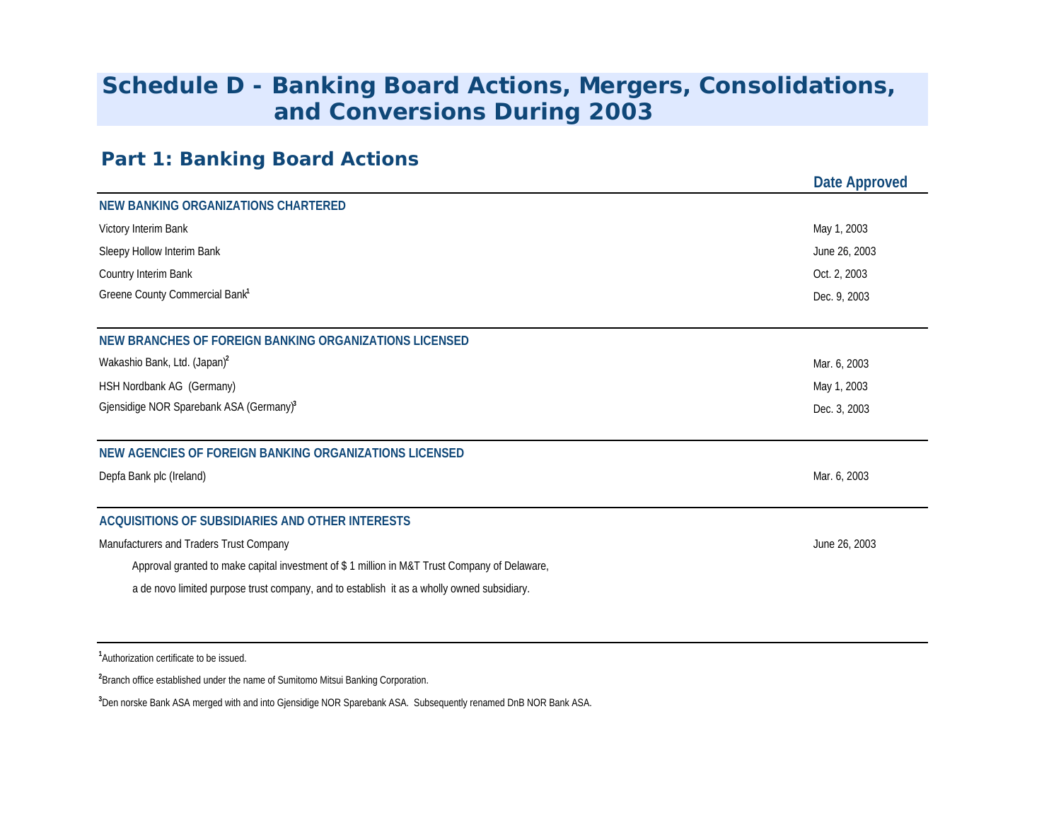# **and Conversions During 2003 Schedule D - Banking Board Actions, Mergers, Consolidations,**

### **Part 1: Banking Board Action s**

|                                                                                              | Date Approved |
|----------------------------------------------------------------------------------------------|---------------|
| <b>NEW BANKING ORGANIZATIONS CHARTERED</b>                                                   |               |
| Victory Interim Bank                                                                         | May 1, 2003   |
| Sleepy Hollow Interim Bank                                                                   | June 26, 2003 |
| Country Interim Bank                                                                         | Oct. 2, 2003  |
| Greene County Commercial Bank <sup>1</sup>                                                   | Dec. 9, 2003  |
|                                                                                              |               |
| NEW BRANCHES OF FOREIGN BANKING ORGANIZATIONS LICENSED                                       |               |
| Wakashio Bank, Ltd. (Japan) <sup>2</sup>                                                     | Mar. 6, 2003  |
| HSH Nordbank AG (Germany)                                                                    | May 1, 2003   |
| Gjensidige NOR Sparebank ASA (Germany) <sup>3</sup>                                          | Dec. 3, 2003  |
| NEW AGENCIES OF FOREIGN BANKING ORGANIZATIONS LICENSED                                       |               |
| Depfa Bank plc (Ireland)                                                                     | Mar. 6, 2003  |
| ACQUISITIONS OF SUBSIDIARIES AND OTHER INTERESTS                                             |               |
| Manufacturers and Traders Trust Company                                                      | June 26, 2003 |
| Approval granted to make capital investment of \$1 million in M&T Trust Company of Delaware, |               |
| a de novo limited purpose trust company, and to establish it as a wholly owned subsidiary.   |               |
|                                                                                              |               |

**<sup>1</sup>**Authorization certificate to be issued.

**<sup>2</sup>**Branch office established under the name of Sumitomo Mitsui Banking Corporation.

**<sup>3</sup>**Den norske Bank ASA merged with and into Gjensidige NOR Sparebank ASA. Subsequently renamed DnB NOR Bank ASA.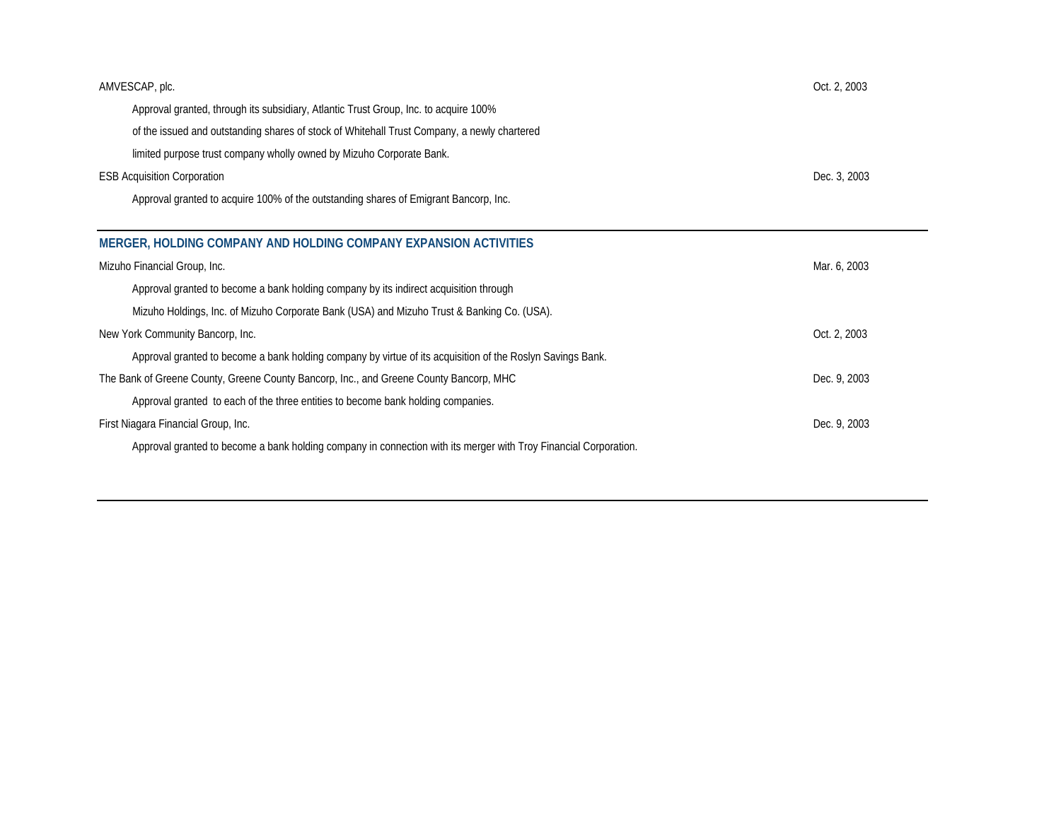| AMVESCAP, plc.                                                                              | Oct. 2, 2003 |
|---------------------------------------------------------------------------------------------|--------------|
| Approval granted, through its subsidiary, Atlantic Trust Group, Inc. to acquire 100%        |              |
| of the issued and outstanding shares of stock of Whitehall Trust Company, a newly chartered |              |
| limited purpose trust company wholly owned by Mizuho Corporate Bank.                        |              |
| <b>ESB Acquisition Corporation</b>                                                          | Dec. 3, 2003 |
| Approval granted to acquire 100% of the outstanding shares of Emigrant Bancorp, Inc.        |              |

| MERGER, HOLDING COMPANY AND HOLDING COMPANY EXPANSION ACTIVITIES                                                 |              |
|------------------------------------------------------------------------------------------------------------------|--------------|
| Mizuho Financial Group, Inc.                                                                                     | Mar. 6, 2003 |
| Approval granted to become a bank holding company by its indirect acquisition through                            |              |
| Mizuho Holdings, Inc. of Mizuho Corporate Bank (USA) and Mizuho Trust & Banking Co. (USA).                       |              |
| New York Community Bancorp, Inc.                                                                                 | Oct. 2, 2003 |
| Approval granted to become a bank holding company by virtue of its acquisition of the Roslyn Savings Bank.       |              |
| The Bank of Greene County, Greene County Bancorp, Inc., and Greene County Bancorp, MHC                           | Dec. 9, 2003 |
| Approval granted to each of the three entities to become bank holding companies.                                 |              |
| First Niagara Financial Group, Inc.                                                                              | Dec. 9, 2003 |
| Approval granted to become a bank holding company in connection with its merger with Troy Financial Corporation. |              |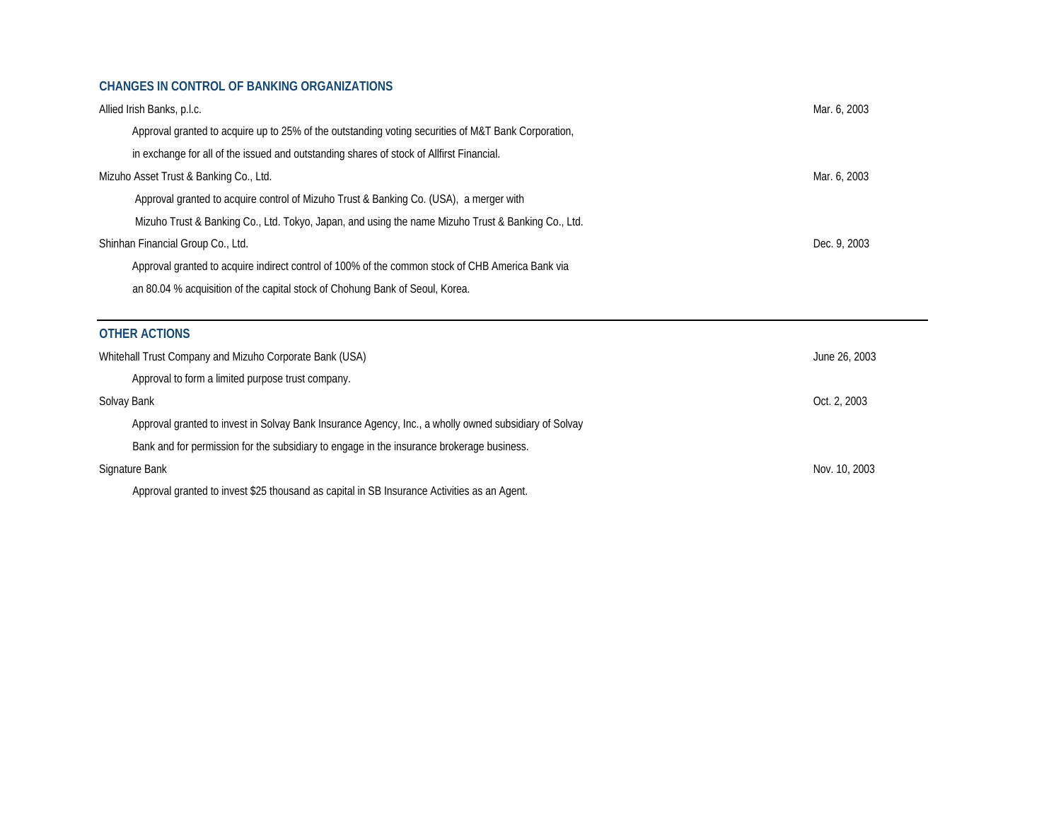#### **CHANGES IN CONTROL OF BANKING ORGANIZATIONS**

| Allied Irish Banks, p.l.c.                                                                          | Mar. 6, 2003 |
|-----------------------------------------------------------------------------------------------------|--------------|
| Approval granted to acquire up to 25% of the outstanding voting securities of M&T Bank Corporation, |              |
| in exchange for all of the issued and outstanding shares of stock of Allfirst Financial.            |              |
| Mizuho Asset Trust & Banking Co., Ltd.                                                              | Mar. 6, 2003 |
| Approval granted to acquire control of Mizuho Trust & Banking Co. (USA), a merger with              |              |
| Mizuho Trust & Banking Co., Ltd. Tokyo, Japan, and using the name Mizuho Trust & Banking Co., Ltd.  |              |
| Shinhan Financial Group Co., Ltd.                                                                   | Dec. 9, 2003 |
| Approval granted to acquire indirect control of 100% of the common stock of CHB America Bank via    |              |
| an 80.04 % acquisition of the capital stock of Chohung Bank of Seoul, Korea.                        |              |

#### **OTHER ACTIONS**

| Whitehall Trust Company and Mizuho Corporate Bank (USA)                                               | June 26, 2003 |
|-------------------------------------------------------------------------------------------------------|---------------|
| Approval to form a limited purpose trust company.                                                     |               |
| Solvay Bank                                                                                           | Oct. 2, 2003  |
| Approval granted to invest in Solvay Bank Insurance Agency, Inc., a wholly owned subsidiary of Solvay |               |
| Bank and for permission for the subsidiary to engage in the insurance brokerage business.             |               |
| Signature Bank                                                                                        | Nov. 10, 2003 |
| Approval granted to invest \$25 thousand as capital in SB Insurance Activities as an Agent.           |               |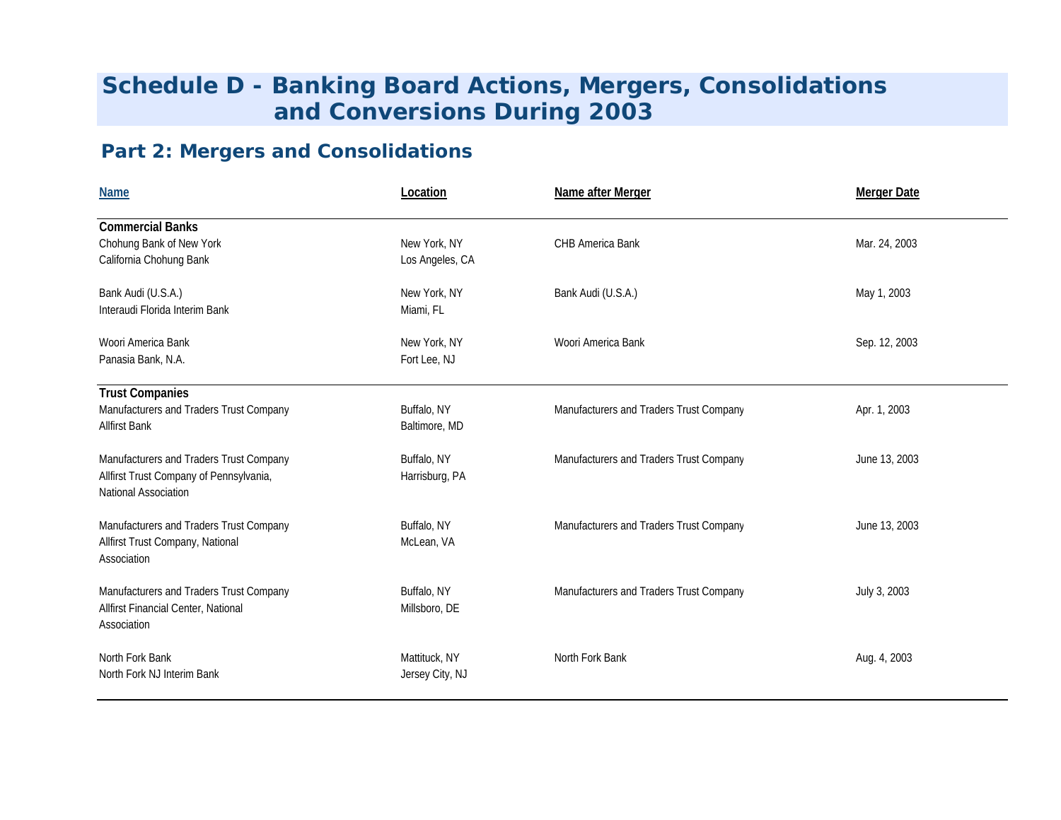# **Schedule D - Banking Board Actions, Mergers, Consolidations and Conversions During 2003**

## **Part 2: Mergers and Consolidations**

| <b>Name</b>                                                                                                | Location                         | Name after Merger                       | <b>Merger Date</b> |
|------------------------------------------------------------------------------------------------------------|----------------------------------|-----------------------------------------|--------------------|
| <b>Commercial Banks</b><br>Chohung Bank of New York<br>California Chohung Bank                             | New York, NY<br>Los Angeles, CA  | CHB America Bank                        | Mar. 24, 2003      |
| Bank Audi (U.S.A.)<br>Interaudi Florida Interim Bank                                                       | New York, NY<br>Miami, FL        | Bank Audi (U.S.A.)                      | May 1, 2003        |
| Woori America Bank<br>Panasia Bank, N.A.                                                                   | New York, NY<br>Fort Lee, NJ     | Woori America Bank                      | Sep. 12, 2003      |
| <b>Trust Companies</b><br>Manufacturers and Traders Trust Company<br><b>Allfirst Bank</b>                  | Buffalo, NY<br>Baltimore, MD     | Manufacturers and Traders Trust Company | Apr. 1, 2003       |
| Manufacturers and Traders Trust Company<br>Allfirst Trust Company of Pennsylvania,<br>National Association | Buffalo, NY<br>Harrisburg, PA    | Manufacturers and Traders Trust Company | June 13, 2003      |
| Manufacturers and Traders Trust Company<br>Allfirst Trust Company, National<br>Association                 | Buffalo, NY<br>McLean, VA        | Manufacturers and Traders Trust Company | June 13, 2003      |
| Manufacturers and Traders Trust Company<br>Allfirst Financial Center, National<br>Association              | Buffalo, NY<br>Millsboro, DE     | Manufacturers and Traders Trust Company | July 3, 2003       |
| North Fork Bank<br>North Fork NJ Interim Bank                                                              | Mattituck, NY<br>Jersey City, NJ | North Fork Bank                         | Aug. 4, 2003       |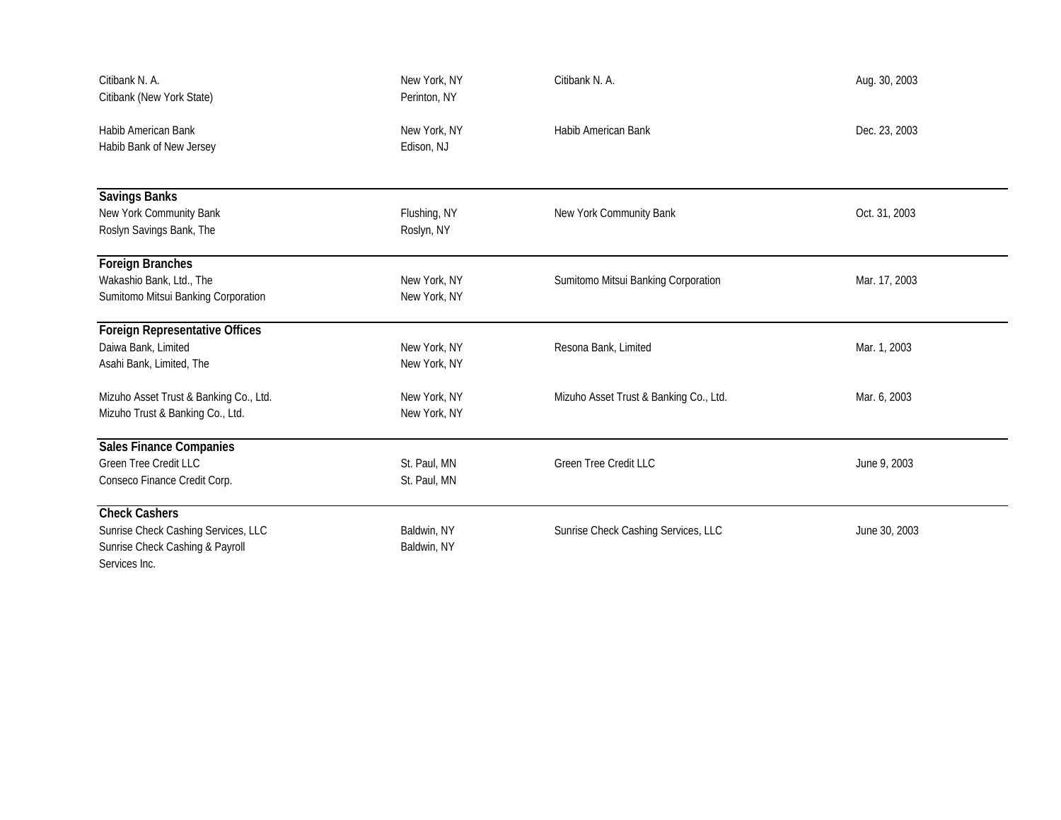| Citibank N. A.<br>Citibank (New York State)                                             | New York, NY<br>Perinton, NY | Citibank N. A.                         | Aug. 30, 2003 |
|-----------------------------------------------------------------------------------------|------------------------------|----------------------------------------|---------------|
| <b>Habib American Bank</b><br>Habib Bank of New Jersey                                  | New York, NY<br>Edison, NJ   | Habib American Bank                    | Dec. 23, 2003 |
| Savings Banks                                                                           |                              |                                        |               |
| New York Community Bank<br>Roslyn Savings Bank, The                                     | Flushing, NY<br>Roslyn, NY   | New York Community Bank                | Oct. 31, 2003 |
| Foreign Branches                                                                        |                              |                                        |               |
| Wakashio Bank, Ltd., The<br>Sumitomo Mitsui Banking Corporation                         | New York, NY<br>New York, NY | Sumitomo Mitsui Banking Corporation    | Mar. 17, 2003 |
| <b>Foreign Representative Offices</b>                                                   |                              |                                        |               |
| Daiwa Bank, Limited<br>Asahi Bank, Limited, The                                         | New York, NY<br>New York, NY | Resona Bank, Limited                   | Mar. 1, 2003  |
| Mizuho Asset Trust & Banking Co., Ltd.<br>Mizuho Trust & Banking Co., Ltd.              | New York, NY<br>New York, NY | Mizuho Asset Trust & Banking Co., Ltd. | Mar. 6, 2003  |
| <b>Sales Finance Companies</b>                                                          |                              |                                        |               |
| <b>Green Tree Credit LLC</b><br>Conseco Finance Credit Corp.                            | St. Paul, MN<br>St. Paul, MN | <b>Green Tree Credit LLC</b>           | June 9, 2003  |
| <b>Check Cashers</b>                                                                    |                              |                                        |               |
| Sunrise Check Cashing Services, LLC<br>Sunrise Check Cashing & Payroll<br>Services Inc. | Baldwin, NY<br>Baldwin, NY   | Sunrise Check Cashing Services, LLC    | June 30, 2003 |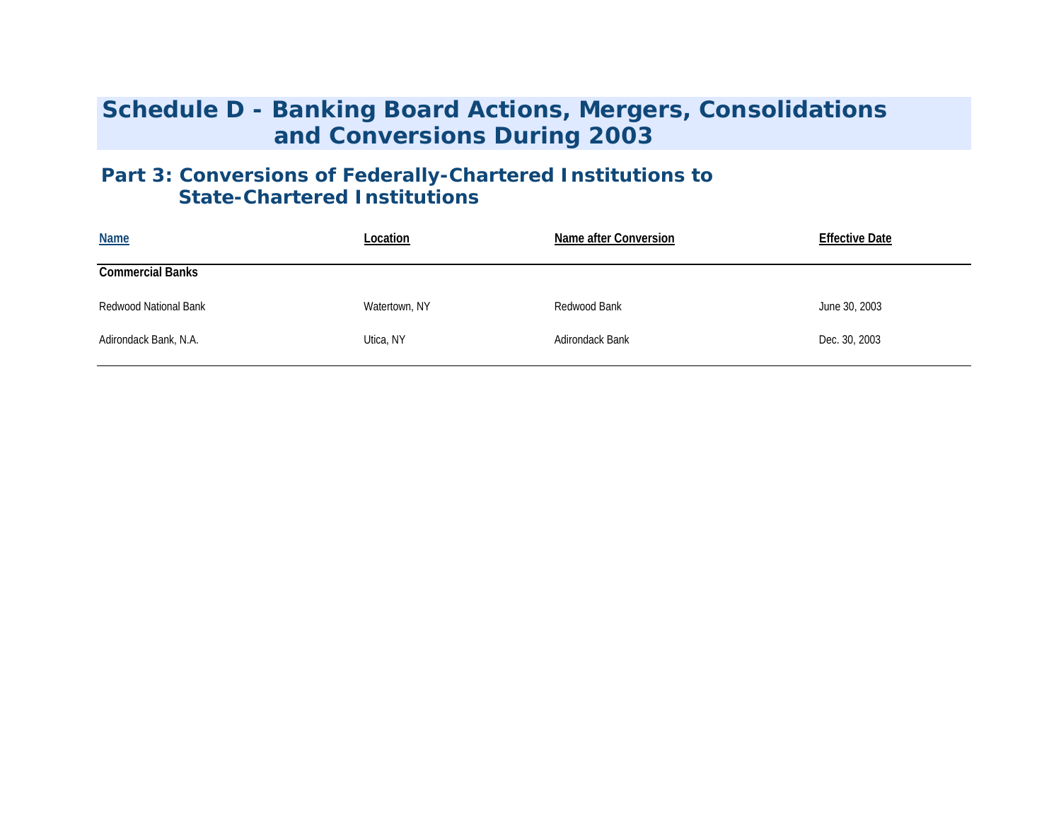## **Schedule D - Banking Board Actions, Mergers, Consolidations and Conversions During 2003**

### **Part 3: Conversions of Federally-Chartered Institutions to State-Chartered Institutions**

| <b>Name</b>             | Location      | Name after Conversion | <b>Effective Date</b> |
|-------------------------|---------------|-----------------------|-----------------------|
| <b>Commercial Banks</b> |               |                       |                       |
| Redwood National Bank   | Watertown, NY | Redwood Bank          | June 30, 2003         |
| Adirondack Bank, N.A.   | Utica, NY     | Adirondack Bank       | Dec. 30, 2003         |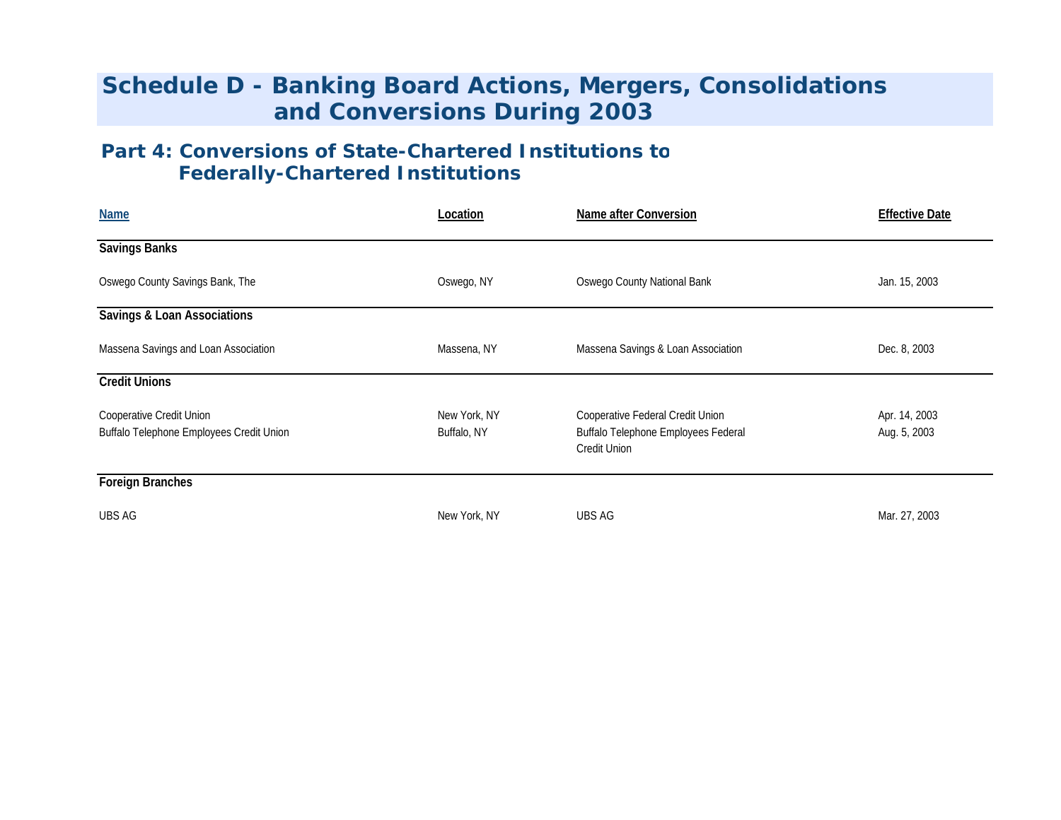# **Schedule D - Banking Board Actions, Mergers, Consolidations and Conversions During 2003**

### **Part 4: Conversions of State-Chartered Institutions to Federally-Chartered Institutions**

| <b>Name</b>                                                          | Location                    | Name after Conversion                                                                   | <b>Effective Date</b>         |
|----------------------------------------------------------------------|-----------------------------|-----------------------------------------------------------------------------------------|-------------------------------|
| <b>Savings Banks</b>                                                 |                             |                                                                                         |                               |
| Oswego County Savings Bank, The                                      | Oswego, NY                  | Oswego County National Bank                                                             | Jan. 15, 2003                 |
| <b>Savings &amp; Loan Associations</b>                               |                             |                                                                                         |                               |
| Massena Savings and Loan Association                                 | Massena, NY                 | Massena Savings & Loan Association                                                      | Dec. 8, 2003                  |
| <b>Credit Unions</b>                                                 |                             |                                                                                         |                               |
| Cooperative Credit Union<br>Buffalo Telephone Employees Credit Union | New York, NY<br>Buffalo, NY | Cooperative Federal Credit Union<br>Buffalo Telephone Employees Federal<br>Credit Union | Apr. 14, 2003<br>Aug. 5, 2003 |
| <b>Foreign Branches</b>                                              |                             |                                                                                         |                               |
| <b>UBS AG</b>                                                        | New York, NY                | UBS AG                                                                                  | Mar. 27, 2003                 |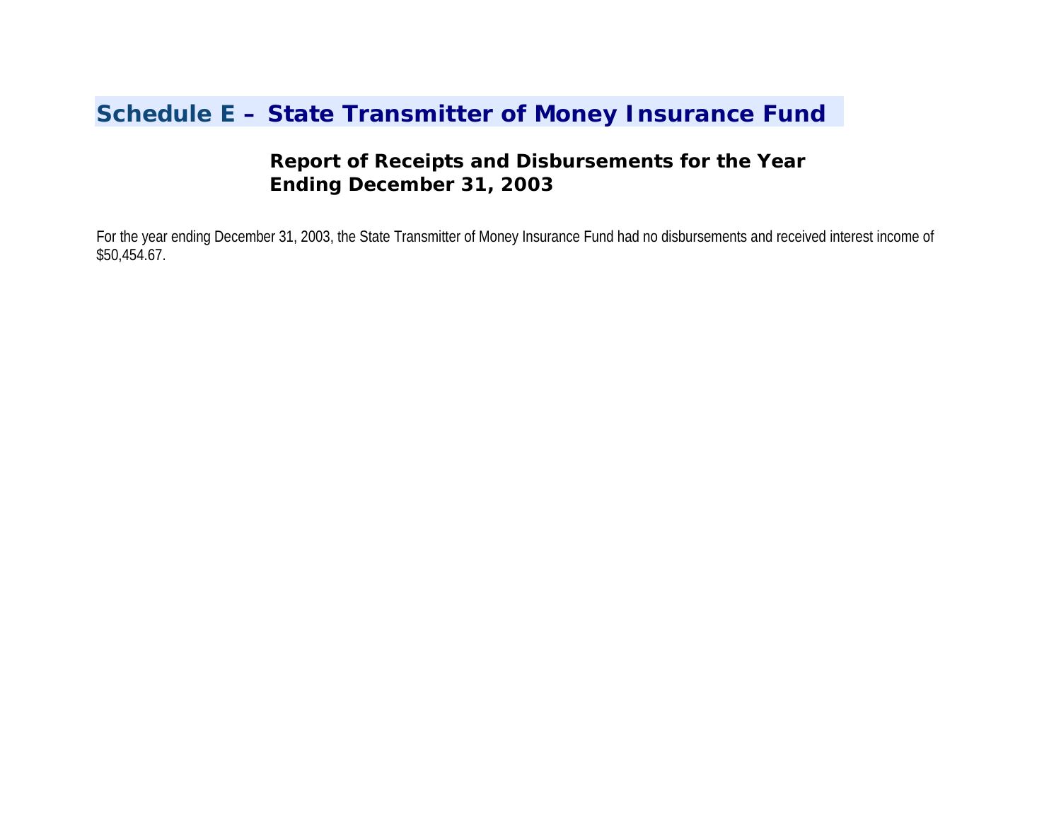# **Schedule E – State Transmitter of Money Insurance Fund**

### **Report of Receipts and Disbursements for the Year Ending December 31, 2003**

For the year ending December 31, 2003, the State Transmitter of Money Insurance Fund had no disbursements and received interest income of \$50,454.67.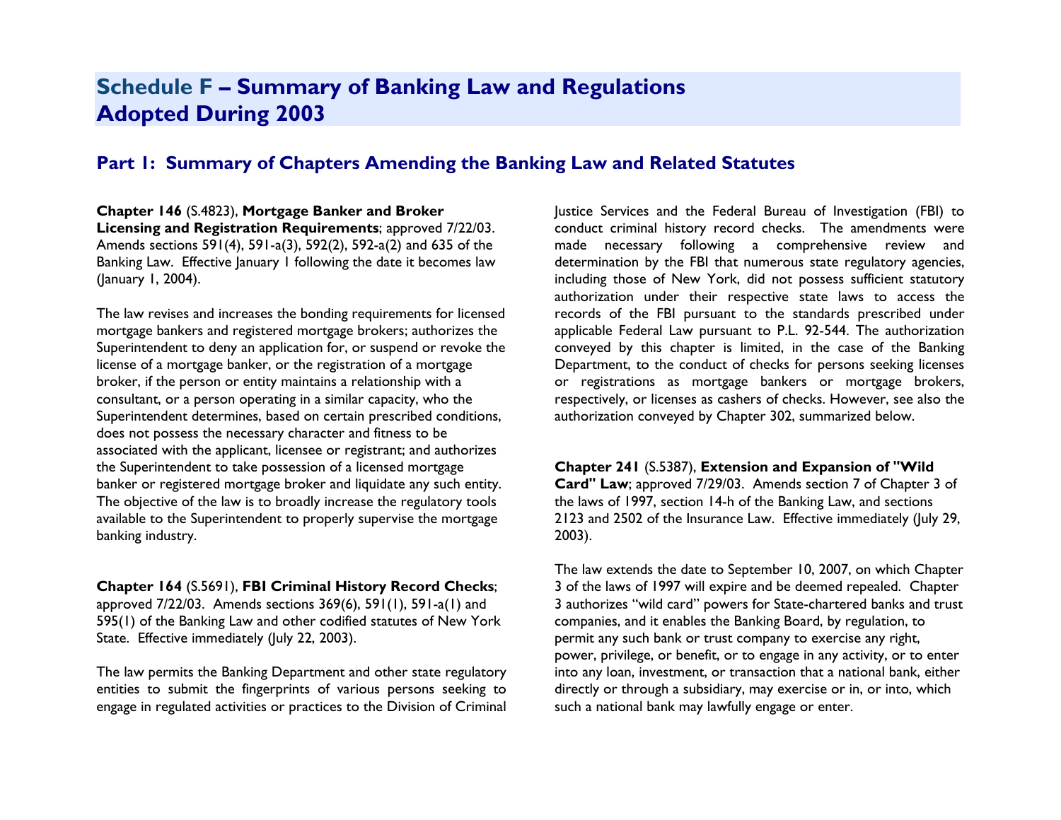## **Schedule F – Summary of Banking Law and Regulations Adopted During 2003**

### **Part 1: Summary of Chapters Amending the Banking Law and Related Statutes**

**Chapter 146** (S.4823), **Mortgage Banker and Broker Licensing and Registration Requirements**; approved 7/22/03. Amends sections 591(4), 591-a(3), 592(2), 592-a(2) and 635 of the Banking Law. Effective January 1 following the date it becomes law (January 1, 2004).

The law revises and increases the bonding requirements for licensed mortgage bankers and registered mortgage brokers; authorizes the Superintendent to deny an application for, or suspend or revoke the license of a mortgage banker, or the registration of a mortgage broker, if the person or entity maintains a relationship with a consultant, or a person operating in a similar capacity, who the Superintendent determines, based on certain prescribed conditions, does not possess the necessary character and fitness to be associated with the applicant, licensee or registrant; and authorizes the Superintendent to take possession of a licensed mortgage banker or registered mortgage broker and liquidate any such entity. The objective of the law is to broadly increase the regulatory tools available to the Superintendent to properly supervise the mortgage banking industry.

**Chapter 164** (S.5691), **FBI Criminal History Record Checks**; approved  $7/22/03$ . Amends sections  $369(6)$ ,  $591(1)$ ,  $591-a(1)$  and 595(1) of the Banking Law and other codified statutes of New York State. Effective immediately (July 22, 2003).

The law permits the Banking Department and other state regulatory entities to submit the fingerprints of various persons seeking to engage in regulated activities or practices to the Division of Criminal Justice Services and the Federal Bureau of Investigation (FBI) to conduct criminal history record checks. The amendments were made necessary following a comprehensive review and determination by the FBI that numerous state regulatory agencies, including those of New York, did not possess sufficient statutory authorization under their respective state laws to access the records of the FBI pursuant to the standards prescribed under applicable Federal Law pursuant to P.L. 92-544. The authorization conveyed by this chapter is limited, in the case of the Banking Department, to the conduct of checks for persons seeking licenses or registrations as mortgage bankers or mortgage brokers, respectively, or licenses as cashers of checks. However, see also the authorization conveyed by Chapter 302, summarized below.

#### **Chapter 241** (S.5387), **Extension and Expansion of "Wild**

**Card" Law**; approved 7/29/03. Amends section 7 of Chapter 3 of the laws of 1997, section 14-h of the Banking Law, and sections 2123 and 2502 of the Insurance Law. Effective immediately (July 29, 2003).

The law extends the date to September 10, 2007, on which Chapter 3 of the laws of 1997 will expire and be deemed repealed. Chapter 3 authorizes "wild card" powers for State-chartered banks and trust companies, and it enables the Banking Board, by regulation, to permit any such bank or trust company to exercise any right, power, privilege, or benefit, or to engage in any activity, or to enter into any loan, investment, or transaction that a national bank, either directly or through a subsidiary, may exercise or in, or into, which such a national bank may lawfully engage or enter.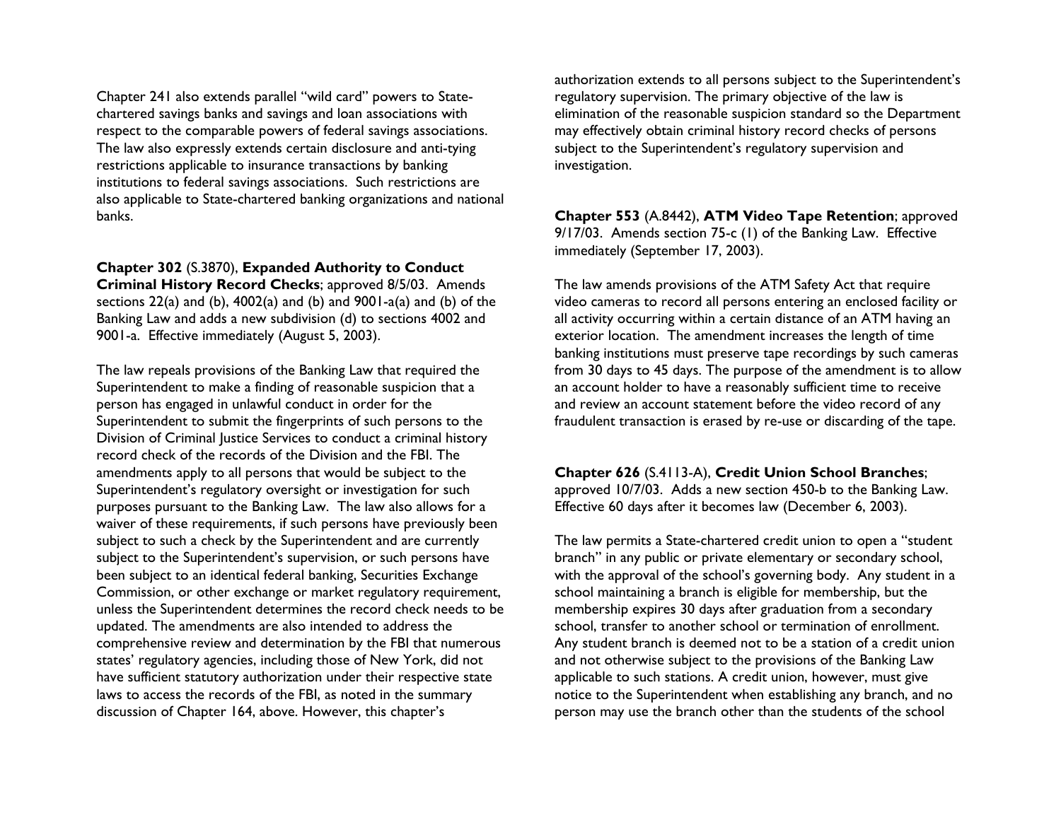Chapter 241 also extends parallel "wild card" powers to Statechartered savings banks and savings and loan associations with respect to the comparable powers of federal savings associations. The law also expressly extends certain disclosure and anti-tying restrictions applicable to insurance transactions by banking institutions to federal savings associations. Such restrictions are also applicable to State-chartered banking organizations and national banks.

**Chapter 302** (S.3870), **Expanded Authority to Conduct Criminal History Record Checks**; approved 8/5/03. Amends sections  $22(a)$  and (b),  $4002(a)$  and (b) and  $9001-a(a)$  and (b) of the Banking Law and adds a new subdivision (d) to sections 4002 and 9001-a. Effective immediately (August 5, 2003).

The law repeals provisions of the Banking Law that required the Superintendent to make a finding of reasonable suspicion that a person has engaged in unlawful conduct in order for the Superintendent to submit the fingerprints of such persons to the Division of Criminal Justice Services to conduct a criminal history record check of the records of the Division and the FBI. The amendments apply to all persons that would be subject to the Superintendent's regulatory oversight or investigation for such purposes pursuant to the Banking Law. The law also allows for a waiver of these requirements, if such persons have previously been subject to such a check by the Superintendent and are currently subject to the Superintendent's supervision, or such persons have been subject to an identical federal banking, Securities Exchange Commission, or other exchange or market regulatory requirement, unless the Superintendent determines the record check needs to be updated. The amendments are also intended to address the comprehensive review and determination by the FBI that numerous states' regulatory agencies, including those of New York, did not have sufficient statutory authorization under their respective state laws to access the records of the FBI, as noted in the summary discussion of Chapter 164, above. However, this chapter's

authorization extends to all persons subject to the Superintendent's regulatory supervision. The primary objective of the law is elimination of the reasonable suspicion standard so the Department may effectively obtain criminal history record checks of persons subject to the Superintendent's regulatory supervision and investigation.

**Chapter 553** (A.8442), **ATM Video Tape Retention**; approved 9/17/03. Amends section 75-c (1) of the Banking Law. Effective immediately (September 17, 2003).

The law amends provisions of the ATM Safety Act that require video cameras to record all persons entering an enclosed facility or all activity occurring within a certain distance of an ATM having an exterior location. The amendment increases the length of time banking institutions must preserve tape recordings by such cameras from 30 days to 45 days. The purpose of the amendment is to allow an account holder to have a reasonably sufficient time to receive and review an account statement before the video record of any fraudulent transaction is erased by re-use or discarding of the tape.

**Chapter 626** (S.4113-A), **Credit Union School Branches**;

approved 10/7/03. Adds a new section 450-b to the Banking Law. Effective 60 days after it becomes law (December 6, 2003).

The law permits a State-chartered credit union to open a "student branch" in any public or private elementary or secondary school, with the approval of the school's governing body. Any student in a school maintaining a branch is eligible for membership, but the membership expires 30 days after graduation from a secondary school, transfer to another school or termination of enrollment. Any student branch is deemed not to be a station of a credit union and not otherwise subject to the provisions of the Banking Law applicable to such stations. A credit union, however, must give notice to the Superintendent when establishing any branch, and no person may use the branch other than the students of the school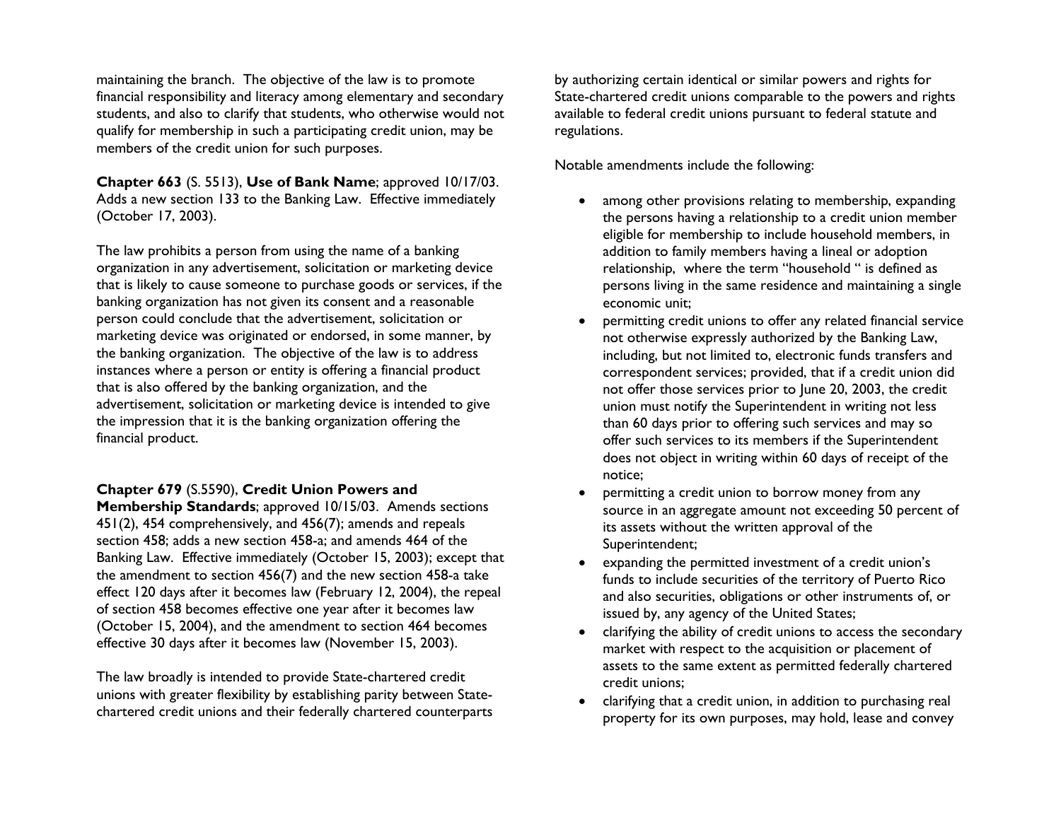maintaining the branch. The objective of the law is to promote financial responsibility and literacy among elementary and secondary students, and also to clarify that students, who otherwise would not qualify for membership in such a participating credit union, may be members of the credit union for such purposes.

**Chapter 663** (S. 5513), **Use of Bank Name**; approved 10/17/03. Adds a new section 133 to the Banking Law. Effective immediately (October 17, 2003).

The law prohibits a person from using the name of a banking organization in any advertisement, solicitation or marketing device that is likely to cause someone to purchase goods or services, if the banking organization has not given its consent and a reasonable person could conclude that the advertisement, solicitation or marketing device was originated or endorsed, in some manner, by the banking organization. The objective of the law is to address instances where a person or entity is offering a financial product that is also offered by the banking organization, and the advertisement, solicitation or marketing device is intended to give the impression that it is the banking organization offering the financial product.

#### **Chapter 679** (S.5590), **Credit Union Powers and**

**Membership Standards**; approved 10/15/03. Amends sections 451(2), 454 comprehensively, and 456(7); amends and repeals section 458; adds a new section 458-a; and amends 464 of the Banking Law. Effective immediately (October 15, 2003); except that the amendment to section 456(7) and the new section 458-a take effect 120 days after it becomes law (February 12, 2004), the repeal of section 458 becomes effective one year after it becomes law (October 15, 2004), and the amendment to section 464 becomes effective 30 days after it becomes law (November 15, 2003).

The law broadly is intended to provide State-chartered credit unions with greater flexibility by establishing parity between Statechartered credit unions and their federally chartered counterparts

by authorizing certain identical or similar powers and rights for State-chartered credit unions comparable to the powers and rights available to federal credit unions pursuant to federal statute and regulations.

Notable amendments include the following:

- • among other provisions relating to membership, expanding the persons having a relationship to a credit union member eligible for membership to include household members, in addition to family members having a lineal or adoption relationship, where the term "household " is defined as persons living in the same residence and maintaining a single economic unit;
- • permitting credit unions to offer any related financial service not otherwise expressly authorized by the Banking Law, including, but not limited to, electronic funds transfers and correspondent services; provided, that if a credit union did not offer those services prior to June 20, 2003, the credit union must notify the Superintendent in writing not less than 60 days prior to offering such services and may so offer such services to its members if the Superintendent does not object in writing within 60 days of receipt of the notice;
- • permitting a credit union to borrow money from any source in an aggregate amount not exceeding 50 percent of its assets without the written approval of the Superintendent;
- • expanding the permitted investment of a credit union's funds to include securities of the territory of Puerto Rico and also securities, obligations or other instruments of, or issued by, any agency of the United States;
- • clarifying the ability of credit unions to access the secondary market with respect to the acquisition or placement of assets to the same extent as permitted federally chartered credit unions;
- • clarifying that a credit union, in addition to purchasing real property for its own purposes, may hold, lease and convey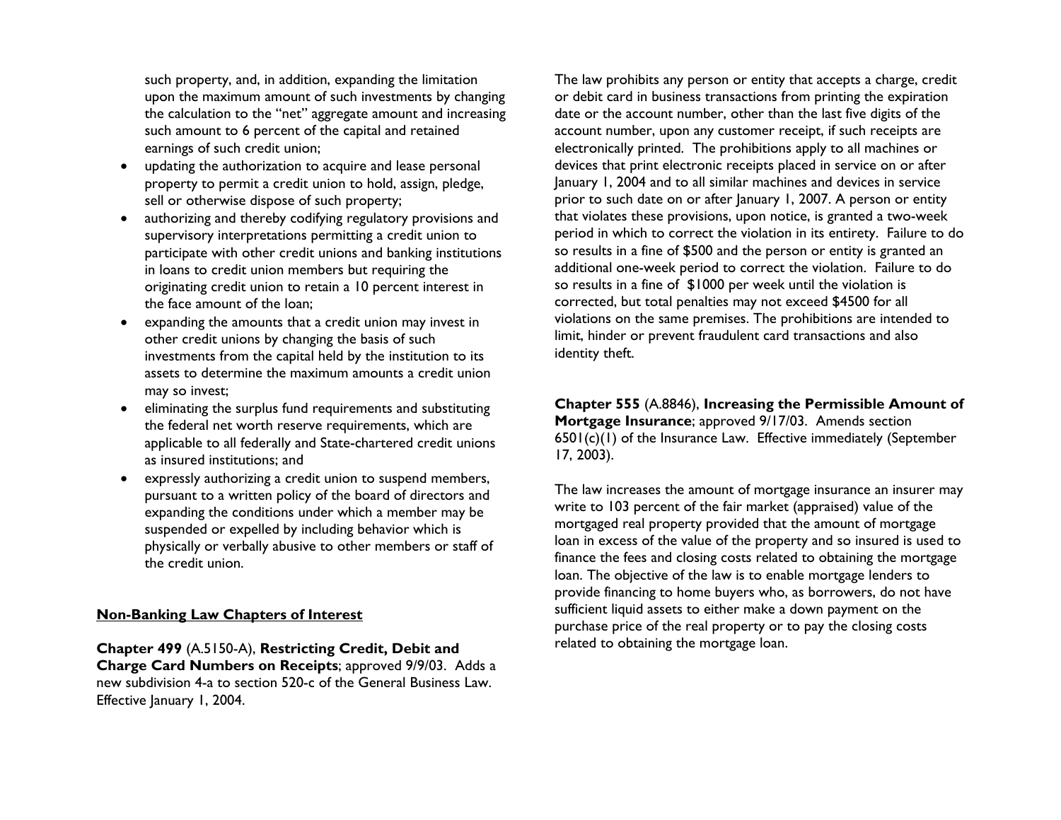such property, and, in addition, expanding the limitation upon the maximum amount of such investments by changing the calculation to the "net" aggregate amount and increasing such amount to 6 percent of the capital and retained earnings of such credit union;

- $\bullet$  updating the authorization to acquire and lease personal property to permit a credit union to hold, assign, pledge, sell or otherwise dispose of such property;
- • authorizing and thereby codifying regulatory provisions and supervisory interpretations permitting a credit union to participate with other credit unions and banking institutions in loans to credit union members but requiring the originating credit union to retain a 10 percent interest in the face amount of the loan;
- expanding the amounts that a credit union may invest in other credit unions by changing the basis of such investments from the capital held by the institution to its assets to determine the maximum amounts a credit union may so invest;
- eliminating the surplus fund requirements and substituting the federal net worth reserve requirements, which are applicable to all federally and State-chartered credit unions as insured institutions; and
- • expressly authorizing a credit union to suspend members, pursuant to a written policy of the board of directors and expanding the conditions under which a member may be suspended or expelled by including behavior which is physically or verbally abusive to other members or staff of the credit union.

#### **Non-Banking Law Chapters of Interest**

**Chapter 499** (A.5150-A), **Restricting Credit, Debit and Charge Card Numbers on Receipts**; approved 9/9/03. Adds a new subdivision 4-a to section 520-c of the General Business Law. Effective January 1, 2004.

The law prohibits any person or entity that accepts a charge, credit or debit card in business transactions from printing the expiration date or the account number, other than the last five digits of the account number, upon any customer receipt, if such receipts are electronically printed. The prohibitions apply to all machines or devices that print electronic receipts placed in service on or after January 1, 2004 and to all similar machines and devices in service prior to such date on or after January 1, 2007. A person or entity that violates these provisions, upon notice, is granted a two-week period in which to correct the violation in its entirety. Failure to do so results in a fine of \$500 and the person or entity is granted an additional one-week period to correct the violation. Failure to do so results in a fine of \$1000 per week until the violation is corrected, but total penalties may not exceed \$4500 for all violations on the same premises. The prohibitions are intended to limit, hinder or prevent fraudulent card transactions and also identity theft.

**Chapter 555** (A.8846), **Increasing the Permissible Amount of Mortgage Insurance**; approved 9/17/03. Amends section 6501(c)(1) of the Insurance Law. Effective immediately (September 17, 2003).

The law increases the amount of mortgage insurance an insurer may write to 103 percent of the fair market (appraised) value of the mortgaged real property provided that the amount of mortgage loan in excess of the value of the property and so insured is used to finance the fees and closing costs related to obtaining the mortgage loan. The objective of the law is to enable mortgage lenders to provide financing to home buyers who, as borrowers, do not have sufficient liquid assets to either make a down payment on the purchase price of the real property or to pay the closing costs related to obtaining the mortgage loan.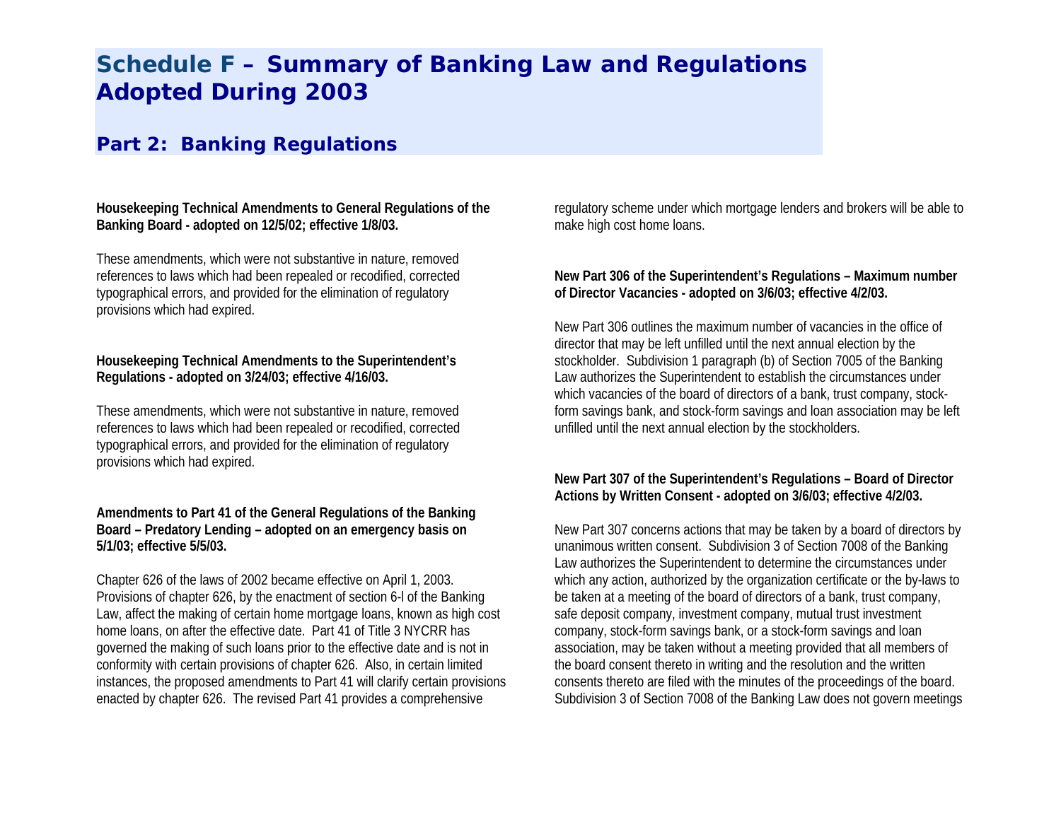# **Schedule F – Summary of Banking Law and Regulations Adopted During 2003**

### **Part 2: Banking Regulations**

**Housekeeping Technical Amendments to General Regulations of the Banking Board - adopted on 12/5/02; effective 1/8/03.** 

These amendments, which were not substantive in nature, removed references to laws which had been repealed or recodified, corrected typographical errors, and provided for the elimination of regulatory provisions which had expired.

#### **Housekeeping Technical Amendments to the Superintendent's Regulations - adopted on 3/24/03; effective 4/16/03.**

These amendments, which were not substantive in nature, removed references to laws which had been repealed or recodified, corrected typographical errors, and provided for the elimination of regulatory provisions which had expired.

#### **Amendments to Part 41 of the General Regulations of the Banking Board – Predatory Lending – adopted on an emergency basis on 5/1/03; effective 5/5/03.**

Chapter 626 of the laws of 2002 became effective on April 1, 2003. Provisions of chapter 626, by the enactment of section 6-l of the Banking Law, affect the making of certain home mortgage loans, known as high cost home loans, on after the effective date. Part 41 of Title 3 NYCRR has governed the making of such loans prior to the effective date and is not in conformity with certain provisions of chapter 626. Also, in certain limited instances, the proposed amendments to Part 41 will clarify certain provisions enacted by chapter 626. The revised Part 41 provides a comprehensive

regulatory scheme under which mortgage lenders and brokers will be able to make high cost home loans.

#### **New Part 306 of the Superintendent's Regulations – Maximum number of Director Vacancies - adopted on 3/6/03; effective 4/2/03.**

New Part 306 outlines the maximum number of vacancies in the office of director that may be left unfilled until the next annual election by the stockholder. Subdivision 1 paragraph (b) of Section 7005 of the Banking Law authorizes the Superintendent to establish the circumstances under which vacancies of the board of directors of a bank, trust company, stockform savings bank, and stock-form savings and loan association may be left unfilled until the next annual election by the stockholders.

#### **New Part 307 of the Superintendent's Regulations – Board of Director Actions by Written Consent - adopted on 3/6/03; effective 4/2/03.**

New Part 307 concerns actions that may be taken by a board of directors by unanimous written consent. Subdivision 3 of Section 7008 of the Banking Law authorizes the Superintendent to determine the circumstances under which any action, authorized by the organization certificate or the by-laws to be taken at a meeting of the board of directors of a bank, trust company, safe deposit company, investment company, mutual trust investment company, stock-form savings bank, or a stock-form savings and loan association, may be taken without a meeting provided that all members of the board consent thereto in writing and the resolution and the written consents thereto are filed with the minutes of the proceedings of the board. Subdivision 3 of Section 7008 of the Banking Law does not govern meetings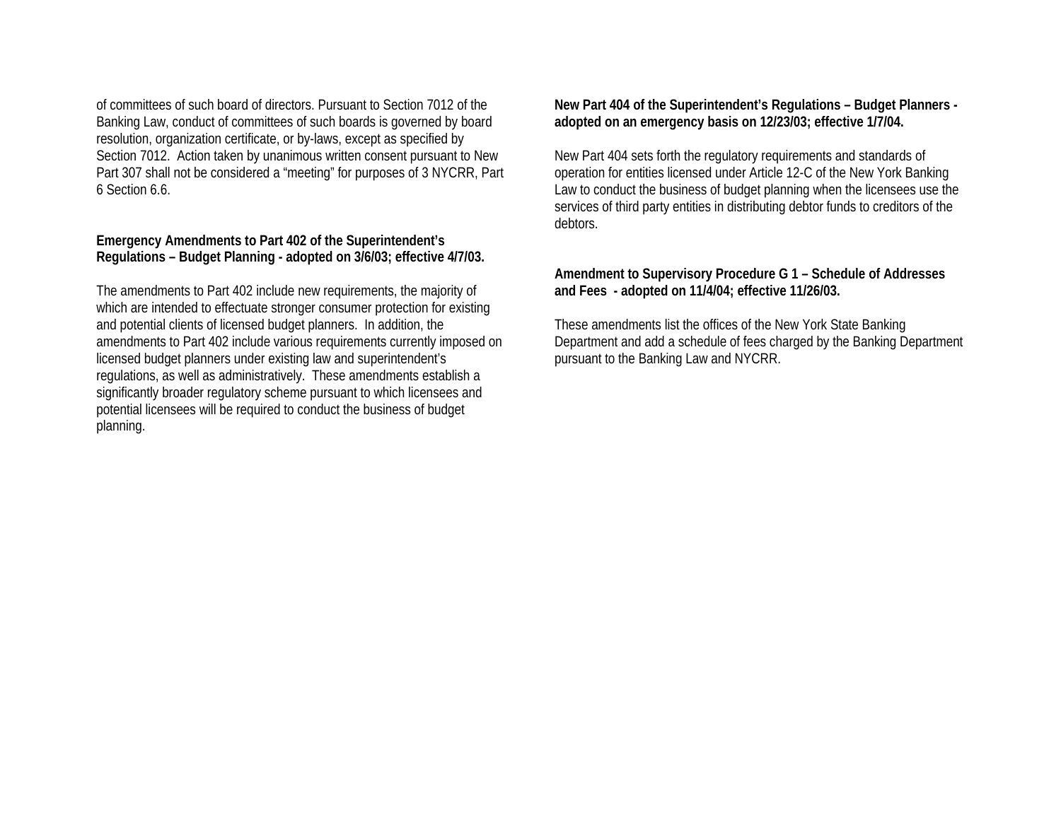of committees of such board of directors. Pursuant to Section 7012 of the Banking Law, conduct of committees of such boards is governed by board resolution, organization certificate, or by-l aws, except as specified by Section 7012. Action taken by unanimous written consent pursuant to New Part 307 shall not be considered a "meeting" for purposes of 3 NYCRR, Part 6 Section 6.6.

#### **Emergency Amendments to Part 402 of the Superintendent's Regulations – Budget Planning - adopted on 3/6/03; effective 4/7/03.**

The amendments to Part 402 include new requirements, the majority of whi ch are intended to effectuate stronger consumer protection for existing and potenti al clients of licensed budget planners. In addition, the amendments to Part 402 include various requirements currently imposed on licensed budget planners under existing law and superintendent's regulations, as well as administratively. These amendments establish a significantly broader regulatory scheme pursuant to which licensees and potenti al licensees will be required to conduct the busi ness of budget planning.

**New Part 404 of the Superintendent's Regulations – Budget Planners adopted on an emergency basis on 12/23/03; effecti ve 1/7/04.** 

New Part 404 sets forth the regulatory requirements and standards of operation for entities licensed under Article 1 2-C of the New York Banking Law to conduct the business of budget planning when the licensees use the servi ces of third party entities in distributing debtor funds to creditors of the debtors.

#### **Amendment to Supervi sory Procedure G 1 – Schedule of Addresses and Fees - adopted on 11/4/04; effective 11/26/03.**

These amendments list the offices of the New York State Banking Department and add a schedule of fees charged by the Banking Department pursuant to the Banking Law and NYCRR.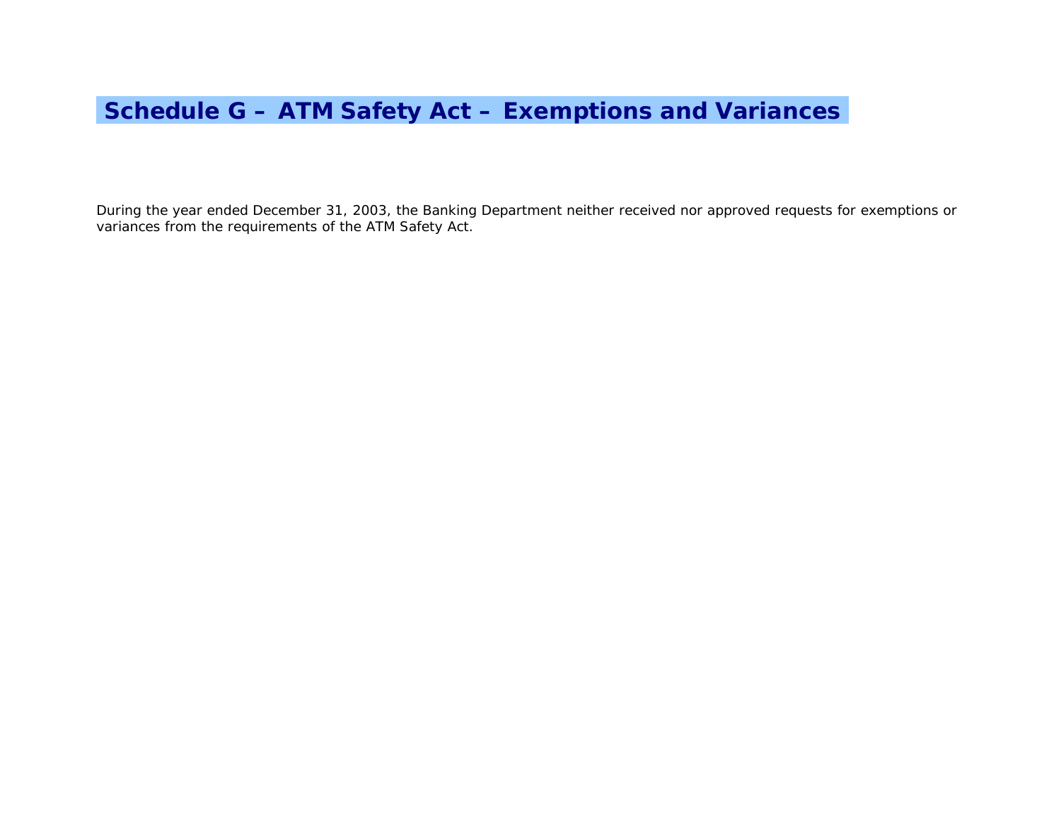# **Schedule G – ATM Safety Act – Exemptions and Variancesi**

During the year ended December 31, 2003, the Banking Department neither received nor approved requests for exemptions or variances from the requirements of the ATM Safety Act.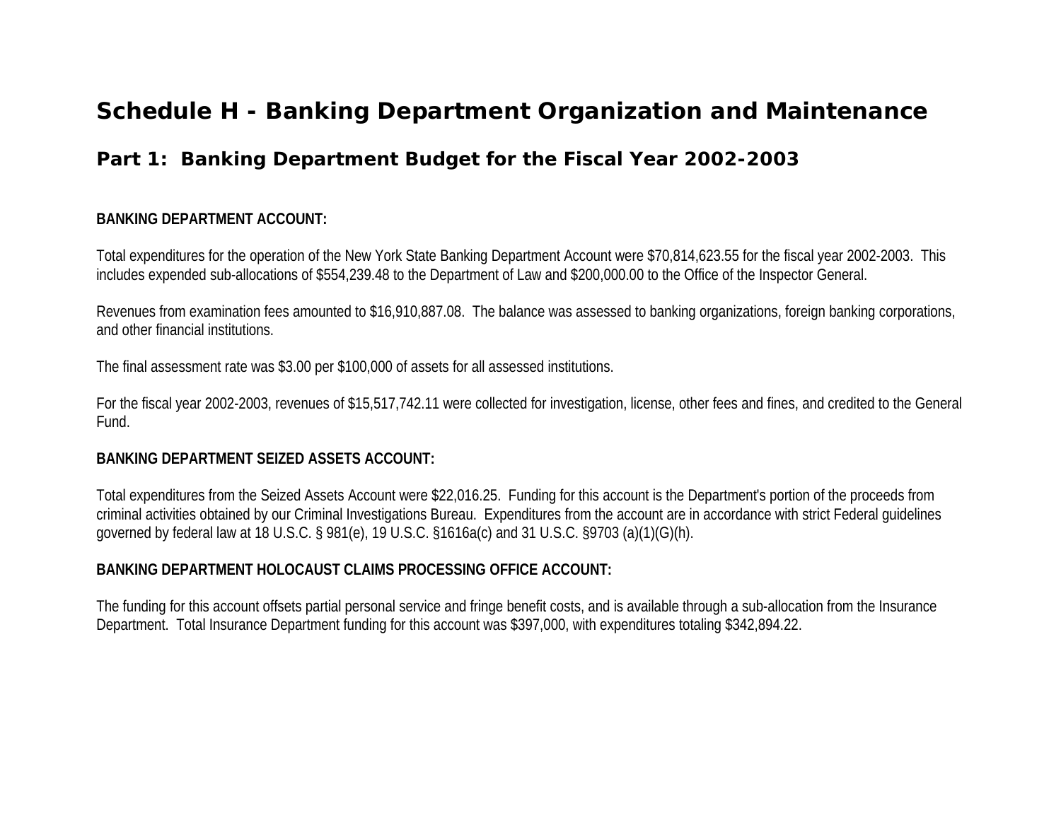## **Schedule H - Banking Department Organization and Maintenance**

## **Part 1: Banking Department Budget for the Fiscal Year 2002-2003**

#### **BANKING DEPARTMENT ACCOUNT:**

Total expenditures for the operation of the New York State Banking Department Account were \$70,814,623.55 for the fiscal year 2002-2003. This includes expended sub-allocations of \$554,239.48 to the Department of Law and \$200,000.00 to the Office of the Inspector General.

Revenues from examination fees amounted to \$16,910,887.08. The balance was assessed to banking organizations, foreign banking corporations, and other financial institutions.

The final assessment rate was \$3.00 per \$100,000 of assets for all assessed institutions.

For the fiscal year 2002-2003, revenues of \$15,517,742.11 were collected for investigation, license, other fees and fines, and credited to the General Fund.

#### **BANKING DEPARTMENT SEIZED ASSETS ACCOUNT:**

Total expenditures from the Seized Assets Account were \$22,016.25. Funding for this account is the Department's portion of the proceeds from criminal activities obtained by our Criminal Investigations Bureau. Expenditures from the account are in accordance with strict Federal guidelines governed by federal law at 18 U.S.C. § 981(e), 19 U.S.C. §1616a(c) and 31 U.S.C. §9703 (a)(1)(G)(h).

#### **BANKING DEPARTMENT HOLOCAUST CLAIMS PROCESSING OFFICE ACCOUNT:**

The funding for this account offsets partial personal service and fringe benefit costs, and is available through a sub-allocation from the Insurance Department. Total Insurance Department funding for this account was \$397,000, with expenditures totaling \$342,894.22.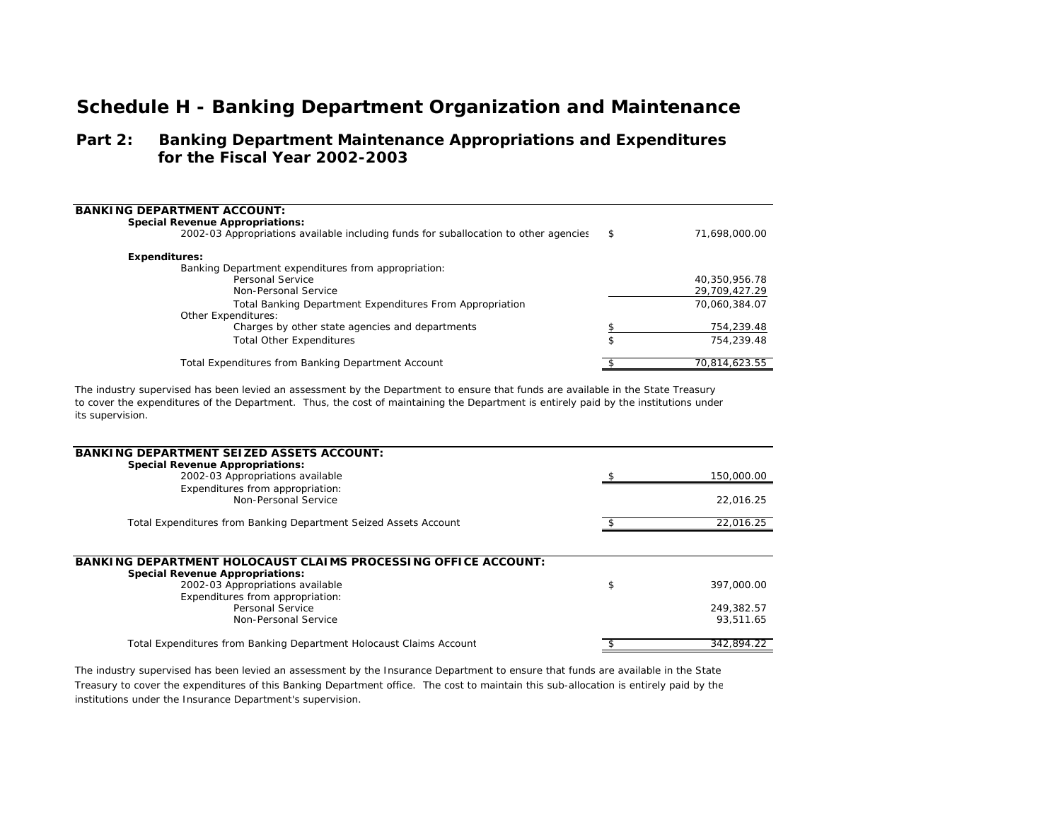### **Schedule H - Banking Department Organization and Maintenance**

#### **Part 2: Banking Department Maintenance Appropriations and Expenditures for the Fiscal Year 2002-2003**

| <b>BANKING DEPARTMENT ACCOUNT:</b><br><b>Special Revenue Appropriations:</b><br>2002-03 Appropriations available including funds for suballocation to other agencies | \$<br>71.698.000.00 |
|----------------------------------------------------------------------------------------------------------------------------------------------------------------------|---------------------|
| <b>Expenditures:</b>                                                                                                                                                 |                     |
| Banking Department expenditures from appropriation:                                                                                                                  |                     |
| Personal Service                                                                                                                                                     | 40.350.956.78       |
| Non-Personal Service                                                                                                                                                 | 29,709,427.29       |
| Total Banking Department Expenditures From Appropriation                                                                                                             | 70.060.384.07       |
| <b>Other Expenditures:</b>                                                                                                                                           |                     |
| Charges by other state agencies and departments                                                                                                                      | 754,239.48          |
| <b>Total Other Expenditures</b>                                                                                                                                      | \$<br>754.239.48    |
| Total Expenditures from Banking Department Account                                                                                                                   | 70.814.623.55       |

The industry supervised has been levied an assessment by the Department to ensure that funds are available in the State Treasury to cover the expenditures of the Department. Thus, the cost of maintaining the Department is entirely paid by the institutions under its supervision.

| <b>BANKING DEPARTMENT SEIZED ASSETS ACCOUNT:</b>                      |                  |
|-----------------------------------------------------------------------|------------------|
| <b>Special Revenue Appropriations:</b>                                |                  |
| 2002-03 Appropriations available                                      | 150,000.00       |
| Expenditures from appropriation:                                      |                  |
| Non-Personal Service                                                  | 22.016.25        |
| Total Expenditures from Banking Department Seized Assets Account      | 22,016.25        |
|                                                                       |                  |
| <b>BANKING DEPARTMENT HOLOCAUST CLAIMS PROCESSING OFFICE ACCOUNT:</b> |                  |
| <b>Special Revenue Appropriations:</b>                                |                  |
| 2002-03 Appropriations available                                      | \$<br>397,000.00 |
| Expenditures from appropriation:                                      |                  |
| Personal Service                                                      | 249.382.57       |
| Non-Personal Service                                                  | 93,511.65        |
| Total Expenditures from Banking Department Holocaust Claims Account   | 342.894.22       |
|                                                                       |                  |

The industry supervised has been levied an assessment by the Insurance Department to ensure that funds are available in the State Treasury to cover the expenditures of this Banking Department office. The cost to maintain this sub-allocation is entirely paid by the institutions under the Insurance Department's supervision.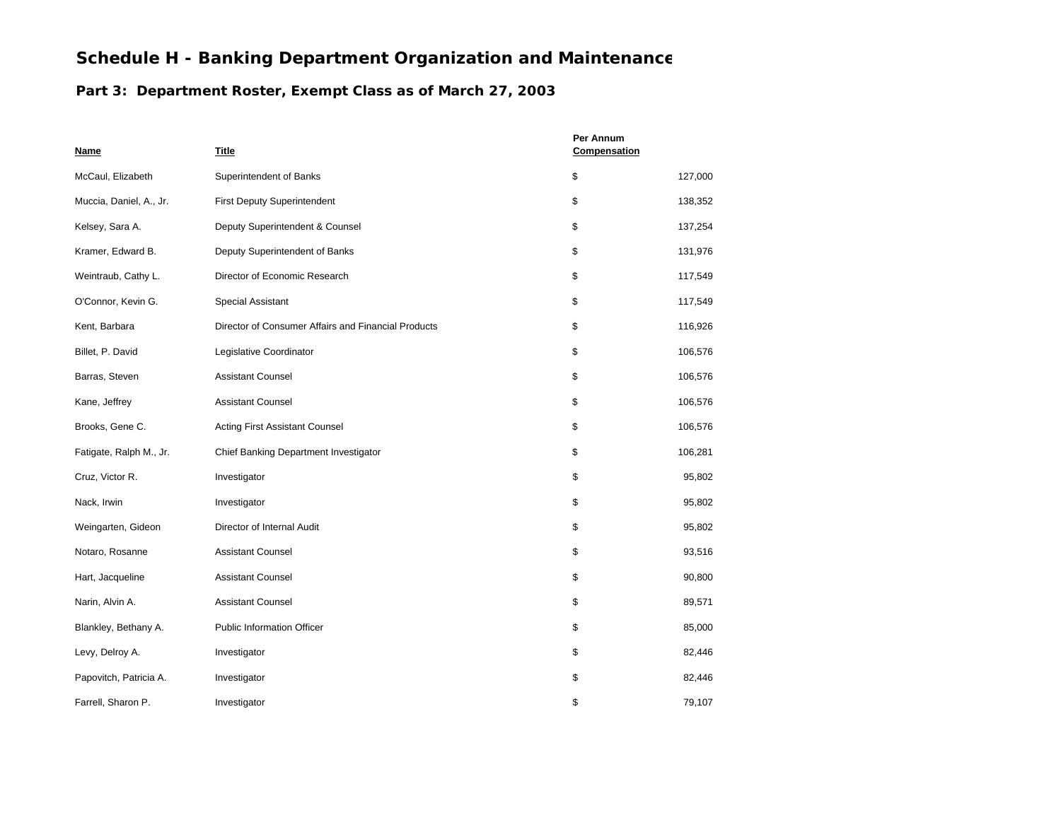### **Schedule H - Banking Department Organization and Maintenance**

#### **Part 3: Department Roster, Exempt Class as of March 27, 2003**

| <b>Name</b>             | Title                                               | Per Annum<br>Compensation |         |
|-------------------------|-----------------------------------------------------|---------------------------|---------|
| McCaul, Elizabeth       | Superintendent of Banks                             | \$                        | 127,000 |
| Muccia, Daniel, A., Jr. | <b>First Deputy Superintendent</b>                  | \$                        | 138,352 |
| Kelsey, Sara A.         | Deputy Superintendent & Counsel                     | \$                        | 137,254 |
| Kramer, Edward B.       | Deputy Superintendent of Banks                      | \$                        | 131,976 |
| Weintraub, Cathy L.     | Director of Economic Research                       | \$                        | 117,549 |
| O'Connor, Kevin G.      | Special Assistant                                   | \$                        | 117,549 |
| Kent, Barbara           | Director of Consumer Affairs and Financial Products | \$                        | 116,926 |
| Billet, P. David        | Legislative Coordinator                             | \$                        | 106,576 |
| Barras, Steven          | <b>Assistant Counsel</b>                            | \$                        | 106,576 |
| Kane, Jeffrey           | <b>Assistant Counsel</b>                            | \$                        | 106,576 |
| Brooks, Gene C.         | <b>Acting First Assistant Counsel</b>               | \$                        | 106,576 |
| Fatigate, Ralph M., Jr. | Chief Banking Department Investigator               | \$                        | 106,281 |
| Cruz, Victor R.         | Investigator                                        | \$                        | 95,802  |
| Nack, Irwin             | Investigator                                        | \$                        | 95,802  |
| Weingarten, Gideon      | Director of Internal Audit                          | \$                        | 95,802  |
| Notaro, Rosanne         | <b>Assistant Counsel</b>                            | \$                        | 93,516  |
| Hart, Jacqueline        | <b>Assistant Counsel</b>                            | \$                        | 90,800  |
| Narin, Alvin A.         | <b>Assistant Counsel</b>                            | \$                        | 89,571  |
| Blankley, Bethany A.    | <b>Public Information Officer</b>                   | \$                        | 85,000  |
| Levy, Delroy A.         | Investigator                                        | \$                        | 82,446  |
| Papovitch, Patricia A.  | Investigator                                        | \$                        | 82,446  |
| Farrell, Sharon P.      | Investigator                                        | \$                        | 79,107  |